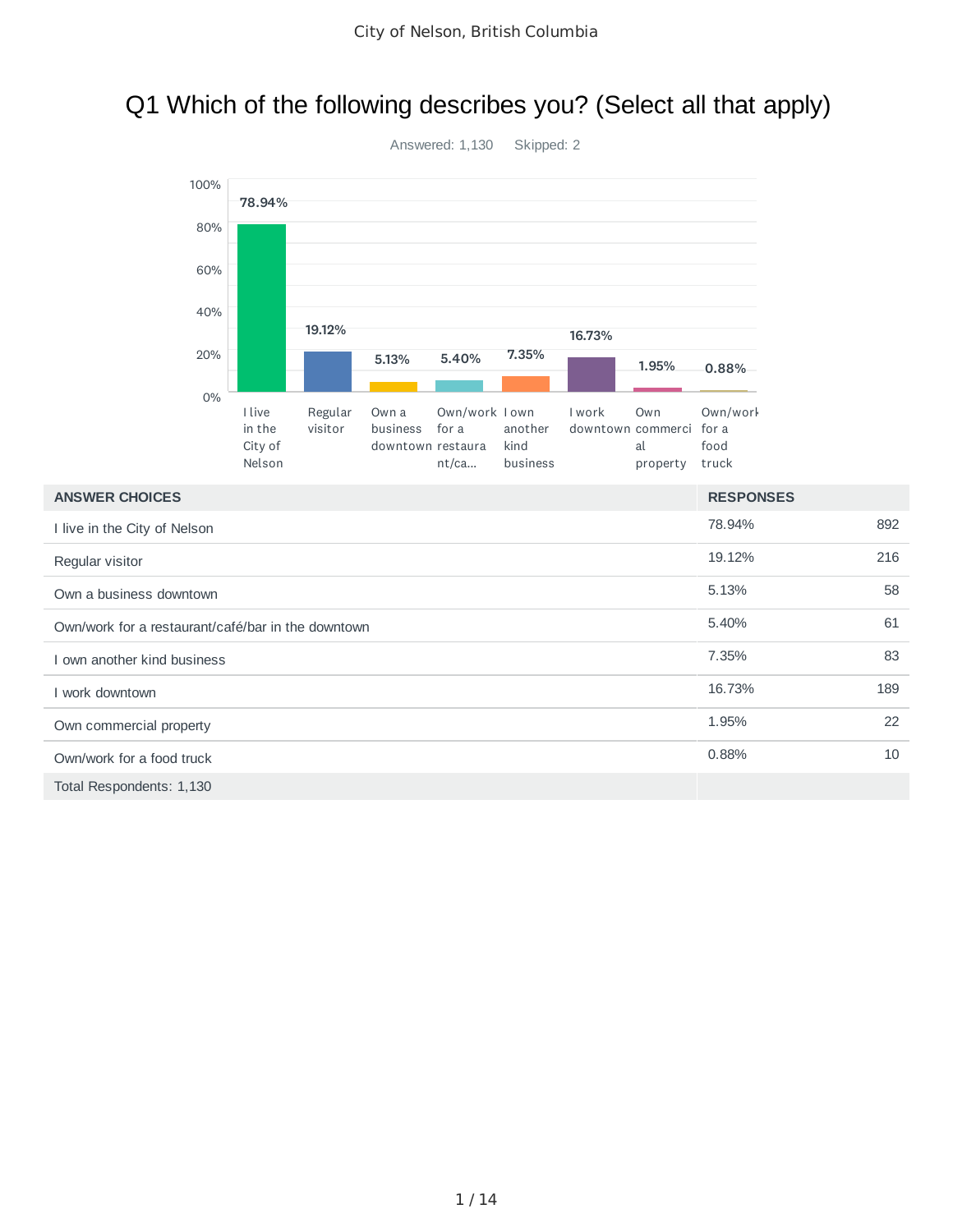## Q1 Which of the following describes you? (Select all that apply)



| <b>ANSWER CHOICES</b>                              | <b>RESPONSES</b> |     |
|----------------------------------------------------|------------------|-----|
| I live in the City of Nelson                       | 78.94%           | 892 |
| Regular visitor                                    | 19.12%           | 216 |
| Own a business downtown                            | 5.13%            | 58  |
| Own/work for a restaurant/café/bar in the downtown | 5.40%            | 61  |
| I own another kind business                        | 7.35%            | 83  |
| I work downtown                                    | 16.73%           | 189 |
| Own commercial property                            | 1.95%            | 22  |
| Own/work for a food truck                          | 0.88%            | 10  |
| Total Respondents: 1,130                           |                  |     |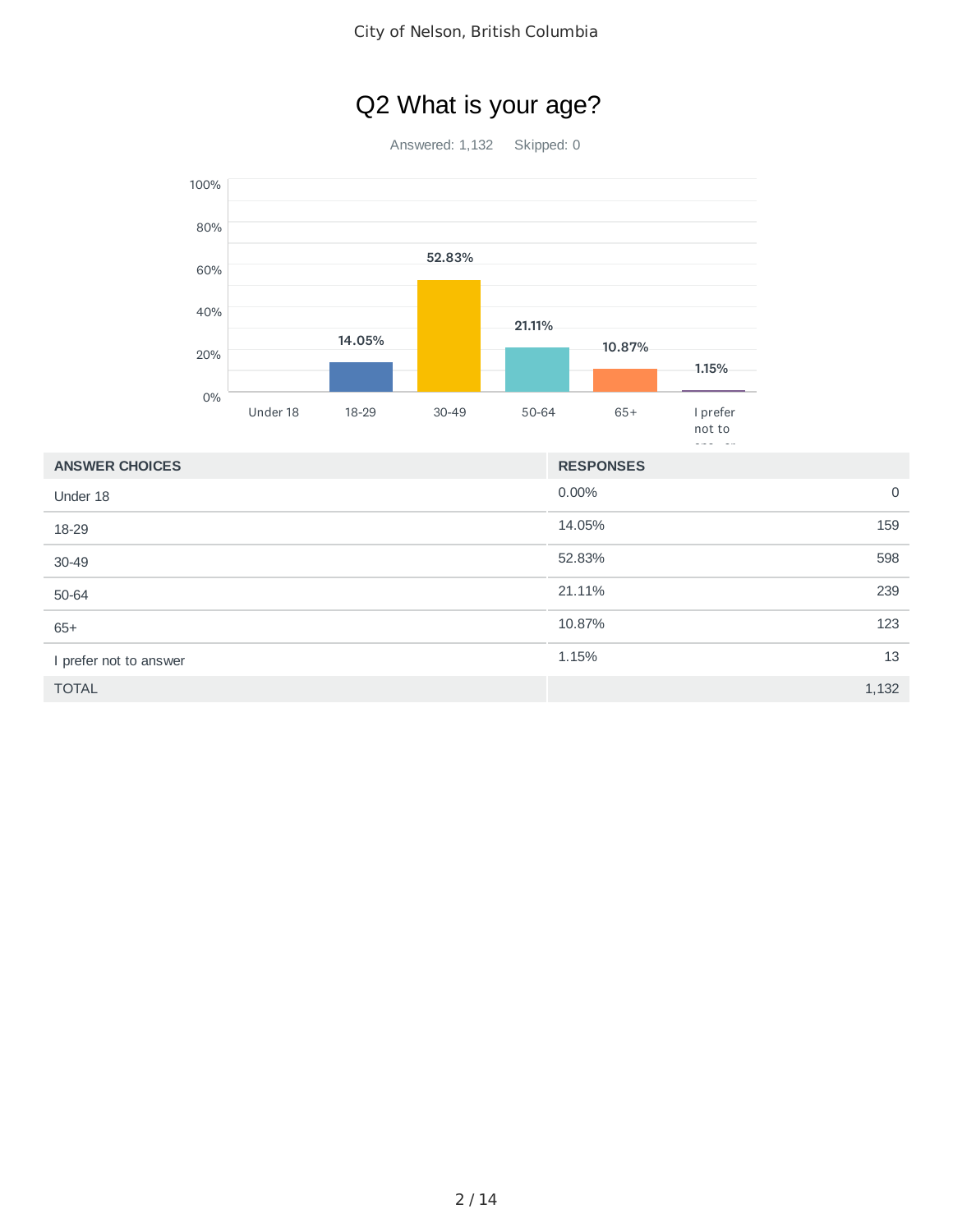# Q2 What is your age?

Answered: 1,132 Skipped: 0



| <b>ANSWER CHOICES</b>  | <b>RESPONSES</b> |             |
|------------------------|------------------|-------------|
| Under 18               | $0.00\%$         | $\mathbf 0$ |
| 18-29                  | 14.05%           | 159         |
| 30-49                  | 52.83%           | 598         |
| 50-64                  | 21.11%           | 239         |
| $65+$                  | 10.87%           | 123         |
| I prefer not to answer | 1.15%            | 13          |
| <b>TOTAL</b>           |                  | 1,132       |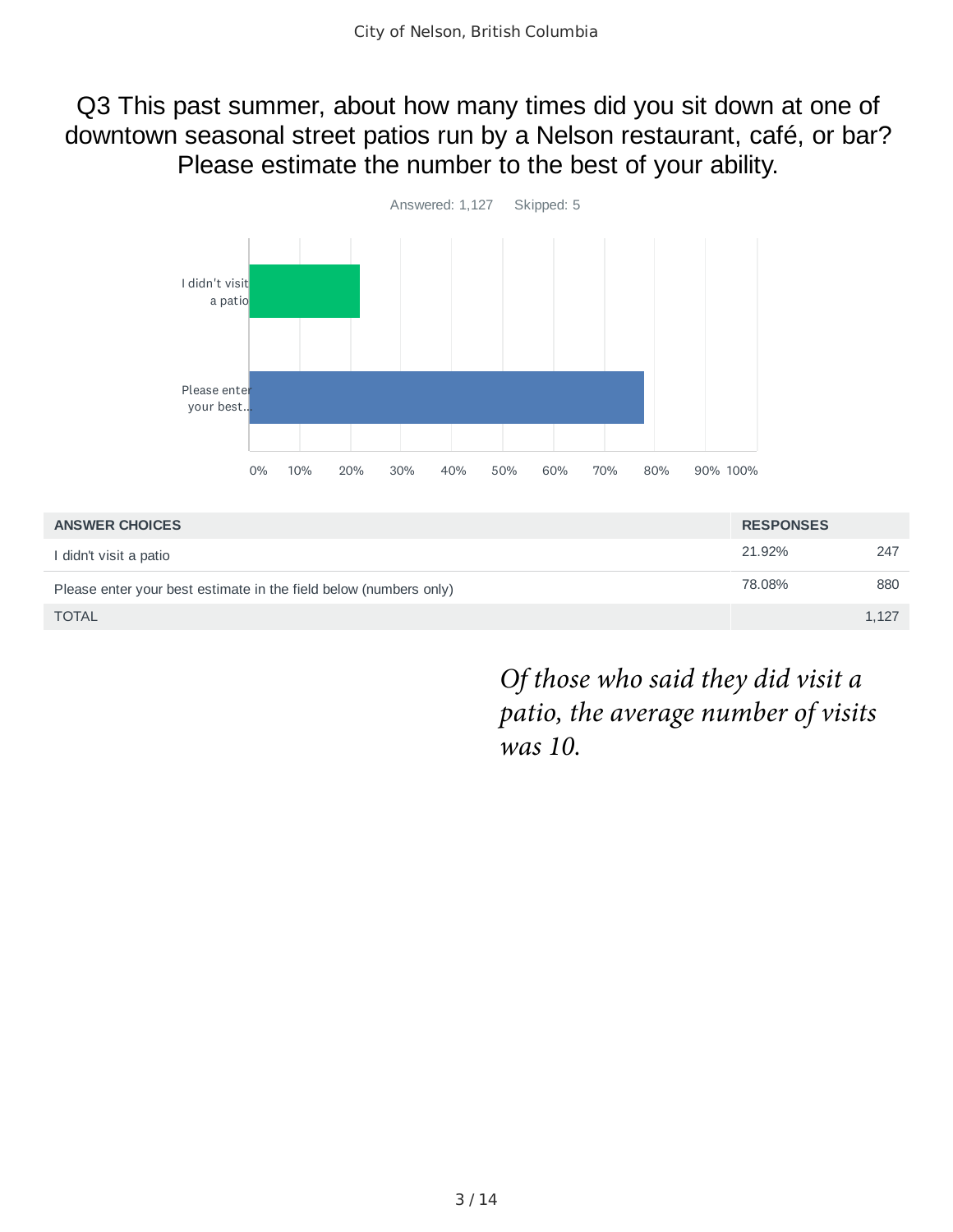### Q3 This past summer, about how many times did you sit down at one of downtown seasonal street patios run by a Nelson restaurant, café, or bar? Please estimate the number to the best of your ability.



| <b>ANSWER CHOICES</b>                                             | <b>RESPONSES</b> |       |
|-------------------------------------------------------------------|------------------|-------|
| I didn't visit a patio                                            | 21.92%           | 247   |
| Please enter your best estimate in the field below (numbers only) | 78.08%           | 880   |
| <b>TOTAL</b>                                                      |                  | 1,127 |

*Of those who said they did visit a patio, the average number of visits was 10.*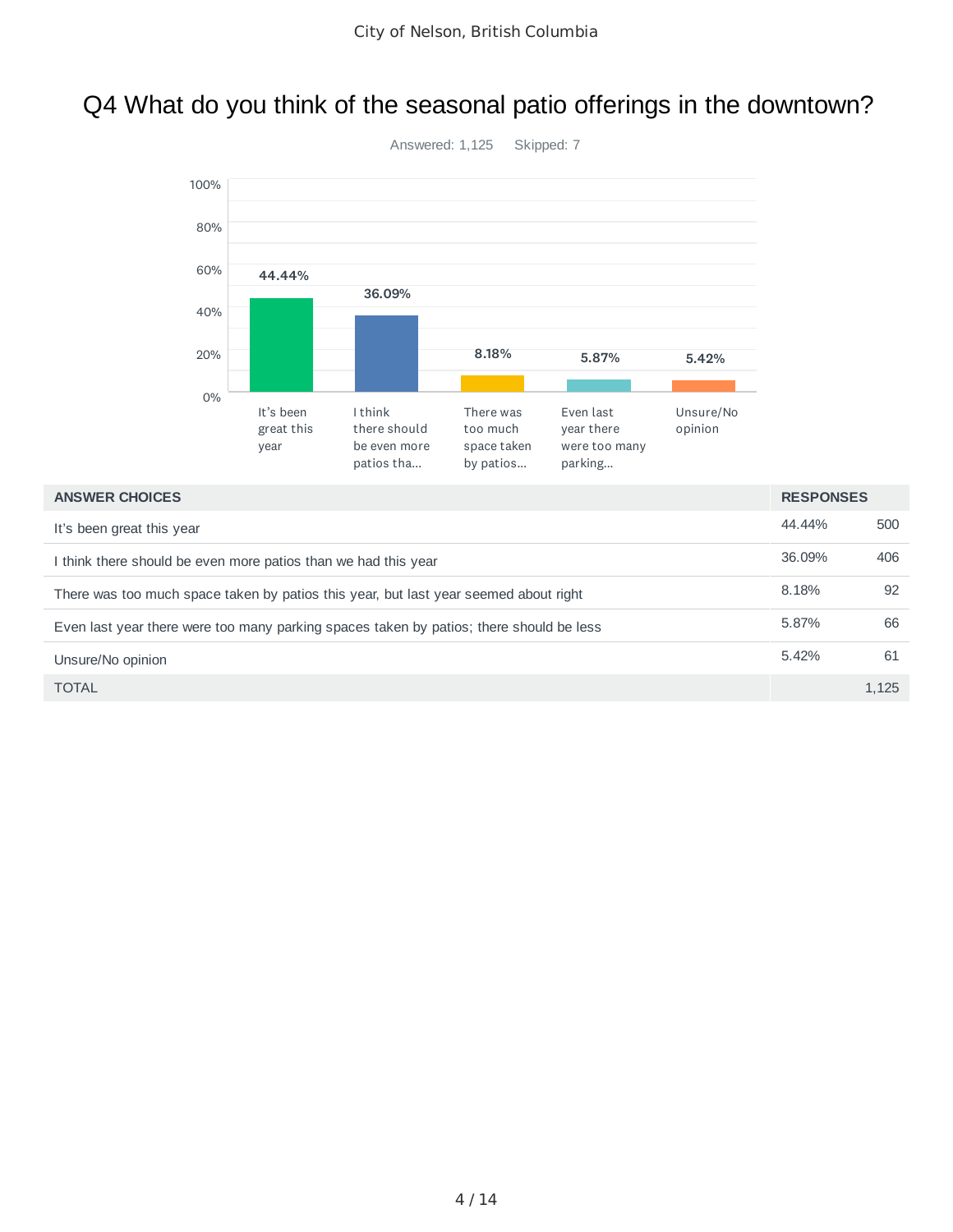## Q4 What do you think of the seasonal patio offerings in the downtown?



| <b>ANSWER CHOICES</b>                                                                   | <b>RESPONSES</b> |       |
|-----------------------------------------------------------------------------------------|------------------|-------|
| It's been great this year                                                               | 44.44%           | 500   |
| I think there should be even more patios than we had this year                          | 36.09%           | 406   |
| There was too much space taken by patios this year, but last year seemed about right    | 8.18%            | 92    |
| Even last year there were too many parking spaces taken by patios; there should be less | 5.87%            | 66    |
| Unsure/No opinion                                                                       | 5.42%            | 61    |
| <b>TOTAL</b>                                                                            |                  | 1.125 |

#### 4 / 14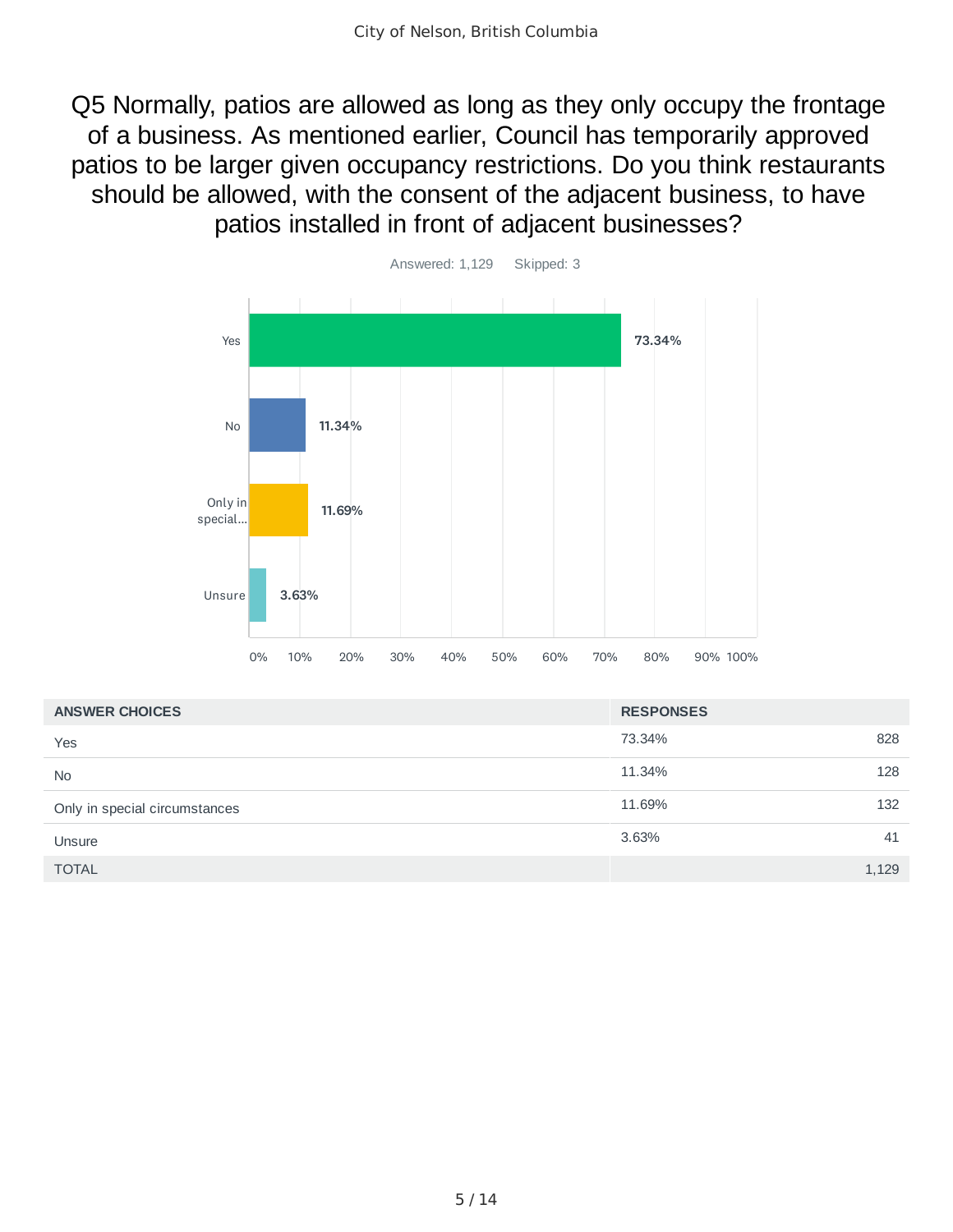Q5 Normally, patios are allowed as long as they only occupy the frontage of a business. As mentioned earlier, Council has temporarily approved patios to be larger given occupancy restrictions. Do you think restaurants should be allowed, with the consent of the adjacent business, to have patios installed in front of adjacent businesses?



| <b>ANSWER CHOICES</b>         | <b>RESPONSES</b> |       |
|-------------------------------|------------------|-------|
| Yes                           | 73.34%           | 828   |
| <b>No</b>                     | 11.34%           | 128   |
| Only in special circumstances | 11.69%           | 132   |
| Unsure                        | 3.63%            | 41    |
| <b>TOTAL</b>                  |                  | 1,129 |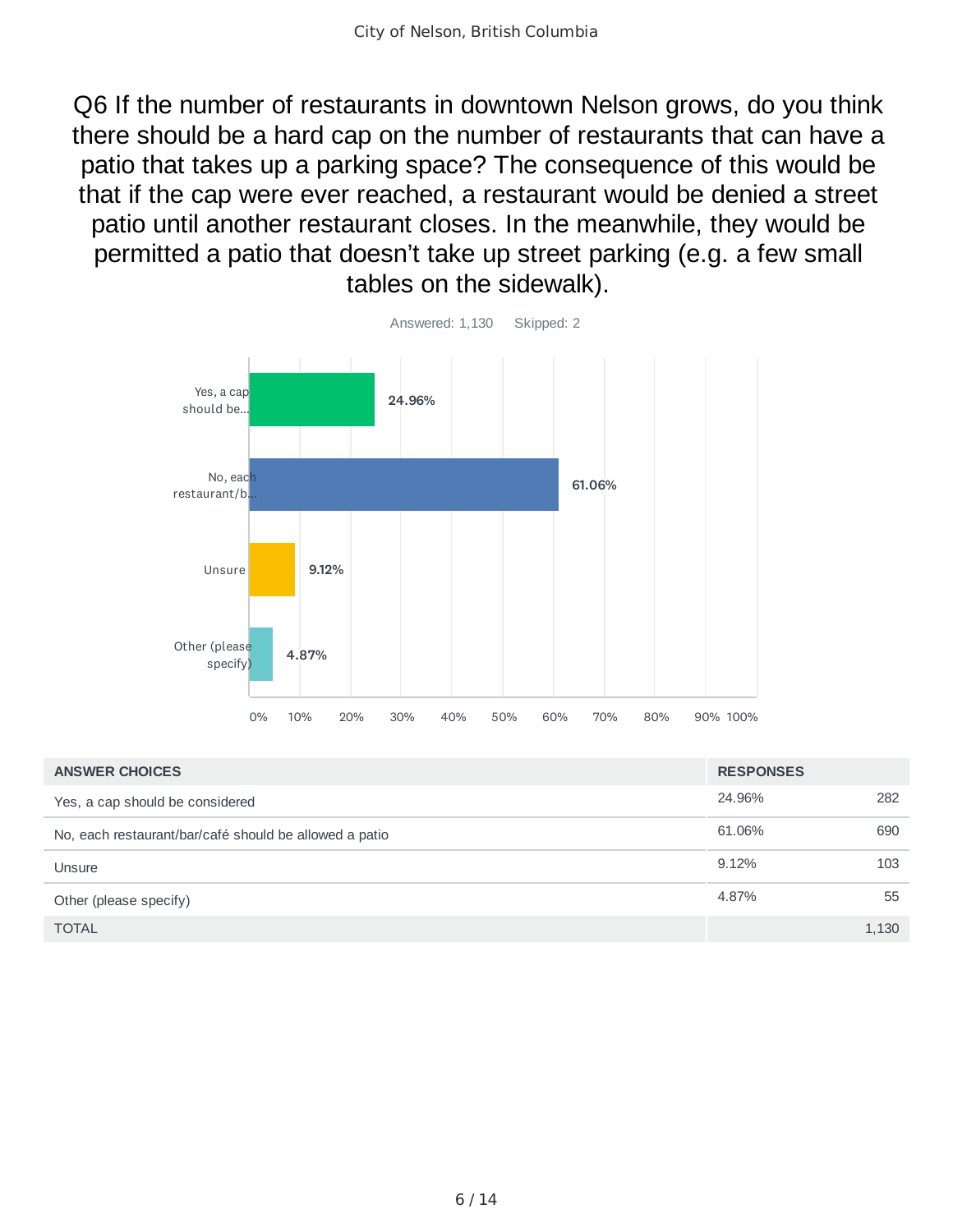Q6 If the number of restaurants in downtown Nelson grows, do you think there should be a hard cap on the number of restaurants that can have a patio that takes up a parking space? The consequence of this would be that if the cap were ever reached, a restaurant would be denied a street patio until another restaurant closes. In the meanwhile, they would be permitted a patio that doesn't take up street parking (e.g. a few small tables on the sidewalk).



| <b>ANSWER CHOICES</b>                                  | <b>RESPONSES</b> |       |
|--------------------------------------------------------|------------------|-------|
| Yes, a cap should be considered                        | 24.96%           | 282   |
| No, each restaurant/bar/café should be allowed a patio | 61.06%           | 690   |
| Unsure                                                 | 9.12%            | 103   |
| Other (please specify)                                 | 4.87%            | 55    |
| <b>TOTAL</b>                                           |                  | 1,130 |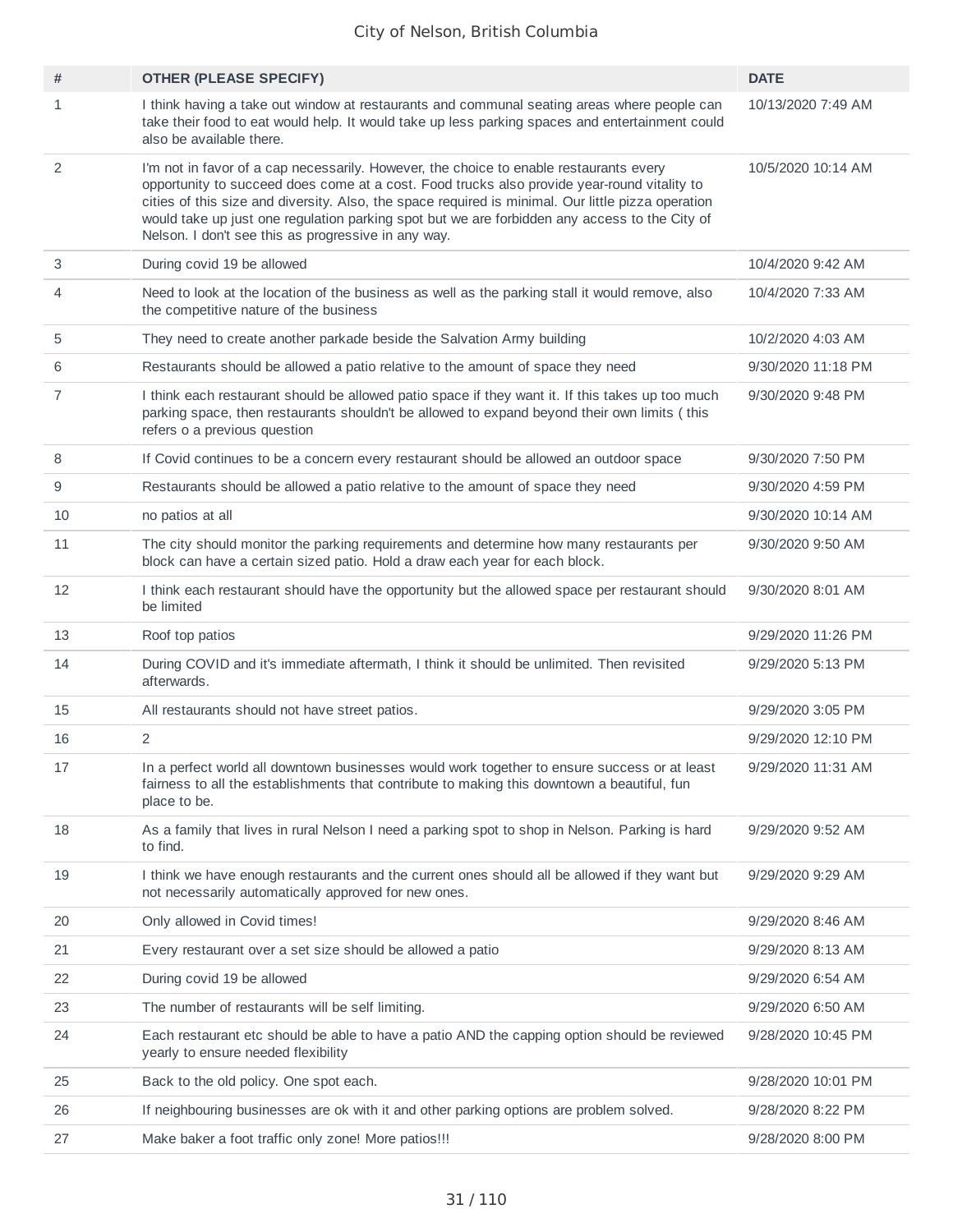| #  | <b>OTHER (PLEASE SPECIFY)</b>                                                                                                                                                                                                                                                                                                                                                                                                                       | <b>DATE</b>        |
|----|-----------------------------------------------------------------------------------------------------------------------------------------------------------------------------------------------------------------------------------------------------------------------------------------------------------------------------------------------------------------------------------------------------------------------------------------------------|--------------------|
| 1  | I think having a take out window at restaurants and communal seating areas where people can<br>take their food to eat would help. It would take up less parking spaces and entertainment could<br>also be available there.                                                                                                                                                                                                                          | 10/13/2020 7:49 AM |
| 2  | I'm not in favor of a cap necessarily. However, the choice to enable restaurants every<br>opportunity to succeed does come at a cost. Food trucks also provide year-round vitality to<br>cities of this size and diversity. Also, the space required is minimal. Our little pizza operation<br>would take up just one regulation parking spot but we are forbidden any access to the City of<br>Nelson. I don't see this as progressive in any way. | 10/5/2020 10:14 AM |
| 3  | During covid 19 be allowed                                                                                                                                                                                                                                                                                                                                                                                                                          | 10/4/2020 9:42 AM  |
| 4  | Need to look at the location of the business as well as the parking stall it would remove, also<br>the competitive nature of the business                                                                                                                                                                                                                                                                                                           | 10/4/2020 7:33 AM  |
| 5  | They need to create another parkade beside the Salvation Army building                                                                                                                                                                                                                                                                                                                                                                              | 10/2/2020 4:03 AM  |
| 6  | Restaurants should be allowed a patio relative to the amount of space they need                                                                                                                                                                                                                                                                                                                                                                     | 9/30/2020 11:18 PM |
| 7  | I think each restaurant should be allowed patio space if they want it. If this takes up too much<br>parking space, then restaurants shouldn't be allowed to expand beyond their own limits (this<br>refers o a previous question                                                                                                                                                                                                                    | 9/30/2020 9:48 PM  |
| 8  | If Covid continues to be a concern every restaurant should be allowed an outdoor space                                                                                                                                                                                                                                                                                                                                                              | 9/30/2020 7:50 PM  |
| 9  | Restaurants should be allowed a patio relative to the amount of space they need                                                                                                                                                                                                                                                                                                                                                                     | 9/30/2020 4:59 PM  |
| 10 | no patios at all                                                                                                                                                                                                                                                                                                                                                                                                                                    | 9/30/2020 10:14 AM |
| 11 | The city should monitor the parking requirements and determine how many restaurants per<br>block can have a certain sized patio. Hold a draw each year for each block.                                                                                                                                                                                                                                                                              | 9/30/2020 9:50 AM  |
| 12 | I think each restaurant should have the opportunity but the allowed space per restaurant should<br>be limited                                                                                                                                                                                                                                                                                                                                       | 9/30/2020 8:01 AM  |
| 13 | Roof top patios                                                                                                                                                                                                                                                                                                                                                                                                                                     | 9/29/2020 11:26 PM |
| 14 | During COVID and it's immediate aftermath, I think it should be unlimited. Then revisited<br>afterwards.                                                                                                                                                                                                                                                                                                                                            | 9/29/2020 5:13 PM  |
| 15 | All restaurants should not have street patios.                                                                                                                                                                                                                                                                                                                                                                                                      | 9/29/2020 3:05 PM  |
| 16 | 2                                                                                                                                                                                                                                                                                                                                                                                                                                                   | 9/29/2020 12:10 PM |
| 17 | In a perfect world all downtown businesses would work together to ensure success or at least<br>fairness to all the establishments that contribute to making this downtown a beautiful, fun<br>place to be.                                                                                                                                                                                                                                         | 9/29/2020 11:31 AM |
| 18 | As a family that lives in rural Nelson I need a parking spot to shop in Nelson. Parking is hard<br>to find.                                                                                                                                                                                                                                                                                                                                         | 9/29/2020 9:52 AM  |
| 19 | I think we have enough restaurants and the current ones should all be allowed if they want but<br>not necessarily automatically approved for new ones.                                                                                                                                                                                                                                                                                              | 9/29/2020 9:29 AM  |
| 20 | Only allowed in Covid times!                                                                                                                                                                                                                                                                                                                                                                                                                        | 9/29/2020 8:46 AM  |
| 21 | Every restaurant over a set size should be allowed a patio                                                                                                                                                                                                                                                                                                                                                                                          | 9/29/2020 8:13 AM  |
| 22 | During covid 19 be allowed                                                                                                                                                                                                                                                                                                                                                                                                                          | 9/29/2020 6:54 AM  |
| 23 | The number of restaurants will be self limiting.                                                                                                                                                                                                                                                                                                                                                                                                    | 9/29/2020 6:50 AM  |
| 24 | Each restaurant etc should be able to have a patio AND the capping option should be reviewed<br>yearly to ensure needed flexibility                                                                                                                                                                                                                                                                                                                 | 9/28/2020 10:45 PM |
| 25 | Back to the old policy. One spot each.                                                                                                                                                                                                                                                                                                                                                                                                              | 9/28/2020 10:01 PM |
| 26 | If neighbouring businesses are ok with it and other parking options are problem solved.                                                                                                                                                                                                                                                                                                                                                             | 9/28/2020 8:22 PM  |
| 27 | Make baker a foot traffic only zone! More patios!!!                                                                                                                                                                                                                                                                                                                                                                                                 | 9/28/2020 8:00 PM  |
|    |                                                                                                                                                                                                                                                                                                                                                                                                                                                     |                    |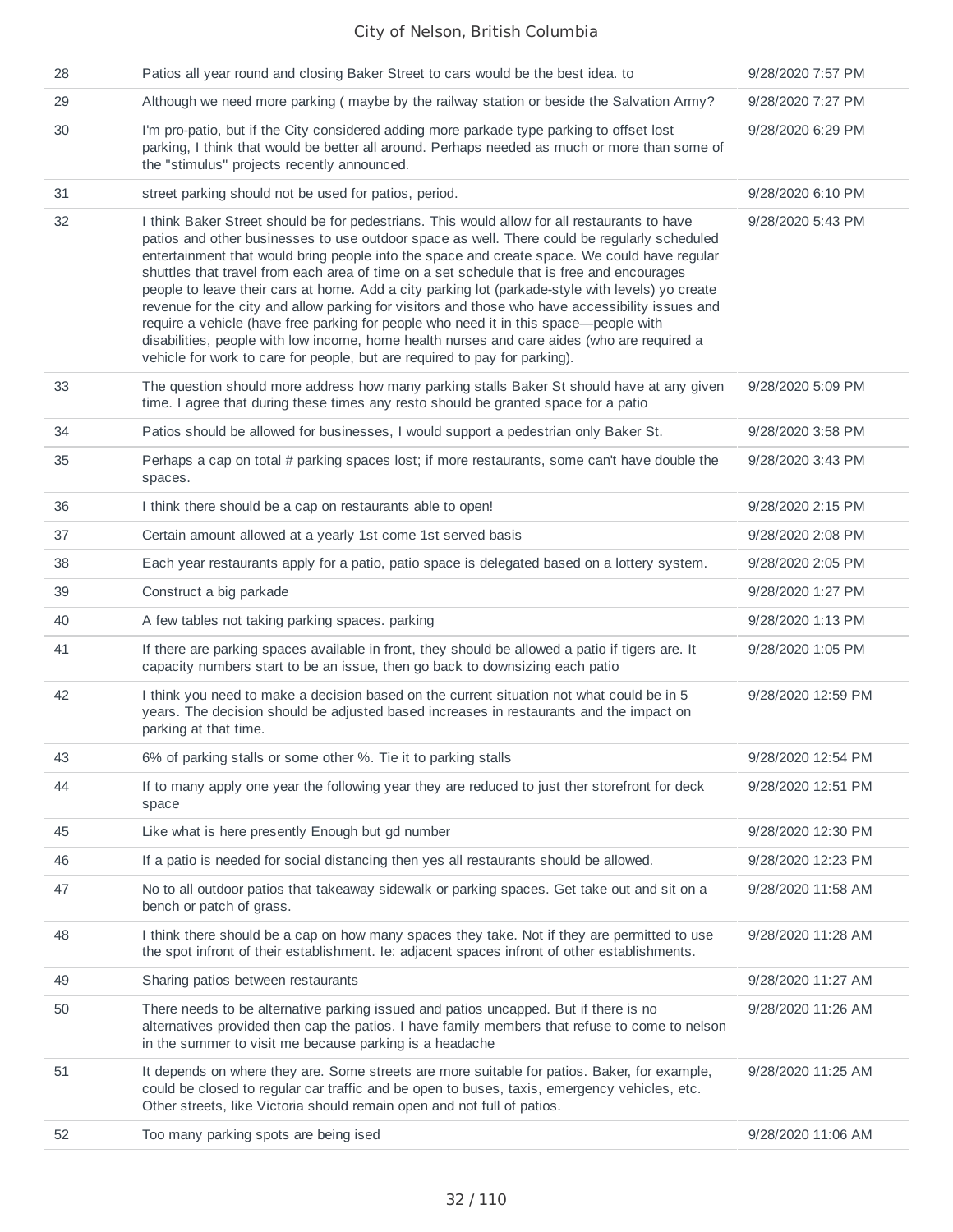| 28 | Patios all year round and closing Baker Street to cars would be the best idea. to                                                                                                                                                                                                                                                                                                                                                                                                                                                                                                                                                                                                                                                                                                                                                                                      | 9/28/2020 7:57 PM  |
|----|------------------------------------------------------------------------------------------------------------------------------------------------------------------------------------------------------------------------------------------------------------------------------------------------------------------------------------------------------------------------------------------------------------------------------------------------------------------------------------------------------------------------------------------------------------------------------------------------------------------------------------------------------------------------------------------------------------------------------------------------------------------------------------------------------------------------------------------------------------------------|--------------------|
| 29 | Although we need more parking (maybe by the railway station or beside the Salvation Army?                                                                                                                                                                                                                                                                                                                                                                                                                                                                                                                                                                                                                                                                                                                                                                              | 9/28/2020 7:27 PM  |
| 30 | I'm pro-patio, but if the City considered adding more parkade type parking to offset lost<br>parking, I think that would be better all around. Perhaps needed as much or more than some of<br>the "stimulus" projects recently announced.                                                                                                                                                                                                                                                                                                                                                                                                                                                                                                                                                                                                                              | 9/28/2020 6:29 PM  |
| 31 | street parking should not be used for patios, period.                                                                                                                                                                                                                                                                                                                                                                                                                                                                                                                                                                                                                                                                                                                                                                                                                  | 9/28/2020 6:10 PM  |
| 32 | I think Baker Street should be for pedestrians. This would allow for all restaurants to have<br>patios and other businesses to use outdoor space as well. There could be regularly scheduled<br>entertainment that would bring people into the space and create space. We could have regular<br>shuttles that travel from each area of time on a set schedule that is free and encourages<br>people to leave their cars at home. Add a city parking lot (parkade-style with levels) yo create<br>revenue for the city and allow parking for visitors and those who have accessibility issues and<br>require a vehicle (have free parking for people who need it in this space-people with<br>disabilities, people with low income, home health nurses and care aides (who are required a<br>vehicle for work to care for people, but are required to pay for parking). | 9/28/2020 5:43 PM  |
| 33 | The question should more address how many parking stalls Baker St should have at any given<br>time. I agree that during these times any resto should be granted space for a patio                                                                                                                                                                                                                                                                                                                                                                                                                                                                                                                                                                                                                                                                                      | 9/28/2020 5:09 PM  |
| 34 | Patios should be allowed for businesses, I would support a pedestrian only Baker St.                                                                                                                                                                                                                                                                                                                                                                                                                                                                                                                                                                                                                                                                                                                                                                                   | 9/28/2020 3:58 PM  |
| 35 | Perhaps a cap on total # parking spaces lost; if more restaurants, some can't have double the<br>spaces.                                                                                                                                                                                                                                                                                                                                                                                                                                                                                                                                                                                                                                                                                                                                                               | 9/28/2020 3:43 PM  |
| 36 | I think there should be a cap on restaurants able to open!                                                                                                                                                                                                                                                                                                                                                                                                                                                                                                                                                                                                                                                                                                                                                                                                             | 9/28/2020 2:15 PM  |
| 37 | Certain amount allowed at a yearly 1st come 1st served basis                                                                                                                                                                                                                                                                                                                                                                                                                                                                                                                                                                                                                                                                                                                                                                                                           | 9/28/2020 2:08 PM  |
| 38 | Each year restaurants apply for a patio, patio space is delegated based on a lottery system.                                                                                                                                                                                                                                                                                                                                                                                                                                                                                                                                                                                                                                                                                                                                                                           | 9/28/2020 2:05 PM  |
| 39 | Construct a big parkade                                                                                                                                                                                                                                                                                                                                                                                                                                                                                                                                                                                                                                                                                                                                                                                                                                                | 9/28/2020 1:27 PM  |
| 40 | A few tables not taking parking spaces. parking                                                                                                                                                                                                                                                                                                                                                                                                                                                                                                                                                                                                                                                                                                                                                                                                                        | 9/28/2020 1:13 PM  |
| 41 | If there are parking spaces available in front, they should be allowed a patio if tigers are. It<br>capacity numbers start to be an issue, then go back to downsizing each patio                                                                                                                                                                                                                                                                                                                                                                                                                                                                                                                                                                                                                                                                                       | 9/28/2020 1:05 PM  |
| 42 | I think you need to make a decision based on the current situation not what could be in 5<br>years. The decision should be adjusted based increases in restaurants and the impact on<br>parking at that time.                                                                                                                                                                                                                                                                                                                                                                                                                                                                                                                                                                                                                                                          | 9/28/2020 12:59 PM |
| 43 | 6% of parking stalls or some other %. Tie it to parking stalls                                                                                                                                                                                                                                                                                                                                                                                                                                                                                                                                                                                                                                                                                                                                                                                                         | 9/28/2020 12:54 PM |
| 44 | If to many apply one year the following year they are reduced to just ther storefront for deck<br>space                                                                                                                                                                                                                                                                                                                                                                                                                                                                                                                                                                                                                                                                                                                                                                | 9/28/2020 12:51 PM |
| 45 | Like what is here presently Enough but gd number                                                                                                                                                                                                                                                                                                                                                                                                                                                                                                                                                                                                                                                                                                                                                                                                                       | 9/28/2020 12:30 PM |
| 46 | If a patio is needed for social distancing then yes all restaurants should be allowed.                                                                                                                                                                                                                                                                                                                                                                                                                                                                                                                                                                                                                                                                                                                                                                                 | 9/28/2020 12:23 PM |
| 47 | No to all outdoor patios that takeaway sidewalk or parking spaces. Get take out and sit on a<br>bench or patch of grass.                                                                                                                                                                                                                                                                                                                                                                                                                                                                                                                                                                                                                                                                                                                                               | 9/28/2020 11:58 AM |
| 48 | I think there should be a cap on how many spaces they take. Not if they are permitted to use<br>the spot infront of their establishment. Ie: adjacent spaces infront of other establishments.                                                                                                                                                                                                                                                                                                                                                                                                                                                                                                                                                                                                                                                                          | 9/28/2020 11:28 AM |
| 49 | Sharing patios between restaurants                                                                                                                                                                                                                                                                                                                                                                                                                                                                                                                                                                                                                                                                                                                                                                                                                                     | 9/28/2020 11:27 AM |
| 50 | There needs to be alternative parking issued and patios uncapped. But if there is no<br>alternatives provided then cap the patios. I have family members that refuse to come to nelson<br>in the summer to visit me because parking is a headache                                                                                                                                                                                                                                                                                                                                                                                                                                                                                                                                                                                                                      | 9/28/2020 11:26 AM |
| 51 | It depends on where they are. Some streets are more suitable for patios. Baker, for example,<br>could be closed to regular car traffic and be open to buses, taxis, emergency vehicles, etc.<br>Other streets, like Victoria should remain open and not full of patios.                                                                                                                                                                                                                                                                                                                                                                                                                                                                                                                                                                                                | 9/28/2020 11:25 AM |
| 52 | Too many parking spots are being ised                                                                                                                                                                                                                                                                                                                                                                                                                                                                                                                                                                                                                                                                                                                                                                                                                                  | 9/28/2020 11:06 AM |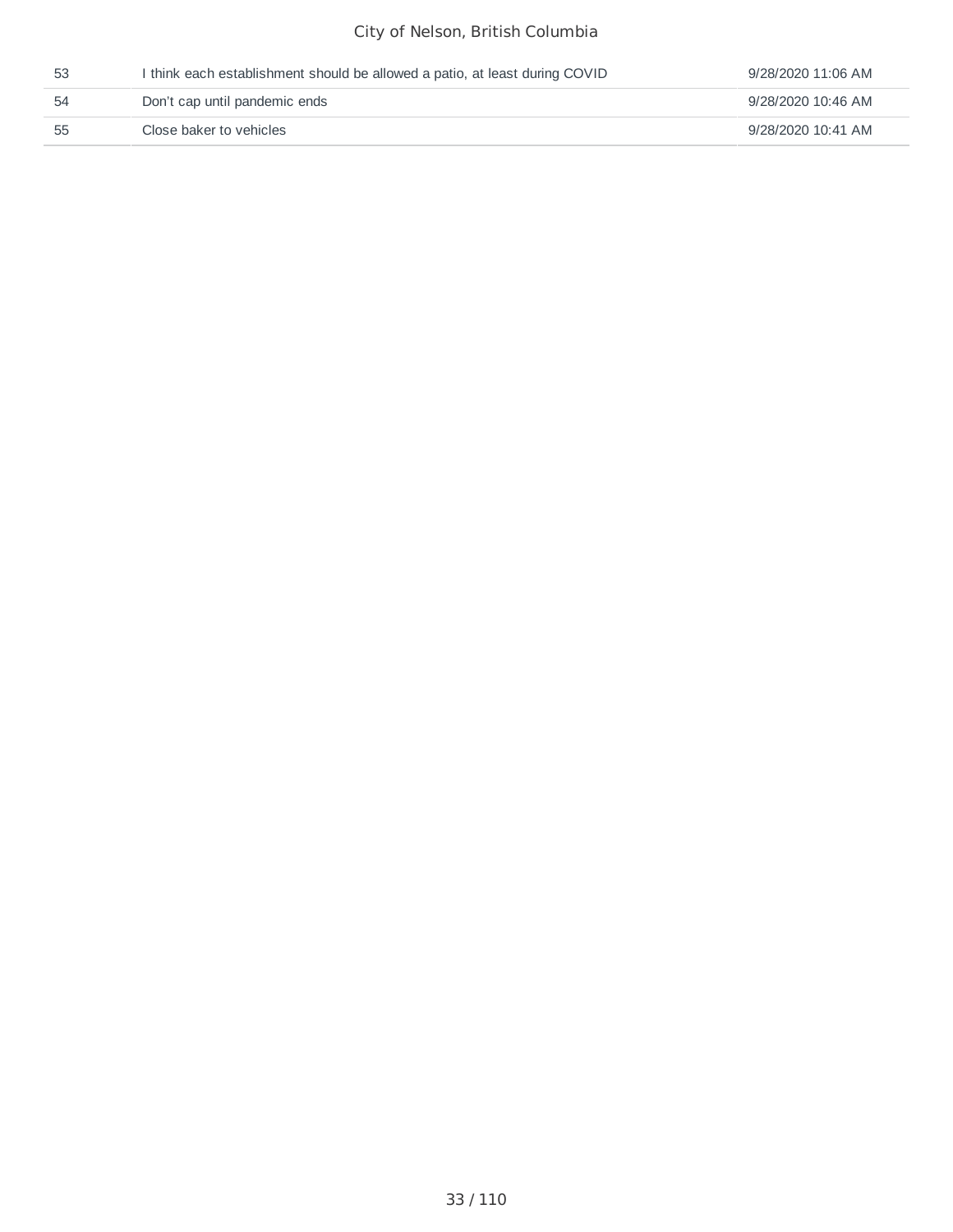| 53 | I think each establishment should be allowed a patio, at least during COVID | 9/28/2020 11:06 AM |
|----|-----------------------------------------------------------------------------|--------------------|
| 54 | Don't cap until pandemic ends                                               | 9/28/2020 10:46 AM |
| 55 | Close baker to vehicles                                                     | 9/28/2020 10:41 AM |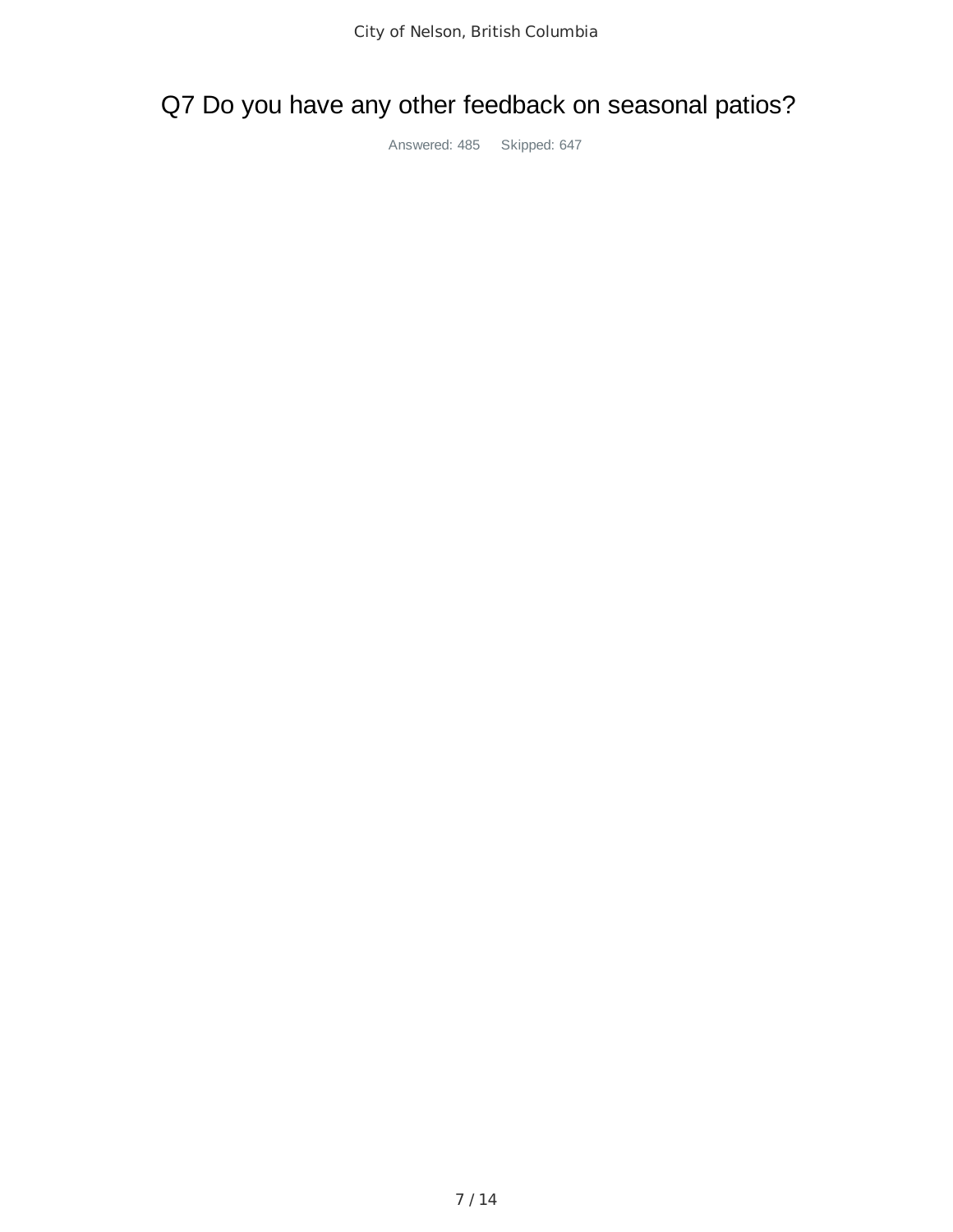# Q7 Do you have any other feedback on seasonal patios?

Answered: 485 Skipped: 647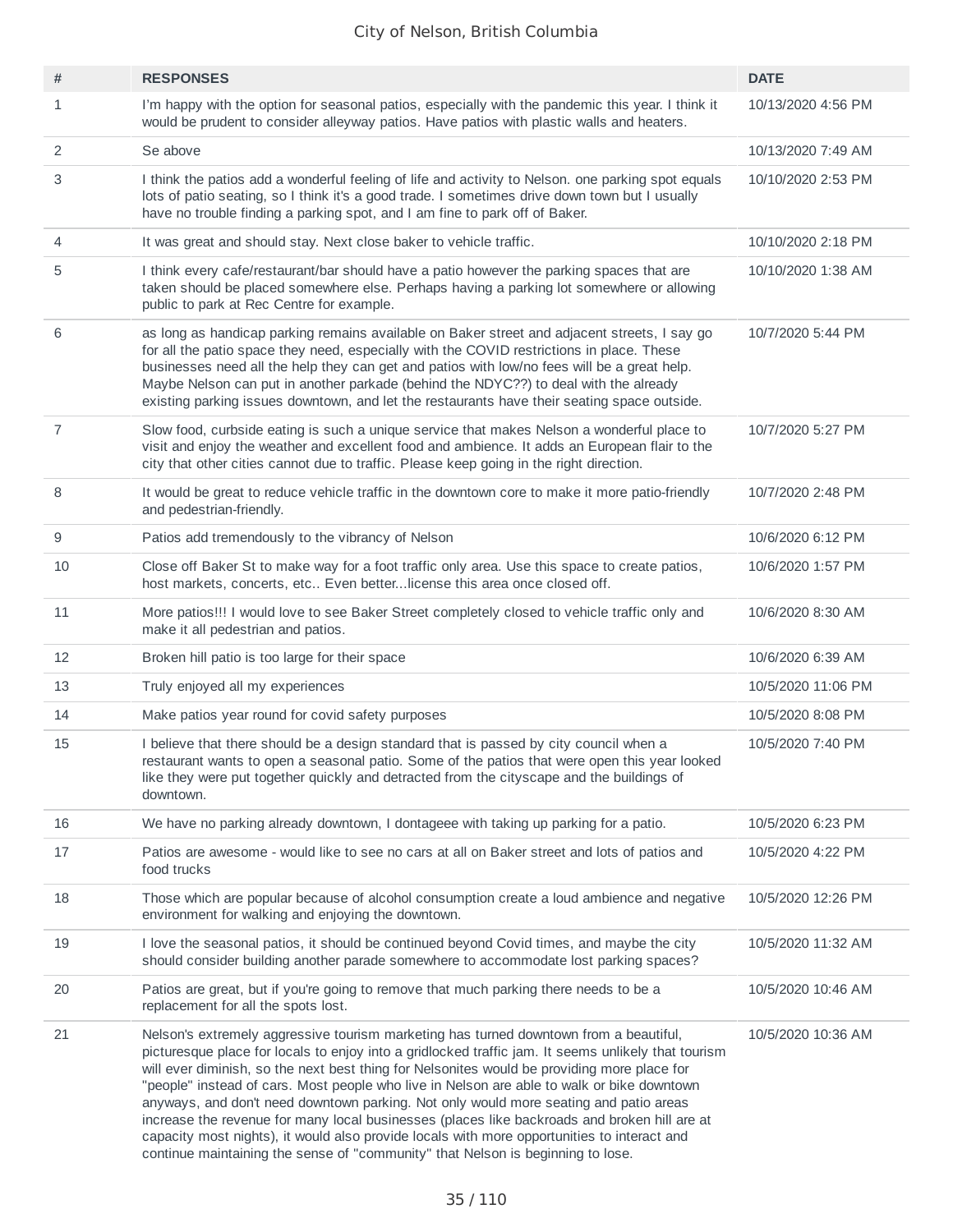| #  | <b>RESPONSES</b>                                                                                                                                                                                                                                                                                                                                                                                                                                                                                                                                                                                                                                                                                                                                                     | <b>DATE</b>        |
|----|----------------------------------------------------------------------------------------------------------------------------------------------------------------------------------------------------------------------------------------------------------------------------------------------------------------------------------------------------------------------------------------------------------------------------------------------------------------------------------------------------------------------------------------------------------------------------------------------------------------------------------------------------------------------------------------------------------------------------------------------------------------------|--------------------|
| 1  | I'm happy with the option for seasonal patios, especially with the pandemic this year. I think it<br>would be prudent to consider alleyway patios. Have patios with plastic walls and heaters.                                                                                                                                                                                                                                                                                                                                                                                                                                                                                                                                                                       | 10/13/2020 4:56 PM |
| 2  | Se above                                                                                                                                                                                                                                                                                                                                                                                                                                                                                                                                                                                                                                                                                                                                                             | 10/13/2020 7:49 AM |
| 3  | I think the patios add a wonderful feeling of life and activity to Nelson. one parking spot equals<br>lots of patio seating, so I think it's a good trade. I sometimes drive down town but I usually<br>have no trouble finding a parking spot, and I am fine to park off of Baker.                                                                                                                                                                                                                                                                                                                                                                                                                                                                                  | 10/10/2020 2:53 PM |
| 4  | It was great and should stay. Next close baker to vehicle traffic.                                                                                                                                                                                                                                                                                                                                                                                                                                                                                                                                                                                                                                                                                                   | 10/10/2020 2:18 PM |
| 5  | I think every cafe/restaurant/bar should have a patio however the parking spaces that are<br>taken should be placed somewhere else. Perhaps having a parking lot somewhere or allowing<br>public to park at Rec Centre for example.                                                                                                                                                                                                                                                                                                                                                                                                                                                                                                                                  | 10/10/2020 1:38 AM |
| 6  | as long as handicap parking remains available on Baker street and adjacent streets, I say go<br>for all the patio space they need, especially with the COVID restrictions in place. These<br>businesses need all the help they can get and patios with low/no fees will be a great help.<br>Maybe Nelson can put in another parkade (behind the NDYC??) to deal with the already<br>existing parking issues downtown, and let the restaurants have their seating space outside.                                                                                                                                                                                                                                                                                      | 10/7/2020 5:44 PM  |
| 7  | Slow food, curbside eating is such a unique service that makes Nelson a wonderful place to<br>visit and enjoy the weather and excellent food and ambience. It adds an European flair to the<br>city that other cities cannot due to traffic. Please keep going in the right direction.                                                                                                                                                                                                                                                                                                                                                                                                                                                                               | 10/7/2020 5:27 PM  |
| 8  | It would be great to reduce vehicle traffic in the downtown core to make it more patio-friendly<br>and pedestrian-friendly.                                                                                                                                                                                                                                                                                                                                                                                                                                                                                                                                                                                                                                          | 10/7/2020 2:48 PM  |
| 9  | Patios add tremendously to the vibrancy of Nelson                                                                                                                                                                                                                                                                                                                                                                                                                                                                                                                                                                                                                                                                                                                    | 10/6/2020 6:12 PM  |
| 10 | Close off Baker St to make way for a foot traffic only area. Use this space to create patios,<br>host markets, concerts, etc Even betterlicense this area once closed off.                                                                                                                                                                                                                                                                                                                                                                                                                                                                                                                                                                                           | 10/6/2020 1:57 PM  |
| 11 | More patios!!! I would love to see Baker Street completely closed to vehicle traffic only and<br>make it all pedestrian and patios.                                                                                                                                                                                                                                                                                                                                                                                                                                                                                                                                                                                                                                  | 10/6/2020 8:30 AM  |
| 12 | Broken hill patio is too large for their space                                                                                                                                                                                                                                                                                                                                                                                                                                                                                                                                                                                                                                                                                                                       | 10/6/2020 6:39 AM  |
| 13 | Truly enjoyed all my experiences                                                                                                                                                                                                                                                                                                                                                                                                                                                                                                                                                                                                                                                                                                                                     | 10/5/2020 11:06 PM |
| 14 | Make patios year round for covid safety purposes                                                                                                                                                                                                                                                                                                                                                                                                                                                                                                                                                                                                                                                                                                                     | 10/5/2020 8:08 PM  |
| 15 | I believe that there should be a design standard that is passed by city council when a<br>restaurant wants to open a seasonal patio. Some of the patios that were open this year looked<br>like they were put together quickly and detracted from the cityscape and the buildings of<br>downtown.                                                                                                                                                                                                                                                                                                                                                                                                                                                                    | 10/5/2020 7:40 PM  |
| 16 | We have no parking already downtown, I dontageee with taking up parking for a patio.                                                                                                                                                                                                                                                                                                                                                                                                                                                                                                                                                                                                                                                                                 | 10/5/2020 6:23 PM  |
| 17 | Patios are awesome - would like to see no cars at all on Baker street and lots of patios and<br>food trucks                                                                                                                                                                                                                                                                                                                                                                                                                                                                                                                                                                                                                                                          | 10/5/2020 4:22 PM  |
| 18 | Those which are popular because of alcohol consumption create a loud ambience and negative<br>environment for walking and enjoying the downtown.                                                                                                                                                                                                                                                                                                                                                                                                                                                                                                                                                                                                                     | 10/5/2020 12:26 PM |
| 19 | I love the seasonal patios, it should be continued beyond Covid times, and maybe the city<br>should consider building another parade somewhere to accommodate lost parking spaces?                                                                                                                                                                                                                                                                                                                                                                                                                                                                                                                                                                                   | 10/5/2020 11:32 AM |
| 20 | Patios are great, but if you're going to remove that much parking there needs to be a<br>replacement for all the spots lost.                                                                                                                                                                                                                                                                                                                                                                                                                                                                                                                                                                                                                                         | 10/5/2020 10:46 AM |
| 21 | Nelson's extremely aggressive tourism marketing has turned downtown from a beautiful,<br>picturesque place for locals to enjoy into a gridlocked traffic jam. It seems unlikely that tourism<br>will ever diminish, so the next best thing for Nelsonites would be providing more place for<br>"people" instead of cars. Most people who live in Nelson are able to walk or bike downtown<br>anyways, and don't need downtown parking. Not only would more seating and patio areas<br>increase the revenue for many local businesses (places like backroads and broken hill are at<br>capacity most nights), it would also provide locals with more opportunities to interact and<br>continue maintaining the sense of "community" that Nelson is beginning to lose. | 10/5/2020 10:36 AM |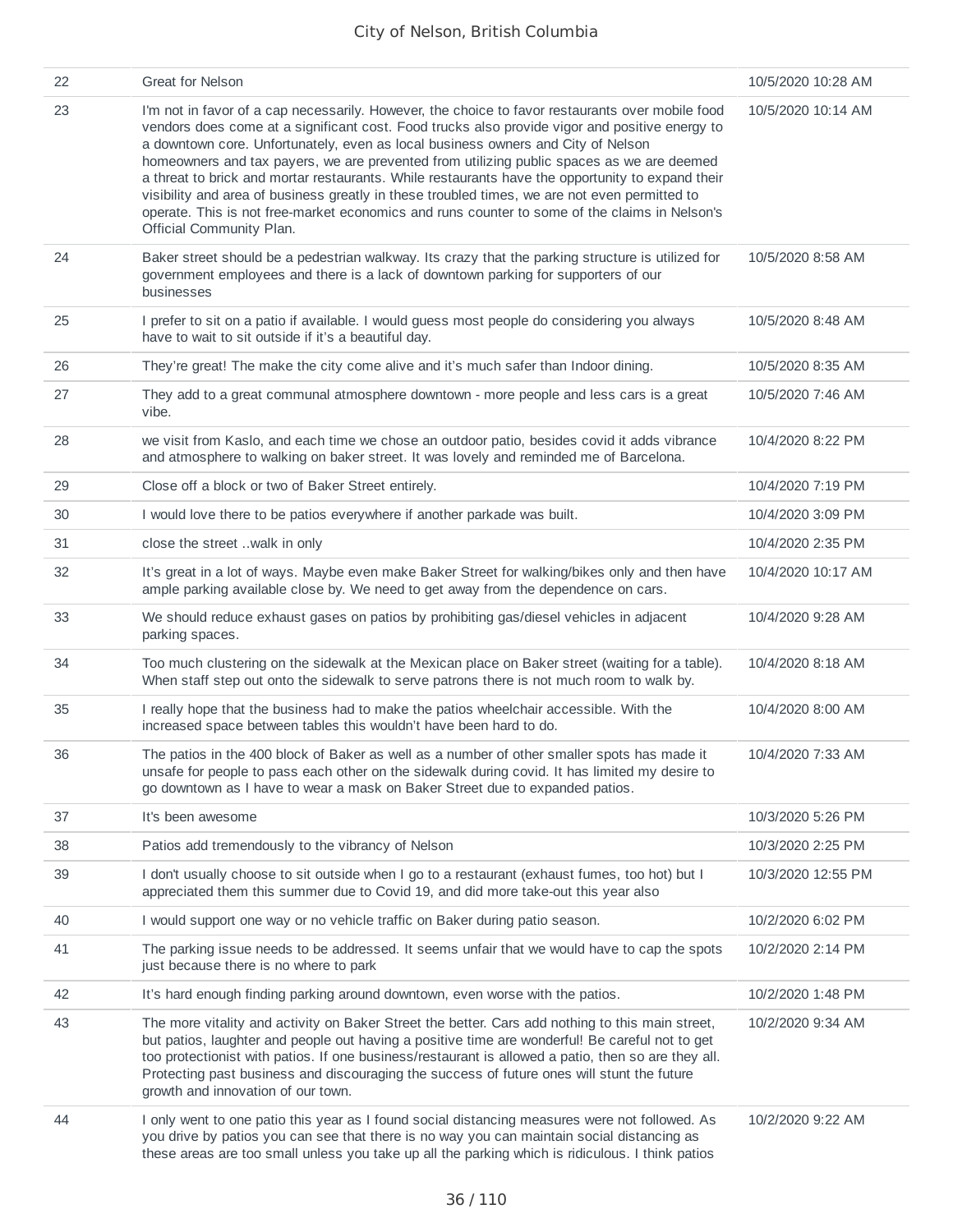| 22 | <b>Great for Nelson</b>                                                                                                                                                                                                                                                                                                                                                                                                                                                                                                                                                                                                                                                                                               | 10/5/2020 10:28 AM |
|----|-----------------------------------------------------------------------------------------------------------------------------------------------------------------------------------------------------------------------------------------------------------------------------------------------------------------------------------------------------------------------------------------------------------------------------------------------------------------------------------------------------------------------------------------------------------------------------------------------------------------------------------------------------------------------------------------------------------------------|--------------------|
| 23 | I'm not in favor of a cap necessarily. However, the choice to favor restaurants over mobile food<br>vendors does come at a significant cost. Food trucks also provide vigor and positive energy to<br>a downtown core. Unfortunately, even as local business owners and City of Nelson<br>homeowners and tax payers, we are prevented from utilizing public spaces as we are deemed<br>a threat to brick and mortar restaurants. While restaurants have the opportunity to expand their<br>visibility and area of business greatly in these troubled times, we are not even permitted to<br>operate. This is not free-market economics and runs counter to some of the claims in Nelson's<br>Official Community Plan. | 10/5/2020 10:14 AM |
| 24 | Baker street should be a pedestrian walkway. Its crazy that the parking structure is utilized for<br>government employees and there is a lack of downtown parking for supporters of our<br>businesses                                                                                                                                                                                                                                                                                                                                                                                                                                                                                                                 | 10/5/2020 8:58 AM  |
| 25 | I prefer to sit on a patio if available. I would guess most people do considering you always<br>have to wait to sit outside if it's a beautiful day.                                                                                                                                                                                                                                                                                                                                                                                                                                                                                                                                                                  | 10/5/2020 8:48 AM  |
| 26 | They're great! The make the city come alive and it's much safer than Indoor dining.                                                                                                                                                                                                                                                                                                                                                                                                                                                                                                                                                                                                                                   | 10/5/2020 8:35 AM  |
| 27 | They add to a great communal atmosphere downtown - more people and less cars is a great<br>vibe.                                                                                                                                                                                                                                                                                                                                                                                                                                                                                                                                                                                                                      | 10/5/2020 7:46 AM  |
| 28 | we visit from Kaslo, and each time we chose an outdoor patio, besides covid it adds vibrance<br>and atmosphere to walking on baker street. It was lovely and reminded me of Barcelona.                                                                                                                                                                                                                                                                                                                                                                                                                                                                                                                                | 10/4/2020 8:22 PM  |
| 29 | Close off a block or two of Baker Street entirely.                                                                                                                                                                                                                                                                                                                                                                                                                                                                                                                                                                                                                                                                    | 10/4/2020 7:19 PM  |
| 30 | I would love there to be patios everywhere if another parkade was built.                                                                                                                                                                                                                                                                                                                                                                                                                                                                                                                                                                                                                                              | 10/4/2020 3:09 PM  |
| 31 | close the street walk in only                                                                                                                                                                                                                                                                                                                                                                                                                                                                                                                                                                                                                                                                                         | 10/4/2020 2:35 PM  |
| 32 | It's great in a lot of ways. Maybe even make Baker Street for walking/bikes only and then have<br>ample parking available close by. We need to get away from the dependence on cars.                                                                                                                                                                                                                                                                                                                                                                                                                                                                                                                                  | 10/4/2020 10:17 AM |
| 33 | We should reduce exhaust gases on patios by prohibiting gas/diesel vehicles in adjacent<br>parking spaces.                                                                                                                                                                                                                                                                                                                                                                                                                                                                                                                                                                                                            | 10/4/2020 9:28 AM  |
| 34 | Too much clustering on the sidewalk at the Mexican place on Baker street (waiting for a table).<br>When staff step out onto the sidewalk to serve patrons there is not much room to walk by.                                                                                                                                                                                                                                                                                                                                                                                                                                                                                                                          | 10/4/2020 8:18 AM  |
| 35 | I really hope that the business had to make the patios wheelchair accessible. With the<br>increased space between tables this wouldn't have been hard to do.                                                                                                                                                                                                                                                                                                                                                                                                                                                                                                                                                          | 10/4/2020 8:00 AM  |
| 36 | The patios in the 400 block of Baker as well as a number of other smaller spots has made it<br>unsafe for people to pass each other on the sidewalk during covid. It has limited my desire to<br>go downtown as I have to wear a mask on Baker Street due to expanded patios.                                                                                                                                                                                                                                                                                                                                                                                                                                         | 10/4/2020 7:33 AM  |
| 37 | It's been awesome                                                                                                                                                                                                                                                                                                                                                                                                                                                                                                                                                                                                                                                                                                     | 10/3/2020 5:26 PM  |
| 38 | Patios add tremendously to the vibrancy of Nelson                                                                                                                                                                                                                                                                                                                                                                                                                                                                                                                                                                                                                                                                     | 10/3/2020 2:25 PM  |
| 39 | I don't usually choose to sit outside when I go to a restaurant (exhaust fumes, too hot) but I<br>appreciated them this summer due to Covid 19, and did more take-out this year also                                                                                                                                                                                                                                                                                                                                                                                                                                                                                                                                  | 10/3/2020 12:55 PM |
| 40 | I would support one way or no vehicle traffic on Baker during patio season.                                                                                                                                                                                                                                                                                                                                                                                                                                                                                                                                                                                                                                           | 10/2/2020 6:02 PM  |
| 41 | The parking issue needs to be addressed. It seems unfair that we would have to cap the spots<br>just because there is no where to park                                                                                                                                                                                                                                                                                                                                                                                                                                                                                                                                                                                | 10/2/2020 2:14 PM  |
| 42 | It's hard enough finding parking around downtown, even worse with the patios.                                                                                                                                                                                                                                                                                                                                                                                                                                                                                                                                                                                                                                         | 10/2/2020 1:48 PM  |
| 43 | The more vitality and activity on Baker Street the better. Cars add nothing to this main street,<br>but patios, laughter and people out having a positive time are wonderful! Be careful not to get<br>too protectionist with patios. If one business/restaurant is allowed a patio, then so are they all.<br>Protecting past business and discouraging the success of future ones will stunt the future<br>growth and innovation of our town.                                                                                                                                                                                                                                                                        | 10/2/2020 9:34 AM  |
| 44 | I only went to one patio this year as I found social distancing measures were not followed. As<br>you drive by patios you can see that there is no way you can maintain social distancing as<br>these areas are too small unless you take up all the parking which is ridiculous. I think patios                                                                                                                                                                                                                                                                                                                                                                                                                      | 10/2/2020 9:22 AM  |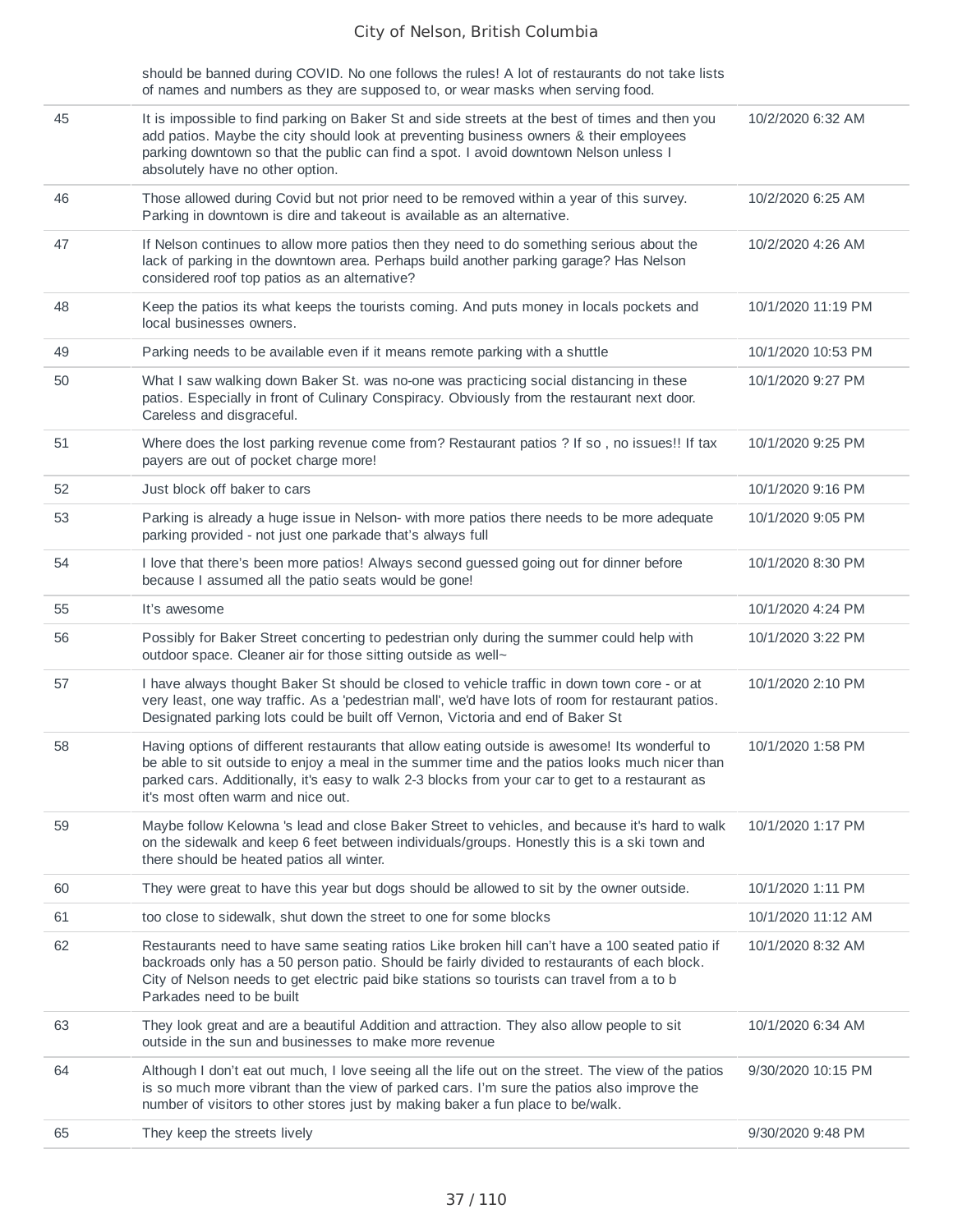should be banned during COVID. No one follows the rules! A lot of restaurants do not take lists of names and numbers as they are supposed to, or wear masks when serving food.

| 45 | It is impossible to find parking on Baker St and side streets at the best of times and then you<br>add patios. Maybe the city should look at preventing business owners & their employees<br>parking downtown so that the public can find a spot. I avoid downtown Nelson unless I<br>absolutely have no other option.                    | 10/2/2020 6:32 AM  |
|----|-------------------------------------------------------------------------------------------------------------------------------------------------------------------------------------------------------------------------------------------------------------------------------------------------------------------------------------------|--------------------|
| 46 | Those allowed during Covid but not prior need to be removed within a year of this survey.<br>Parking in downtown is dire and takeout is available as an alternative.                                                                                                                                                                      | 10/2/2020 6:25 AM  |
| 47 | If Nelson continues to allow more patios then they need to do something serious about the<br>lack of parking in the downtown area. Perhaps build another parking garage? Has Nelson<br>considered roof top patios as an alternative?                                                                                                      | 10/2/2020 4:26 AM  |
| 48 | Keep the patios its what keeps the tourists coming. And puts money in locals pockets and<br>local businesses owners.                                                                                                                                                                                                                      | 10/1/2020 11:19 PM |
| 49 | Parking needs to be available even if it means remote parking with a shuttle                                                                                                                                                                                                                                                              | 10/1/2020 10:53 PM |
| 50 | What I saw walking down Baker St. was no-one was practicing social distancing in these<br>patios. Especially in front of Culinary Conspiracy. Obviously from the restaurant next door.<br>Careless and disgraceful.                                                                                                                       | 10/1/2020 9:27 PM  |
| 51 | Where does the lost parking revenue come from? Restaurant patios ? If so, no issues!! If tax<br>payers are out of pocket charge more!                                                                                                                                                                                                     | 10/1/2020 9:25 PM  |
| 52 | Just block off baker to cars                                                                                                                                                                                                                                                                                                              | 10/1/2020 9:16 PM  |
| 53 | Parking is already a huge issue in Nelson- with more patios there needs to be more adequate<br>parking provided - not just one parkade that's always full                                                                                                                                                                                 | 10/1/2020 9:05 PM  |
| 54 | I love that there's been more patios! Always second guessed going out for dinner before<br>because I assumed all the patio seats would be gone!                                                                                                                                                                                           | 10/1/2020 8:30 PM  |
| 55 | It's awesome                                                                                                                                                                                                                                                                                                                              | 10/1/2020 4:24 PM  |
| 56 | Possibly for Baker Street concerting to pedestrian only during the summer could help with<br>outdoor space. Cleaner air for those sitting outside as well~                                                                                                                                                                                | 10/1/2020 3:22 PM  |
| 57 | I have always thought Baker St should be closed to vehicle traffic in down town core - or at<br>very least, one way traffic. As a 'pedestrian mall', we'd have lots of room for restaurant patios.<br>Designated parking lots could be built off Vernon, Victoria and end of Baker St                                                     | 10/1/2020 2:10 PM  |
| 58 | Having options of different restaurants that allow eating outside is awesome! Its wonderful to<br>be able to sit outside to enjoy a meal in the summer time and the patios looks much nicer than<br>parked cars. Additionally, it's easy to walk 2-3 blocks from your car to get to a restaurant as<br>it's most often warm and nice out. | 10/1/2020 1:58 PM  |
| 59 | Maybe follow Kelowna 's lead and close Baker Street to vehicles, and because it's hard to walk<br>on the sidewalk and keep 6 feet between individuals/groups. Honestly this is a ski town and<br>there should be heated patios all winter.                                                                                                | 10/1/2020 1:17 PM  |
| 60 | They were great to have this year but dogs should be allowed to sit by the owner outside.                                                                                                                                                                                                                                                 | 10/1/2020 1:11 PM  |
| 61 | too close to sidewalk, shut down the street to one for some blocks                                                                                                                                                                                                                                                                        | 10/1/2020 11:12 AM |
| 62 | Restaurants need to have same seating ratios Like broken hill can't have a 100 seated patio if<br>backroads only has a 50 person patio. Should be fairly divided to restaurants of each block.<br>City of Nelson needs to get electric paid bike stations so tourists can travel from a to b<br>Parkades need to be built                 | 10/1/2020 8:32 AM  |
| 63 | They look great and are a beautiful Addition and attraction. They also allow people to sit<br>outside in the sun and businesses to make more revenue                                                                                                                                                                                      | 10/1/2020 6:34 AM  |
| 64 | Although I don't eat out much, I love seeing all the life out on the street. The view of the patios<br>is so much more vibrant than the view of parked cars. I'm sure the patios also improve the<br>number of visitors to other stores just by making baker a fun place to be/walk.                                                      | 9/30/2020 10:15 PM |
| 65 | They keep the streets lively                                                                                                                                                                                                                                                                                                              | 9/30/2020 9:48 PM  |
|    |                                                                                                                                                                                                                                                                                                                                           |                    |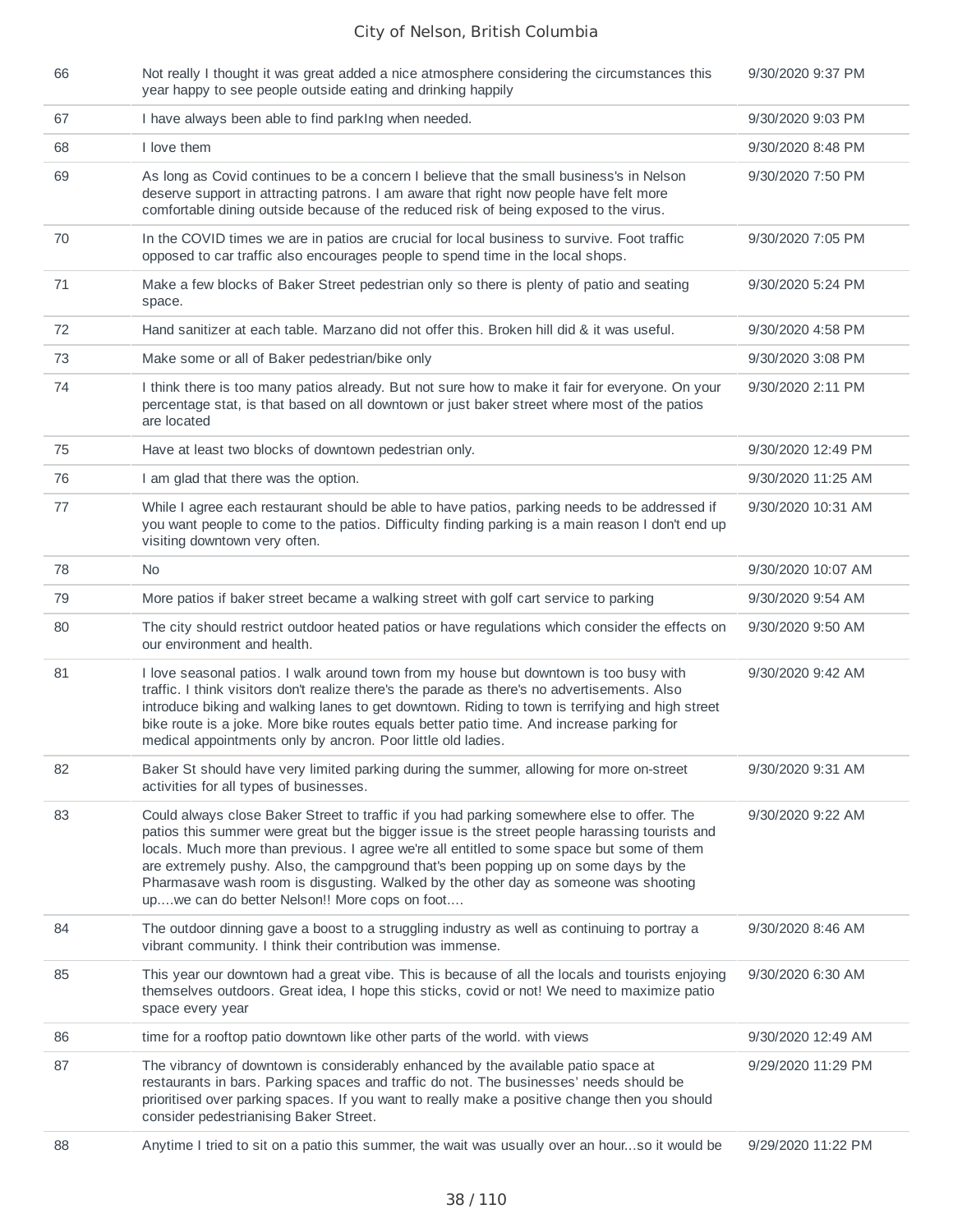| 66 | Not really I thought it was great added a nice atmosphere considering the circumstances this<br>year happy to see people outside eating and drinking happily                                                                                                                                                                                                                                                                                                                                                               | 9/30/2020 9:37 PM  |
|----|----------------------------------------------------------------------------------------------------------------------------------------------------------------------------------------------------------------------------------------------------------------------------------------------------------------------------------------------------------------------------------------------------------------------------------------------------------------------------------------------------------------------------|--------------------|
| 67 | I have always been able to find parking when needed.                                                                                                                                                                                                                                                                                                                                                                                                                                                                       | 9/30/2020 9:03 PM  |
| 68 | I love them                                                                                                                                                                                                                                                                                                                                                                                                                                                                                                                | 9/30/2020 8:48 PM  |
| 69 | As long as Covid continues to be a concern I believe that the small business's in Nelson<br>deserve support in attracting patrons. I am aware that right now people have felt more<br>comfortable dining outside because of the reduced risk of being exposed to the virus.                                                                                                                                                                                                                                                | 9/30/2020 7:50 PM  |
| 70 | In the COVID times we are in patios are crucial for local business to survive. Foot traffic<br>opposed to car traffic also encourages people to spend time in the local shops.                                                                                                                                                                                                                                                                                                                                             | 9/30/2020 7:05 PM  |
| 71 | Make a few blocks of Baker Street pedestrian only so there is plenty of patio and seating<br>space.                                                                                                                                                                                                                                                                                                                                                                                                                        | 9/30/2020 5:24 PM  |
| 72 | Hand sanitizer at each table. Marzano did not offer this. Broken hill did & it was useful.                                                                                                                                                                                                                                                                                                                                                                                                                                 | 9/30/2020 4:58 PM  |
| 73 | Make some or all of Baker pedestrian/bike only                                                                                                                                                                                                                                                                                                                                                                                                                                                                             | 9/30/2020 3:08 PM  |
| 74 | I think there is too many patios already. But not sure how to make it fair for everyone. On your<br>percentage stat, is that based on all downtown or just baker street where most of the patios<br>are located                                                                                                                                                                                                                                                                                                            | 9/30/2020 2:11 PM  |
| 75 | Have at least two blocks of downtown pedestrian only.                                                                                                                                                                                                                                                                                                                                                                                                                                                                      | 9/30/2020 12:49 PM |
| 76 | I am glad that there was the option.                                                                                                                                                                                                                                                                                                                                                                                                                                                                                       | 9/30/2020 11:25 AM |
| 77 | While I agree each restaurant should be able to have patios, parking needs to be addressed if<br>you want people to come to the patios. Difficulty finding parking is a main reason I don't end up<br>visiting downtown very often.                                                                                                                                                                                                                                                                                        | 9/30/2020 10:31 AM |
| 78 | No.                                                                                                                                                                                                                                                                                                                                                                                                                                                                                                                        | 9/30/2020 10:07 AM |
| 79 | More patios if baker street became a walking street with golf cart service to parking                                                                                                                                                                                                                                                                                                                                                                                                                                      | 9/30/2020 9:54 AM  |
| 80 | The city should restrict outdoor heated patios or have regulations which consider the effects on<br>our environment and health.                                                                                                                                                                                                                                                                                                                                                                                            | 9/30/2020 9:50 AM  |
| 81 | I love seasonal patios. I walk around town from my house but downtown is too busy with<br>traffic. I think visitors don't realize there's the parade as there's no advertisements. Also<br>introduce biking and walking lanes to get downtown. Riding to town is terrifying and high street<br>bike route is a joke. More bike routes equals better patio time. And increase parking for<br>medical appointments only by ancron. Poor little old ladies.                                                                   | 9/30/2020 9:42 AM  |
| 82 | Baker St should have very limited parking during the summer, allowing for more on-street<br>activities for all types of businesses.                                                                                                                                                                                                                                                                                                                                                                                        | 9/30/2020 9:31 AM  |
| 83 | Could always close Baker Street to traffic if you had parking somewhere else to offer. The<br>patios this summer were great but the bigger issue is the street people harassing tourists and<br>locals. Much more than previous. I agree we're all entitled to some space but some of them<br>are extremely pushy. Also, the campground that's been popping up on some days by the<br>Pharmasave wash room is disgusting. Walked by the other day as someone was shooting<br>upwe can do better Nelson!! More cops on foot | 9/30/2020 9:22 AM  |
| 84 | The outdoor dinning gave a boost to a struggling industry as well as continuing to portray a<br>vibrant community. I think their contribution was immense.                                                                                                                                                                                                                                                                                                                                                                 | 9/30/2020 8:46 AM  |
| 85 | This year our downtown had a great vibe. This is because of all the locals and tourists enjoying<br>themselves outdoors. Great idea, I hope this sticks, covid or not! We need to maximize patio<br>space every year                                                                                                                                                                                                                                                                                                       | 9/30/2020 6:30 AM  |
| 86 | time for a rooftop patio downtown like other parts of the world, with views                                                                                                                                                                                                                                                                                                                                                                                                                                                | 9/30/2020 12:49 AM |
| 87 | The vibrancy of downtown is considerably enhanced by the available patio space at<br>restaurants in bars. Parking spaces and traffic do not. The businesses' needs should be<br>prioritised over parking spaces. If you want to really make a positive change then you should<br>consider pedestrianising Baker Street.                                                                                                                                                                                                    | 9/29/2020 11:29 PM |
| 88 | Anytime I tried to sit on a patio this summer, the wait was usually over an hourso it would be                                                                                                                                                                                                                                                                                                                                                                                                                             | 9/29/2020 11:22 PM |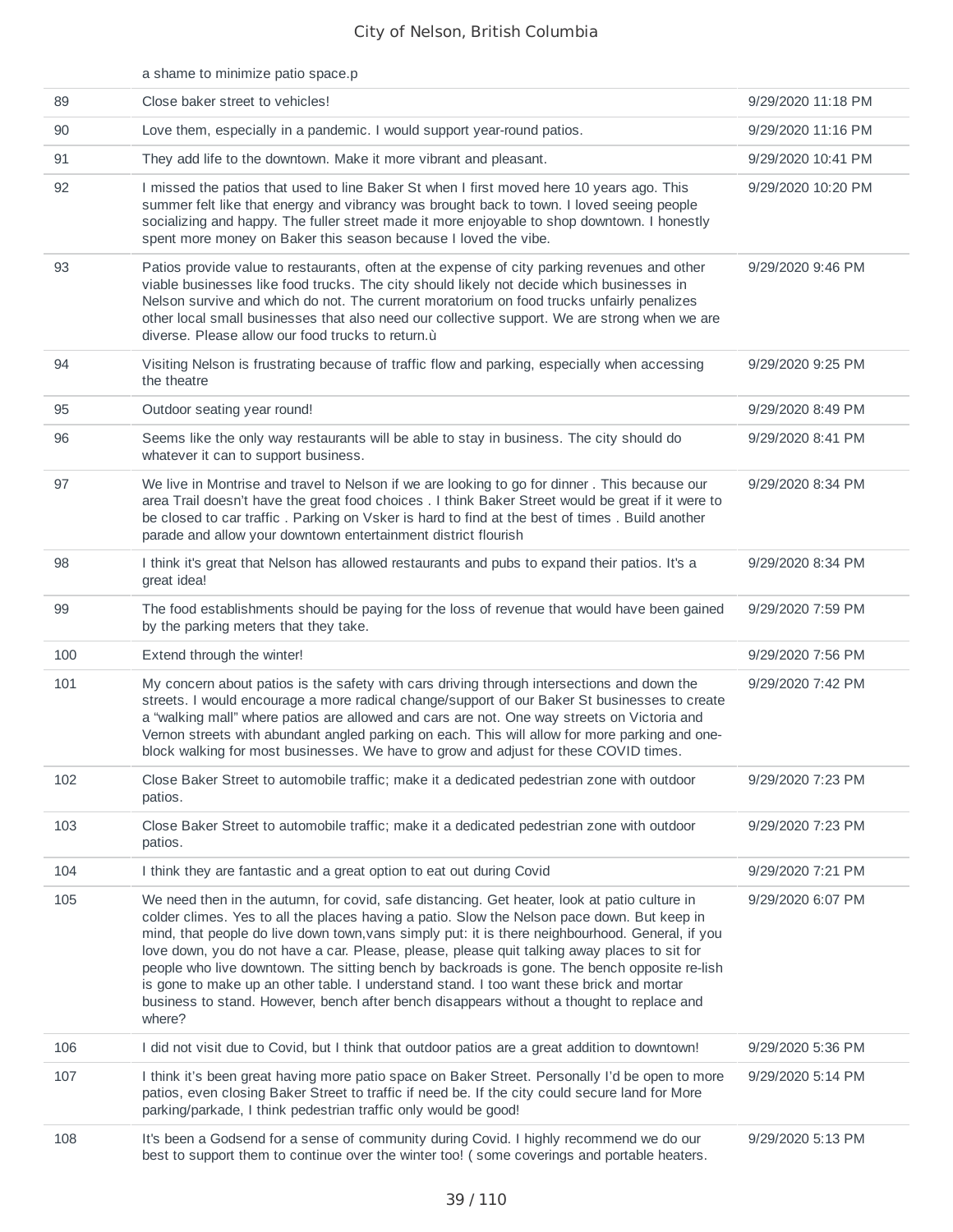|     | a shame to minimize patio space.p                                                                                                                                                                                                                                                                                                                                                                                                                                                                                                                                                                                                                                                                  |                    |
|-----|----------------------------------------------------------------------------------------------------------------------------------------------------------------------------------------------------------------------------------------------------------------------------------------------------------------------------------------------------------------------------------------------------------------------------------------------------------------------------------------------------------------------------------------------------------------------------------------------------------------------------------------------------------------------------------------------------|--------------------|
| 89  | Close baker street to vehicles!                                                                                                                                                                                                                                                                                                                                                                                                                                                                                                                                                                                                                                                                    | 9/29/2020 11:18 PM |
| 90  | Love them, especially in a pandemic. I would support year-round patios.                                                                                                                                                                                                                                                                                                                                                                                                                                                                                                                                                                                                                            | 9/29/2020 11:16 PM |
| 91  | They add life to the downtown. Make it more vibrant and pleasant.                                                                                                                                                                                                                                                                                                                                                                                                                                                                                                                                                                                                                                  | 9/29/2020 10:41 PM |
| 92  | I missed the patios that used to line Baker St when I first moved here 10 years ago. This<br>summer felt like that energy and vibrancy was brought back to town. I loved seeing people<br>socializing and happy. The fuller street made it more enjoyable to shop downtown. I honestly<br>spent more money on Baker this season because I loved the vibe.                                                                                                                                                                                                                                                                                                                                          | 9/29/2020 10:20 PM |
| 93  | Patios provide value to restaurants, often at the expense of city parking revenues and other<br>viable businesses like food trucks. The city should likely not decide which businesses in<br>Nelson survive and which do not. The current moratorium on food trucks unfairly penalizes<br>other local small businesses that also need our collective support. We are strong when we are<br>diverse. Please allow our food trucks to return.u                                                                                                                                                                                                                                                       | 9/29/2020 9:46 PM  |
| 94  | Visiting Nelson is frustrating because of traffic flow and parking, especially when accessing<br>the theatre                                                                                                                                                                                                                                                                                                                                                                                                                                                                                                                                                                                       | 9/29/2020 9:25 PM  |
| 95  | Outdoor seating year round!                                                                                                                                                                                                                                                                                                                                                                                                                                                                                                                                                                                                                                                                        | 9/29/2020 8:49 PM  |
| 96  | Seems like the only way restaurants will be able to stay in business. The city should do<br>whatever it can to support business.                                                                                                                                                                                                                                                                                                                                                                                                                                                                                                                                                                   | 9/29/2020 8:41 PM  |
| 97  | We live in Montrise and travel to Nelson if we are looking to go for dinner . This because our<br>area Trail doesn't have the great food choices . I think Baker Street would be great if it were to<br>be closed to car traffic. Parking on Vsker is hard to find at the best of times. Build another<br>parade and allow your downtown entertainment district flourish                                                                                                                                                                                                                                                                                                                           | 9/29/2020 8:34 PM  |
| 98  | I think it's great that Nelson has allowed restaurants and pubs to expand their patios. It's a<br>great idea!                                                                                                                                                                                                                                                                                                                                                                                                                                                                                                                                                                                      | 9/29/2020 8:34 PM  |
| 99  | The food establishments should be paying for the loss of revenue that would have been gained<br>by the parking meters that they take.                                                                                                                                                                                                                                                                                                                                                                                                                                                                                                                                                              | 9/29/2020 7:59 PM  |
| 100 | Extend through the winter!                                                                                                                                                                                                                                                                                                                                                                                                                                                                                                                                                                                                                                                                         | 9/29/2020 7:56 PM  |
| 101 | My concern about patios is the safety with cars driving through intersections and down the<br>streets. I would encourage a more radical change/support of our Baker St businesses to create<br>a "walking mall" where patios are allowed and cars are not. One way streets on Victoria and<br>Vernon streets with abundant angled parking on each. This will allow for more parking and one-<br>block walking for most businesses. We have to grow and adjust for these COVID times.                                                                                                                                                                                                               | 9/29/2020 7:42 PM  |
| 102 | Close Baker Street to automobile traffic; make it a dedicated pedestrian zone with outdoor<br>patios.                                                                                                                                                                                                                                                                                                                                                                                                                                                                                                                                                                                              | 9/29/2020 7:23 PM  |
| 103 | Close Baker Street to automobile traffic; make it a dedicated pedestrian zone with outdoor<br>patios.                                                                                                                                                                                                                                                                                                                                                                                                                                                                                                                                                                                              | 9/29/2020 7:23 PM  |
| 104 | I think they are fantastic and a great option to eat out during Covid                                                                                                                                                                                                                                                                                                                                                                                                                                                                                                                                                                                                                              | 9/29/2020 7:21 PM  |
| 105 | We need then in the autumn, for covid, safe distancing. Get heater, look at patio culture in<br>colder climes. Yes to all the places having a patio. Slow the Nelson pace down. But keep in<br>mind, that people do live down town, vans simply put: it is there neighbourhood. General, if you<br>love down, you do not have a car. Please, please, please quit talking away places to sit for<br>people who live downtown. The sitting bench by backroads is gone. The bench opposite re-lish<br>is gone to make up an other table. I understand stand. I too want these brick and mortar<br>business to stand. However, bench after bench disappears without a thought to replace and<br>where? | 9/29/2020 6:07 PM  |
| 106 | I did not visit due to Covid, but I think that outdoor patios are a great addition to downtown!                                                                                                                                                                                                                                                                                                                                                                                                                                                                                                                                                                                                    | 9/29/2020 5:36 PM  |
| 107 | I think it's been great having more patio space on Baker Street. Personally I'd be open to more<br>patios, even closing Baker Street to traffic if need be. If the city could secure land for More<br>parking/parkade, I think pedestrian traffic only would be good!                                                                                                                                                                                                                                                                                                                                                                                                                              | 9/29/2020 5:14 PM  |
| 108 | It's been a Godsend for a sense of community during Covid. I highly recommend we do our<br>best to support them to continue over the winter too! (some coverings and portable heaters.                                                                                                                                                                                                                                                                                                                                                                                                                                                                                                             | 9/29/2020 5:13 PM  |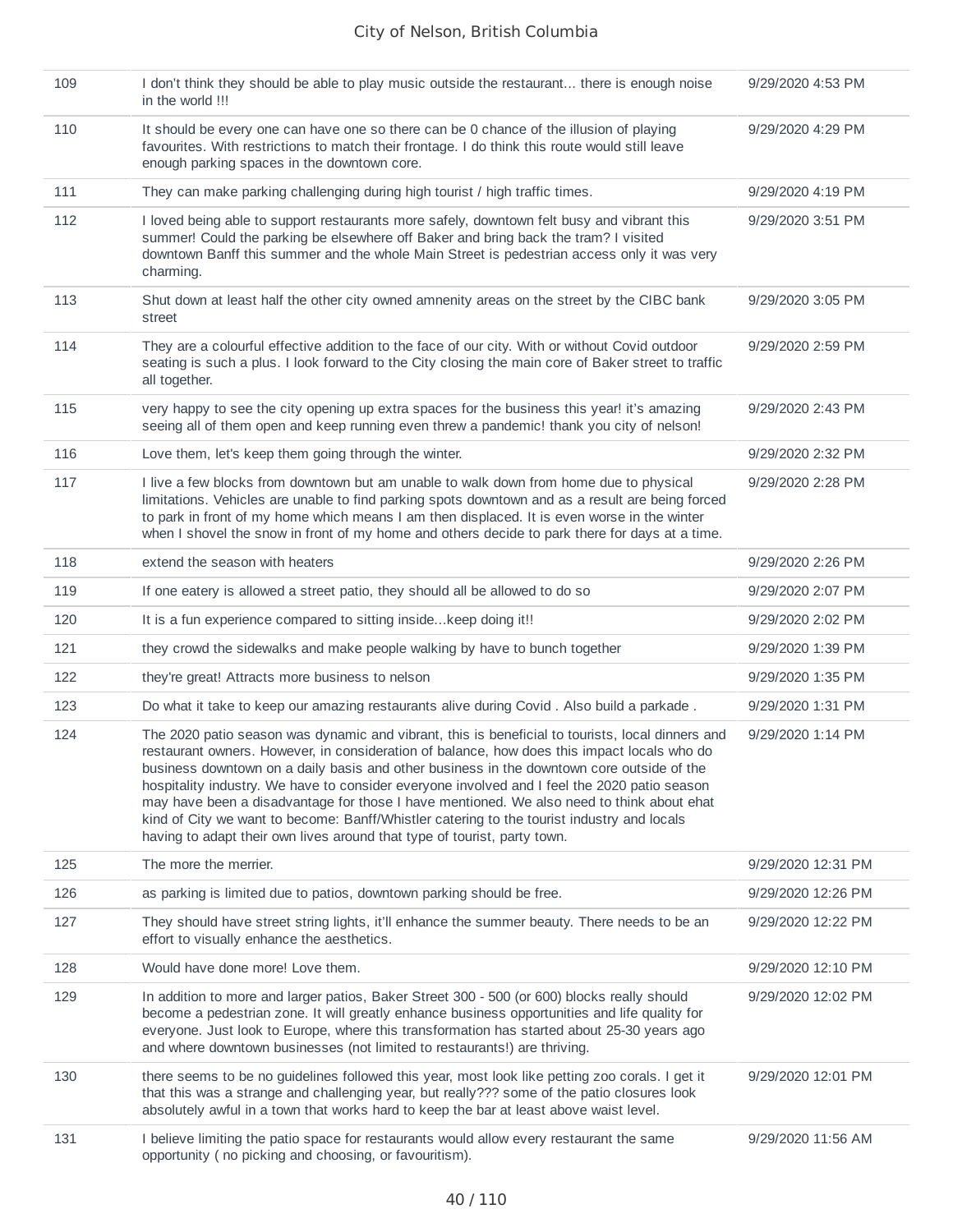| 109 | I don't think they should be able to play music outside the restaurant there is enough noise<br>in the world !!!                                                                                                                                                                                                                                                                                                                                                                                                                                                                                                                                                    | 9/29/2020 4:53 PM  |
|-----|---------------------------------------------------------------------------------------------------------------------------------------------------------------------------------------------------------------------------------------------------------------------------------------------------------------------------------------------------------------------------------------------------------------------------------------------------------------------------------------------------------------------------------------------------------------------------------------------------------------------------------------------------------------------|--------------------|
| 110 | It should be every one can have one so there can be 0 chance of the illusion of playing<br>favourites. With restrictions to match their frontage. I do think this route would still leave<br>enough parking spaces in the downtown core.                                                                                                                                                                                                                                                                                                                                                                                                                            | 9/29/2020 4:29 PM  |
| 111 | They can make parking challenging during high tourist / high traffic times.                                                                                                                                                                                                                                                                                                                                                                                                                                                                                                                                                                                         | 9/29/2020 4:19 PM  |
| 112 | I loved being able to support restaurants more safely, downtown felt busy and vibrant this<br>summer! Could the parking be elsewhere off Baker and bring back the tram? I visited<br>downtown Banff this summer and the whole Main Street is pedestrian access only it was very<br>charming.                                                                                                                                                                                                                                                                                                                                                                        | 9/29/2020 3:51 PM  |
| 113 | Shut down at least half the other city owned amnenity areas on the street by the CIBC bank<br>street                                                                                                                                                                                                                                                                                                                                                                                                                                                                                                                                                                | 9/29/2020 3:05 PM  |
| 114 | They are a colourful effective addition to the face of our city. With or without Covid outdoor<br>seating is such a plus. I look forward to the City closing the main core of Baker street to traffic<br>all together.                                                                                                                                                                                                                                                                                                                                                                                                                                              | 9/29/2020 2:59 PM  |
| 115 | very happy to see the city opening up extra spaces for the business this year! it's amazing<br>seeing all of them open and keep running even threw a pandemic! thank you city of nelson!                                                                                                                                                                                                                                                                                                                                                                                                                                                                            | 9/29/2020 2:43 PM  |
| 116 | Love them, let's keep them going through the winter.                                                                                                                                                                                                                                                                                                                                                                                                                                                                                                                                                                                                                | 9/29/2020 2:32 PM  |
| 117 | I live a few blocks from downtown but am unable to walk down from home due to physical<br>limitations. Vehicles are unable to find parking spots downtown and as a result are being forced<br>to park in front of my home which means I am then displaced. It is even worse in the winter<br>when I shovel the snow in front of my home and others decide to park there for days at a time.                                                                                                                                                                                                                                                                         | 9/29/2020 2:28 PM  |
| 118 | extend the season with heaters                                                                                                                                                                                                                                                                                                                                                                                                                                                                                                                                                                                                                                      | 9/29/2020 2:26 PM  |
| 119 | If one eatery is allowed a street patio, they should all be allowed to do so                                                                                                                                                                                                                                                                                                                                                                                                                                                                                                                                                                                        | 9/29/2020 2:07 PM  |
| 120 | It is a fun experience compared to sitting inside keep doing it!!                                                                                                                                                                                                                                                                                                                                                                                                                                                                                                                                                                                                   | 9/29/2020 2:02 PM  |
| 121 | they crowd the sidewalks and make people walking by have to bunch together                                                                                                                                                                                                                                                                                                                                                                                                                                                                                                                                                                                          | 9/29/2020 1:39 PM  |
| 122 | they're great! Attracts more business to nelson                                                                                                                                                                                                                                                                                                                                                                                                                                                                                                                                                                                                                     | 9/29/2020 1:35 PM  |
| 123 | Do what it take to keep our amazing restaurants alive during Covid. Also build a parkade.                                                                                                                                                                                                                                                                                                                                                                                                                                                                                                                                                                           | 9/29/2020 1:31 PM  |
| 124 | The 2020 patio season was dynamic and vibrant, this is beneficial to tourists, local dinners and<br>restaurant owners. However, in consideration of balance, how does this impact locals who do<br>business downtown on a daily basis and other business in the downtown core outside of the<br>hospitality industry. We have to consider everyone involved and I feel the 2020 patio season<br>may have been a disadvantage for those I have mentioned. We also need to think about ehat<br>kind of City we want to become: Banff/Whistler catering to the tourist industry and locals<br>having to adapt their own lives around that type of tourist, party town. | 9/29/2020 1:14 PM  |
| 125 | The more the merrier.                                                                                                                                                                                                                                                                                                                                                                                                                                                                                                                                                                                                                                               | 9/29/2020 12:31 PM |
| 126 | as parking is limited due to patios, downtown parking should be free.                                                                                                                                                                                                                                                                                                                                                                                                                                                                                                                                                                                               | 9/29/2020 12:26 PM |
| 127 | They should have street string lights, it'll enhance the summer beauty. There needs to be an<br>effort to visually enhance the aesthetics.                                                                                                                                                                                                                                                                                                                                                                                                                                                                                                                          | 9/29/2020 12:22 PM |
| 128 | Would have done more! Love them.                                                                                                                                                                                                                                                                                                                                                                                                                                                                                                                                                                                                                                    | 9/29/2020 12:10 PM |
| 129 | In addition to more and larger patios, Baker Street 300 - 500 (or 600) blocks really should<br>become a pedestrian zone. It will greatly enhance business opportunities and life quality for<br>everyone. Just look to Europe, where this transformation has started about 25-30 years ago<br>and where downtown businesses (not limited to restaurants!) are thriving.                                                                                                                                                                                                                                                                                             | 9/29/2020 12:02 PM |
| 130 | there seems to be no guidelines followed this year, most look like petting zoo corals. I get it<br>that this was a strange and challenging year, but really??? some of the patio closures look<br>absolutely awful in a town that works hard to keep the bar at least above waist level.                                                                                                                                                                                                                                                                                                                                                                            | 9/29/2020 12:01 PM |
| 131 | I believe limiting the patio space for restaurants would allow every restaurant the same<br>opportunity (no picking and choosing, or favouritism).                                                                                                                                                                                                                                                                                                                                                                                                                                                                                                                  | 9/29/2020 11:56 AM |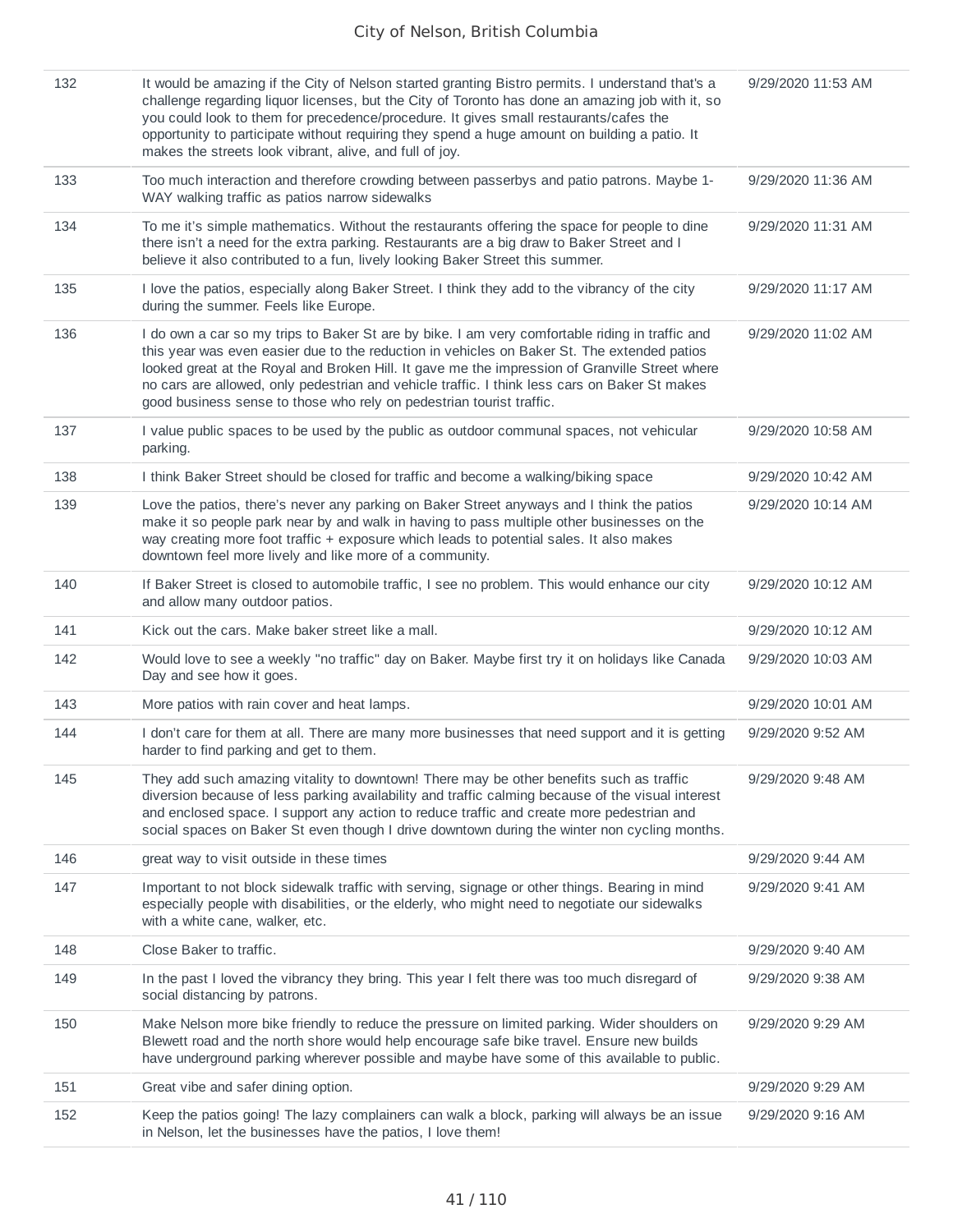| 132 | It would be amazing if the City of Nelson started granting Bistro permits. I understand that's a<br>challenge regarding liquor licenses, but the City of Toronto has done an amazing job with it, so<br>you could look to them for precedence/procedure. It gives small restaurants/cafes the<br>opportunity to participate without requiring they spend a huge amount on building a patio. It<br>makes the streets look vibrant, alive, and full of joy.                 | 9/29/2020 11:53 AM |
|-----|---------------------------------------------------------------------------------------------------------------------------------------------------------------------------------------------------------------------------------------------------------------------------------------------------------------------------------------------------------------------------------------------------------------------------------------------------------------------------|--------------------|
| 133 | Too much interaction and therefore crowding between passerbys and patio patrons. Maybe 1-<br>WAY walking traffic as patios narrow sidewalks                                                                                                                                                                                                                                                                                                                               | 9/29/2020 11:36 AM |
| 134 | To me it's simple mathematics. Without the restaurants offering the space for people to dine<br>there isn't a need for the extra parking. Restaurants are a big draw to Baker Street and I<br>believe it also contributed to a fun, lively looking Baker Street this summer.                                                                                                                                                                                              | 9/29/2020 11:31 AM |
| 135 | I love the patios, especially along Baker Street. I think they add to the vibrancy of the city<br>during the summer. Feels like Europe.                                                                                                                                                                                                                                                                                                                                   | 9/29/2020 11:17 AM |
| 136 | I do own a car so my trips to Baker St are by bike. I am very comfortable riding in traffic and<br>this year was even easier due to the reduction in vehicles on Baker St. The extended patios<br>looked great at the Royal and Broken Hill. It gave me the impression of Granville Street where<br>no cars are allowed, only pedestrian and vehicle traffic. I think less cars on Baker St makes<br>good business sense to those who rely on pedestrian tourist traffic. | 9/29/2020 11:02 AM |
| 137 | I value public spaces to be used by the public as outdoor communal spaces, not vehicular<br>parking.                                                                                                                                                                                                                                                                                                                                                                      | 9/29/2020 10:58 AM |
| 138 | I think Baker Street should be closed for traffic and become a walking/biking space                                                                                                                                                                                                                                                                                                                                                                                       | 9/29/2020 10:42 AM |
| 139 | Love the patios, there's never any parking on Baker Street anyways and I think the patios<br>make it so people park near by and walk in having to pass multiple other businesses on the<br>way creating more foot traffic + exposure which leads to potential sales. It also makes<br>downtown feel more lively and like more of a community.                                                                                                                             | 9/29/2020 10:14 AM |
| 140 | If Baker Street is closed to automobile traffic, I see no problem. This would enhance our city<br>and allow many outdoor patios.                                                                                                                                                                                                                                                                                                                                          | 9/29/2020 10:12 AM |
| 141 | Kick out the cars. Make baker street like a mall.                                                                                                                                                                                                                                                                                                                                                                                                                         | 9/29/2020 10:12 AM |
| 142 | Would love to see a weekly "no traffic" day on Baker. Maybe first try it on holidays like Canada<br>Day and see how it goes.                                                                                                                                                                                                                                                                                                                                              | 9/29/2020 10:03 AM |
| 143 | More patios with rain cover and heat lamps.                                                                                                                                                                                                                                                                                                                                                                                                                               | 9/29/2020 10:01 AM |
| 144 | I don't care for them at all. There are many more businesses that need support and it is getting<br>harder to find parking and get to them.                                                                                                                                                                                                                                                                                                                               | 9/29/2020 9:52 AM  |
| 145 | They add such amazing vitality to downtown! There may be other benefits such as traffic<br>diversion because of less parking availability and traffic calming because of the visual interest<br>and enclosed space. I support any action to reduce traffic and create more pedestrian and<br>social spaces on Baker St even though I drive downtown during the winter non cycling months.                                                                                 | 9/29/2020 9:48 AM  |
| 146 | great way to visit outside in these times                                                                                                                                                                                                                                                                                                                                                                                                                                 | 9/29/2020 9:44 AM  |
| 147 | Important to not block sidewalk traffic with serving, signage or other things. Bearing in mind<br>especially people with disabilities, or the elderly, who might need to negotiate our sidewalks<br>with a white cane, walker, etc.                                                                                                                                                                                                                                       | 9/29/2020 9:41 AM  |
| 148 | Close Baker to traffic.                                                                                                                                                                                                                                                                                                                                                                                                                                                   | 9/29/2020 9:40 AM  |
| 149 | In the past I loved the vibrancy they bring. This year I felt there was too much disregard of<br>social distancing by patrons.                                                                                                                                                                                                                                                                                                                                            | 9/29/2020 9:38 AM  |
| 150 | Make Nelson more bike friendly to reduce the pressure on limited parking. Wider shoulders on<br>Blewett road and the north shore would help encourage safe bike travel. Ensure new builds<br>have underground parking wherever possible and maybe have some of this available to public.                                                                                                                                                                                  | 9/29/2020 9:29 AM  |
| 151 | Great vibe and safer dining option.                                                                                                                                                                                                                                                                                                                                                                                                                                       | 9/29/2020 9:29 AM  |
| 152 | Keep the patios going! The lazy complainers can walk a block, parking will always be an issue<br>in Nelson, let the businesses have the patios, I love them!                                                                                                                                                                                                                                                                                                              | 9/29/2020 9:16 AM  |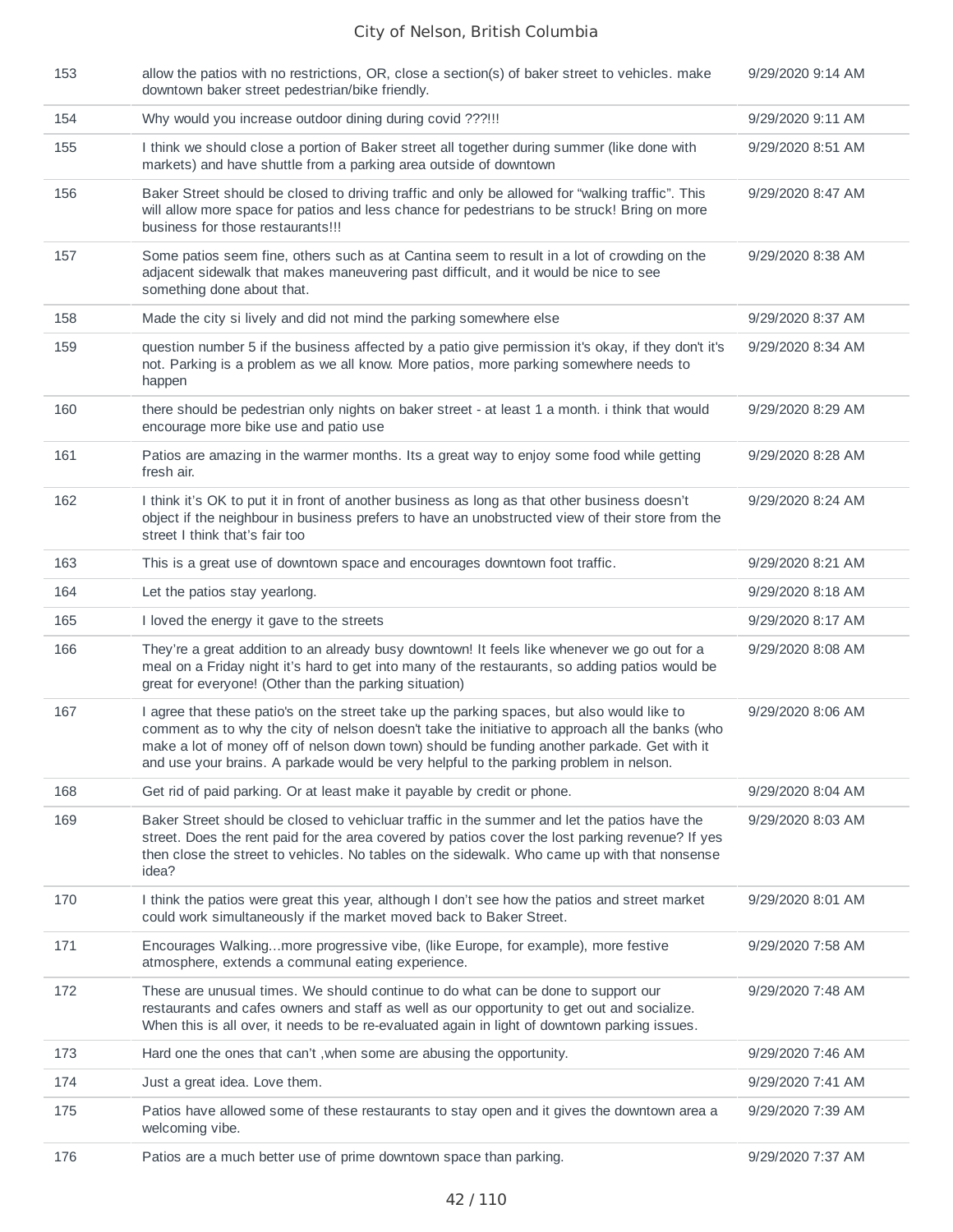| 153 | allow the patios with no restrictions, OR, close a section(s) of baker street to vehicles. make<br>downtown baker street pedestrian/bike friendly.                                                                                                                                                                                                                                      | 9/29/2020 9:14 AM |
|-----|-----------------------------------------------------------------------------------------------------------------------------------------------------------------------------------------------------------------------------------------------------------------------------------------------------------------------------------------------------------------------------------------|-------------------|
| 154 | Why would you increase outdoor dining during covid ???!!!                                                                                                                                                                                                                                                                                                                               | 9/29/2020 9:11 AM |
| 155 | I think we should close a portion of Baker street all together during summer (like done with<br>markets) and have shuttle from a parking area outside of downtown                                                                                                                                                                                                                       | 9/29/2020 8:51 AM |
| 156 | Baker Street should be closed to driving traffic and only be allowed for "walking traffic". This<br>will allow more space for patios and less chance for pedestrians to be struck! Bring on more<br>business for those restaurants!!!                                                                                                                                                   | 9/29/2020 8:47 AM |
| 157 | Some patios seem fine, others such as at Cantina seem to result in a lot of crowding on the<br>adjacent sidewalk that makes maneuvering past difficult, and it would be nice to see<br>something done about that.                                                                                                                                                                       | 9/29/2020 8:38 AM |
| 158 | Made the city si lively and did not mind the parking somewhere else                                                                                                                                                                                                                                                                                                                     | 9/29/2020 8:37 AM |
| 159 | question number 5 if the business affected by a patio give permission it's okay, if they don't it's<br>not. Parking is a problem as we all know. More patios, more parking somewhere needs to<br>happen                                                                                                                                                                                 | 9/29/2020 8:34 AM |
| 160 | there should be pedestrian only nights on baker street - at least 1 a month. i think that would<br>encourage more bike use and patio use                                                                                                                                                                                                                                                | 9/29/2020 8:29 AM |
| 161 | Patios are amazing in the warmer months. Its a great way to enjoy some food while getting<br>fresh air.                                                                                                                                                                                                                                                                                 | 9/29/2020 8:28 AM |
| 162 | I think it's OK to put it in front of another business as long as that other business doesn't<br>object if the neighbour in business prefers to have an unobstructed view of their store from the<br>street I think that's fair too                                                                                                                                                     | 9/29/2020 8:24 AM |
| 163 | This is a great use of downtown space and encourages downtown foot traffic.                                                                                                                                                                                                                                                                                                             | 9/29/2020 8:21 AM |
| 164 | Let the patios stay yearlong.                                                                                                                                                                                                                                                                                                                                                           | 9/29/2020 8:18 AM |
| 165 | I loved the energy it gave to the streets                                                                                                                                                                                                                                                                                                                                               | 9/29/2020 8:17 AM |
| 166 | They're a great addition to an already busy downtown! It feels like whenever we go out for a<br>meal on a Friday night it's hard to get into many of the restaurants, so adding patios would be<br>great for everyone! (Other than the parking situation)                                                                                                                               | 9/29/2020 8:08 AM |
| 167 | I agree that these patio's on the street take up the parking spaces, but also would like to<br>comment as to why the city of nelson doesn't take the initiative to approach all the banks (who<br>make a lot of money off of nelson down town) should be funding another parkade. Get with it<br>and use your brains. A parkade would be very helpful to the parking problem in nelson. | 9/29/2020 8:06 AM |
| 168 | Get rid of paid parking. Or at least make it payable by credit or phone.                                                                                                                                                                                                                                                                                                                | 9/29/2020 8:04 AM |
| 169 | Baker Street should be closed to vehicluar traffic in the summer and let the patios have the<br>street. Does the rent paid for the area covered by patios cover the lost parking revenue? If yes<br>then close the street to vehicles. No tables on the sidewalk. Who came up with that nonsense<br>idea?                                                                               | 9/29/2020 8:03 AM |
| 170 | I think the patios were great this year, although I don't see how the patios and street market<br>could work simultaneously if the market moved back to Baker Street.                                                                                                                                                                                                                   | 9/29/2020 8:01 AM |
| 171 | Encourages Walkingmore progressive vibe, (like Europe, for example), more festive<br>atmosphere, extends a communal eating experience.                                                                                                                                                                                                                                                  | 9/29/2020 7:58 AM |
| 172 | These are unusual times. We should continue to do what can be done to support our<br>restaurants and cafes owners and staff as well as our opportunity to get out and socialize.<br>When this is all over, it needs to be re-evaluated again in light of downtown parking issues.                                                                                                       | 9/29/2020 7:48 AM |
| 173 | Hard one the ones that can't, when some are abusing the opportunity.                                                                                                                                                                                                                                                                                                                    | 9/29/2020 7:46 AM |
| 174 | Just a great idea. Love them.                                                                                                                                                                                                                                                                                                                                                           | 9/29/2020 7:41 AM |
| 175 | Patios have allowed some of these restaurants to stay open and it gives the downtown area a<br>welcoming vibe.                                                                                                                                                                                                                                                                          | 9/29/2020 7:39 AM |
| 176 | Patios are a much better use of prime downtown space than parking.                                                                                                                                                                                                                                                                                                                      | 9/29/2020 7:37 AM |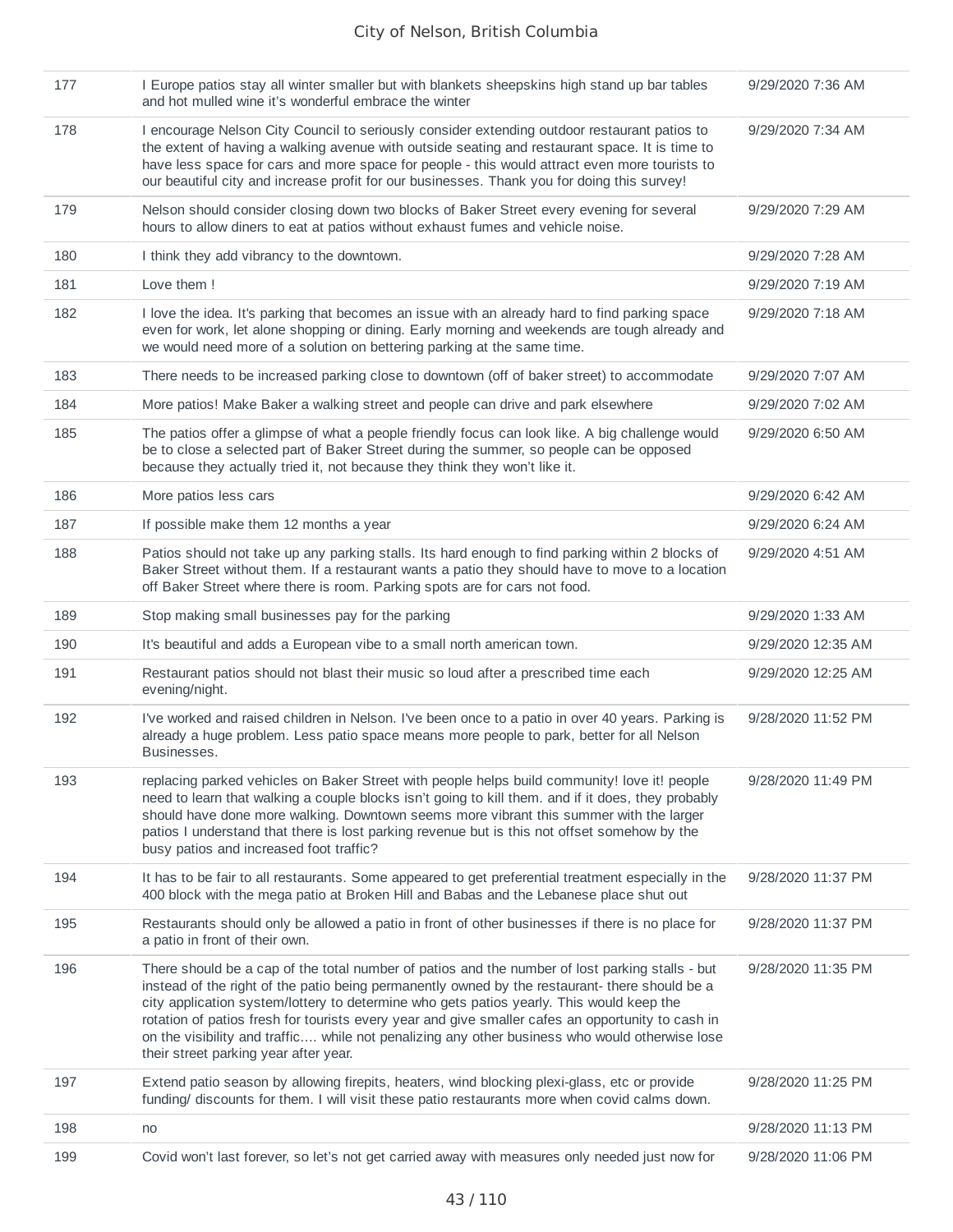| 177 | I Europe patios stay all winter smaller but with blankets sheepskins high stand up bar tables<br>and hot mulled wine it's wonderful embrace the winter                                                                                                                                                                                                                                                                                                                                                                                        | 9/29/2020 7:36 AM  |
|-----|-----------------------------------------------------------------------------------------------------------------------------------------------------------------------------------------------------------------------------------------------------------------------------------------------------------------------------------------------------------------------------------------------------------------------------------------------------------------------------------------------------------------------------------------------|--------------------|
| 178 | I encourage Nelson City Council to seriously consider extending outdoor restaurant patios to<br>the extent of having a walking avenue with outside seating and restaurant space. It is time to<br>have less space for cars and more space for people - this would attract even more tourists to<br>our beautiful city and increase profit for our businesses. Thank you for doing this survey!                                                                                                                                                | 9/29/2020 7:34 AM  |
| 179 | Nelson should consider closing down two blocks of Baker Street every evening for several<br>hours to allow diners to eat at patios without exhaust fumes and vehicle noise.                                                                                                                                                                                                                                                                                                                                                                   | 9/29/2020 7:29 AM  |
| 180 | I think they add vibrancy to the downtown.                                                                                                                                                                                                                                                                                                                                                                                                                                                                                                    | 9/29/2020 7:28 AM  |
| 181 | Love them !                                                                                                                                                                                                                                                                                                                                                                                                                                                                                                                                   | 9/29/2020 7:19 AM  |
| 182 | I love the idea. It's parking that becomes an issue with an already hard to find parking space<br>even for work, let alone shopping or dining. Early morning and weekends are tough already and<br>we would need more of a solution on bettering parking at the same time.                                                                                                                                                                                                                                                                    | 9/29/2020 7:18 AM  |
| 183 | There needs to be increased parking close to downtown (off of baker street) to accommodate                                                                                                                                                                                                                                                                                                                                                                                                                                                    | 9/29/2020 7:07 AM  |
| 184 | More patios! Make Baker a walking street and people can drive and park elsewhere                                                                                                                                                                                                                                                                                                                                                                                                                                                              | 9/29/2020 7:02 AM  |
| 185 | The patios offer a glimpse of what a people friendly focus can look like. A big challenge would<br>be to close a selected part of Baker Street during the summer, so people can be opposed<br>because they actually tried it, not because they think they won't like it.                                                                                                                                                                                                                                                                      | 9/29/2020 6:50 AM  |
| 186 | More patios less cars                                                                                                                                                                                                                                                                                                                                                                                                                                                                                                                         | 9/29/2020 6:42 AM  |
| 187 | If possible make them 12 months a year                                                                                                                                                                                                                                                                                                                                                                                                                                                                                                        | 9/29/2020 6:24 AM  |
| 188 | Patios should not take up any parking stalls. Its hard enough to find parking within 2 blocks of<br>Baker Street without them. If a restaurant wants a patio they should have to move to a location<br>off Baker Street where there is room. Parking spots are for cars not food.                                                                                                                                                                                                                                                             | 9/29/2020 4:51 AM  |
| 189 | Stop making small businesses pay for the parking                                                                                                                                                                                                                                                                                                                                                                                                                                                                                              | 9/29/2020 1:33 AM  |
| 190 | It's beautiful and adds a European vibe to a small north american town.                                                                                                                                                                                                                                                                                                                                                                                                                                                                       | 9/29/2020 12:35 AM |
| 191 | Restaurant patios should not blast their music so loud after a prescribed time each<br>evening/night.                                                                                                                                                                                                                                                                                                                                                                                                                                         | 9/29/2020 12:25 AM |
| 192 | I've worked and raised children in Nelson. I've been once to a patio in over 40 years. Parking is<br>already a huge problem. Less patio space means more people to park, better for all Nelson<br>Businesses.                                                                                                                                                                                                                                                                                                                                 | 9/28/2020 11:52 PM |
| 193 | replacing parked vehicles on Baker Street with people helps build community! love it! people<br>need to learn that walking a couple blocks isn't going to kill them. and if it does, they probably<br>should have done more walking. Downtown seems more vibrant this summer with the larger<br>patios I understand that there is lost parking revenue but is this not offset somehow by the<br>busy patios and increased foot traffic?                                                                                                       | 9/28/2020 11:49 PM |
| 194 | It has to be fair to all restaurants. Some appeared to get preferential treatment especially in the<br>400 block with the mega patio at Broken Hill and Babas and the Lebanese place shut out                                                                                                                                                                                                                                                                                                                                                 | 9/28/2020 11:37 PM |
| 195 | Restaurants should only be allowed a patio in front of other businesses if there is no place for<br>a patio in front of their own.                                                                                                                                                                                                                                                                                                                                                                                                            | 9/28/2020 11:37 PM |
| 196 | There should be a cap of the total number of patios and the number of lost parking stalls - but<br>instead of the right of the patio being permanently owned by the restaurant- there should be a<br>city application system/lottery to determine who gets patios yearly. This would keep the<br>rotation of patios fresh for tourists every year and give smaller cafes an opportunity to cash in<br>on the visibility and traffic while not penalizing any other business who would otherwise lose<br>their street parking year after year. | 9/28/2020 11:35 PM |
| 197 | Extend patio season by allowing firepits, heaters, wind blocking plexi-glass, etc or provide<br>funding/ discounts for them. I will visit these patio restaurants more when covid calms down.                                                                                                                                                                                                                                                                                                                                                 | 9/28/2020 11:25 PM |
| 198 | no                                                                                                                                                                                                                                                                                                                                                                                                                                                                                                                                            | 9/28/2020 11:13 PM |
| 199 | Covid won't last forever, so let's not get carried away with measures only needed just now for                                                                                                                                                                                                                                                                                                                                                                                                                                                | 9/28/2020 11:06 PM |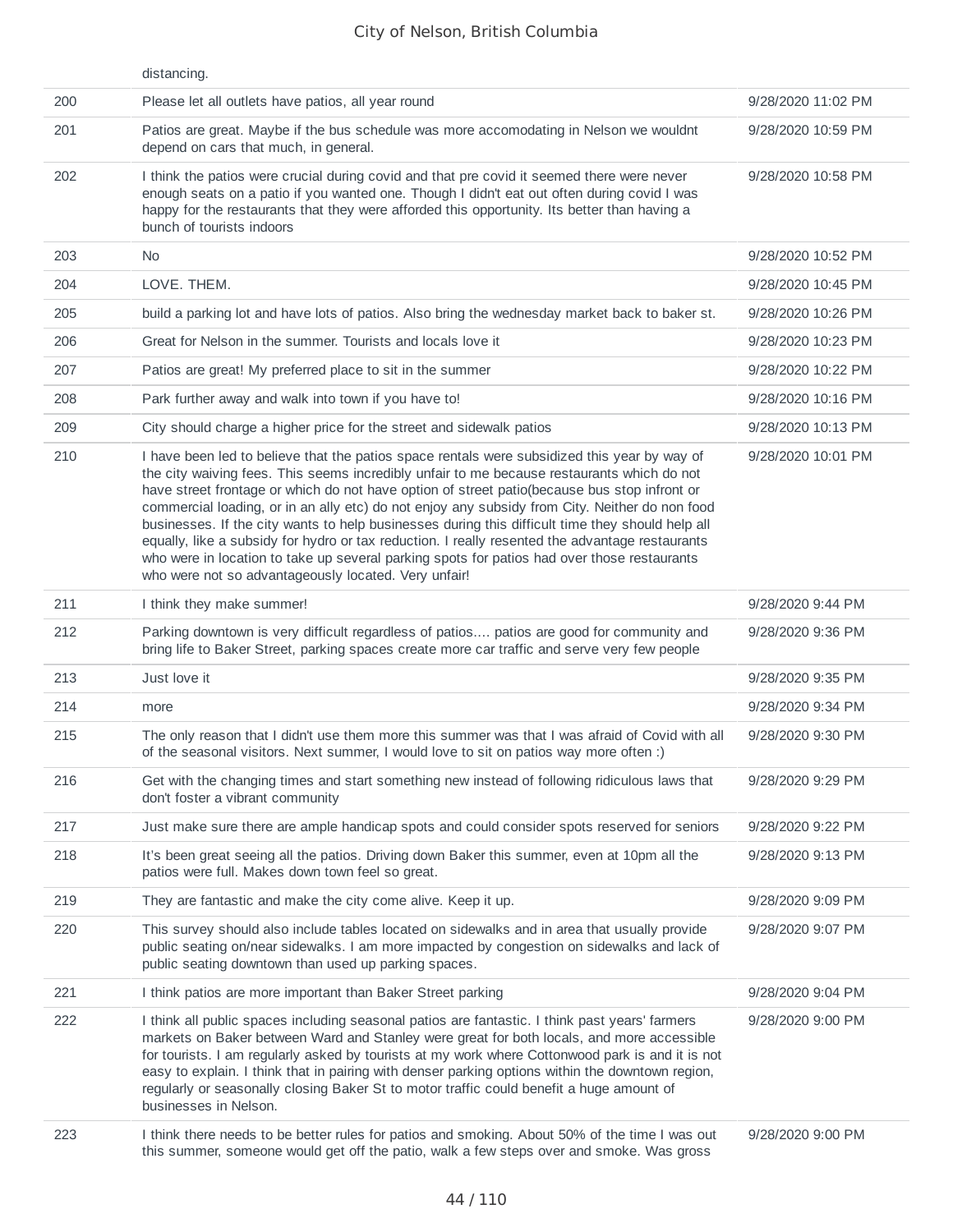|     | distancing.                                                                                                                                                                                                                                                                                                                                                                                                                                                                                                                                                                                                                                                                                                                                                |                    |
|-----|------------------------------------------------------------------------------------------------------------------------------------------------------------------------------------------------------------------------------------------------------------------------------------------------------------------------------------------------------------------------------------------------------------------------------------------------------------------------------------------------------------------------------------------------------------------------------------------------------------------------------------------------------------------------------------------------------------------------------------------------------------|--------------------|
| 200 | Please let all outlets have patios, all year round                                                                                                                                                                                                                                                                                                                                                                                                                                                                                                                                                                                                                                                                                                         | 9/28/2020 11:02 PM |
| 201 | Patios are great. Maybe if the bus schedule was more accomodating in Nelson we wouldnt<br>depend on cars that much, in general.                                                                                                                                                                                                                                                                                                                                                                                                                                                                                                                                                                                                                            | 9/28/2020 10:59 PM |
| 202 | I think the patios were crucial during covid and that pre covid it seemed there were never<br>enough seats on a patio if you wanted one. Though I didn't eat out often during covid I was<br>happy for the restaurants that they were afforded this opportunity. Its better than having a<br>bunch of tourists indoors                                                                                                                                                                                                                                                                                                                                                                                                                                     | 9/28/2020 10:58 PM |
| 203 | No.                                                                                                                                                                                                                                                                                                                                                                                                                                                                                                                                                                                                                                                                                                                                                        | 9/28/2020 10:52 PM |
| 204 | LOVE. THEM.                                                                                                                                                                                                                                                                                                                                                                                                                                                                                                                                                                                                                                                                                                                                                | 9/28/2020 10:45 PM |
| 205 | build a parking lot and have lots of patios. Also bring the wednesday market back to baker st.                                                                                                                                                                                                                                                                                                                                                                                                                                                                                                                                                                                                                                                             | 9/28/2020 10:26 PM |
| 206 | Great for Nelson in the summer. Tourists and locals love it                                                                                                                                                                                                                                                                                                                                                                                                                                                                                                                                                                                                                                                                                                | 9/28/2020 10:23 PM |
| 207 | Patios are great! My preferred place to sit in the summer                                                                                                                                                                                                                                                                                                                                                                                                                                                                                                                                                                                                                                                                                                  | 9/28/2020 10:22 PM |
| 208 | Park further away and walk into town if you have to!                                                                                                                                                                                                                                                                                                                                                                                                                                                                                                                                                                                                                                                                                                       | 9/28/2020 10:16 PM |
| 209 | City should charge a higher price for the street and sidewalk patios                                                                                                                                                                                                                                                                                                                                                                                                                                                                                                                                                                                                                                                                                       | 9/28/2020 10:13 PM |
| 210 | I have been led to believe that the patios space rentals were subsidized this year by way of<br>the city waiving fees. This seems incredibly unfair to me because restaurants which do not<br>have street frontage or which do not have option of street patio(because bus stop infront or<br>commercial loading, or in an ally etc) do not enjoy any subsidy from City. Neither do non food<br>businesses. If the city wants to help businesses during this difficult time they should help all<br>equally, like a subsidy for hydro or tax reduction. I really resented the advantage restaurants<br>who were in location to take up several parking spots for patios had over those restaurants<br>who were not so advantageously located. Very unfair! | 9/28/2020 10:01 PM |
| 211 | I think they make summer!                                                                                                                                                                                                                                                                                                                                                                                                                                                                                                                                                                                                                                                                                                                                  | 9/28/2020 9:44 PM  |
| 212 | Parking downtown is very difficult regardless of patios patios are good for community and<br>bring life to Baker Street, parking spaces create more car traffic and serve very few people                                                                                                                                                                                                                                                                                                                                                                                                                                                                                                                                                                  | 9/28/2020 9:36 PM  |
| 213 | Just love it                                                                                                                                                                                                                                                                                                                                                                                                                                                                                                                                                                                                                                                                                                                                               | 9/28/2020 9:35 PM  |
| 214 | more                                                                                                                                                                                                                                                                                                                                                                                                                                                                                                                                                                                                                                                                                                                                                       | 9/28/2020 9:34 PM  |
| 215 | The only reason that I didn't use them more this summer was that I was afraid of Covid with all<br>of the seasonal visitors. Next summer, I would love to sit on patios way more often :)                                                                                                                                                                                                                                                                                                                                                                                                                                                                                                                                                                  | 9/28/2020 9:30 PM  |
| 216 | Get with the changing times and start something new instead of following ridiculous laws that<br>don't foster a vibrant community                                                                                                                                                                                                                                                                                                                                                                                                                                                                                                                                                                                                                          | 9/28/2020 9:29 PM  |
| 217 | Just make sure there are ample handicap spots and could consider spots reserved for seniors                                                                                                                                                                                                                                                                                                                                                                                                                                                                                                                                                                                                                                                                | 9/28/2020 9:22 PM  |
| 218 | It's been great seeing all the patios. Driving down Baker this summer, even at 10pm all the<br>patios were full. Makes down town feel so great.                                                                                                                                                                                                                                                                                                                                                                                                                                                                                                                                                                                                            | 9/28/2020 9:13 PM  |
| 219 | They are fantastic and make the city come alive. Keep it up.                                                                                                                                                                                                                                                                                                                                                                                                                                                                                                                                                                                                                                                                                               | 9/28/2020 9:09 PM  |
| 220 | This survey should also include tables located on sidewalks and in area that usually provide<br>public seating on/near sidewalks. I am more impacted by congestion on sidewalks and lack of<br>public seating downtown than used up parking spaces.                                                                                                                                                                                                                                                                                                                                                                                                                                                                                                        | 9/28/2020 9:07 PM  |
| 221 | I think patios are more important than Baker Street parking                                                                                                                                                                                                                                                                                                                                                                                                                                                                                                                                                                                                                                                                                                | 9/28/2020 9:04 PM  |
| 222 | I think all public spaces including seasonal patios are fantastic. I think past years' farmers<br>markets on Baker between Ward and Stanley were great for both locals, and more accessible<br>for tourists. I am regularly asked by tourists at my work where Cottonwood park is and it is not<br>easy to explain. I think that in pairing with denser parking options within the downtown region,<br>regularly or seasonally closing Baker St to motor traffic could benefit a huge amount of<br>businesses in Nelson.                                                                                                                                                                                                                                   | 9/28/2020 9:00 PM  |
| 223 | I think there needs to be better rules for patios and smoking. About 50% of the time I was out<br>this summer, someone would get off the patio, walk a few steps over and smoke. Was gross                                                                                                                                                                                                                                                                                                                                                                                                                                                                                                                                                                 | 9/28/2020 9:00 PM  |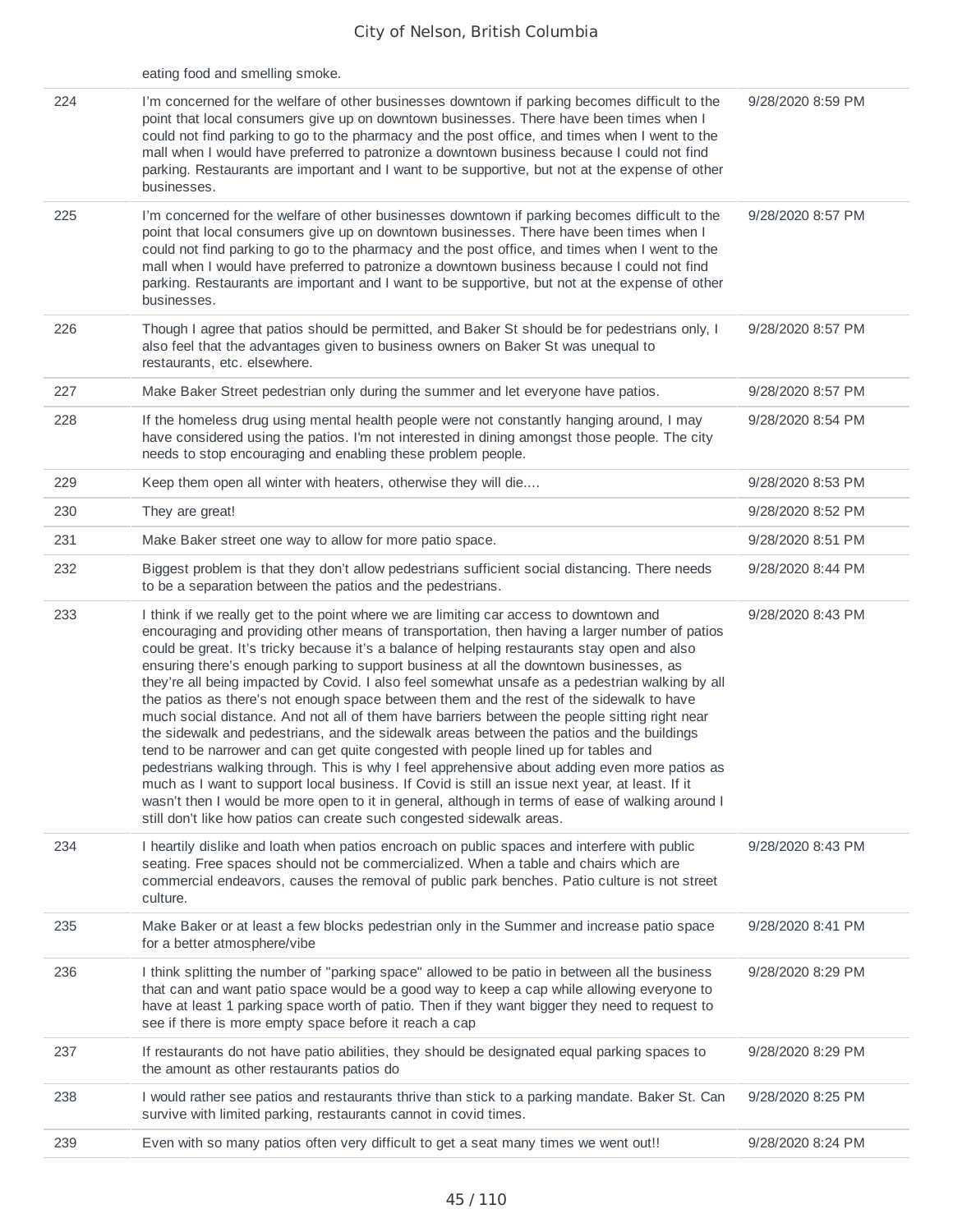|     | eating food and smelling smoke.                                                                                                                                                                                                                                                                                                                                                                                                                                                                                                                                                                                                                                                                                                                                                                                                                                                                                                                                                                                                                                                                                                                                                                                                                         |                   |
|-----|---------------------------------------------------------------------------------------------------------------------------------------------------------------------------------------------------------------------------------------------------------------------------------------------------------------------------------------------------------------------------------------------------------------------------------------------------------------------------------------------------------------------------------------------------------------------------------------------------------------------------------------------------------------------------------------------------------------------------------------------------------------------------------------------------------------------------------------------------------------------------------------------------------------------------------------------------------------------------------------------------------------------------------------------------------------------------------------------------------------------------------------------------------------------------------------------------------------------------------------------------------|-------------------|
| 224 | I'm concerned for the welfare of other businesses downtown if parking becomes difficult to the<br>point that local consumers give up on downtown businesses. There have been times when I<br>could not find parking to go to the pharmacy and the post office, and times when I went to the<br>mall when I would have preferred to patronize a downtown business because I could not find<br>parking. Restaurants are important and I want to be supportive, but not at the expense of other<br>businesses.                                                                                                                                                                                                                                                                                                                                                                                                                                                                                                                                                                                                                                                                                                                                             | 9/28/2020 8:59 PM |
| 225 | I'm concerned for the welfare of other businesses downtown if parking becomes difficult to the<br>point that local consumers give up on downtown businesses. There have been times when I<br>could not find parking to go to the pharmacy and the post office, and times when I went to the<br>mall when I would have preferred to patronize a downtown business because I could not find<br>parking. Restaurants are important and I want to be supportive, but not at the expense of other<br>businesses.                                                                                                                                                                                                                                                                                                                                                                                                                                                                                                                                                                                                                                                                                                                                             | 9/28/2020 8:57 PM |
| 226 | Though I agree that patios should be permitted, and Baker St should be for pedestrians only, I<br>also feel that the advantages given to business owners on Baker St was unequal to<br>restaurants, etc. elsewhere.                                                                                                                                                                                                                                                                                                                                                                                                                                                                                                                                                                                                                                                                                                                                                                                                                                                                                                                                                                                                                                     | 9/28/2020 8:57 PM |
| 227 | Make Baker Street pedestrian only during the summer and let everyone have patios.                                                                                                                                                                                                                                                                                                                                                                                                                                                                                                                                                                                                                                                                                                                                                                                                                                                                                                                                                                                                                                                                                                                                                                       | 9/28/2020 8:57 PM |
| 228 | If the homeless drug using mental health people were not constantly hanging around, I may<br>have considered using the patios. I'm not interested in dining amongst those people. The city<br>needs to stop encouraging and enabling these problem people.                                                                                                                                                                                                                                                                                                                                                                                                                                                                                                                                                                                                                                                                                                                                                                                                                                                                                                                                                                                              | 9/28/2020 8:54 PM |
| 229 | Keep them open all winter with heaters, otherwise they will die                                                                                                                                                                                                                                                                                                                                                                                                                                                                                                                                                                                                                                                                                                                                                                                                                                                                                                                                                                                                                                                                                                                                                                                         | 9/28/2020 8:53 PM |
| 230 | They are great!                                                                                                                                                                                                                                                                                                                                                                                                                                                                                                                                                                                                                                                                                                                                                                                                                                                                                                                                                                                                                                                                                                                                                                                                                                         | 9/28/2020 8:52 PM |
| 231 | Make Baker street one way to allow for more patio space.                                                                                                                                                                                                                                                                                                                                                                                                                                                                                                                                                                                                                                                                                                                                                                                                                                                                                                                                                                                                                                                                                                                                                                                                | 9/28/2020 8:51 PM |
| 232 | Biggest problem is that they don't allow pedestrians sufficient social distancing. There needs<br>to be a separation between the patios and the pedestrians.                                                                                                                                                                                                                                                                                                                                                                                                                                                                                                                                                                                                                                                                                                                                                                                                                                                                                                                                                                                                                                                                                            | 9/28/2020 8:44 PM |
| 233 | I think if we really get to the point where we are limiting car access to downtown and<br>encouraging and providing other means of transportation, then having a larger number of patios<br>could be great. It's tricky because it's a balance of helping restaurants stay open and also<br>ensuring there's enough parking to support business at all the downtown businesses, as<br>they're all being impacted by Covid. I also feel somewhat unsafe as a pedestrian walking by all<br>the patios as there's not enough space between them and the rest of the sidewalk to have<br>much social distance. And not all of them have barriers between the people sitting right near<br>the sidewalk and pedestrians, and the sidewalk areas between the patios and the buildings<br>tend to be narrower and can get quite congested with people lined up for tables and<br>pedestrians walking through. This is why I feel apprehensive about adding even more patios as<br>much as I want to support local business. If Covid is still an issue next year, at least. If it<br>wasn't then I would be more open to it in general, although in terms of ease of walking around I<br>still don't like how patios can create such congested sidewalk areas. | 9/28/2020 8:43 PM |
| 234 | I heartily dislike and loath when patios encroach on public spaces and interfere with public<br>seating. Free spaces should not be commercialized. When a table and chairs which are<br>commercial endeavors, causes the removal of public park benches. Patio culture is not street<br>culture.                                                                                                                                                                                                                                                                                                                                                                                                                                                                                                                                                                                                                                                                                                                                                                                                                                                                                                                                                        | 9/28/2020 8:43 PM |
| 235 | Make Baker or at least a few blocks pedestrian only in the Summer and increase patio space<br>for a better atmosphere/vibe                                                                                                                                                                                                                                                                                                                                                                                                                                                                                                                                                                                                                                                                                                                                                                                                                                                                                                                                                                                                                                                                                                                              | 9/28/2020 8:41 PM |
| 236 | I think splitting the number of "parking space" allowed to be patio in between all the business<br>that can and want patio space would be a good way to keep a cap while allowing everyone to<br>have at least 1 parking space worth of patio. Then if they want bigger they need to request to<br>see if there is more empty space before it reach a cap                                                                                                                                                                                                                                                                                                                                                                                                                                                                                                                                                                                                                                                                                                                                                                                                                                                                                               | 9/28/2020 8:29 PM |
| 237 | If restaurants do not have patio abilities, they should be designated equal parking spaces to<br>the amount as other restaurants patios do                                                                                                                                                                                                                                                                                                                                                                                                                                                                                                                                                                                                                                                                                                                                                                                                                                                                                                                                                                                                                                                                                                              | 9/28/2020 8:29 PM |
| 238 | I would rather see patios and restaurants thrive than stick to a parking mandate. Baker St. Can<br>survive with limited parking, restaurants cannot in covid times.                                                                                                                                                                                                                                                                                                                                                                                                                                                                                                                                                                                                                                                                                                                                                                                                                                                                                                                                                                                                                                                                                     | 9/28/2020 8:25 PM |
| 239 | Even with so many patios often very difficult to get a seat many times we went out!!                                                                                                                                                                                                                                                                                                                                                                                                                                                                                                                                                                                                                                                                                                                                                                                                                                                                                                                                                                                                                                                                                                                                                                    | 9/28/2020 8:24 PM |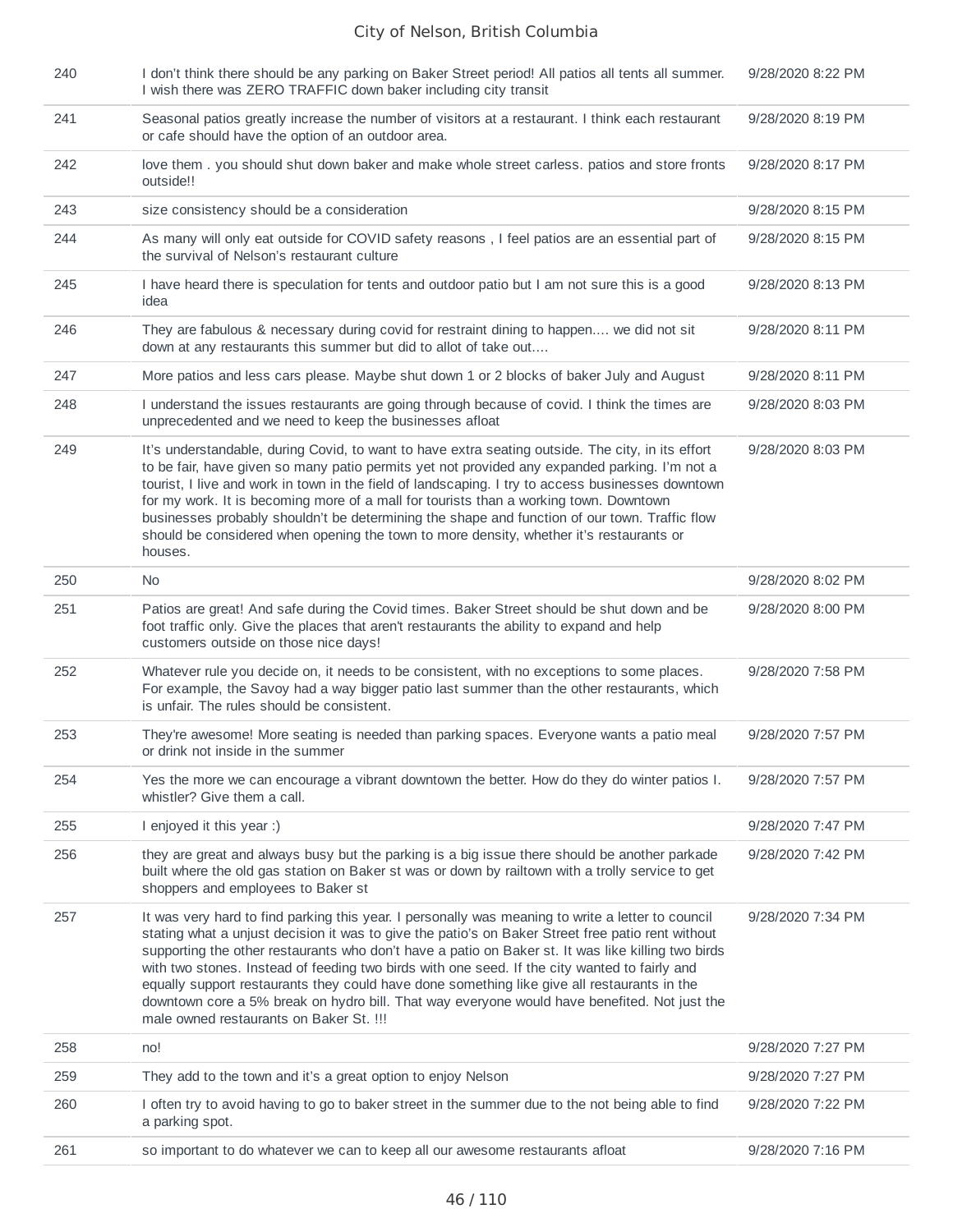| 240 | I don't think there should be any parking on Baker Street period! All patios all tents all summer.<br>I wish there was ZERO TRAFFIC down baker including city transit                                                                                                                                                                                                                                                                                                                                                                                                                                                                                   | 9/28/2020 8:22 PM |
|-----|---------------------------------------------------------------------------------------------------------------------------------------------------------------------------------------------------------------------------------------------------------------------------------------------------------------------------------------------------------------------------------------------------------------------------------------------------------------------------------------------------------------------------------------------------------------------------------------------------------------------------------------------------------|-------------------|
| 241 | Seasonal patios greatly increase the number of visitors at a restaurant. I think each restaurant<br>or cafe should have the option of an outdoor area.                                                                                                                                                                                                                                                                                                                                                                                                                                                                                                  | 9/28/2020 8:19 PM |
| 242 | love them . you should shut down baker and make whole street carless. patios and store fronts<br>outside!!                                                                                                                                                                                                                                                                                                                                                                                                                                                                                                                                              | 9/28/2020 8:17 PM |
| 243 | size consistency should be a consideration                                                                                                                                                                                                                                                                                                                                                                                                                                                                                                                                                                                                              | 9/28/2020 8:15 PM |
| 244 | As many will only eat outside for COVID safety reasons, I feel patios are an essential part of<br>the survival of Nelson's restaurant culture                                                                                                                                                                                                                                                                                                                                                                                                                                                                                                           | 9/28/2020 8:15 PM |
| 245 | I have heard there is speculation for tents and outdoor patio but I am not sure this is a good<br>idea                                                                                                                                                                                                                                                                                                                                                                                                                                                                                                                                                  | 9/28/2020 8:13 PM |
| 246 | They are fabulous & necessary during covid for restraint dining to happen we did not sit<br>down at any restaurants this summer but did to allot of take out                                                                                                                                                                                                                                                                                                                                                                                                                                                                                            | 9/28/2020 8:11 PM |
| 247 | More patios and less cars please. Maybe shut down 1 or 2 blocks of baker July and August                                                                                                                                                                                                                                                                                                                                                                                                                                                                                                                                                                | 9/28/2020 8:11 PM |
| 248 | I understand the issues restaurants are going through because of covid. I think the times are<br>unprecedented and we need to keep the businesses afloat                                                                                                                                                                                                                                                                                                                                                                                                                                                                                                | 9/28/2020 8:03 PM |
| 249 | It's understandable, during Covid, to want to have extra seating outside. The city, in its effort<br>to be fair, have given so many patio permits yet not provided any expanded parking. I'm not a<br>tourist, I live and work in town in the field of landscaping. I try to access businesses downtown<br>for my work. It is becoming more of a mall for tourists than a working town. Downtown<br>businesses probably shouldn't be determining the shape and function of our town. Traffic flow<br>should be considered when opening the town to more density, whether it's restaurants or<br>houses.                                                 | 9/28/2020 8:03 PM |
| 250 | No.                                                                                                                                                                                                                                                                                                                                                                                                                                                                                                                                                                                                                                                     | 9/28/2020 8:02 PM |
| 251 | Patios are great! And safe during the Covid times. Baker Street should be shut down and be<br>foot traffic only. Give the places that aren't restaurants the ability to expand and help<br>customers outside on those nice days!                                                                                                                                                                                                                                                                                                                                                                                                                        | 9/28/2020 8:00 PM |
| 252 | Whatever rule you decide on, it needs to be consistent, with no exceptions to some places.<br>For example, the Savoy had a way bigger patio last summer than the other restaurants, which<br>is unfair. The rules should be consistent.                                                                                                                                                                                                                                                                                                                                                                                                                 | 9/28/2020 7:58 PM |
| 253 | They're awesome! More seating is needed than parking spaces. Everyone wants a patio meal<br>or drink not inside in the summer                                                                                                                                                                                                                                                                                                                                                                                                                                                                                                                           | 9/28/2020 7:57 PM |
| 254 | Yes the more we can encourage a vibrant downtown the better. How do they do winter patios I.<br>whistler? Give them a call.                                                                                                                                                                                                                                                                                                                                                                                                                                                                                                                             | 9/28/2020 7:57 PM |
| 255 | I enjoyed it this year :)                                                                                                                                                                                                                                                                                                                                                                                                                                                                                                                                                                                                                               | 9/28/2020 7:47 PM |
| 256 | they are great and always busy but the parking is a big issue there should be another parkade<br>built where the old gas station on Baker st was or down by railtown with a trolly service to get<br>shoppers and employees to Baker st                                                                                                                                                                                                                                                                                                                                                                                                                 | 9/28/2020 7:42 PM |
| 257 | It was very hard to find parking this year. I personally was meaning to write a letter to council<br>stating what a unjust decision it was to give the patio's on Baker Street free patio rent without<br>supporting the other restaurants who don't have a patio on Baker st. It was like killing two birds<br>with two stones. Instead of feeding two birds with one seed. If the city wanted to fairly and<br>equally support restaurants they could have done something like give all restaurants in the<br>downtown core a 5% break on hydro bill. That way everyone would have benefited. Not just the<br>male owned restaurants on Baker St. !!! | 9/28/2020 7:34 PM |
| 258 | no!                                                                                                                                                                                                                                                                                                                                                                                                                                                                                                                                                                                                                                                     | 9/28/2020 7:27 PM |
| 259 | They add to the town and it's a great option to enjoy Nelson                                                                                                                                                                                                                                                                                                                                                                                                                                                                                                                                                                                            | 9/28/2020 7:27 PM |
| 260 | I often try to avoid having to go to baker street in the summer due to the not being able to find<br>a parking spot.                                                                                                                                                                                                                                                                                                                                                                                                                                                                                                                                    | 9/28/2020 7:22 PM |
| 261 | so important to do whatever we can to keep all our awesome restaurants afloat                                                                                                                                                                                                                                                                                                                                                                                                                                                                                                                                                                           | 9/28/2020 7:16 PM |
|     |                                                                                                                                                                                                                                                                                                                                                                                                                                                                                                                                                                                                                                                         |                   |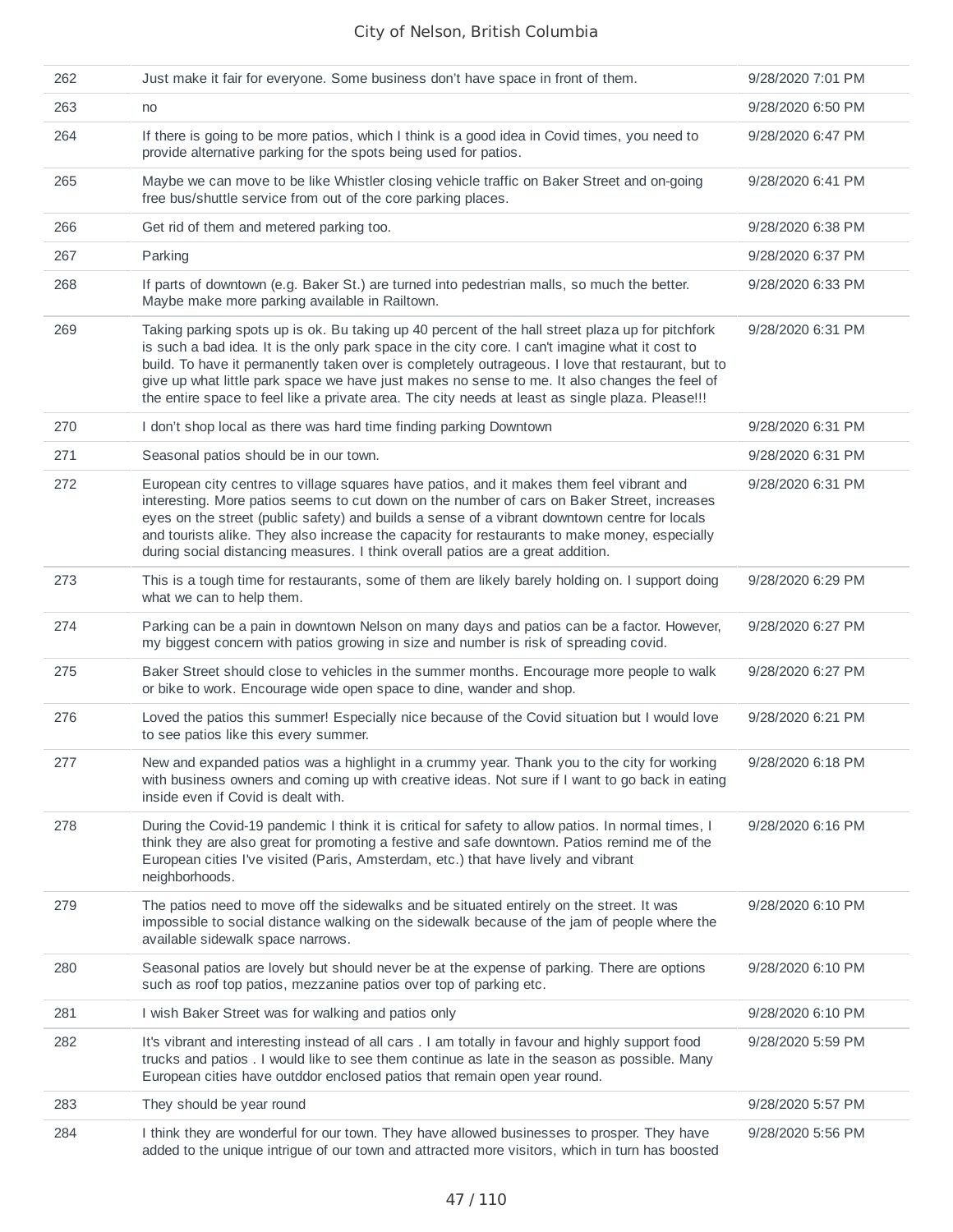| 262 | Just make it fair for everyone. Some business don't have space in front of them.                                                                                                                                                                                                                                                                                                                                                                                                                              | 9/28/2020 7:01 PM |
|-----|---------------------------------------------------------------------------------------------------------------------------------------------------------------------------------------------------------------------------------------------------------------------------------------------------------------------------------------------------------------------------------------------------------------------------------------------------------------------------------------------------------------|-------------------|
| 263 | no                                                                                                                                                                                                                                                                                                                                                                                                                                                                                                            | 9/28/2020 6:50 PM |
| 264 | If there is going to be more patios, which I think is a good idea in Covid times, you need to<br>provide alternative parking for the spots being used for patios.                                                                                                                                                                                                                                                                                                                                             | 9/28/2020 6:47 PM |
| 265 | Maybe we can move to be like Whistler closing vehicle traffic on Baker Street and on-going<br>free bus/shuttle service from out of the core parking places.                                                                                                                                                                                                                                                                                                                                                   | 9/28/2020 6:41 PM |
| 266 | Get rid of them and metered parking too.                                                                                                                                                                                                                                                                                                                                                                                                                                                                      | 9/28/2020 6:38 PM |
| 267 | Parking                                                                                                                                                                                                                                                                                                                                                                                                                                                                                                       | 9/28/2020 6:37 PM |
| 268 | If parts of downtown (e.g. Baker St.) are turned into pedestrian malls, so much the better.<br>Maybe make more parking available in Railtown.                                                                                                                                                                                                                                                                                                                                                                 | 9/28/2020 6:33 PM |
| 269 | Taking parking spots up is ok. Bu taking up 40 percent of the hall street plaza up for pitchfork<br>is such a bad idea. It is the only park space in the city core. I can't imagine what it cost to<br>build. To have it permanently taken over is completely outrageous. I love that restaurant, but to<br>give up what little park space we have just makes no sense to me. It also changes the feel of<br>the entire space to feel like a private area. The city needs at least as single plaza. Please!!! | 9/28/2020 6:31 PM |
| 270 | I don't shop local as there was hard time finding parking Downtown                                                                                                                                                                                                                                                                                                                                                                                                                                            | 9/28/2020 6:31 PM |
| 271 | Seasonal patios should be in our town.                                                                                                                                                                                                                                                                                                                                                                                                                                                                        | 9/28/2020 6:31 PM |
| 272 | European city centres to village squares have patios, and it makes them feel vibrant and<br>interesting. More patios seems to cut down on the number of cars on Baker Street, increases<br>eyes on the street (public safety) and builds a sense of a vibrant downtown centre for locals<br>and tourists alike. They also increase the capacity for restaurants to make money, especially<br>during social distancing measures. I think overall patios are a great addition.                                  | 9/28/2020 6:31 PM |
| 273 | This is a tough time for restaurants, some of them are likely barely holding on. I support doing<br>what we can to help them.                                                                                                                                                                                                                                                                                                                                                                                 | 9/28/2020 6:29 PM |
| 274 | Parking can be a pain in downtown Nelson on many days and patios can be a factor. However,<br>my biggest concern with patios growing in size and number is risk of spreading covid.                                                                                                                                                                                                                                                                                                                           | 9/28/2020 6:27 PM |
| 275 | Baker Street should close to vehicles in the summer months. Encourage more people to walk<br>or bike to work. Encourage wide open space to dine, wander and shop.                                                                                                                                                                                                                                                                                                                                             | 9/28/2020 6:27 PM |
| 276 | Loved the patios this summer! Especially nice because of the Covid situation but I would love<br>to see patios like this every summer.                                                                                                                                                                                                                                                                                                                                                                        | 9/28/2020 6:21 PM |
| 277 | New and expanded patios was a highlight in a crummy year. Thank you to the city for working<br>with business owners and coming up with creative ideas. Not sure if I want to go back in eating<br>inside even if Covid is dealt with.                                                                                                                                                                                                                                                                         | 9/28/2020 6:18 PM |
| 278 | During the Covid-19 pandemic I think it is critical for safety to allow patios. In normal times, I<br>think they are also great for promoting a festive and safe downtown. Patios remind me of the<br>European cities I've visited (Paris, Amsterdam, etc.) that have lively and vibrant<br>neighborhoods.                                                                                                                                                                                                    | 9/28/2020 6:16 PM |
| 279 | The patios need to move off the sidewalks and be situated entirely on the street. It was<br>impossible to social distance walking on the sidewalk because of the jam of people where the<br>available sidewalk space narrows.                                                                                                                                                                                                                                                                                 | 9/28/2020 6:10 PM |
| 280 | Seasonal patios are lovely but should never be at the expense of parking. There are options<br>such as roof top patios, mezzanine patios over top of parking etc.                                                                                                                                                                                                                                                                                                                                             | 9/28/2020 6:10 PM |
| 281 | I wish Baker Street was for walking and patios only                                                                                                                                                                                                                                                                                                                                                                                                                                                           | 9/28/2020 6:10 PM |
| 282 | It's vibrant and interesting instead of all cars . I am totally in favour and highly support food<br>trucks and patios . I would like to see them continue as late in the season as possible. Many<br>European cities have outddor enclosed patios that remain open year round.                                                                                                                                                                                                                               | 9/28/2020 5:59 PM |
| 283 | They should be year round                                                                                                                                                                                                                                                                                                                                                                                                                                                                                     | 9/28/2020 5:57 PM |
| 284 | I think they are wonderful for our town. They have allowed businesses to prosper. They have<br>added to the unique intrigue of our town and attracted more visitors, which in turn has boosted                                                                                                                                                                                                                                                                                                                | 9/28/2020 5:56 PM |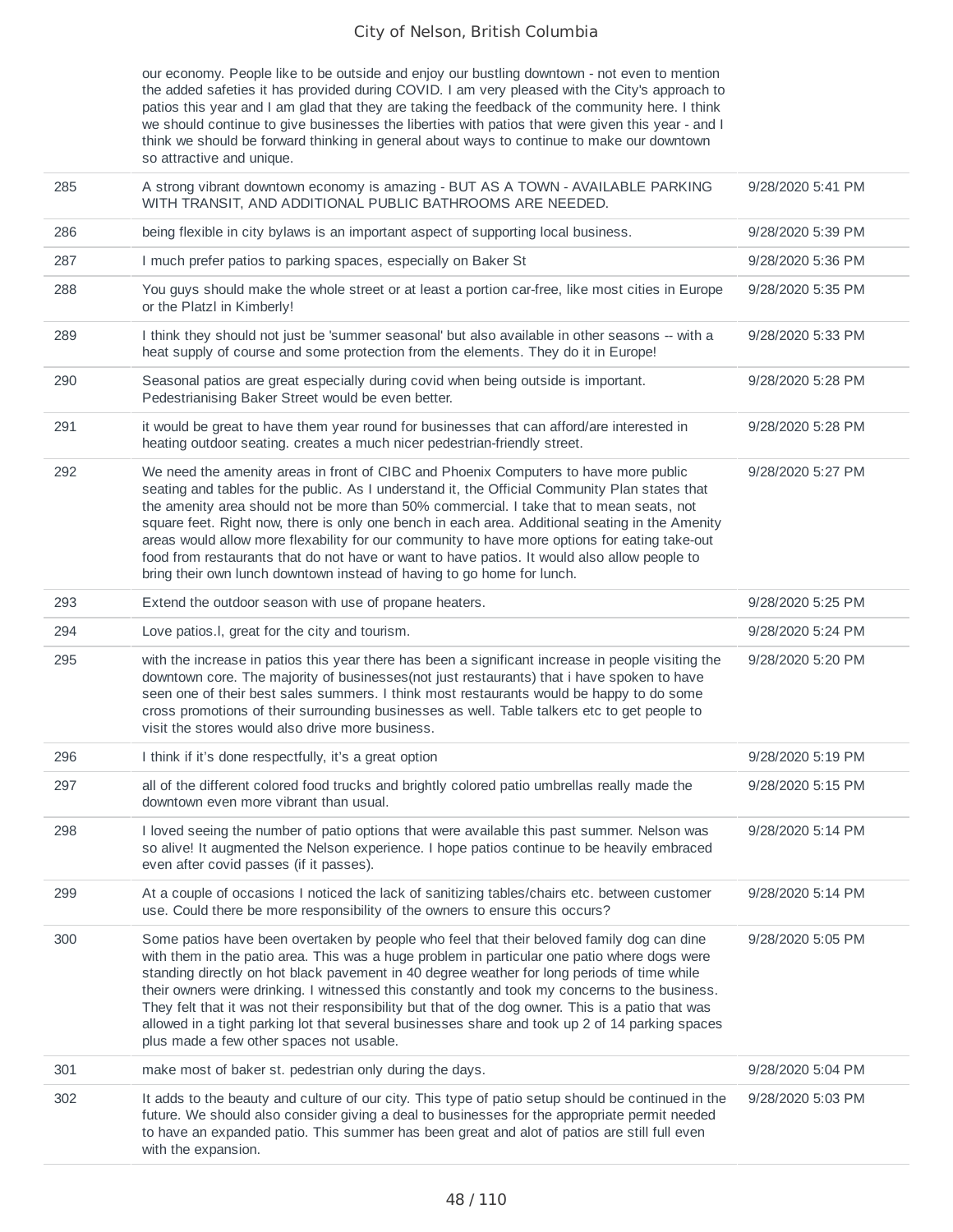our economy. People like to be outside and enjoy our bustling downtown - not even to mention the added safeties it has provided during COVID. I am very pleased with the City's approach to patios this year and I am glad that they are taking the feedback of the community here. I think we should continue to give businesses the liberties with patios that were given this year - and I think we should be forward thinking in general about ways to continue to make our downtown so attractive and unique.

| 285 | A strong vibrant downtown economy is amazing - BUT AS A TOWN - AVAILABLE PARKING<br>WITH TRANSIT, AND ADDITIONAL PUBLIC BATHROOMS ARE NEEDED.                                                                                                                                                                                                                                                                                                                                                                                                                                                                                                                   | 9/28/2020 5:41 PM |
|-----|-----------------------------------------------------------------------------------------------------------------------------------------------------------------------------------------------------------------------------------------------------------------------------------------------------------------------------------------------------------------------------------------------------------------------------------------------------------------------------------------------------------------------------------------------------------------------------------------------------------------------------------------------------------------|-------------------|
| 286 | being flexible in city bylaws is an important aspect of supporting local business.                                                                                                                                                                                                                                                                                                                                                                                                                                                                                                                                                                              | 9/28/2020 5:39 PM |
| 287 | I much prefer patios to parking spaces, especially on Baker St                                                                                                                                                                                                                                                                                                                                                                                                                                                                                                                                                                                                  | 9/28/2020 5:36 PM |
| 288 | You guys should make the whole street or at least a portion car-free, like most cities in Europe<br>or the Platzl in Kimberly!                                                                                                                                                                                                                                                                                                                                                                                                                                                                                                                                  | 9/28/2020 5:35 PM |
| 289 | I think they should not just be 'summer seasonal' but also available in other seasons -- with a<br>heat supply of course and some protection from the elements. They do it in Europe!                                                                                                                                                                                                                                                                                                                                                                                                                                                                           | 9/28/2020 5:33 PM |
| 290 | Seasonal patios are great especially during covid when being outside is important.<br>Pedestrianising Baker Street would be even better.                                                                                                                                                                                                                                                                                                                                                                                                                                                                                                                        | 9/28/2020 5:28 PM |
| 291 | it would be great to have them year round for businesses that can afford/are interested in<br>heating outdoor seating. creates a much nicer pedestrian-friendly street.                                                                                                                                                                                                                                                                                                                                                                                                                                                                                         | 9/28/2020 5:28 PM |
| 292 | We need the amenity areas in front of CIBC and Phoenix Computers to have more public<br>seating and tables for the public. As I understand it, the Official Community Plan states that<br>the amenity area should not be more than 50% commercial. I take that to mean seats, not<br>square feet. Right now, there is only one bench in each area. Additional seating in the Amenity<br>areas would allow more flexability for our community to have more options for eating take-out<br>food from restaurants that do not have or want to have patios. It would also allow people to<br>bring their own lunch downtown instead of having to go home for lunch. | 9/28/2020 5:27 PM |
| 293 | Extend the outdoor season with use of propane heaters.                                                                                                                                                                                                                                                                                                                                                                                                                                                                                                                                                                                                          | 9/28/2020 5:25 PM |
| 294 | Love patios.I, great for the city and tourism.                                                                                                                                                                                                                                                                                                                                                                                                                                                                                                                                                                                                                  | 9/28/2020 5:24 PM |
| 295 | with the increase in patios this year there has been a significant increase in people visiting the<br>downtown core. The majority of businesses (not just restaurants) that i have spoken to have<br>seen one of their best sales summers. I think most restaurants would be happy to do some<br>cross promotions of their surrounding businesses as well. Table talkers etc to get people to<br>visit the stores would also drive more business.                                                                                                                                                                                                               | 9/28/2020 5:20 PM |
| 296 | I think if it's done respectfully, it's a great option                                                                                                                                                                                                                                                                                                                                                                                                                                                                                                                                                                                                          | 9/28/2020 5:19 PM |
| 297 | all of the different colored food trucks and brightly colored patio umbrellas really made the<br>downtown even more vibrant than usual.                                                                                                                                                                                                                                                                                                                                                                                                                                                                                                                         | 9/28/2020 5:15 PM |
| 298 | I loved seeing the number of patio options that were available this past summer. Nelson was<br>so alive! It augmented the Nelson experience. I hope patios continue to be heavily embraced<br>even after covid passes (if it passes).                                                                                                                                                                                                                                                                                                                                                                                                                           | 9/28/2020 5:14 PM |
| 299 | At a couple of occasions I noticed the lack of sanitizing tables/chairs etc. between customer<br>use. Could there be more responsibility of the owners to ensure this occurs?                                                                                                                                                                                                                                                                                                                                                                                                                                                                                   | 9/28/2020 5:14 PM |
| 300 | Some patios have been overtaken by people who feel that their beloved family dog can dine<br>with them in the patio area. This was a huge problem in particular one patio where dogs were<br>standing directly on hot black pavement in 40 degree weather for long periods of time while<br>their owners were drinking. I witnessed this constantly and took my concerns to the business.<br>They felt that it was not their responsibility but that of the dog owner. This is a patio that was<br>allowed in a tight parking lot that several businesses share and took up 2 of 14 parking spaces<br>plus made a few other spaces not usable.                  | 9/28/2020 5:05 PM |
| 301 | make most of baker st. pedestrian only during the days.                                                                                                                                                                                                                                                                                                                                                                                                                                                                                                                                                                                                         | 9/28/2020 5:04 PM |
| 302 | It adds to the beauty and culture of our city. This type of patio setup should be continued in the<br>future. We should also consider giving a deal to businesses for the appropriate permit needed<br>to have an expanded patio. This summer has been great and alot of patios are still full even<br>with the expansion.                                                                                                                                                                                                                                                                                                                                      | 9/28/2020 5:03 PM |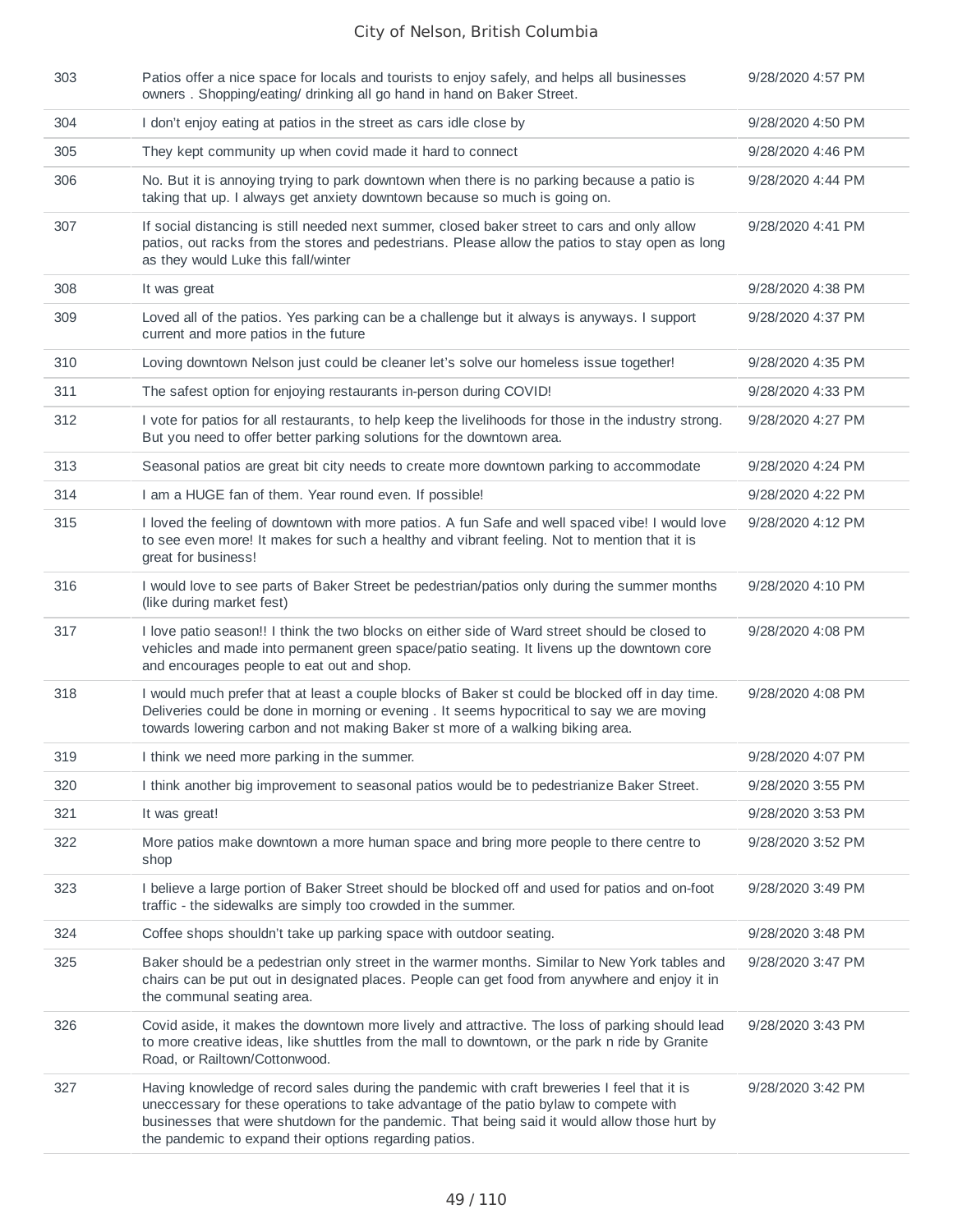| 303 | Patios offer a nice space for locals and tourists to enjoy safely, and helps all businesses<br>owners. Shopping/eating/ drinking all go hand in hand on Baker Street.                                                                                                                                                                          | 9/28/2020 4:57 PM |
|-----|------------------------------------------------------------------------------------------------------------------------------------------------------------------------------------------------------------------------------------------------------------------------------------------------------------------------------------------------|-------------------|
| 304 | I don't enjoy eating at patios in the street as cars idle close by                                                                                                                                                                                                                                                                             | 9/28/2020 4:50 PM |
| 305 | They kept community up when covid made it hard to connect                                                                                                                                                                                                                                                                                      | 9/28/2020 4:46 PM |
| 306 | No. But it is annoying trying to park downtown when there is no parking because a patio is<br>taking that up. I always get anxiety downtown because so much is going on.                                                                                                                                                                       | 9/28/2020 4:44 PM |
| 307 | If social distancing is still needed next summer, closed baker street to cars and only allow<br>patios, out racks from the stores and pedestrians. Please allow the patios to stay open as long<br>as they would Luke this fall/winter                                                                                                         | 9/28/2020 4:41 PM |
| 308 | It was great                                                                                                                                                                                                                                                                                                                                   | 9/28/2020 4:38 PM |
| 309 | Loved all of the patios. Yes parking can be a challenge but it always is anyways. I support<br>current and more patios in the future                                                                                                                                                                                                           | 9/28/2020 4:37 PM |
| 310 | Loving downtown Nelson just could be cleaner let's solve our homeless issue together!                                                                                                                                                                                                                                                          | 9/28/2020 4:35 PM |
| 311 | The safest option for enjoying restaurants in-person during COVID!                                                                                                                                                                                                                                                                             | 9/28/2020 4:33 PM |
| 312 | I vote for patios for all restaurants, to help keep the livelihoods for those in the industry strong.<br>But you need to offer better parking solutions for the downtown area.                                                                                                                                                                 | 9/28/2020 4:27 PM |
| 313 | Seasonal patios are great bit city needs to create more downtown parking to accommodate                                                                                                                                                                                                                                                        | 9/28/2020 4:24 PM |
| 314 | I am a HUGE fan of them. Year round even. If possible!                                                                                                                                                                                                                                                                                         | 9/28/2020 4:22 PM |
| 315 | I loved the feeling of downtown with more patios. A fun Safe and well spaced vibe! I would love<br>to see even more! It makes for such a healthy and vibrant feeling. Not to mention that it is<br>great for business!                                                                                                                         | 9/28/2020 4:12 PM |
| 316 | I would love to see parts of Baker Street be pedestrian/patios only during the summer months<br>(like during market fest)                                                                                                                                                                                                                      | 9/28/2020 4:10 PM |
| 317 | I love patio season!! I think the two blocks on either side of Ward street should be closed to<br>vehicles and made into permanent green space/patio seating. It livens up the downtown core<br>and encourages people to eat out and shop.                                                                                                     | 9/28/2020 4:08 PM |
| 318 | I would much prefer that at least a couple blocks of Baker st could be blocked off in day time.<br>Deliveries could be done in morning or evening . It seems hypocritical to say we are moving<br>towards lowering carbon and not making Baker st more of a walking biking area.                                                               | 9/28/2020 4:08 PM |
| 319 | I think we need more parking in the summer.                                                                                                                                                                                                                                                                                                    | 9/28/2020 4:07 PM |
| 320 | I think another big improvement to seasonal patios would be to pedestrianize Baker Street.                                                                                                                                                                                                                                                     | 9/28/2020 3:55 PM |
| 321 | It was great!                                                                                                                                                                                                                                                                                                                                  | 9/28/2020 3:53 PM |
| 322 | More patios make downtown a more human space and bring more people to there centre to<br>shop                                                                                                                                                                                                                                                  | 9/28/2020 3:52 PM |
| 323 | I believe a large portion of Baker Street should be blocked off and used for patios and on-foot<br>traffic - the sidewalks are simply too crowded in the summer.                                                                                                                                                                               | 9/28/2020 3:49 PM |
| 324 | Coffee shops shouldn't take up parking space with outdoor seating.                                                                                                                                                                                                                                                                             | 9/28/2020 3:48 PM |
| 325 | Baker should be a pedestrian only street in the warmer months. Similar to New York tables and<br>chairs can be put out in designated places. People can get food from anywhere and enjoy it in<br>the communal seating area.                                                                                                                   | 9/28/2020 3:47 PM |
| 326 | Covid aside, it makes the downtown more lively and attractive. The loss of parking should lead<br>to more creative ideas, like shuttles from the mall to downtown, or the park n ride by Granite<br>Road, or Railtown/Cottonwood.                                                                                                              | 9/28/2020 3:43 PM |
| 327 | Having knowledge of record sales during the pandemic with craft breweries I feel that it is<br>uneccessary for these operations to take advantage of the patio bylaw to compete with<br>businesses that were shutdown for the pandemic. That being said it would allow those hurt by<br>the pandemic to expand their options regarding patios. | 9/28/2020 3:42 PM |
|     |                                                                                                                                                                                                                                                                                                                                                |                   |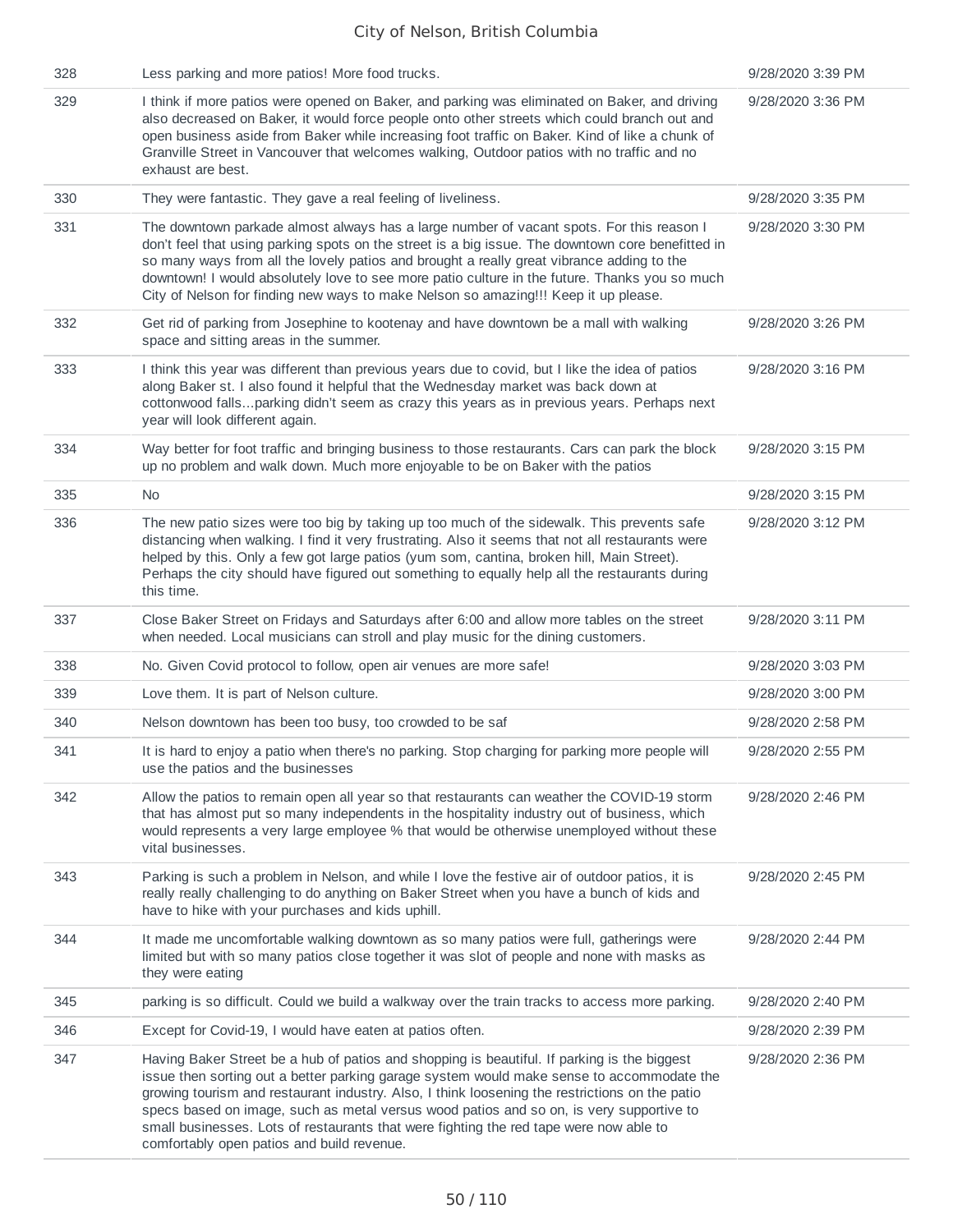| 328 | Less parking and more patios! More food trucks.                                                                                                                                                                                                                                                                                                                                                                                                                                                                               | 9/28/2020 3:39 PM |
|-----|-------------------------------------------------------------------------------------------------------------------------------------------------------------------------------------------------------------------------------------------------------------------------------------------------------------------------------------------------------------------------------------------------------------------------------------------------------------------------------------------------------------------------------|-------------------|
| 329 | I think if more patios were opened on Baker, and parking was eliminated on Baker, and driving<br>also decreased on Baker, it would force people onto other streets which could branch out and<br>open business aside from Baker while increasing foot traffic on Baker. Kind of like a chunk of<br>Granville Street in Vancouver that welcomes walking, Outdoor patios with no traffic and no<br>exhaust are best.                                                                                                            | 9/28/2020 3:36 PM |
| 330 | They were fantastic. They gave a real feeling of liveliness.                                                                                                                                                                                                                                                                                                                                                                                                                                                                  | 9/28/2020 3:35 PM |
| 331 | The downtown parkade almost always has a large number of vacant spots. For this reason I<br>don't feel that using parking spots on the street is a big issue. The downtown core benefitted in<br>so many ways from all the lovely patios and brought a really great vibrance adding to the<br>downtown! I would absolutely love to see more patio culture in the future. Thanks you so much<br>City of Nelson for finding new ways to make Nelson so amazing!!! Keep it up please.                                            | 9/28/2020 3:30 PM |
| 332 | Get rid of parking from Josephine to kootenay and have downtown be a mall with walking<br>space and sitting areas in the summer.                                                                                                                                                                                                                                                                                                                                                                                              | 9/28/2020 3:26 PM |
| 333 | I think this year was different than previous years due to covid, but I like the idea of patios<br>along Baker st. I also found it helpful that the Wednesday market was back down at<br>cottonwood fallsparking didn't seem as crazy this years as in previous years. Perhaps next<br>year will look different again.                                                                                                                                                                                                        | 9/28/2020 3:16 PM |
| 334 | Way better for foot traffic and bringing business to those restaurants. Cars can park the block<br>up no problem and walk down. Much more enjoyable to be on Baker with the patios                                                                                                                                                                                                                                                                                                                                            | 9/28/2020 3:15 PM |
| 335 | No                                                                                                                                                                                                                                                                                                                                                                                                                                                                                                                            | 9/28/2020 3:15 PM |
| 336 | The new patio sizes were too big by taking up too much of the sidewalk. This prevents safe<br>distancing when walking. I find it very frustrating. Also it seems that not all restaurants were<br>helped by this. Only a few got large patios (yum som, cantina, broken hill, Main Street).<br>Perhaps the city should have figured out something to equally help all the restaurants during<br>this time.                                                                                                                    | 9/28/2020 3:12 PM |
| 337 | Close Baker Street on Fridays and Saturdays after 6:00 and allow more tables on the street<br>when needed. Local musicians can stroll and play music for the dining customers.                                                                                                                                                                                                                                                                                                                                                | 9/28/2020 3:11 PM |
| 338 | No. Given Covid protocol to follow, open air venues are more safe!                                                                                                                                                                                                                                                                                                                                                                                                                                                            | 9/28/2020 3:03 PM |
| 339 | Love them. It is part of Nelson culture.                                                                                                                                                                                                                                                                                                                                                                                                                                                                                      | 9/28/2020 3:00 PM |
| 340 | Nelson downtown has been too busy, too crowded to be saf                                                                                                                                                                                                                                                                                                                                                                                                                                                                      | 9/28/2020 2:58 PM |
| 341 | It is hard to enjoy a patio when there's no parking. Stop charging for parking more people will<br>use the patios and the businesses                                                                                                                                                                                                                                                                                                                                                                                          | 9/28/2020 2:55 PM |
| 342 | Allow the patios to remain open all year so that restaurants can weather the COVID-19 storm<br>that has almost put so many independents in the hospitality industry out of business, which<br>would represents a very large employee % that would be otherwise unemployed without these<br>vital businesses.                                                                                                                                                                                                                  | 9/28/2020 2:46 PM |
| 343 | Parking is such a problem in Nelson, and while I love the festive air of outdoor patios, it is<br>really really challenging to do anything on Baker Street when you have a bunch of kids and<br>have to hike with your purchases and kids uphill.                                                                                                                                                                                                                                                                             | 9/28/2020 2:45 PM |
| 344 | It made me uncomfortable walking downtown as so many patios were full, gatherings were<br>limited but with so many patios close together it was slot of people and none with masks as<br>they were eating                                                                                                                                                                                                                                                                                                                     | 9/28/2020 2:44 PM |
| 345 | parking is so difficult. Could we build a walkway over the train tracks to access more parking.                                                                                                                                                                                                                                                                                                                                                                                                                               | 9/28/2020 2:40 PM |
| 346 | Except for Covid-19, I would have eaten at patios often.                                                                                                                                                                                                                                                                                                                                                                                                                                                                      | 9/28/2020 2:39 PM |
| 347 | Having Baker Street be a hub of patios and shopping is beautiful. If parking is the biggest<br>issue then sorting out a better parking garage system would make sense to accommodate the<br>growing tourism and restaurant industry. Also, I think loosening the restrictions on the patio<br>specs based on image, such as metal versus wood patios and so on, is very supportive to<br>small businesses. Lots of restaurants that were fighting the red tape were now able to<br>comfortably open patios and build revenue. | 9/28/2020 2:36 PM |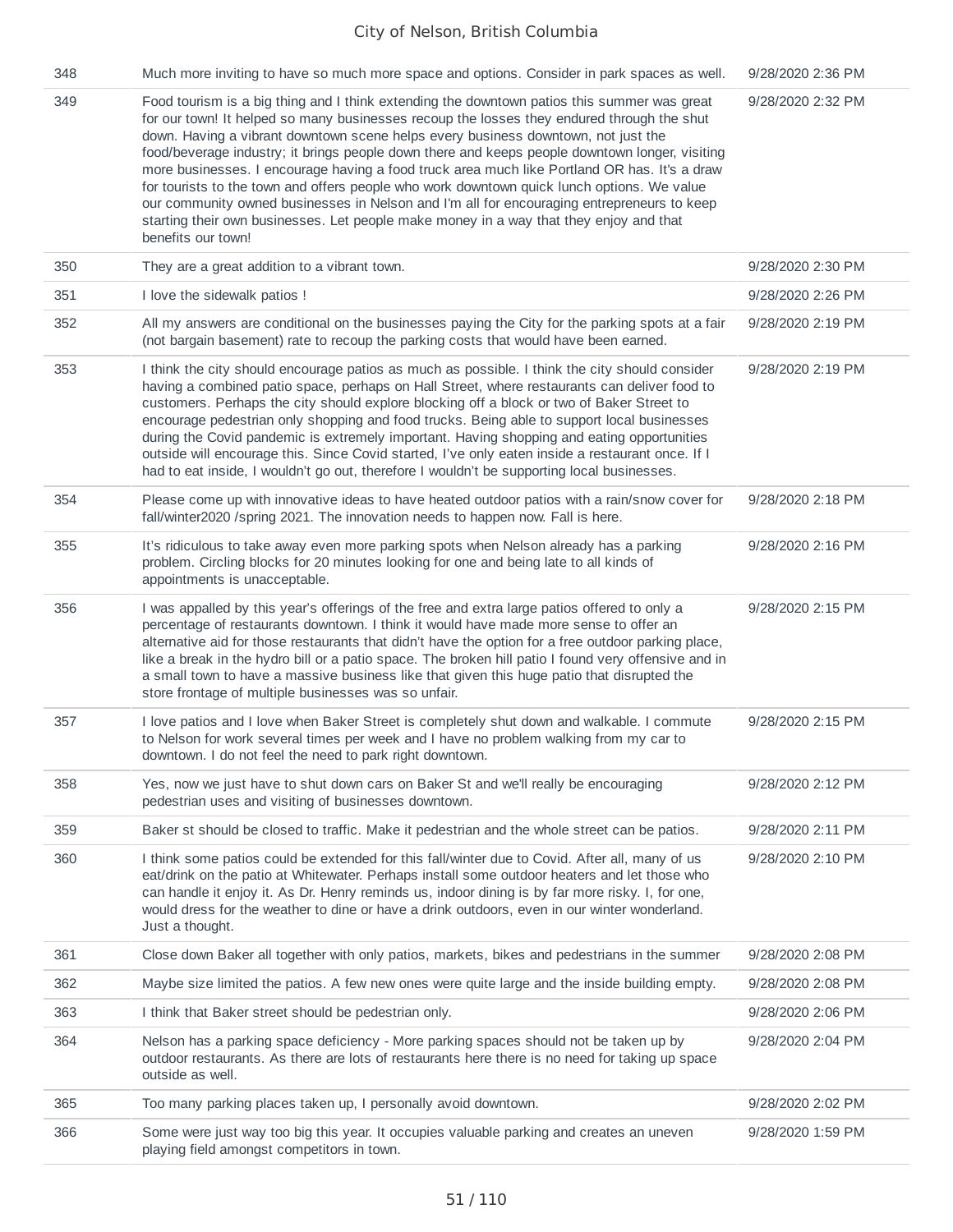| 348 | Much more inviting to have so much more space and options. Consider in park spaces as well.                                                                                                                                                                                                                                                                                                                                                                                                                                                                                                                                                                                                                                                                                                  | 9/28/2020 2:36 PM |
|-----|----------------------------------------------------------------------------------------------------------------------------------------------------------------------------------------------------------------------------------------------------------------------------------------------------------------------------------------------------------------------------------------------------------------------------------------------------------------------------------------------------------------------------------------------------------------------------------------------------------------------------------------------------------------------------------------------------------------------------------------------------------------------------------------------|-------------------|
| 349 | Food tourism is a big thing and I think extending the downtown patios this summer was great<br>for our town! It helped so many businesses recoup the losses they endured through the shut<br>down. Having a vibrant downtown scene helps every business downtown, not just the<br>food/beverage industry; it brings people down there and keeps people downtown longer, visiting<br>more businesses. I encourage having a food truck area much like Portland OR has. It's a draw<br>for tourists to the town and offers people who work downtown quick lunch options. We value<br>our community owned businesses in Nelson and I'm all for encouraging entrepreneurs to keep<br>starting their own businesses. Let people make money in a way that they enjoy and that<br>benefits our town! | 9/28/2020 2:32 PM |
| 350 | They are a great addition to a vibrant town.                                                                                                                                                                                                                                                                                                                                                                                                                                                                                                                                                                                                                                                                                                                                                 | 9/28/2020 2:30 PM |
| 351 | I love the sidewalk patios !                                                                                                                                                                                                                                                                                                                                                                                                                                                                                                                                                                                                                                                                                                                                                                 | 9/28/2020 2:26 PM |
| 352 | All my answers are conditional on the businesses paying the City for the parking spots at a fair<br>(not bargain basement) rate to recoup the parking costs that would have been earned.                                                                                                                                                                                                                                                                                                                                                                                                                                                                                                                                                                                                     | 9/28/2020 2:19 PM |
| 353 | I think the city should encourage patios as much as possible. I think the city should consider<br>having a combined patio space, perhaps on Hall Street, where restaurants can deliver food to<br>customers. Perhaps the city should explore blocking off a block or two of Baker Street to<br>encourage pedestrian only shopping and food trucks. Being able to support local businesses<br>during the Covid pandemic is extremely important. Having shopping and eating opportunities<br>outside will encourage this. Since Covid started, I've only eaten inside a restaurant once. If I<br>had to eat inside, I wouldn't go out, therefore I wouldn't be supporting local businesses.                                                                                                    | 9/28/2020 2:19 PM |
| 354 | Please come up with innovative ideas to have heated outdoor patios with a rain/snow cover for<br>fall/winter2020 /spring 2021. The innovation needs to happen now. Fall is here.                                                                                                                                                                                                                                                                                                                                                                                                                                                                                                                                                                                                             | 9/28/2020 2:18 PM |
| 355 | It's ridiculous to take away even more parking spots when Nelson already has a parking<br>problem. Circling blocks for 20 minutes looking for one and being late to all kinds of<br>appointments is unacceptable.                                                                                                                                                                                                                                                                                                                                                                                                                                                                                                                                                                            | 9/28/2020 2:16 PM |
| 356 | I was appalled by this year's offerings of the free and extra large patios offered to only a<br>percentage of restaurants downtown. I think it would have made more sense to offer an<br>alternative aid for those restaurants that didn't have the option for a free outdoor parking place,<br>like a break in the hydro bill or a patio space. The broken hill patio I found very offensive and in<br>a small town to have a massive business like that given this huge patio that disrupted the<br>store frontage of multiple businesses was so unfair.                                                                                                                                                                                                                                   | 9/28/2020 2:15 PM |
| 357 | I love patios and I love when Baker Street is completely shut down and walkable. I commute<br>to Nelson for work several times per week and I have no problem walking from my car to<br>downtown. I do not feel the need to park right downtown.                                                                                                                                                                                                                                                                                                                                                                                                                                                                                                                                             | 9/28/2020 2:15 PM |
| 358 | Yes, now we just have to shut down cars on Baker St and we'll really be encouraging<br>pedestrian uses and visiting of businesses downtown.                                                                                                                                                                                                                                                                                                                                                                                                                                                                                                                                                                                                                                                  | 9/28/2020 2:12 PM |
| 359 | Baker st should be closed to traffic. Make it pedestrian and the whole street can be patios.                                                                                                                                                                                                                                                                                                                                                                                                                                                                                                                                                                                                                                                                                                 | 9/28/2020 2:11 PM |
| 360 | I think some patios could be extended for this fall/winter due to Covid. After all, many of us<br>eat/drink on the patio at Whitewater. Perhaps install some outdoor heaters and let those who<br>can handle it enjoy it. As Dr. Henry reminds us, indoor dining is by far more risky. I, for one,<br>would dress for the weather to dine or have a drink outdoors, even in our winter wonderland.<br>Just a thought.                                                                                                                                                                                                                                                                                                                                                                        | 9/28/2020 2:10 PM |
| 361 | Close down Baker all together with only patios, markets, bikes and pedestrians in the summer                                                                                                                                                                                                                                                                                                                                                                                                                                                                                                                                                                                                                                                                                                 | 9/28/2020 2:08 PM |
| 362 | Maybe size limited the patios. A few new ones were quite large and the inside building empty.                                                                                                                                                                                                                                                                                                                                                                                                                                                                                                                                                                                                                                                                                                | 9/28/2020 2:08 PM |
| 363 | I think that Baker street should be pedestrian only.                                                                                                                                                                                                                                                                                                                                                                                                                                                                                                                                                                                                                                                                                                                                         | 9/28/2020 2:06 PM |
| 364 | Nelson has a parking space deficiency - More parking spaces should not be taken up by<br>outdoor restaurants. As there are lots of restaurants here there is no need for taking up space<br>outside as well.                                                                                                                                                                                                                                                                                                                                                                                                                                                                                                                                                                                 | 9/28/2020 2:04 PM |
| 365 | Too many parking places taken up, I personally avoid downtown.                                                                                                                                                                                                                                                                                                                                                                                                                                                                                                                                                                                                                                                                                                                               | 9/28/2020 2:02 PM |
| 366 | Some were just way too big this year. It occupies valuable parking and creates an uneven<br>playing field amongst competitors in town.                                                                                                                                                                                                                                                                                                                                                                                                                                                                                                                                                                                                                                                       | 9/28/2020 1:59 PM |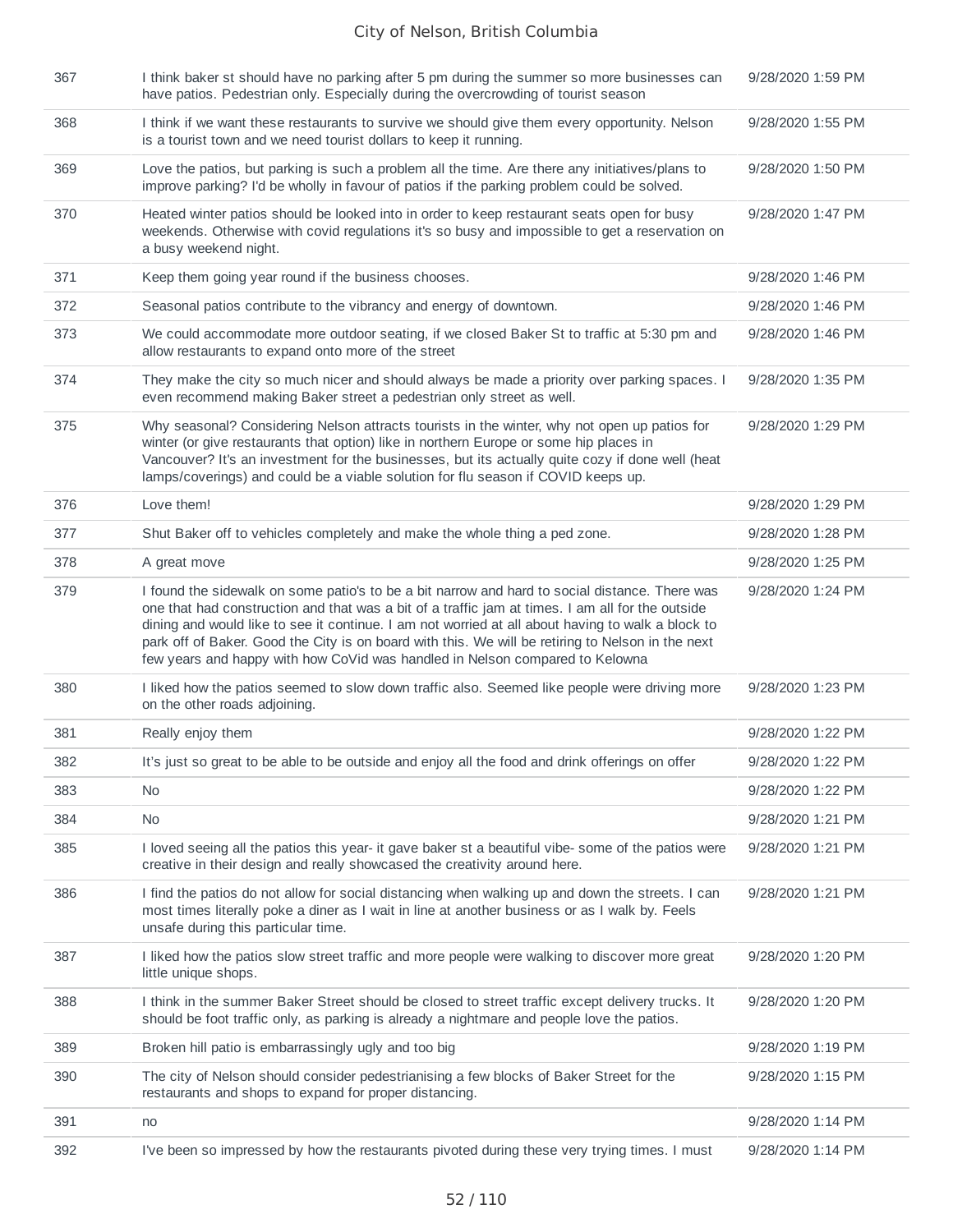| 367 | I think baker st should have no parking after 5 pm during the summer so more businesses can<br>have patios. Pedestrian only. Especially during the overcrowding of tourist season                                                                                                                                                                                                                                                                                                            | 9/28/2020 1:59 PM |
|-----|----------------------------------------------------------------------------------------------------------------------------------------------------------------------------------------------------------------------------------------------------------------------------------------------------------------------------------------------------------------------------------------------------------------------------------------------------------------------------------------------|-------------------|
| 368 | I think if we want these restaurants to survive we should give them every opportunity. Nelson<br>is a tourist town and we need tourist dollars to keep it running.                                                                                                                                                                                                                                                                                                                           | 9/28/2020 1:55 PM |
| 369 | Love the patios, but parking is such a problem all the time. Are there any initiatives/plans to<br>improve parking? I'd be wholly in favour of patios if the parking problem could be solved.                                                                                                                                                                                                                                                                                                | 9/28/2020 1:50 PM |
| 370 | Heated winter patios should be looked into in order to keep restaurant seats open for busy<br>weekends. Otherwise with covid regulations it's so busy and impossible to get a reservation on<br>a busy weekend night.                                                                                                                                                                                                                                                                        | 9/28/2020 1:47 PM |
| 371 | Keep them going year round if the business chooses.                                                                                                                                                                                                                                                                                                                                                                                                                                          | 9/28/2020 1:46 PM |
| 372 | Seasonal patios contribute to the vibrancy and energy of downtown.                                                                                                                                                                                                                                                                                                                                                                                                                           | 9/28/2020 1:46 PM |
| 373 | We could accommodate more outdoor seating, if we closed Baker St to traffic at 5:30 pm and<br>allow restaurants to expand onto more of the street                                                                                                                                                                                                                                                                                                                                            | 9/28/2020 1:46 PM |
| 374 | They make the city so much nicer and should always be made a priority over parking spaces. I<br>even recommend making Baker street a pedestrian only street as well.                                                                                                                                                                                                                                                                                                                         | 9/28/2020 1:35 PM |
| 375 | Why seasonal? Considering Nelson attracts tourists in the winter, why not open up patios for<br>winter (or give restaurants that option) like in northern Europe or some hip places in<br>Vancouver? It's an investment for the businesses, but its actually quite cozy if done well (heat<br>lamps/coverings) and could be a viable solution for flu season if COVID keeps up.                                                                                                              | 9/28/2020 1:29 PM |
| 376 | Love them!                                                                                                                                                                                                                                                                                                                                                                                                                                                                                   | 9/28/2020 1:29 PM |
| 377 | Shut Baker off to vehicles completely and make the whole thing a ped zone.                                                                                                                                                                                                                                                                                                                                                                                                                   | 9/28/2020 1:28 PM |
| 378 | A great move                                                                                                                                                                                                                                                                                                                                                                                                                                                                                 | 9/28/2020 1:25 PM |
| 379 | I found the sidewalk on some patio's to be a bit narrow and hard to social distance. There was<br>one that had construction and that was a bit of a traffic jam at times. I am all for the outside<br>dining and would like to see it continue. I am not worried at all about having to walk a block to<br>park off of Baker. Good the City is on board with this. We will be retiring to Nelson in the next<br>few years and happy with how CoVid was handled in Nelson compared to Kelowna | 9/28/2020 1:24 PM |
| 380 | I liked how the patios seemed to slow down traffic also. Seemed like people were driving more<br>on the other roads adjoining.                                                                                                                                                                                                                                                                                                                                                               | 9/28/2020 1:23 PM |
| 381 | Really enjoy them                                                                                                                                                                                                                                                                                                                                                                                                                                                                            | 9/28/2020 1:22 PM |
| 382 | It's just so great to be able to be outside and enjoy all the food and drink offerings on offer                                                                                                                                                                                                                                                                                                                                                                                              | 9/28/2020 1:22 PM |
| 383 | No.                                                                                                                                                                                                                                                                                                                                                                                                                                                                                          | 9/28/2020 1:22 PM |
| 384 | No                                                                                                                                                                                                                                                                                                                                                                                                                                                                                           | 9/28/2020 1:21 PM |
| 385 | I loved seeing all the patios this year- it gave baker st a beautiful vibe- some of the patios were<br>creative in their design and really showcased the creativity around here.                                                                                                                                                                                                                                                                                                             | 9/28/2020 1:21 PM |
| 386 | I find the patios do not allow for social distancing when walking up and down the streets. I can<br>most times literally poke a diner as I wait in line at another business or as I walk by. Feels<br>unsafe during this particular time.                                                                                                                                                                                                                                                    | 9/28/2020 1:21 PM |
| 387 | I liked how the patios slow street traffic and more people were walking to discover more great<br>little unique shops.                                                                                                                                                                                                                                                                                                                                                                       | 9/28/2020 1:20 PM |
| 388 | I think in the summer Baker Street should be closed to street traffic except delivery trucks. It<br>should be foot traffic only, as parking is already a nightmare and people love the patios.                                                                                                                                                                                                                                                                                               | 9/28/2020 1:20 PM |
| 389 | Broken hill patio is embarrassingly ugly and too big                                                                                                                                                                                                                                                                                                                                                                                                                                         | 9/28/2020 1:19 PM |
| 390 | The city of Nelson should consider pedestrianising a few blocks of Baker Street for the<br>restaurants and shops to expand for proper distancing.                                                                                                                                                                                                                                                                                                                                            | 9/28/2020 1:15 PM |
| 391 | no                                                                                                                                                                                                                                                                                                                                                                                                                                                                                           | 9/28/2020 1:14 PM |
| 392 | I've been so impressed by how the restaurants pivoted during these very trying times. I must                                                                                                                                                                                                                                                                                                                                                                                                 | 9/28/2020 1:14 PM |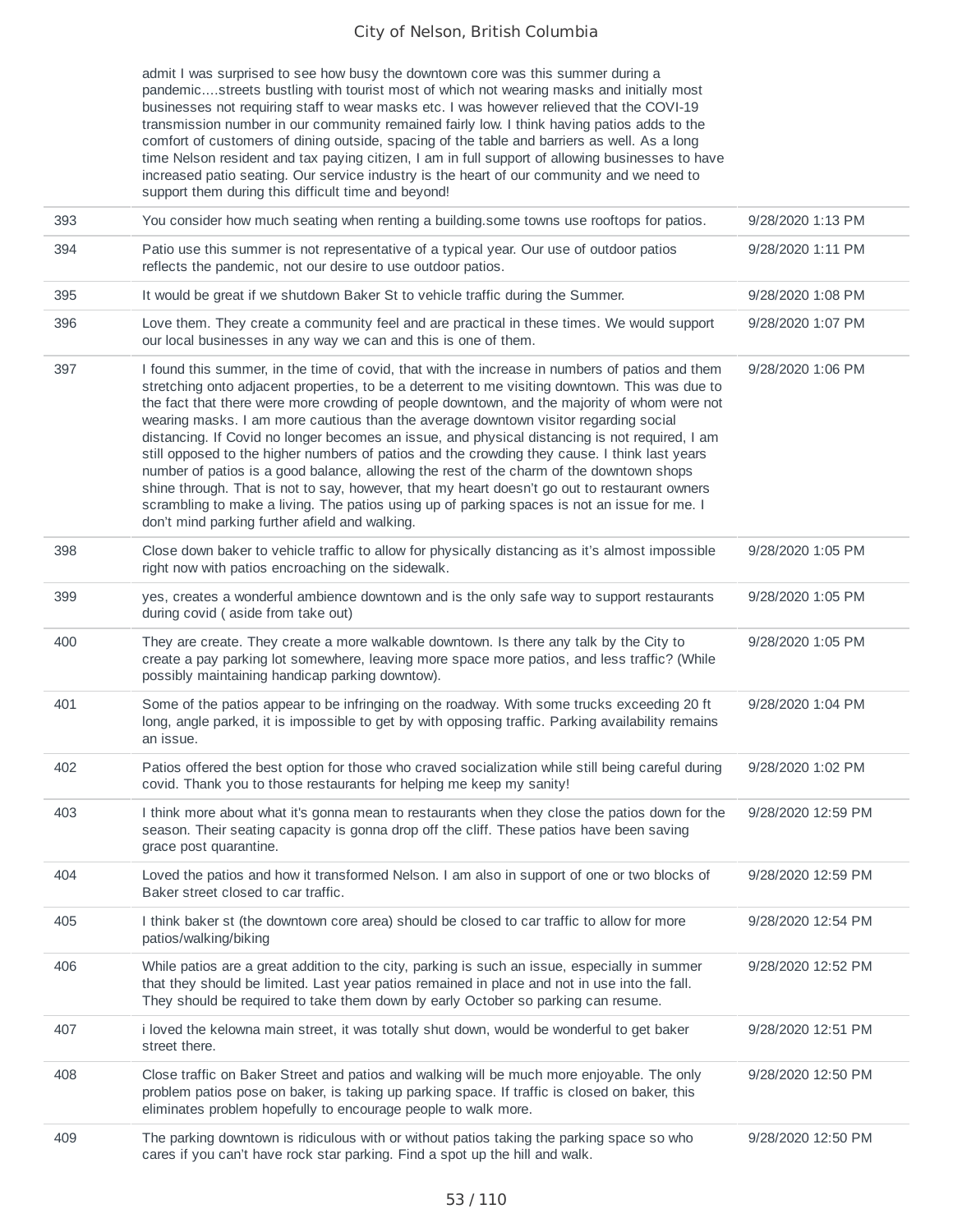admit I was surprised to see how busy the downtown core was this summer during a pandemic....streets bustling with tourist most of which not wearing masks and initially most businesses not requiring staff to wear masks etc. I was however relieved that the COVI-19 transmission number in our community remained fairly low. I think having patios adds to the comfort of customers of dining outside, spacing of the table and barriers as well. As a long time Nelson resident and tax paying citizen, I am in full support of allowing businesses to have increased patio seating. Our service industry is the heart of our community and we need to support them during this difficult time and beyond!

| 393 | You consider how much seating when renting a building.some towns use rooftops for patios.                                                                                                                                                                                                                                                                                                                                                                                                                                                                                                                                                                                                                                                                                                                                                                                                                                                    | 9/28/2020 1:13 PM  |
|-----|----------------------------------------------------------------------------------------------------------------------------------------------------------------------------------------------------------------------------------------------------------------------------------------------------------------------------------------------------------------------------------------------------------------------------------------------------------------------------------------------------------------------------------------------------------------------------------------------------------------------------------------------------------------------------------------------------------------------------------------------------------------------------------------------------------------------------------------------------------------------------------------------------------------------------------------------|--------------------|
| 394 | Patio use this summer is not representative of a typical year. Our use of outdoor patios<br>reflects the pandemic, not our desire to use outdoor patios.                                                                                                                                                                                                                                                                                                                                                                                                                                                                                                                                                                                                                                                                                                                                                                                     | 9/28/2020 1:11 PM  |
| 395 | It would be great if we shutdown Baker St to vehicle traffic during the Summer.                                                                                                                                                                                                                                                                                                                                                                                                                                                                                                                                                                                                                                                                                                                                                                                                                                                              | 9/28/2020 1:08 PM  |
| 396 | Love them. They create a community feel and are practical in these times. We would support<br>our local businesses in any way we can and this is one of them.                                                                                                                                                                                                                                                                                                                                                                                                                                                                                                                                                                                                                                                                                                                                                                                | 9/28/2020 1:07 PM  |
| 397 | I found this summer, in the time of covid, that with the increase in numbers of patios and them<br>stretching onto adjacent properties, to be a deterrent to me visiting downtown. This was due to<br>the fact that there were more crowding of people downtown, and the majority of whom were not<br>wearing masks. I am more cautious than the average downtown visitor regarding social<br>distancing. If Covid no longer becomes an issue, and physical distancing is not required, I am<br>still opposed to the higher numbers of patios and the crowding they cause. I think last years<br>number of patios is a good balance, allowing the rest of the charm of the downtown shops<br>shine through. That is not to say, however, that my heart doesn't go out to restaurant owners<br>scrambling to make a living. The patios using up of parking spaces is not an issue for me. I<br>don't mind parking further afield and walking. | 9/28/2020 1:06 PM  |
| 398 | Close down baker to vehicle traffic to allow for physically distancing as it's almost impossible<br>right now with patios encroaching on the sidewalk.                                                                                                                                                                                                                                                                                                                                                                                                                                                                                                                                                                                                                                                                                                                                                                                       | 9/28/2020 1:05 PM  |
| 399 | yes, creates a wonderful ambience downtown and is the only safe way to support restaurants<br>during covid (aside from take out)                                                                                                                                                                                                                                                                                                                                                                                                                                                                                                                                                                                                                                                                                                                                                                                                             | 9/28/2020 1:05 PM  |
| 400 | They are create. They create a more walkable downtown. Is there any talk by the City to<br>create a pay parking lot somewhere, leaving more space more patios, and less traffic? (While<br>possibly maintaining handicap parking downtow).                                                                                                                                                                                                                                                                                                                                                                                                                                                                                                                                                                                                                                                                                                   | 9/28/2020 1:05 PM  |
| 401 | Some of the patios appear to be infringing on the roadway. With some trucks exceeding 20 ft<br>long, angle parked, it is impossible to get by with opposing traffic. Parking availability remains<br>an issue.                                                                                                                                                                                                                                                                                                                                                                                                                                                                                                                                                                                                                                                                                                                               | 9/28/2020 1:04 PM  |
| 402 | Patios offered the best option for those who craved socialization while still being careful during<br>covid. Thank you to those restaurants for helping me keep my sanity!                                                                                                                                                                                                                                                                                                                                                                                                                                                                                                                                                                                                                                                                                                                                                                   | 9/28/2020 1:02 PM  |
| 403 | I think more about what it's gonna mean to restaurants when they close the patios down for the<br>season. Their seating capacity is gonna drop off the cliff. These patios have been saving<br>grace post quarantine.                                                                                                                                                                                                                                                                                                                                                                                                                                                                                                                                                                                                                                                                                                                        | 9/28/2020 12:59 PM |
| 404 | Loved the patios and how it transformed Nelson. I am also in support of one or two blocks of<br>Baker street closed to car traffic.                                                                                                                                                                                                                                                                                                                                                                                                                                                                                                                                                                                                                                                                                                                                                                                                          | 9/28/2020 12:59 PM |
| 405 | I think baker st (the downtown core area) should be closed to car traffic to allow for more<br>patios/walking/biking                                                                                                                                                                                                                                                                                                                                                                                                                                                                                                                                                                                                                                                                                                                                                                                                                         | 9/28/2020 12:54 PM |
| 406 | While patios are a great addition to the city, parking is such an issue, especially in summer<br>that they should be limited. Last year patios remained in place and not in use into the fall.<br>They should be required to take them down by early October so parking can resume.                                                                                                                                                                                                                                                                                                                                                                                                                                                                                                                                                                                                                                                          | 9/28/2020 12:52 PM |
| 407 | i loved the kelowna main street, it was totally shut down, would be wonderful to get baker<br>street there.                                                                                                                                                                                                                                                                                                                                                                                                                                                                                                                                                                                                                                                                                                                                                                                                                                  | 9/28/2020 12:51 PM |
| 408 | Close traffic on Baker Street and patios and walking will be much more enjoyable. The only<br>problem patios pose on baker, is taking up parking space. If traffic is closed on baker, this<br>eliminates problem hopefully to encourage people to walk more.                                                                                                                                                                                                                                                                                                                                                                                                                                                                                                                                                                                                                                                                                | 9/28/2020 12:50 PM |
| 409 | The parking downtown is ridiculous with or without patios taking the parking space so who<br>cares if you can't have rock star parking. Find a spot up the hill and walk.                                                                                                                                                                                                                                                                                                                                                                                                                                                                                                                                                                                                                                                                                                                                                                    | 9/28/2020 12:50 PM |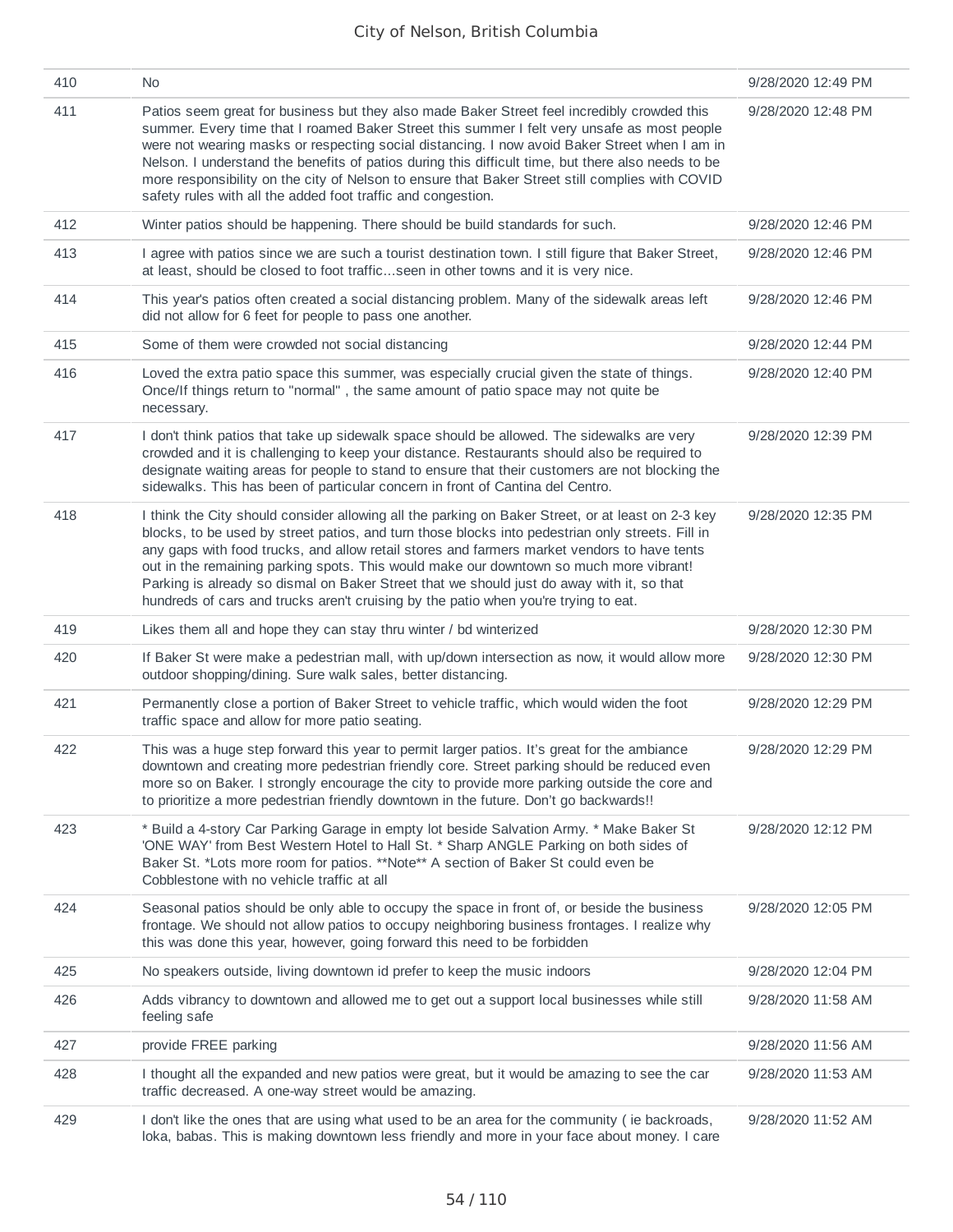| 410 | No.                                                                                                                                                                                                                                                                                                                                                                                                                                                                                                                                                                                | 9/28/2020 12:49 PM |
|-----|------------------------------------------------------------------------------------------------------------------------------------------------------------------------------------------------------------------------------------------------------------------------------------------------------------------------------------------------------------------------------------------------------------------------------------------------------------------------------------------------------------------------------------------------------------------------------------|--------------------|
| 411 | Patios seem great for business but they also made Baker Street feel incredibly crowded this<br>summer. Every time that I roamed Baker Street this summer I felt very unsafe as most people<br>were not wearing masks or respecting social distancing. I now avoid Baker Street when I am in<br>Nelson. I understand the benefits of patios during this difficult time, but there also needs to be<br>more responsibility on the city of Nelson to ensure that Baker Street still complies with COVID<br>safety rules with all the added foot traffic and congestion.               | 9/28/2020 12:48 PM |
| 412 | Winter patios should be happening. There should be build standards for such.                                                                                                                                                                                                                                                                                                                                                                                                                                                                                                       | 9/28/2020 12:46 PM |
| 413 | I agree with patios since we are such a tourist destination town. I still figure that Baker Street,<br>at least, should be closed to foot trafficseen in other towns and it is very nice.                                                                                                                                                                                                                                                                                                                                                                                          | 9/28/2020 12:46 PM |
| 414 | This year's patios often created a social distancing problem. Many of the sidewalk areas left<br>did not allow for 6 feet for people to pass one another.                                                                                                                                                                                                                                                                                                                                                                                                                          | 9/28/2020 12:46 PM |
| 415 | Some of them were crowded not social distancing                                                                                                                                                                                                                                                                                                                                                                                                                                                                                                                                    | 9/28/2020 12:44 PM |
| 416 | Loved the extra patio space this summer, was especially crucial given the state of things.<br>Once/If things return to "normal", the same amount of patio space may not quite be<br>necessary.                                                                                                                                                                                                                                                                                                                                                                                     | 9/28/2020 12:40 PM |
| 417 | I don't think patios that take up sidewalk space should be allowed. The sidewalks are very<br>crowded and it is challenging to keep your distance. Restaurants should also be required to<br>designate waiting areas for people to stand to ensure that their customers are not blocking the<br>sidewalks. This has been of particular concern in front of Cantina del Centro.                                                                                                                                                                                                     | 9/28/2020 12:39 PM |
| 418 | I think the City should consider allowing all the parking on Baker Street, or at least on 2-3 key<br>blocks, to be used by street patios, and turn those blocks into pedestrian only streets. Fill in<br>any gaps with food trucks, and allow retail stores and farmers market vendors to have tents<br>out in the remaining parking spots. This would make our downtown so much more vibrant!<br>Parking is already so dismal on Baker Street that we should just do away with it, so that<br>hundreds of cars and trucks aren't cruising by the patio when you're trying to eat. | 9/28/2020 12:35 PM |
| 419 | Likes them all and hope they can stay thru winter / bd winterized                                                                                                                                                                                                                                                                                                                                                                                                                                                                                                                  | 9/28/2020 12:30 PM |
| 420 | If Baker St were make a pedestrian mall, with up/down intersection as now, it would allow more<br>outdoor shopping/dining. Sure walk sales, better distancing.                                                                                                                                                                                                                                                                                                                                                                                                                     | 9/28/2020 12:30 PM |
| 421 | Permanently close a portion of Baker Street to vehicle traffic, which would widen the foot<br>traffic space and allow for more patio seating.                                                                                                                                                                                                                                                                                                                                                                                                                                      | 9/28/2020 12:29 PM |
| 422 | This was a huge step forward this year to permit larger patios. It's great for the ambiance<br>downtown and creating more pedestrian friendly core. Street parking should be reduced even<br>more so on Baker. I strongly encourage the city to provide more parking outside the core and<br>to prioritize a more pedestrian friendly downtown in the future. Don't go backwards!!                                                                                                                                                                                                 | 9/28/2020 12:29 PM |
| 423 | * Build a 4-story Car Parking Garage in empty lot beside Salvation Army. * Make Baker St<br>'ONE WAY' from Best Western Hotel to Hall St. * Sharp ANGLE Parking on both sides of<br>Baker St. *Lots more room for patios. **Note** A section of Baker St could even be<br>Cobblestone with no vehicle traffic at all                                                                                                                                                                                                                                                               | 9/28/2020 12:12 PM |
| 424 | Seasonal patios should be only able to occupy the space in front of, or beside the business<br>frontage. We should not allow patios to occupy neighboring business frontages. I realize why<br>this was done this year, however, going forward this need to be forbidden                                                                                                                                                                                                                                                                                                           | 9/28/2020 12:05 PM |
| 425 | No speakers outside, living downtown id prefer to keep the music indoors                                                                                                                                                                                                                                                                                                                                                                                                                                                                                                           | 9/28/2020 12:04 PM |
| 426 | Adds vibrancy to downtown and allowed me to get out a support local businesses while still<br>feeling safe                                                                                                                                                                                                                                                                                                                                                                                                                                                                         | 9/28/2020 11:58 AM |
| 427 | provide FREE parking                                                                                                                                                                                                                                                                                                                                                                                                                                                                                                                                                               | 9/28/2020 11:56 AM |
| 428 | I thought all the expanded and new patios were great, but it would be amazing to see the car<br>traffic decreased. A one-way street would be amazing.                                                                                                                                                                                                                                                                                                                                                                                                                              | 9/28/2020 11:53 AM |
| 429 | I don't like the ones that are using what used to be an area for the community (ie backroads,<br>loka, babas. This is making downtown less friendly and more in your face about money. I care                                                                                                                                                                                                                                                                                                                                                                                      | 9/28/2020 11:52 AM |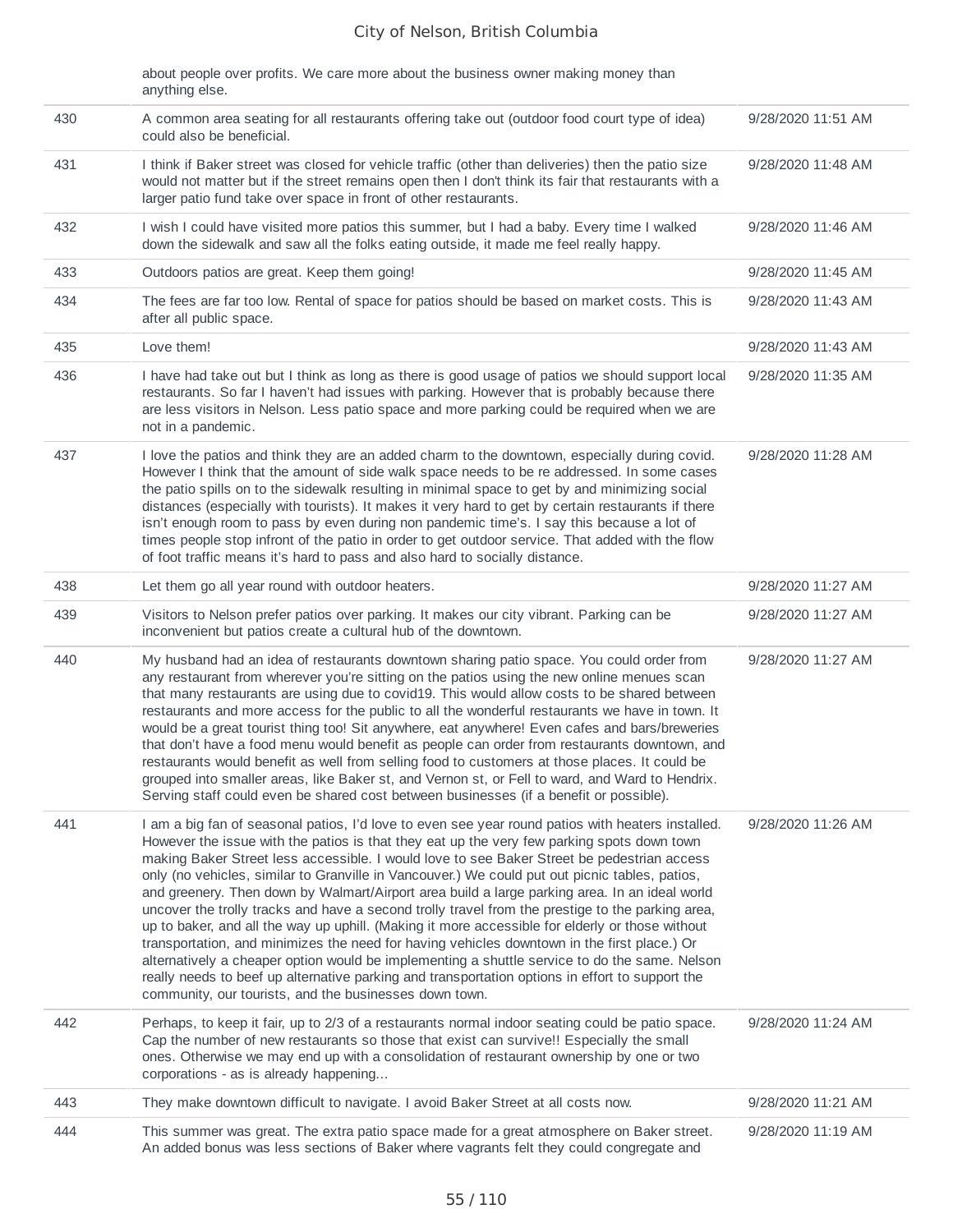|     | about people over profits. We care more about the business owner making money than<br>anything else.                                                                                                                                                                                                                                                                                                                                                                                                                                                                                                                                                                                                                                                                                                                                                                                                                                                                                                                                                                 |                    |
|-----|----------------------------------------------------------------------------------------------------------------------------------------------------------------------------------------------------------------------------------------------------------------------------------------------------------------------------------------------------------------------------------------------------------------------------------------------------------------------------------------------------------------------------------------------------------------------------------------------------------------------------------------------------------------------------------------------------------------------------------------------------------------------------------------------------------------------------------------------------------------------------------------------------------------------------------------------------------------------------------------------------------------------------------------------------------------------|--------------------|
| 430 | A common area seating for all restaurants offering take out (outdoor food court type of idea)<br>could also be beneficial.                                                                                                                                                                                                                                                                                                                                                                                                                                                                                                                                                                                                                                                                                                                                                                                                                                                                                                                                           | 9/28/2020 11:51 AM |
| 431 | I think if Baker street was closed for vehicle traffic (other than deliveries) then the patio size<br>would not matter but if the street remains open then I don't think its fair that restaurants with a<br>larger patio fund take over space in front of other restaurants.                                                                                                                                                                                                                                                                                                                                                                                                                                                                                                                                                                                                                                                                                                                                                                                        | 9/28/2020 11:48 AM |
| 432 | I wish I could have visited more patios this summer, but I had a baby. Every time I walked<br>down the sidewalk and saw all the folks eating outside, it made me feel really happy.                                                                                                                                                                                                                                                                                                                                                                                                                                                                                                                                                                                                                                                                                                                                                                                                                                                                                  | 9/28/2020 11:46 AM |
| 433 | Outdoors patios are great. Keep them going!                                                                                                                                                                                                                                                                                                                                                                                                                                                                                                                                                                                                                                                                                                                                                                                                                                                                                                                                                                                                                          | 9/28/2020 11:45 AM |
| 434 | The fees are far too low. Rental of space for patios should be based on market costs. This is<br>after all public space.                                                                                                                                                                                                                                                                                                                                                                                                                                                                                                                                                                                                                                                                                                                                                                                                                                                                                                                                             | 9/28/2020 11:43 AM |
| 435 | Love them!                                                                                                                                                                                                                                                                                                                                                                                                                                                                                                                                                                                                                                                                                                                                                                                                                                                                                                                                                                                                                                                           | 9/28/2020 11:43 AM |
| 436 | I have had take out but I think as long as there is good usage of patios we should support local<br>restaurants. So far I haven't had issues with parking. However that is probably because there<br>are less visitors in Nelson. Less patio space and more parking could be required when we are<br>not in a pandemic.                                                                                                                                                                                                                                                                                                                                                                                                                                                                                                                                                                                                                                                                                                                                              | 9/28/2020 11:35 AM |
| 437 | I love the patios and think they are an added charm to the downtown, especially during covid.<br>However I think that the amount of side walk space needs to be re addressed. In some cases<br>the patio spills on to the sidewalk resulting in minimal space to get by and minimizing social<br>distances (especially with tourists). It makes it very hard to get by certain restaurants if there<br>isn't enough room to pass by even during non pandemic time's. I say this because a lot of<br>times people stop infront of the patio in order to get outdoor service. That added with the flow<br>of foot traffic means it's hard to pass and also hard to socially distance.                                                                                                                                                                                                                                                                                                                                                                                  | 9/28/2020 11:28 AM |
| 438 | Let them go all year round with outdoor heaters.                                                                                                                                                                                                                                                                                                                                                                                                                                                                                                                                                                                                                                                                                                                                                                                                                                                                                                                                                                                                                     | 9/28/2020 11:27 AM |
| 439 | Visitors to Nelson prefer patios over parking. It makes our city vibrant. Parking can be<br>inconvenient but patios create a cultural hub of the downtown.                                                                                                                                                                                                                                                                                                                                                                                                                                                                                                                                                                                                                                                                                                                                                                                                                                                                                                           | 9/28/2020 11:27 AM |
| 440 | My husband had an idea of restaurants downtown sharing patio space. You could order from<br>any restaurant from wherever you're sitting on the patios using the new online menues scan<br>that many restaurants are using due to covid19. This would allow costs to be shared between<br>restaurants and more access for the public to all the wonderful restaurants we have in town. It<br>would be a great tourist thing too! Sit anywhere, eat anywhere! Even cafes and bars/breweries<br>that don't have a food menu would benefit as people can order from restaurants downtown, and<br>restaurants would benefit as well from selling food to customers at those places. It could be<br>grouped into smaller areas, like Baker st, and Vernon st, or Fell to ward, and Ward to Hendrix.<br>Serving staff could even be shared cost between businesses (if a benefit or possible).                                                                                                                                                                              | 9/28/2020 11:27 AM |
| 441 | I am a big fan of seasonal patios, I'd love to even see year round patios with heaters installed.<br>However the issue with the patios is that they eat up the very few parking spots down town<br>making Baker Street less accessible. I would love to see Baker Street be pedestrian access<br>only (no vehicles, similar to Granville in Vancouver.) We could put out picnic tables, patios,<br>and greenery. Then down by Walmart/Airport area build a large parking area. In an ideal world<br>uncover the trolly tracks and have a second trolly travel from the prestige to the parking area,<br>up to baker, and all the way up uphill. (Making it more accessible for elderly or those without<br>transportation, and minimizes the need for having vehicles downtown in the first place.) Or<br>alternatively a cheaper option would be implementing a shuttle service to do the same. Nelson<br>really needs to beef up alternative parking and transportation options in effort to support the<br>community, our tourists, and the businesses down town. | 9/28/2020 11:26 AM |
| 442 | Perhaps, to keep it fair, up to 2/3 of a restaurants normal indoor seating could be patio space.<br>Cap the number of new restaurants so those that exist can survive!! Especially the small<br>ones. Otherwise we may end up with a consolidation of restaurant ownership by one or two<br>corporations - as is already happening                                                                                                                                                                                                                                                                                                                                                                                                                                                                                                                                                                                                                                                                                                                                   | 9/28/2020 11:24 AM |
| 443 | They make downtown difficult to navigate. I avoid Baker Street at all costs now.                                                                                                                                                                                                                                                                                                                                                                                                                                                                                                                                                                                                                                                                                                                                                                                                                                                                                                                                                                                     | 9/28/2020 11:21 AM |
| 444 | This summer was great. The extra patio space made for a great atmosphere on Baker street.<br>An added bonus was less sections of Baker where vagrants felt they could congregate and                                                                                                                                                                                                                                                                                                                                                                                                                                                                                                                                                                                                                                                                                                                                                                                                                                                                                 | 9/28/2020 11:19 AM |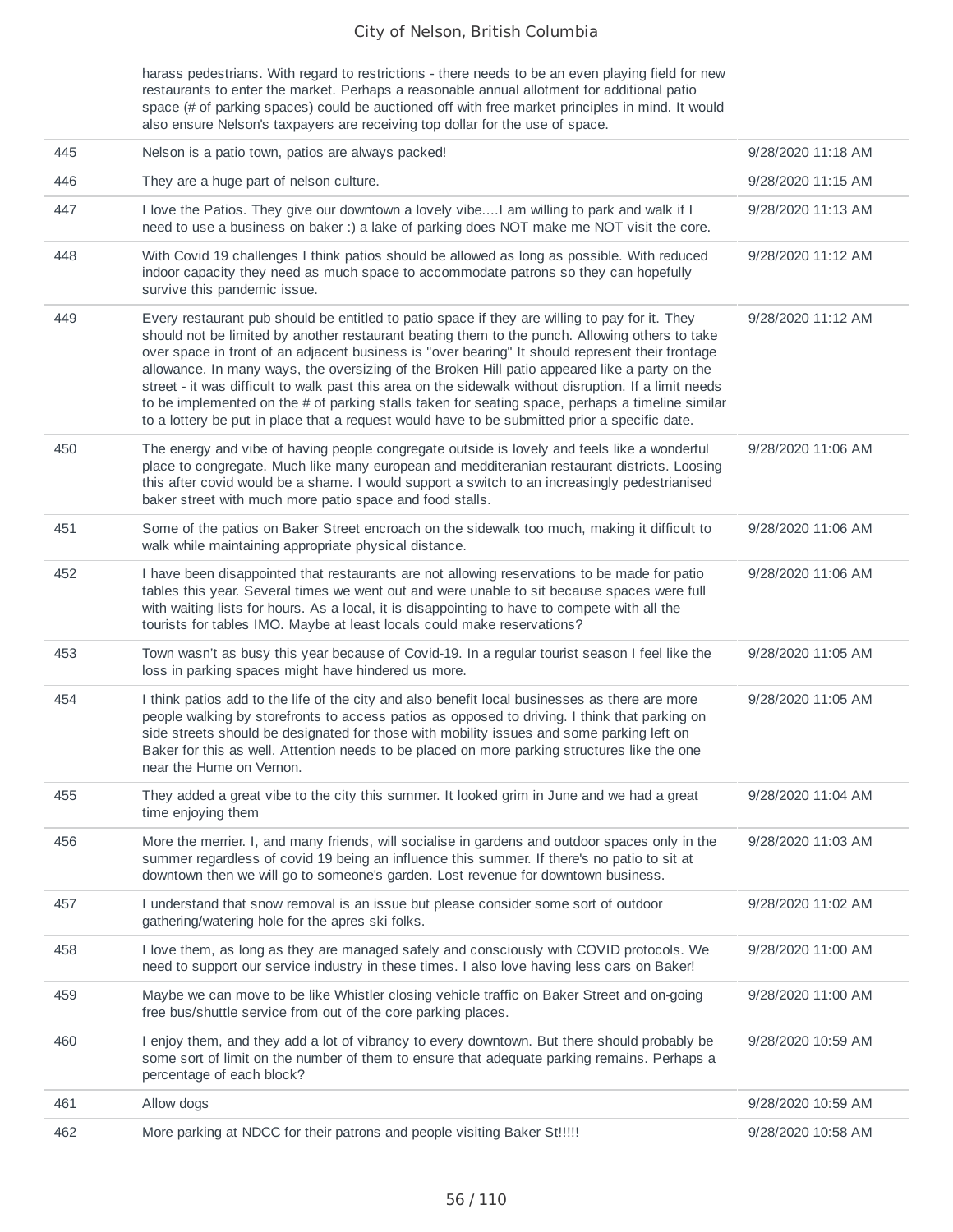harass pedestrians. With regard to restrictions - there needs to be an even playing field for new restaurants to enter the market. Perhaps a reasonable annual allotment for additional patio space (# of parking spaces) could be auctioned off with free market principles in mind. It would also ensure Nelson's taxpayers are receiving top dollar for the use of space.

| 445 | Nelson is a patio town, patios are always packed!                                                                                                                                                                                                                                                                                                                                                                                                                                                                                                                                                                                                                                                                      | 9/28/2020 11:18 AM |
|-----|------------------------------------------------------------------------------------------------------------------------------------------------------------------------------------------------------------------------------------------------------------------------------------------------------------------------------------------------------------------------------------------------------------------------------------------------------------------------------------------------------------------------------------------------------------------------------------------------------------------------------------------------------------------------------------------------------------------------|--------------------|
| 446 | They are a huge part of nelson culture.                                                                                                                                                                                                                                                                                                                                                                                                                                                                                                                                                                                                                                                                                | 9/28/2020 11:15 AM |
| 447 | I love the Patios. They give our downtown a lovely vibe I am willing to park and walk if I<br>need to use a business on baker:) a lake of parking does NOT make me NOT visit the core.                                                                                                                                                                                                                                                                                                                                                                                                                                                                                                                                 | 9/28/2020 11:13 AM |
| 448 | With Covid 19 challenges I think patios should be allowed as long as possible. With reduced<br>indoor capacity they need as much space to accommodate patrons so they can hopefully<br>survive this pandemic issue.                                                                                                                                                                                                                                                                                                                                                                                                                                                                                                    | 9/28/2020 11:12 AM |
| 449 | Every restaurant pub should be entitled to patio space if they are willing to pay for it. They<br>should not be limited by another restaurant beating them to the punch. Allowing others to take<br>over space in front of an adjacent business is "over bearing" It should represent their frontage<br>allowance. In many ways, the oversizing of the Broken Hill patio appeared like a party on the<br>street - it was difficult to walk past this area on the sidewalk without disruption. If a limit needs<br>to be implemented on the $\#$ of parking stalls taken for seating space, perhaps a timeline similar<br>to a lottery be put in place that a request would have to be submitted prior a specific date. | 9/28/2020 11:12 AM |
| 450 | The energy and vibe of having people congregate outside is lovely and feels like a wonderful<br>place to congregate. Much like many european and medditeranian restaurant districts. Loosing<br>this after covid would be a shame. I would support a switch to an increasingly pedestrianised<br>baker street with much more patio space and food stalls.                                                                                                                                                                                                                                                                                                                                                              | 9/28/2020 11:06 AM |
| 451 | Some of the patios on Baker Street encroach on the sidewalk too much, making it difficult to<br>walk while maintaining appropriate physical distance.                                                                                                                                                                                                                                                                                                                                                                                                                                                                                                                                                                  | 9/28/2020 11:06 AM |
| 452 | I have been disappointed that restaurants are not allowing reservations to be made for patio<br>tables this year. Several times we went out and were unable to sit because spaces were full<br>with waiting lists for hours. As a local, it is disappointing to have to compete with all the<br>tourists for tables IMO. Maybe at least locals could make reservations?                                                                                                                                                                                                                                                                                                                                                | 9/28/2020 11:06 AM |
| 453 | Town wasn't as busy this year because of Covid-19. In a regular tourist season I feel like the<br>loss in parking spaces might have hindered us more.                                                                                                                                                                                                                                                                                                                                                                                                                                                                                                                                                                  | 9/28/2020 11:05 AM |
| 454 | I think patios add to the life of the city and also benefit local businesses as there are more<br>people walking by storefronts to access patios as opposed to driving. I think that parking on<br>side streets should be designated for those with mobility issues and some parking left on<br>Baker for this as well. Attention needs to be placed on more parking structures like the one<br>near the Hume on Vernon.                                                                                                                                                                                                                                                                                               | 9/28/2020 11:05 AM |
| 455 | They added a great vibe to the city this summer. It looked grim in June and we had a great<br>time enjoying them                                                                                                                                                                                                                                                                                                                                                                                                                                                                                                                                                                                                       | 9/28/2020 11:04 AM |
| 456 | More the merrier. I, and many friends, will socialise in gardens and outdoor spaces only in the<br>summer regardless of covid 19 being an influence this summer. If there's no patio to sit at<br>downtown then we will go to someone's garden. Lost revenue for downtown business.                                                                                                                                                                                                                                                                                                                                                                                                                                    | 9/28/2020 11:03 AM |
| 457 | I understand that snow removal is an issue but please consider some sort of outdoor<br>gathering/watering hole for the apres ski folks.                                                                                                                                                                                                                                                                                                                                                                                                                                                                                                                                                                                | 9/28/2020 11:02 AM |
| 458 | I love them, as long as they are managed safely and consciously with COVID protocols. We<br>need to support our service industry in these times. I also love having less cars on Baker!                                                                                                                                                                                                                                                                                                                                                                                                                                                                                                                                | 9/28/2020 11:00 AM |
| 459 | Maybe we can move to be like Whistler closing vehicle traffic on Baker Street and on-going<br>free bus/shuttle service from out of the core parking places.                                                                                                                                                                                                                                                                                                                                                                                                                                                                                                                                                            | 9/28/2020 11:00 AM |
| 460 | I enjoy them, and they add a lot of vibrancy to every downtown. But there should probably be<br>some sort of limit on the number of them to ensure that adequate parking remains. Perhaps a<br>percentage of each block?                                                                                                                                                                                                                                                                                                                                                                                                                                                                                               | 9/28/2020 10:59 AM |
| 461 | Allow dogs                                                                                                                                                                                                                                                                                                                                                                                                                                                                                                                                                                                                                                                                                                             | 9/28/2020 10:59 AM |
| 462 | More parking at NDCC for their patrons and people visiting Baker St!!!!!                                                                                                                                                                                                                                                                                                                                                                                                                                                                                                                                                                                                                                               | 9/28/2020 10:58 AM |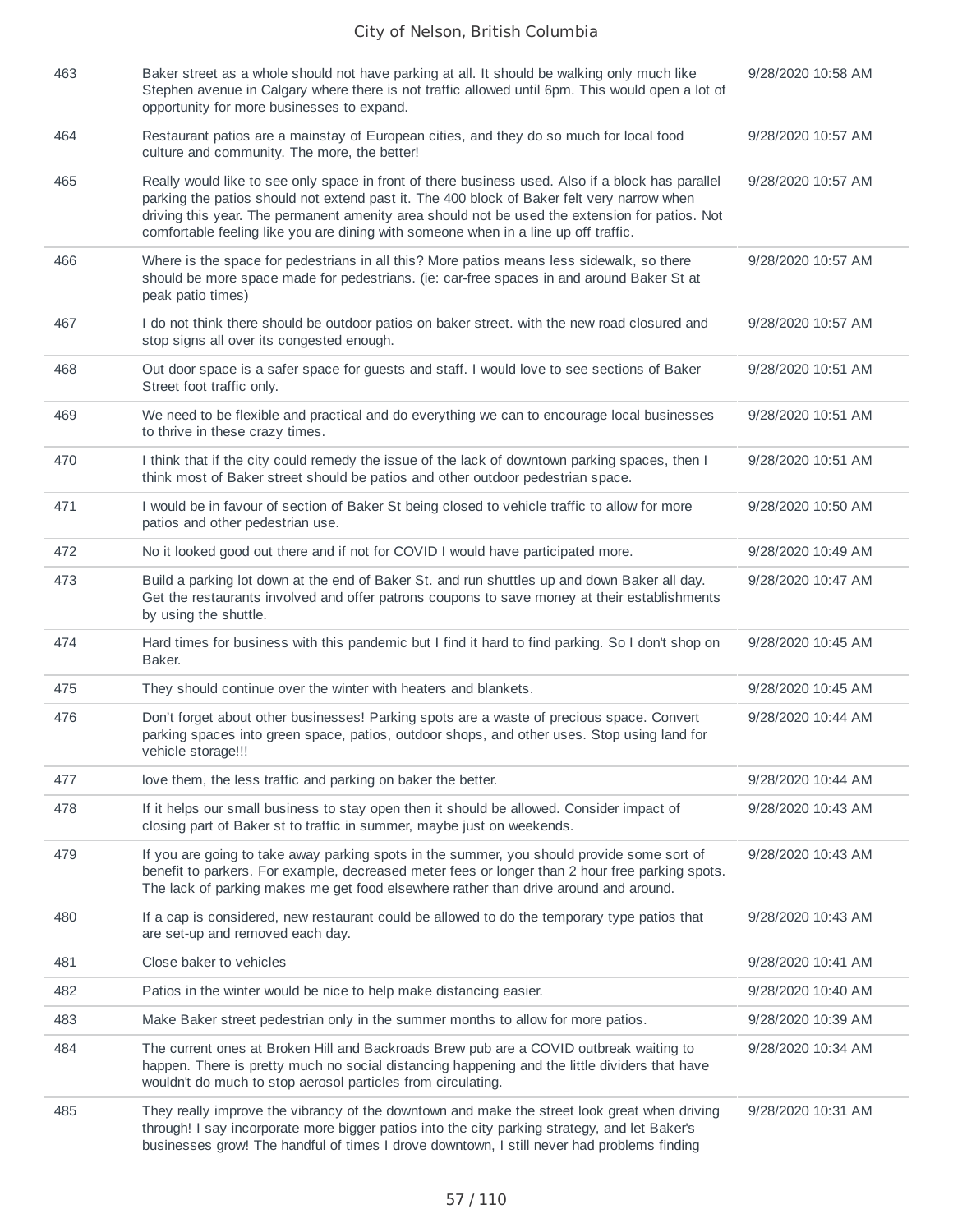| 463 | Baker street as a whole should not have parking at all. It should be walking only much like<br>Stephen avenue in Calgary where there is not traffic allowed until 6pm. This would open a lot of<br>opportunity for more businesses to expand.                                                                                                                                            | 9/28/2020 10:58 AM |
|-----|------------------------------------------------------------------------------------------------------------------------------------------------------------------------------------------------------------------------------------------------------------------------------------------------------------------------------------------------------------------------------------------|--------------------|
| 464 | Restaurant patios are a mainstay of European cities, and they do so much for local food<br>culture and community. The more, the better!                                                                                                                                                                                                                                                  | 9/28/2020 10:57 AM |
| 465 | Really would like to see only space in front of there business used. Also if a block has parallel<br>parking the patios should not extend past it. The 400 block of Baker felt very narrow when<br>driving this year. The permanent amenity area should not be used the extension for patios. Not<br>comfortable feeling like you are dining with someone when in a line up off traffic. | 9/28/2020 10:57 AM |
| 466 | Where is the space for pedestrians in all this? More patios means less sidewalk, so there<br>should be more space made for pedestrians. (ie: car-free spaces in and around Baker St at<br>peak patio times)                                                                                                                                                                              | 9/28/2020 10:57 AM |
| 467 | I do not think there should be outdoor patios on baker street. with the new road closured and<br>stop signs all over its congested enough.                                                                                                                                                                                                                                               | 9/28/2020 10:57 AM |
| 468 | Out door space is a safer space for guests and staff. I would love to see sections of Baker<br>Street foot traffic only.                                                                                                                                                                                                                                                                 | 9/28/2020 10:51 AM |
| 469 | We need to be flexible and practical and do everything we can to encourage local businesses<br>to thrive in these crazy times.                                                                                                                                                                                                                                                           | 9/28/2020 10:51 AM |
| 470 | I think that if the city could remedy the issue of the lack of downtown parking spaces, then I<br>think most of Baker street should be patios and other outdoor pedestrian space.                                                                                                                                                                                                        | 9/28/2020 10:51 AM |
| 471 | I would be in favour of section of Baker St being closed to vehicle traffic to allow for more<br>patios and other pedestrian use.                                                                                                                                                                                                                                                        | 9/28/2020 10:50 AM |
| 472 | No it looked good out there and if not for COVID I would have participated more.                                                                                                                                                                                                                                                                                                         | 9/28/2020 10:49 AM |
| 473 | Build a parking lot down at the end of Baker St. and run shuttles up and down Baker all day.<br>Get the restaurants involved and offer patrons coupons to save money at their establishments<br>by using the shuttle.                                                                                                                                                                    | 9/28/2020 10:47 AM |
| 474 | Hard times for business with this pandemic but I find it hard to find parking. So I don't shop on<br>Baker.                                                                                                                                                                                                                                                                              | 9/28/2020 10:45 AM |
| 475 | They should continue over the winter with heaters and blankets.                                                                                                                                                                                                                                                                                                                          | 9/28/2020 10:45 AM |
| 476 | Don't forget about other businesses! Parking spots are a waste of precious space. Convert<br>parking spaces into green space, patios, outdoor shops, and other uses. Stop using land for<br>vehicle storage!!!                                                                                                                                                                           | 9/28/2020 10:44 AM |
| 477 | love them, the less traffic and parking on baker the better.                                                                                                                                                                                                                                                                                                                             | 9/28/2020 10:44 AM |
| 478 | If it helps our small business to stay open then it should be allowed. Consider impact of<br>closing part of Baker st to traffic in summer, maybe just on weekends.                                                                                                                                                                                                                      | 9/28/2020 10:43 AM |
| 479 | If you are going to take away parking spots in the summer, you should provide some sort of<br>benefit to parkers. For example, decreased meter fees or longer than 2 hour free parking spots.<br>The lack of parking makes me get food elsewhere rather than drive around and around.                                                                                                    | 9/28/2020 10:43 AM |
| 480 | If a cap is considered, new restaurant could be allowed to do the temporary type patios that<br>are set-up and removed each day.                                                                                                                                                                                                                                                         | 9/28/2020 10:43 AM |
| 481 | Close baker to vehicles                                                                                                                                                                                                                                                                                                                                                                  | 9/28/2020 10:41 AM |
| 482 | Patios in the winter would be nice to help make distancing easier.                                                                                                                                                                                                                                                                                                                       | 9/28/2020 10:40 AM |
| 483 | Make Baker street pedestrian only in the summer months to allow for more patios.                                                                                                                                                                                                                                                                                                         | 9/28/2020 10:39 AM |
| 484 | The current ones at Broken Hill and Backroads Brew pub are a COVID outbreak waiting to<br>happen. There is pretty much no social distancing happening and the little dividers that have<br>wouldn't do much to stop aerosol particles from circulating.                                                                                                                                  | 9/28/2020 10:34 AM |
| 485 | They really improve the vibrancy of the downtown and make the street look great when driving<br>through! I say incorporate more bigger patios into the city parking strategy, and let Baker's<br>businesses grow! The handful of times I drove downtown, I still never had problems finding                                                                                              | 9/28/2020 10:31 AM |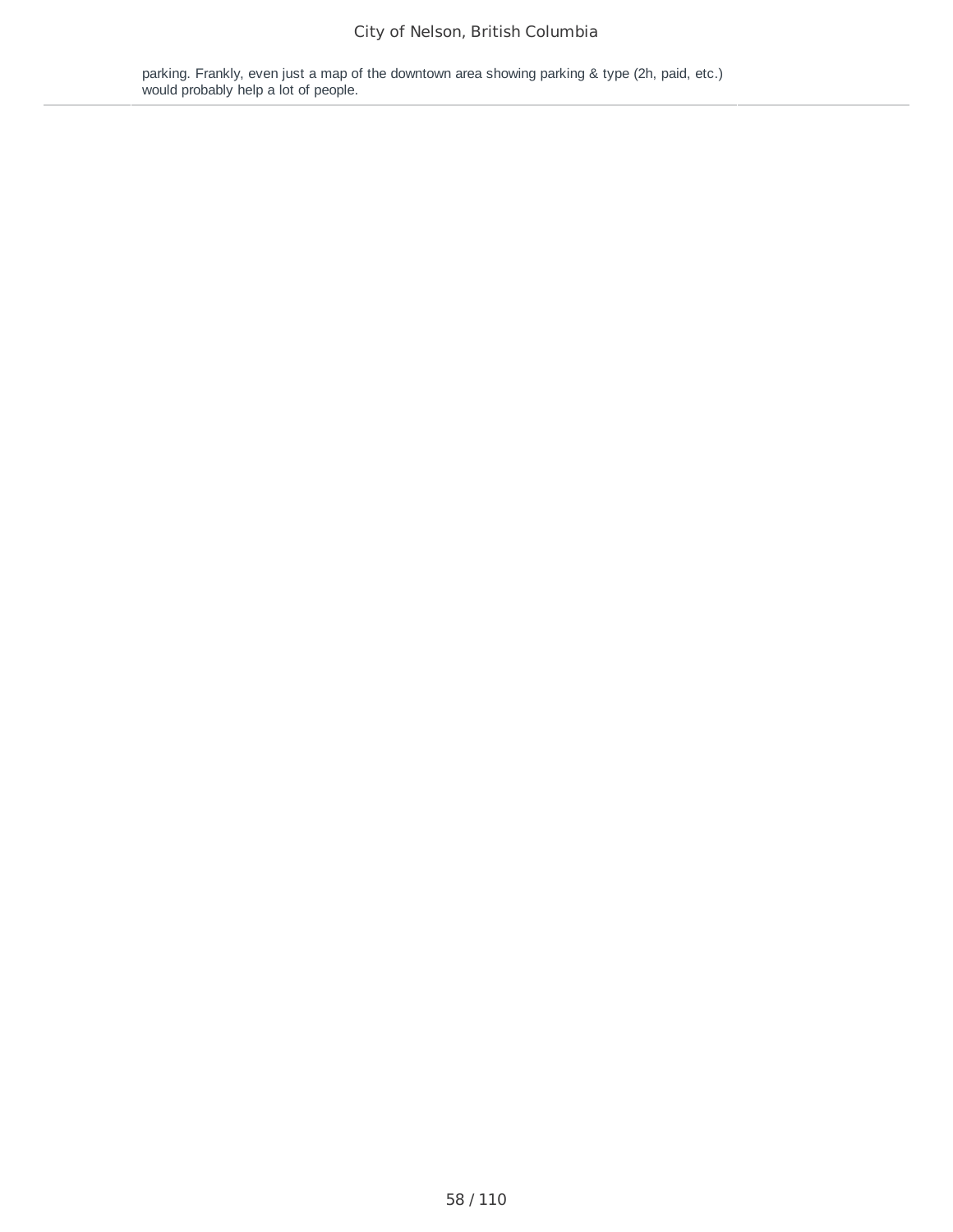parking. Frankly, even just a map of the downtown area showing parking & type (2h, paid, etc.) would probably help a lot of people.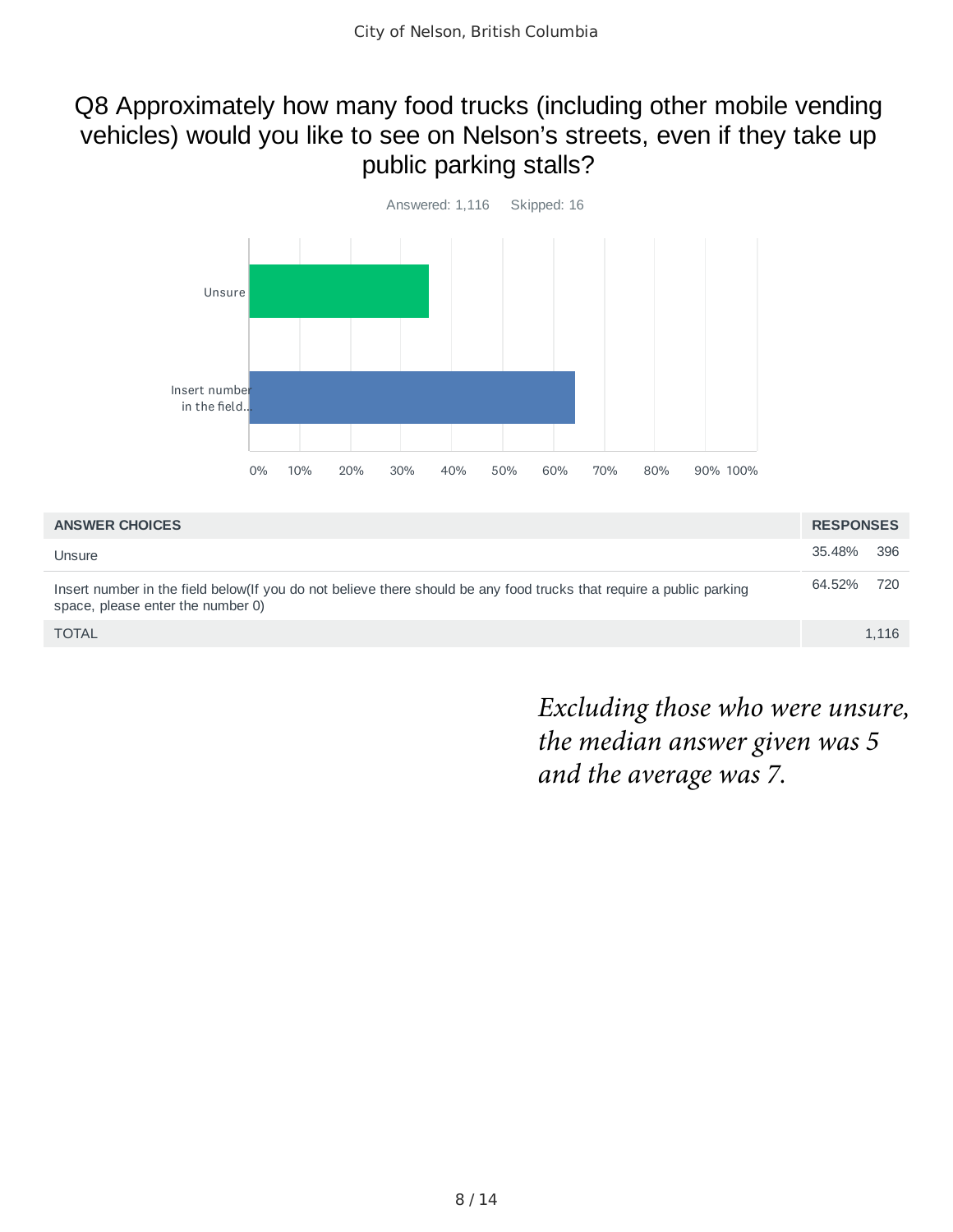### Q8 Approximately how many food trucks (including other mobile vending vehicles) would you like to see on Nelson's streets, even if they take up public parking stalls?



| <b>ANSWER CHOICES</b>                                                                                                                                     | <b>RESPONSES</b> |       |
|-----------------------------------------------------------------------------------------------------------------------------------------------------------|------------------|-------|
| Unsure                                                                                                                                                    | 35.48%           | - 396 |
| Insert number in the field below(If you do not believe there should be any food trucks that require a public parking<br>space, please enter the number 0) | 64.52%           | 720   |
| <b>TOTAL</b>                                                                                                                                              |                  | 1.116 |

*Excluding those who were unsure, the median answer given was 5 and the average was 7.*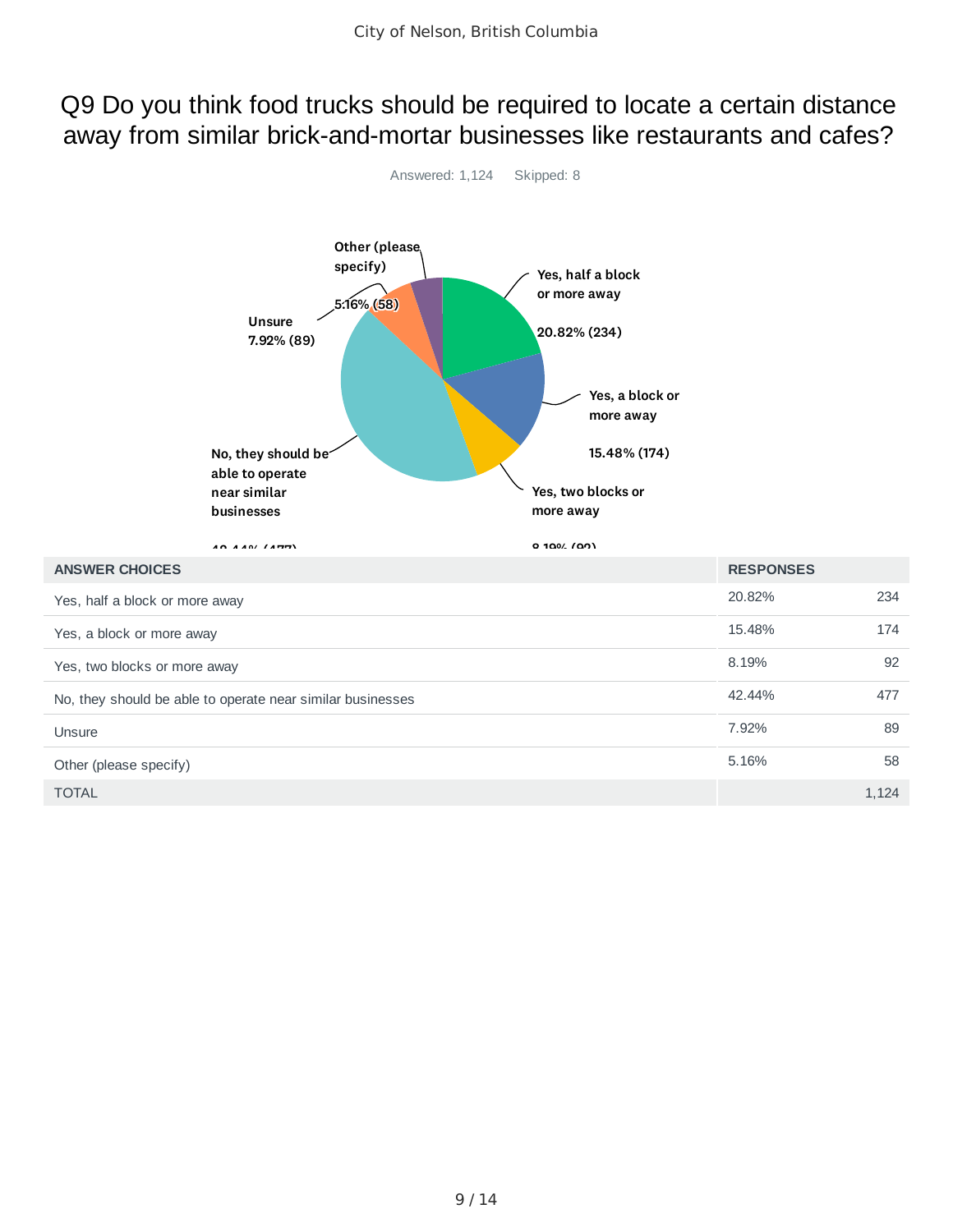### Q9 Do you think food trucks should be required to locate a certain distance away from similar brick-and-mortar businesses like restaurants and cafes?



 $\blacksquare$  TOTAL  $\blacksquare$  1,124  $\blacksquare$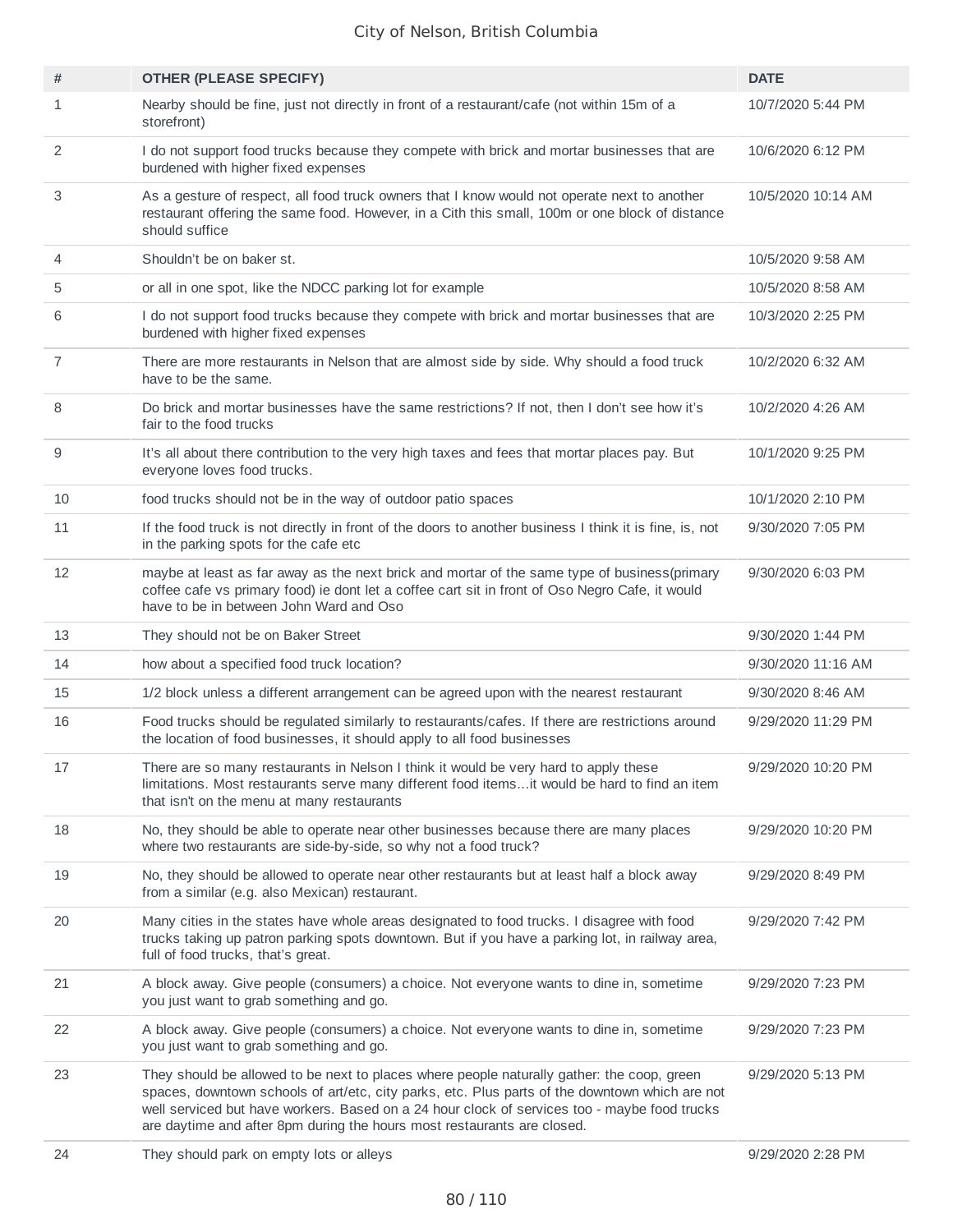| #              | <b>OTHER (PLEASE SPECIFY)</b>                                                                                                                                                                                                                                                                                                                                           | <b>DATE</b>        |
|----------------|-------------------------------------------------------------------------------------------------------------------------------------------------------------------------------------------------------------------------------------------------------------------------------------------------------------------------------------------------------------------------|--------------------|
| 1              | Nearby should be fine, just not directly in front of a restaurant/cafe (not within 15m of a<br>storefront)                                                                                                                                                                                                                                                              | 10/7/2020 5:44 PM  |
| 2              | I do not support food trucks because they compete with brick and mortar businesses that are<br>burdened with higher fixed expenses                                                                                                                                                                                                                                      | 10/6/2020 6:12 PM  |
| 3              | As a gesture of respect, all food truck owners that I know would not operate next to another<br>restaurant offering the same food. However, in a Cith this small, 100m or one block of distance<br>should suffice                                                                                                                                                       | 10/5/2020 10:14 AM |
| 4              | Shouldn't be on baker st.                                                                                                                                                                                                                                                                                                                                               | 10/5/2020 9:58 AM  |
| 5              | or all in one spot, like the NDCC parking lot for example                                                                                                                                                                                                                                                                                                               | 10/5/2020 8:58 AM  |
| 6              | I do not support food trucks because they compete with brick and mortar businesses that are<br>burdened with higher fixed expenses                                                                                                                                                                                                                                      | 10/3/2020 2:25 PM  |
| $\overline{7}$ | There are more restaurants in Nelson that are almost side by side. Why should a food truck<br>have to be the same.                                                                                                                                                                                                                                                      | 10/2/2020 6:32 AM  |
| 8              | Do brick and mortar businesses have the same restrictions? If not, then I don't see how it's<br>fair to the food trucks                                                                                                                                                                                                                                                 | 10/2/2020 4:26 AM  |
| 9              | It's all about there contribution to the very high taxes and fees that mortar places pay. But<br>everyone loves food trucks.                                                                                                                                                                                                                                            | 10/1/2020 9:25 PM  |
| 10             | food trucks should not be in the way of outdoor patio spaces                                                                                                                                                                                                                                                                                                            | 10/1/2020 2:10 PM  |
| 11             | If the food truck is not directly in front of the doors to another business I think it is fine, is, not<br>in the parking spots for the cafe etc                                                                                                                                                                                                                        | 9/30/2020 7:05 PM  |
| 12             | maybe at least as far away as the next brick and mortar of the same type of business(primary<br>coffee cafe vs primary food) ie dont let a coffee cart sit in front of Oso Negro Cafe, it would<br>have to be in between John Ward and Oso                                                                                                                              | 9/30/2020 6:03 PM  |
| 13             | They should not be on Baker Street                                                                                                                                                                                                                                                                                                                                      | 9/30/2020 1:44 PM  |
| 14             | how about a specified food truck location?                                                                                                                                                                                                                                                                                                                              | 9/30/2020 11:16 AM |
| 15             | 1/2 block unless a different arrangement can be agreed upon with the nearest restaurant                                                                                                                                                                                                                                                                                 | 9/30/2020 8:46 AM  |
| 16             | Food trucks should be regulated similarly to restaurants/cafes. If there are restrictions around<br>the location of food businesses, it should apply to all food businesses                                                                                                                                                                                             | 9/29/2020 11:29 PM |
| 17             | There are so many restaurants in Nelson I think it would be very hard to apply these<br>limitations. Most restaurants serve many different food itemsit would be hard to find an item<br>that isn't on the menu at many restaurants                                                                                                                                     | 9/29/2020 10:20 PM |
| 18             | No, they should be able to operate near other businesses because there are many places<br>where two restaurants are side-by-side, so why not a food truck?                                                                                                                                                                                                              | 9/29/2020 10:20 PM |
| 19             | No, they should be allowed to operate near other restaurants but at least half a block away<br>from a similar (e.g. also Mexican) restaurant.                                                                                                                                                                                                                           | 9/29/2020 8:49 PM  |
| 20             | Many cities in the states have whole areas designated to food trucks. I disagree with food<br>trucks taking up patron parking spots downtown. But if you have a parking lot, in railway area,<br>full of food trucks, that's great.                                                                                                                                     | 9/29/2020 7:42 PM  |
| 21             | A block away. Give people (consumers) a choice. Not everyone wants to dine in, sometime<br>you just want to grab something and go.                                                                                                                                                                                                                                      | 9/29/2020 7:23 PM  |
| 22             | A block away. Give people (consumers) a choice. Not everyone wants to dine in, sometime<br>you just want to grab something and go.                                                                                                                                                                                                                                      | 9/29/2020 7:23 PM  |
| 23             | They should be allowed to be next to places where people naturally gather: the coop, green<br>spaces, downtown schools of art/etc, city parks, etc. Plus parts of the downtown which are not<br>well serviced but have workers. Based on a 24 hour clock of services too - maybe food trucks<br>are daytime and after 8pm during the hours most restaurants are closed. | 9/29/2020 5:13 PM  |
| 24             | They should park on empty lots or alleys                                                                                                                                                                                                                                                                                                                                | 9/29/2020 2:28 PM  |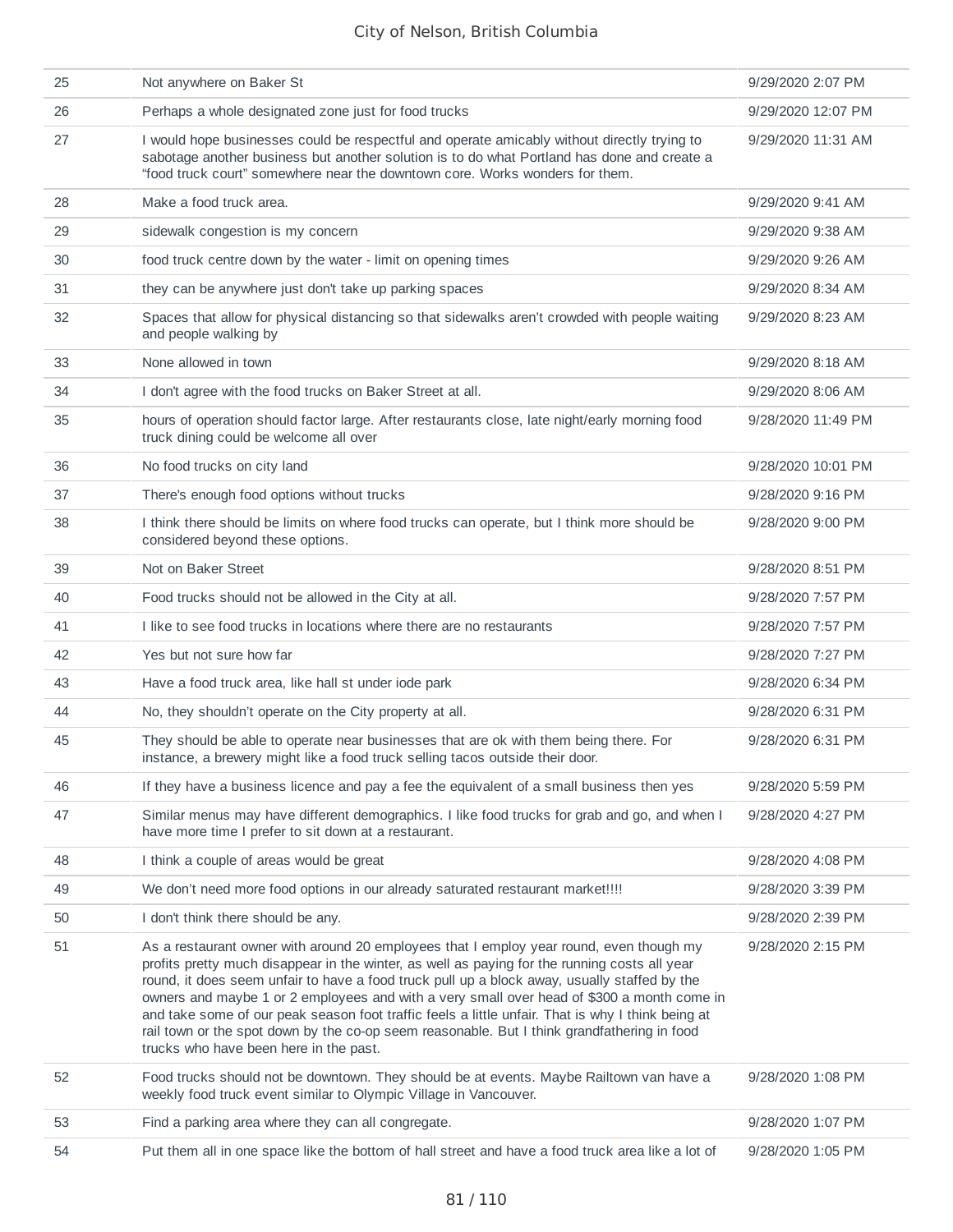| 25 | Not anywhere on Baker St                                                                                                                                                                                                                                                                                                                                                                                                                                                                                                                                                                                                             | 9/29/2020 2:07 PM  |
|----|--------------------------------------------------------------------------------------------------------------------------------------------------------------------------------------------------------------------------------------------------------------------------------------------------------------------------------------------------------------------------------------------------------------------------------------------------------------------------------------------------------------------------------------------------------------------------------------------------------------------------------------|--------------------|
| 26 | Perhaps a whole designated zone just for food trucks                                                                                                                                                                                                                                                                                                                                                                                                                                                                                                                                                                                 | 9/29/2020 12:07 PM |
| 27 | I would hope businesses could be respectful and operate amicably without directly trying to<br>sabotage another business but another solution is to do what Portland has done and create a<br>"food truck court" somewhere near the downtown core. Works wonders for them.                                                                                                                                                                                                                                                                                                                                                           | 9/29/2020 11:31 AM |
| 28 | Make a food truck area.                                                                                                                                                                                                                                                                                                                                                                                                                                                                                                                                                                                                              | 9/29/2020 9:41 AM  |
| 29 | sidewalk congestion is my concern                                                                                                                                                                                                                                                                                                                                                                                                                                                                                                                                                                                                    | 9/29/2020 9:38 AM  |
| 30 | food truck centre down by the water - limit on opening times                                                                                                                                                                                                                                                                                                                                                                                                                                                                                                                                                                         | 9/29/2020 9:26 AM  |
| 31 | they can be anywhere just don't take up parking spaces                                                                                                                                                                                                                                                                                                                                                                                                                                                                                                                                                                               | 9/29/2020 8:34 AM  |
| 32 | Spaces that allow for physical distancing so that sidewalks aren't crowded with people waiting<br>and people walking by                                                                                                                                                                                                                                                                                                                                                                                                                                                                                                              | 9/29/2020 8:23 AM  |
| 33 | None allowed in town                                                                                                                                                                                                                                                                                                                                                                                                                                                                                                                                                                                                                 | 9/29/2020 8:18 AM  |
| 34 | I don't agree with the food trucks on Baker Street at all.                                                                                                                                                                                                                                                                                                                                                                                                                                                                                                                                                                           | 9/29/2020 8:06 AM  |
| 35 | hours of operation should factor large. After restaurants close, late night/early morning food<br>truck dining could be welcome all over                                                                                                                                                                                                                                                                                                                                                                                                                                                                                             | 9/28/2020 11:49 PM |
| 36 | No food trucks on city land                                                                                                                                                                                                                                                                                                                                                                                                                                                                                                                                                                                                          | 9/28/2020 10:01 PM |
| 37 | There's enough food options without trucks                                                                                                                                                                                                                                                                                                                                                                                                                                                                                                                                                                                           | 9/28/2020 9:16 PM  |
| 38 | I think there should be limits on where food trucks can operate, but I think more should be<br>considered beyond these options.                                                                                                                                                                                                                                                                                                                                                                                                                                                                                                      | 9/28/2020 9:00 PM  |
| 39 | Not on Baker Street                                                                                                                                                                                                                                                                                                                                                                                                                                                                                                                                                                                                                  | 9/28/2020 8:51 PM  |
| 40 | Food trucks should not be allowed in the City at all.                                                                                                                                                                                                                                                                                                                                                                                                                                                                                                                                                                                | 9/28/2020 7:57 PM  |
| 41 | I like to see food trucks in locations where there are no restaurants                                                                                                                                                                                                                                                                                                                                                                                                                                                                                                                                                                | 9/28/2020 7:57 PM  |
| 42 | Yes but not sure how far                                                                                                                                                                                                                                                                                                                                                                                                                                                                                                                                                                                                             | 9/28/2020 7:27 PM  |
| 43 | Have a food truck area, like hall st under iode park                                                                                                                                                                                                                                                                                                                                                                                                                                                                                                                                                                                 | 9/28/2020 6:34 PM  |
| 44 | No, they shouldn't operate on the City property at all.                                                                                                                                                                                                                                                                                                                                                                                                                                                                                                                                                                              | 9/28/2020 6:31 PM  |
| 45 | They should be able to operate near businesses that are ok with them being there. For<br>instance, a brewery might like a food truck selling tacos outside their door.                                                                                                                                                                                                                                                                                                                                                                                                                                                               | 9/28/2020 6:31 PM  |
| 46 | If they have a business licence and pay a fee the equivalent of a small business then yes                                                                                                                                                                                                                                                                                                                                                                                                                                                                                                                                            | 9/28/2020 5:59 PM  |
| 47 | Similar menus may have different demographics. I like food trucks for grab and go, and when I<br>have more time I prefer to sit down at a restaurant.                                                                                                                                                                                                                                                                                                                                                                                                                                                                                | 9/28/2020 4:27 PM  |
| 48 | I think a couple of areas would be great                                                                                                                                                                                                                                                                                                                                                                                                                                                                                                                                                                                             | 9/28/2020 4:08 PM  |
| 49 | We don't need more food options in our already saturated restaurant market !!!!                                                                                                                                                                                                                                                                                                                                                                                                                                                                                                                                                      | 9/28/2020 3:39 PM  |
| 50 | I don't think there should be any.                                                                                                                                                                                                                                                                                                                                                                                                                                                                                                                                                                                                   | 9/28/2020 2:39 PM  |
| 51 | As a restaurant owner with around 20 employees that I employ year round, even though my<br>profits pretty much disappear in the winter, as well as paying for the running costs all year<br>round, it does seem unfair to have a food truck pull up a block away, usually staffed by the<br>owners and maybe 1 or 2 employees and with a very small over head of \$300 a month come in<br>and take some of our peak season foot traffic feels a little unfair. That is why I think being at<br>rail town or the spot down by the co-op seem reasonable. But I think grandfathering in food<br>trucks who have been here in the past. | 9/28/2020 2:15 PM  |
| 52 | Food trucks should not be downtown. They should be at events. Maybe Railtown van have a<br>weekly food truck event similar to Olympic Village in Vancouver.                                                                                                                                                                                                                                                                                                                                                                                                                                                                          | 9/28/2020 1:08 PM  |
| 53 | Find a parking area where they can all congregate.                                                                                                                                                                                                                                                                                                                                                                                                                                                                                                                                                                                   | 9/28/2020 1:07 PM  |
| 54 | Put them all in one space like the bottom of hall street and have a food truck area like a lot of                                                                                                                                                                                                                                                                                                                                                                                                                                                                                                                                    | 9/28/2020 1:05 PM  |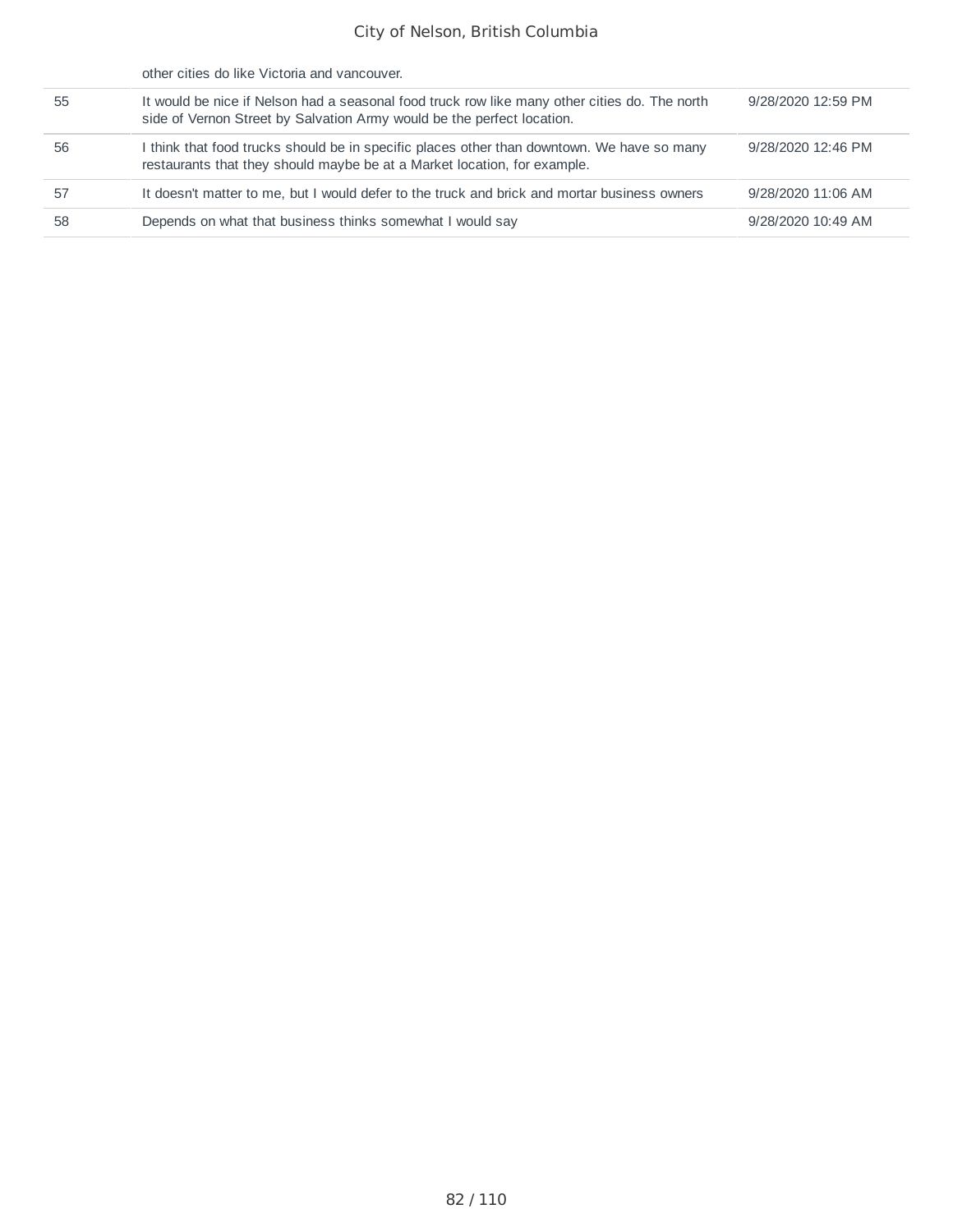|    | other cities do like Victoria and vancouver.                                                                                                                            |                    |
|----|-------------------------------------------------------------------------------------------------------------------------------------------------------------------------|--------------------|
| 55 | It would be nice if Nelson had a seasonal food truck row like many other cities do. The north<br>side of Vernon Street by Salvation Army would be the perfect location. | 9/28/2020 12:59 PM |
| 56 | I think that food trucks should be in specific places other than downtown. We have so many<br>restaurants that they should maybe be at a Market location, for example.  | 9/28/2020 12:46 PM |
| 57 | It doesn't matter to me, but I would defer to the truck and brick and mortar business owners                                                                            | 9/28/2020 11:06 AM |
| 58 | Depends on what that business thinks somewhat I would say                                                                                                               | 9/28/2020 10:49 AM |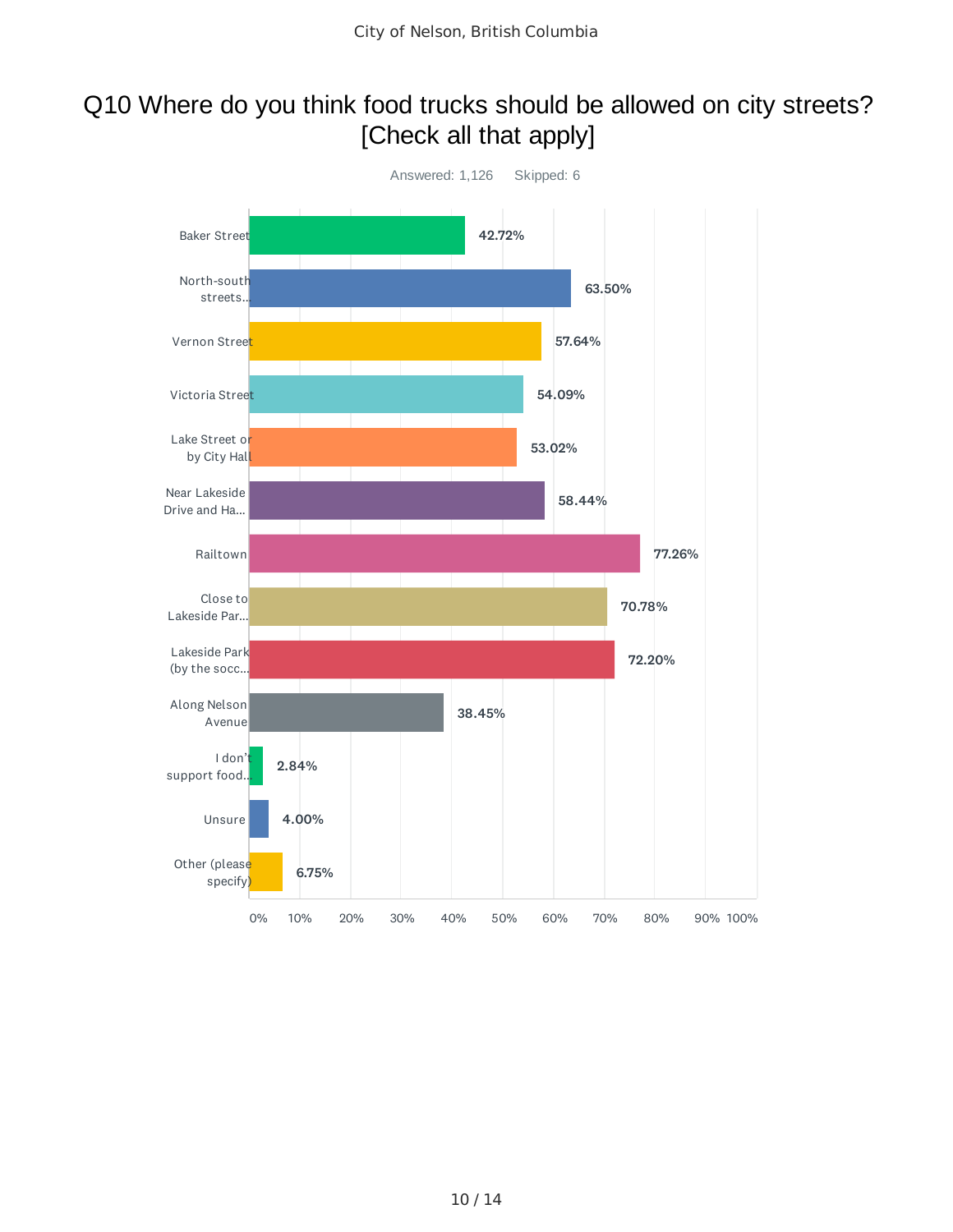### Q10 Where do you think food trucks should be allowed on city streets? [Check all that apply]

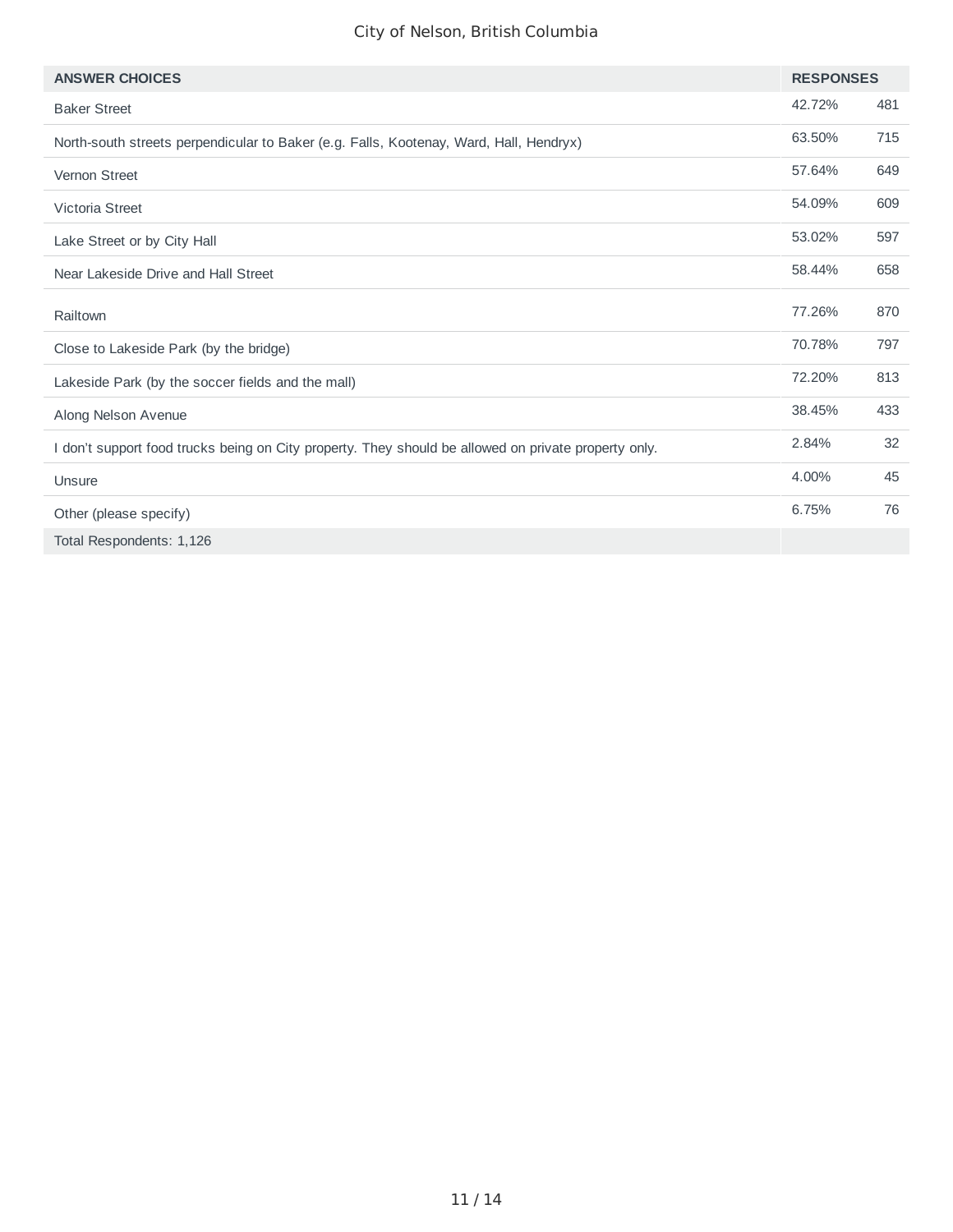| <b>ANSWER CHOICES</b>                                                                                | <b>RESPONSES</b> |     |
|------------------------------------------------------------------------------------------------------|------------------|-----|
| <b>Baker Street</b>                                                                                  | 42.72%           | 481 |
| North-south streets perpendicular to Baker (e.g. Falls, Kootenay, Ward, Hall, Hendryx)               | 63.50%           | 715 |
| Vernon Street                                                                                        | 57.64%           | 649 |
| Victoria Street                                                                                      | 54.09%           | 609 |
| Lake Street or by City Hall                                                                          | 53.02%           | 597 |
| Near Lakeside Drive and Hall Street                                                                  | 58.44%           | 658 |
| Railtown                                                                                             | 77.26%           | 870 |
| Close to Lakeside Park (by the bridge)                                                               | 70.78%           | 797 |
| Lakeside Park (by the soccer fields and the mall)                                                    | 72.20%           | 813 |
| Along Nelson Avenue                                                                                  | 38.45%           | 433 |
| I don't support food trucks being on City property. They should be allowed on private property only. | 2.84%            | 32  |
| Unsure                                                                                               | 4.00%            | 45  |
| Other (please specify)                                                                               | 6.75%            | 76  |
| Total Respondents: 1,126                                                                             |                  |     |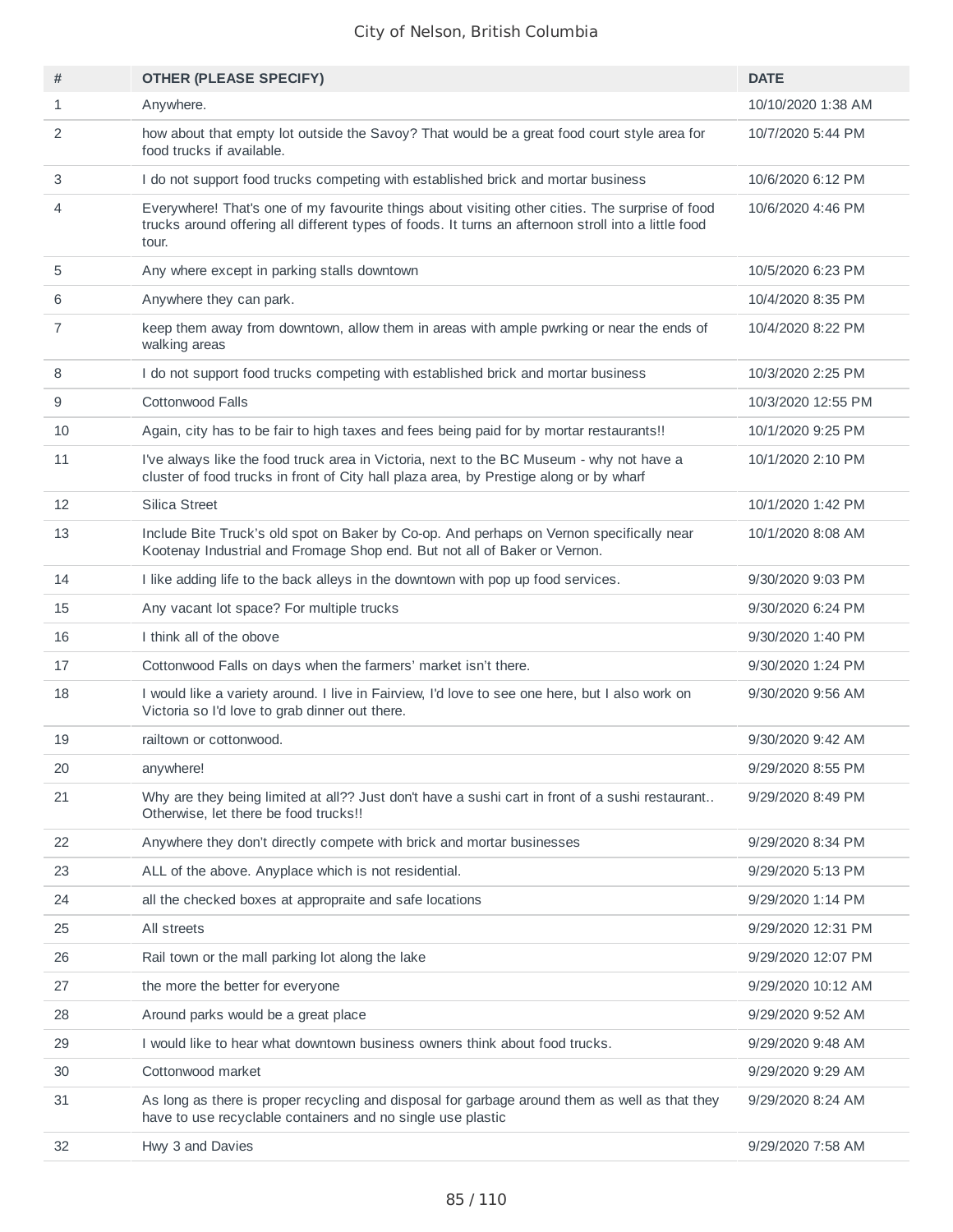| #            | <b>OTHER (PLEASE SPECIFY)</b>                                                                                                                                                                                    | <b>DATE</b>        |
|--------------|------------------------------------------------------------------------------------------------------------------------------------------------------------------------------------------------------------------|--------------------|
| $\mathbf{1}$ | Anywhere.                                                                                                                                                                                                        | 10/10/2020 1:38 AM |
| 2            | how about that empty lot outside the Savoy? That would be a great food court style area for<br>food trucks if available.                                                                                         | 10/7/2020 5:44 PM  |
| 3            | I do not support food trucks competing with established brick and mortar business                                                                                                                                | 10/6/2020 6:12 PM  |
| 4            | Everywhere! That's one of my favourite things about visiting other cities. The surprise of food<br>trucks around offering all different types of foods. It turns an afternoon stroll into a little food<br>tour. | 10/6/2020 4:46 PM  |
| 5            | Any where except in parking stalls downtown                                                                                                                                                                      | 10/5/2020 6:23 PM  |
| 6            | Anywhere they can park.                                                                                                                                                                                          | 10/4/2020 8:35 PM  |
| 7            | keep them away from downtown, allow them in areas with ample pwrking or near the ends of<br>walking areas                                                                                                        | 10/4/2020 8:22 PM  |
| 8            | I do not support food trucks competing with established brick and mortar business                                                                                                                                | 10/3/2020 2:25 PM  |
| 9            | Cottonwood Falls                                                                                                                                                                                                 | 10/3/2020 12:55 PM |
| 10           | Again, city has to be fair to high taxes and fees being paid for by mortar restaurants!!                                                                                                                         | 10/1/2020 9:25 PM  |
| 11           | I've always like the food truck area in Victoria, next to the BC Museum - why not have a<br>cluster of food trucks in front of City hall plaza area, by Prestige along or by wharf                               | 10/1/2020 2:10 PM  |
| 12           | Silica Street                                                                                                                                                                                                    | 10/1/2020 1:42 PM  |
| 13           | Include Bite Truck's old spot on Baker by Co-op. And perhaps on Vernon specifically near<br>Kootenay Industrial and Fromage Shop end. But not all of Baker or Vernon.                                            | 10/1/2020 8:08 AM  |
| 14           | I like adding life to the back alleys in the downtown with pop up food services.                                                                                                                                 | 9/30/2020 9:03 PM  |
| 15           | Any vacant lot space? For multiple trucks                                                                                                                                                                        | 9/30/2020 6:24 PM  |
| 16           | I think all of the obove                                                                                                                                                                                         | 9/30/2020 1:40 PM  |
| 17           | Cottonwood Falls on days when the farmers' market isn't there.                                                                                                                                                   | 9/30/2020 1:24 PM  |
| 18           | I would like a variety around. I live in Fairview, I'd love to see one here, but I also work on<br>Victoria so I'd love to grab dinner out there.                                                                | 9/30/2020 9:56 AM  |
| 19           | railtown or cottonwood.                                                                                                                                                                                          | 9/30/2020 9:42 AM  |
| 20           | anywhere!                                                                                                                                                                                                        | 9/29/2020 8:55 PM  |
| 21           | Why are they being limited at all?? Just don't have a sushi cart in front of a sushi restaurant<br>Otherwise, let there be food trucks!!                                                                         | 9/29/2020 8:49 PM  |
| 22           | Anywhere they don't directly compete with brick and mortar businesses                                                                                                                                            | 9/29/2020 8:34 PM  |
| 23           | ALL of the above. Anyplace which is not residential.                                                                                                                                                             | 9/29/2020 5:13 PM  |
| 24           | all the checked boxes at appropraite and safe locations                                                                                                                                                          | 9/29/2020 1:14 PM  |
| 25           | All streets                                                                                                                                                                                                      | 9/29/2020 12:31 PM |
| 26           | Rail town or the mall parking lot along the lake                                                                                                                                                                 | 9/29/2020 12:07 PM |
| 27           | the more the better for everyone                                                                                                                                                                                 | 9/29/2020 10:12 AM |
| 28           | Around parks would be a great place                                                                                                                                                                              | 9/29/2020 9:52 AM  |
| 29           | I would like to hear what downtown business owners think about food trucks.                                                                                                                                      | 9/29/2020 9:48 AM  |
| 30           | Cottonwood market                                                                                                                                                                                                | 9/29/2020 9:29 AM  |
| 31           | As long as there is proper recycling and disposal for garbage around them as well as that they<br>have to use recyclable containers and no single use plastic                                                    | 9/29/2020 8:24 AM  |
| 32           | Hwy 3 and Davies                                                                                                                                                                                                 | 9/29/2020 7:58 AM  |
|              |                                                                                                                                                                                                                  |                    |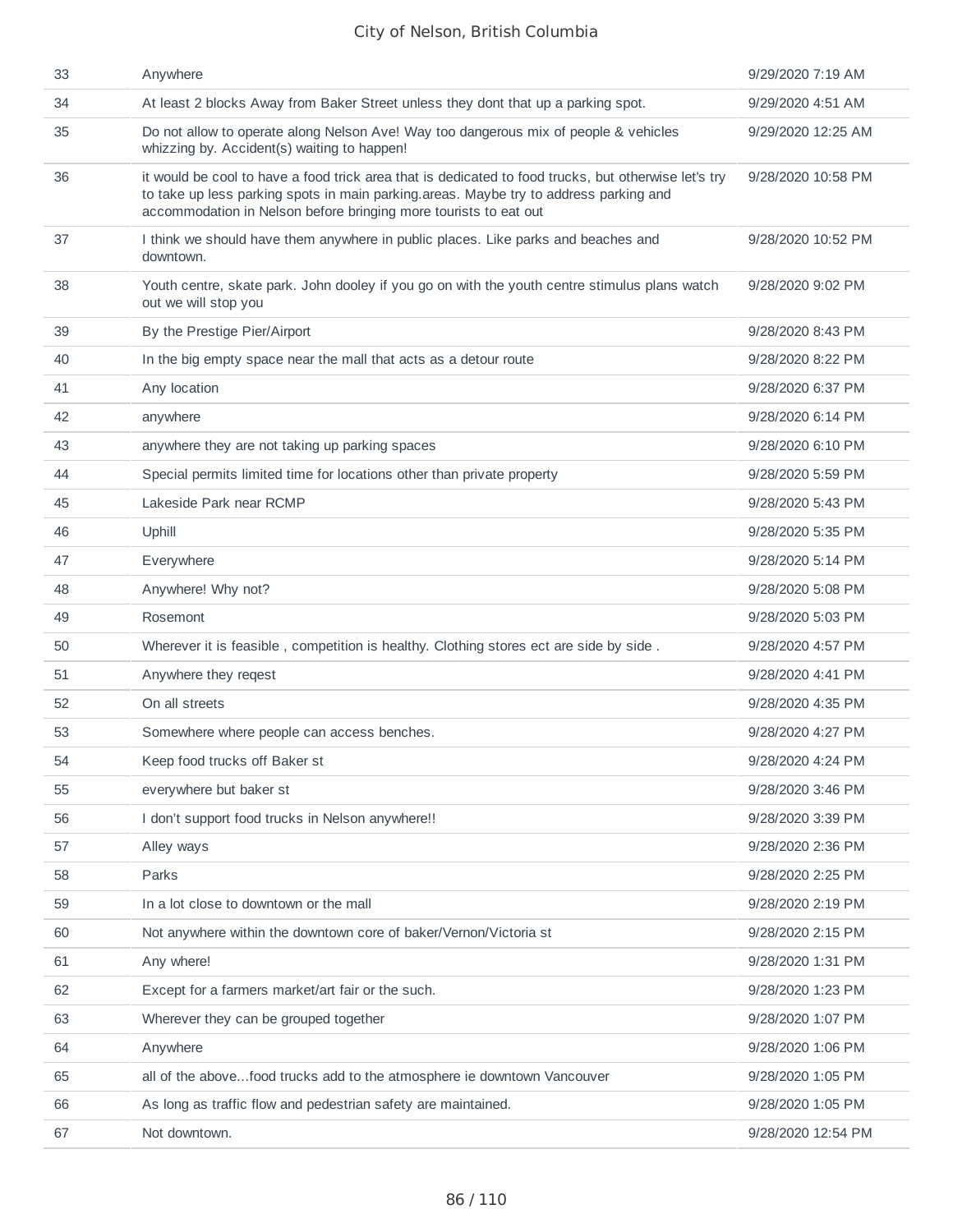| 33 | Anywhere                                                                                                                                                                                                                                                          | 9/29/2020 7:19 AM  |
|----|-------------------------------------------------------------------------------------------------------------------------------------------------------------------------------------------------------------------------------------------------------------------|--------------------|
| 34 | At least 2 blocks Away from Baker Street unless they dont that up a parking spot.                                                                                                                                                                                 | 9/29/2020 4:51 AM  |
| 35 | Do not allow to operate along Nelson Ave! Way too dangerous mix of people & vehicles<br>whizzing by. Accident(s) waiting to happen!                                                                                                                               | 9/29/2020 12:25 AM |
| 36 | it would be cool to have a food trick area that is dedicated to food trucks, but otherwise let's try<br>to take up less parking spots in main parking areas. Maybe try to address parking and<br>accommodation in Nelson before bringing more tourists to eat out | 9/28/2020 10:58 PM |
| 37 | I think we should have them anywhere in public places. Like parks and beaches and<br>downtown.                                                                                                                                                                    | 9/28/2020 10:52 PM |
| 38 | Youth centre, skate park. John dooley if you go on with the youth centre stimulus plans watch<br>out we will stop you                                                                                                                                             | 9/28/2020 9:02 PM  |
| 39 | By the Prestige Pier/Airport                                                                                                                                                                                                                                      | 9/28/2020 8:43 PM  |
| 40 | In the big empty space near the mall that acts as a detour route                                                                                                                                                                                                  | 9/28/2020 8:22 PM  |
| 41 | Any location                                                                                                                                                                                                                                                      | 9/28/2020 6:37 PM  |
| 42 | anywhere                                                                                                                                                                                                                                                          | 9/28/2020 6:14 PM  |
| 43 | anywhere they are not taking up parking spaces                                                                                                                                                                                                                    | 9/28/2020 6:10 PM  |
| 44 | Special permits limited time for locations other than private property                                                                                                                                                                                            | 9/28/2020 5:59 PM  |
| 45 | Lakeside Park near RCMP                                                                                                                                                                                                                                           | 9/28/2020 5:43 PM  |
| 46 | Uphill                                                                                                                                                                                                                                                            | 9/28/2020 5:35 PM  |
| 47 | Everywhere                                                                                                                                                                                                                                                        | 9/28/2020 5:14 PM  |
| 48 | Anywhere! Why not?                                                                                                                                                                                                                                                | 9/28/2020 5:08 PM  |
| 49 | Rosemont                                                                                                                                                                                                                                                          | 9/28/2020 5:03 PM  |
| 50 | Wherever it is feasible, competition is healthy. Clothing stores ect are side by side.                                                                                                                                                                            | 9/28/2020 4:57 PM  |
| 51 | Anywhere they regest                                                                                                                                                                                                                                              | 9/28/2020 4:41 PM  |
| 52 | On all streets                                                                                                                                                                                                                                                    | 9/28/2020 4:35 PM  |
| 53 | Somewhere where people can access benches.                                                                                                                                                                                                                        | 9/28/2020 4:27 PM  |
| 54 | Keep food trucks off Baker st                                                                                                                                                                                                                                     | 9/28/2020 4:24 PM  |
| 55 | everywhere but baker st                                                                                                                                                                                                                                           | 9/28/2020 3:46 PM  |
| 56 | I don't support food trucks in Nelson anywhere!!                                                                                                                                                                                                                  | 9/28/2020 3:39 PM  |
| 57 | Alley ways                                                                                                                                                                                                                                                        | 9/28/2020 2:36 PM  |
| 58 | Parks                                                                                                                                                                                                                                                             | 9/28/2020 2:25 PM  |
| 59 | In a lot close to downtown or the mall                                                                                                                                                                                                                            | 9/28/2020 2:19 PM  |
| 60 | Not anywhere within the downtown core of baker/Vernon/Victoria st                                                                                                                                                                                                 | 9/28/2020 2:15 PM  |
| 61 | Any where!                                                                                                                                                                                                                                                        | 9/28/2020 1:31 PM  |
| 62 | Except for a farmers market/art fair or the such.                                                                                                                                                                                                                 | 9/28/2020 1:23 PM  |
| 63 | Wherever they can be grouped together                                                                                                                                                                                                                             | 9/28/2020 1:07 PM  |
| 64 | Anywhere                                                                                                                                                                                                                                                          | 9/28/2020 1:06 PM  |
| 65 | all of the abovefood trucks add to the atmosphere ie downtown Vancouver                                                                                                                                                                                           | 9/28/2020 1:05 PM  |
| 66 | As long as traffic flow and pedestrian safety are maintained.                                                                                                                                                                                                     | 9/28/2020 1:05 PM  |
| 67 | Not downtown.                                                                                                                                                                                                                                                     | 9/28/2020 12:54 PM |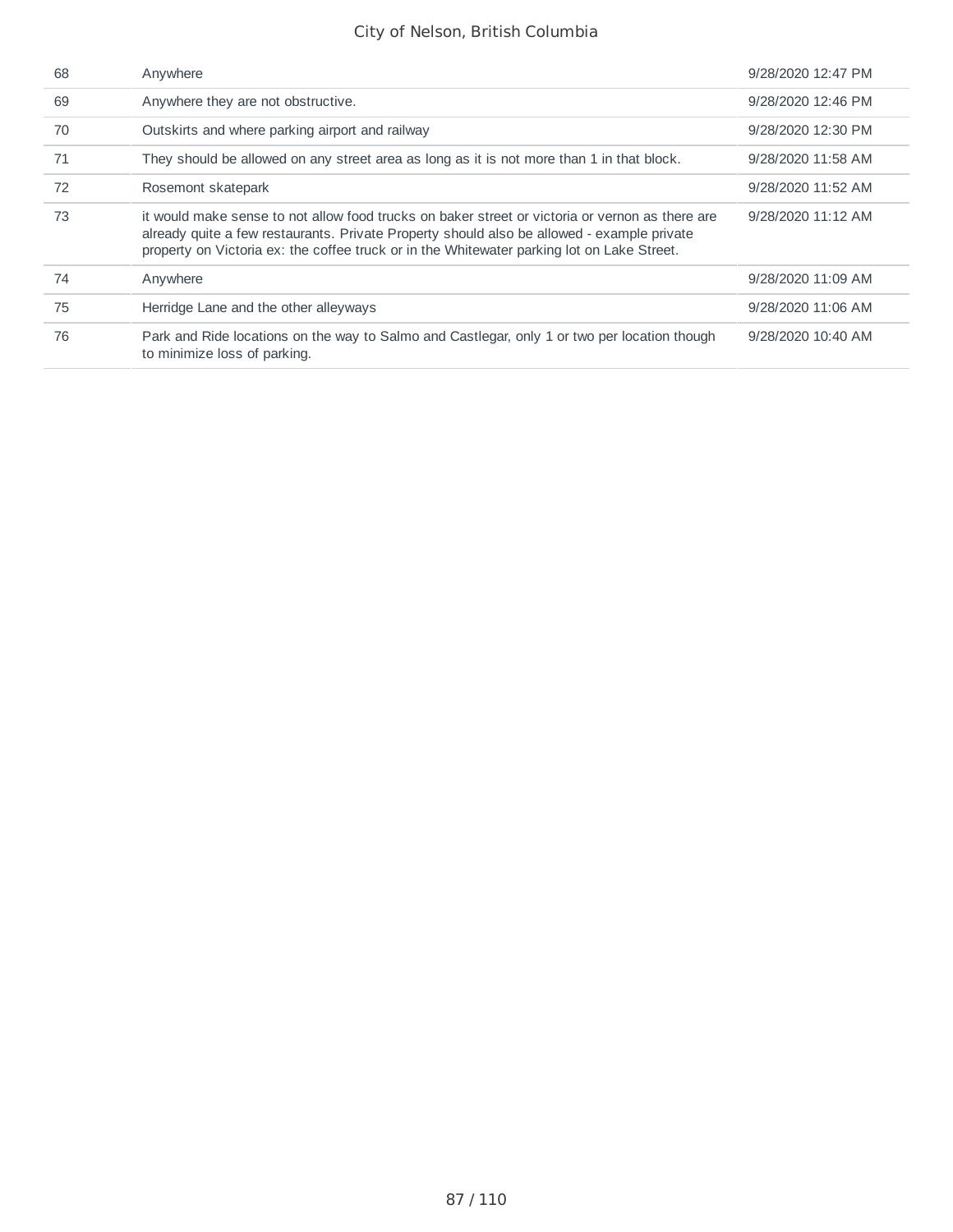| 68 | Anywhere                                                                                                                                                                                                                                                                                    | 9/28/2020 12:47 PM |
|----|---------------------------------------------------------------------------------------------------------------------------------------------------------------------------------------------------------------------------------------------------------------------------------------------|--------------------|
| 69 | Anywhere they are not obstructive.                                                                                                                                                                                                                                                          | 9/28/2020 12:46 PM |
| 70 | Outskirts and where parking airport and railway                                                                                                                                                                                                                                             | 9/28/2020 12:30 PM |
| 71 | They should be allowed on any street area as long as it is not more than 1 in that block.                                                                                                                                                                                                   | 9/28/2020 11:58 AM |
| 72 | Rosemont skatepark                                                                                                                                                                                                                                                                          | 9/28/2020 11:52 AM |
| 73 | it would make sense to not allow food trucks on baker street or victoria or vernon as there are<br>already quite a few restaurants. Private Property should also be allowed - example private<br>property on Victoria ex: the coffee truck or in the Whitewater parking lot on Lake Street. | 9/28/2020 11:12 AM |
| 74 | Anywhere                                                                                                                                                                                                                                                                                    | 9/28/2020 11:09 AM |
| 75 | Herridge Lane and the other alleyways                                                                                                                                                                                                                                                       | 9/28/2020 11:06 AM |
| 76 | Park and Ride locations on the way to Salmo and Castlegar, only 1 or two per location though<br>to minimize loss of parking.                                                                                                                                                                | 9/28/2020 10:40 AM |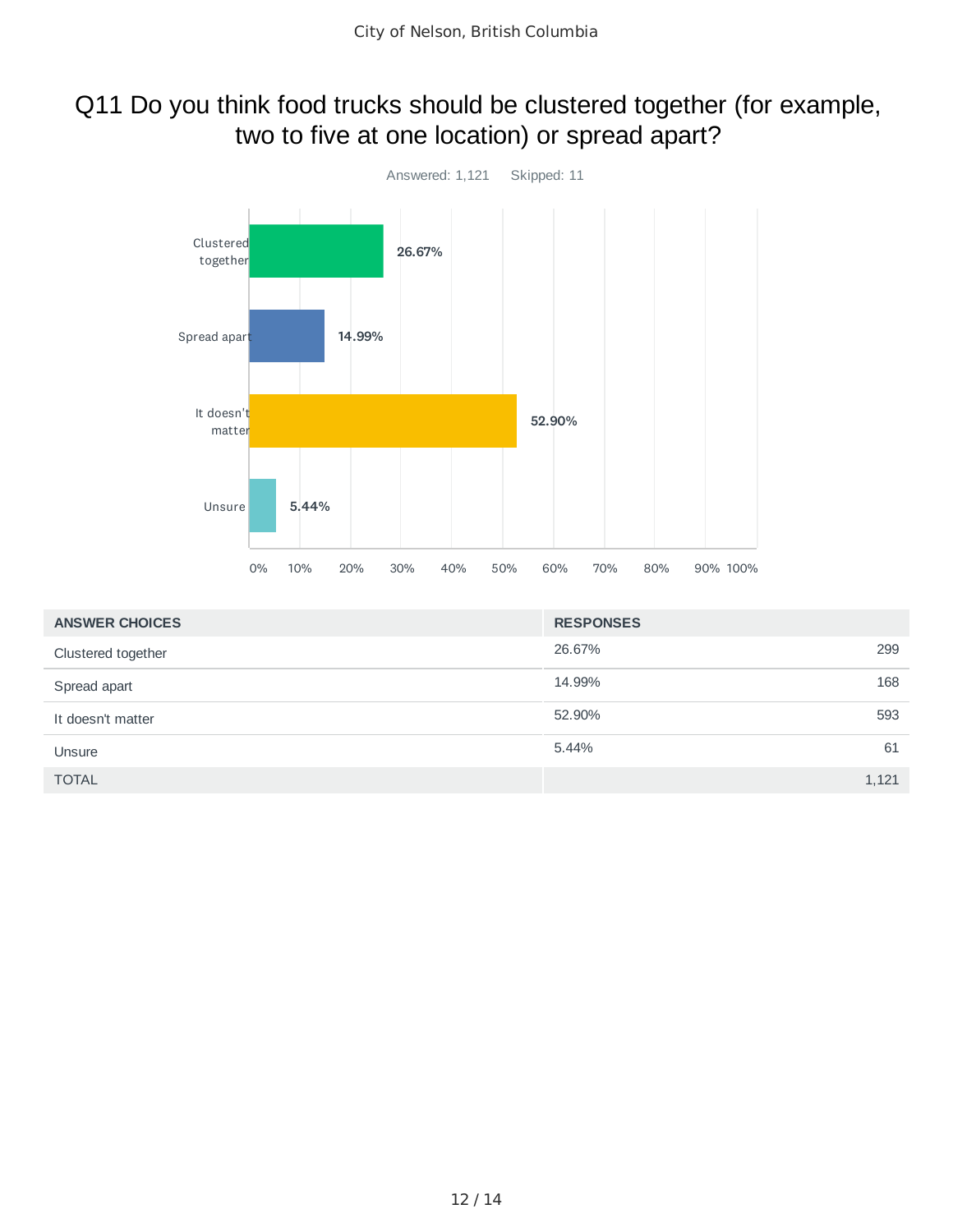### Q11 Do you think food trucks should be clustered together (for example, two to five at one location) or spread apart?



| <b>ANSWER CHOICES</b> | <b>RESPONSES</b> |       |
|-----------------------|------------------|-------|
| Clustered together    | 26.67%           | 299   |
| Spread apart          | 14.99%           | 168   |
| It doesn't matter     | 52.90%           | 593   |
| Unsure                | 5.44%            | 61    |
| <b>TOTAL</b>          |                  | 1,121 |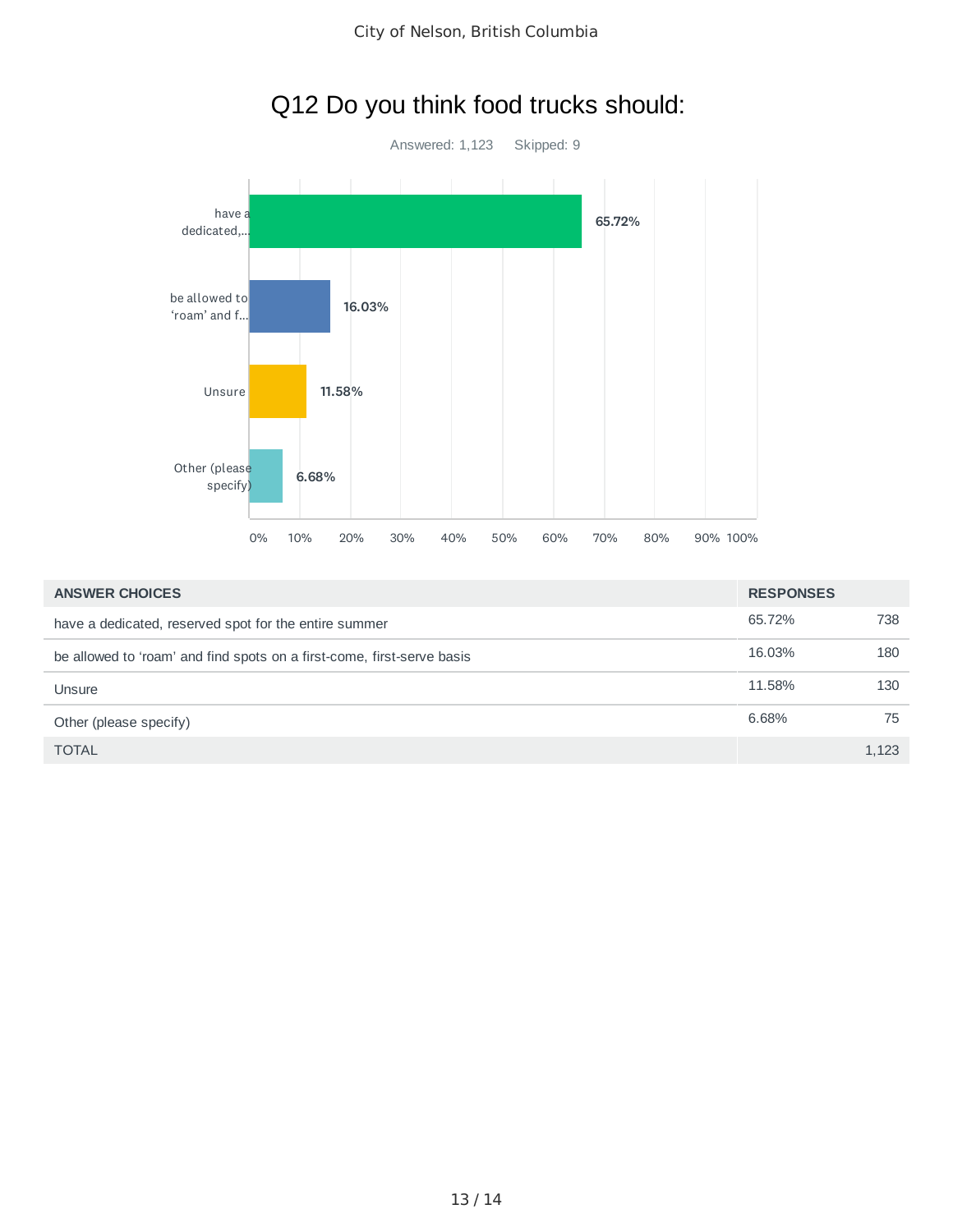

| <b>ANSWER CHOICES</b>                                                  | <b>RESPONSES</b> |       |
|------------------------------------------------------------------------|------------------|-------|
| have a dedicated, reserved spot for the entire summer                  | 65.72%           | 738   |
| be allowed to 'roam' and find spots on a first-come, first-serve basis | 16.03%           | 180   |
| Unsure                                                                 | 11.58%           | 130   |
| Other (please specify)                                                 | 6.68%            | 75    |
| <b>TOTAL</b>                                                           |                  | 1.123 |

## Q12 Do you think food trucks should: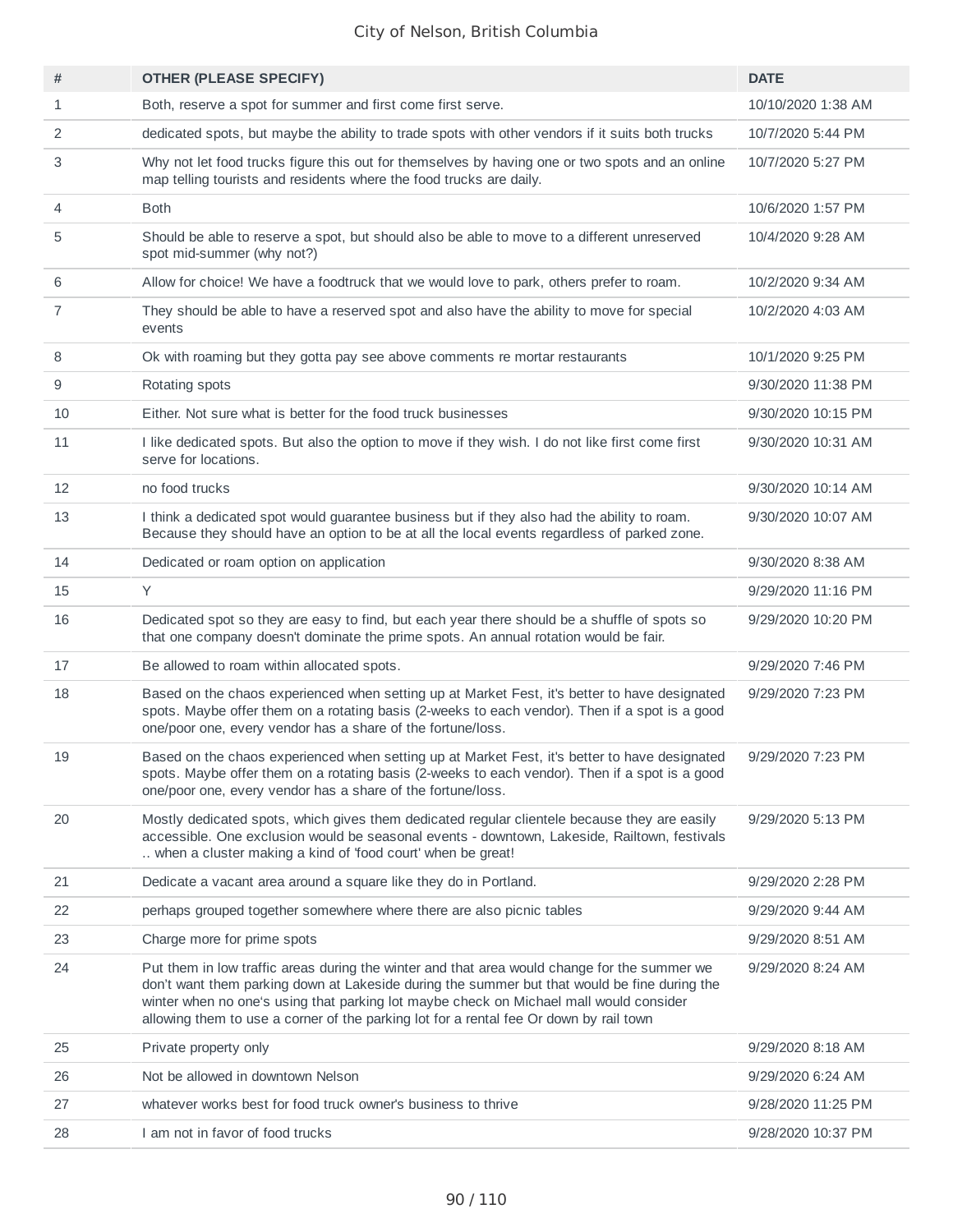| #              | <b>OTHER (PLEASE SPECIFY)</b>                                                                                                                                                                                                                                                                                                                                                    | <b>DATE</b>        |
|----------------|----------------------------------------------------------------------------------------------------------------------------------------------------------------------------------------------------------------------------------------------------------------------------------------------------------------------------------------------------------------------------------|--------------------|
| 1              | Both, reserve a spot for summer and first come first serve.                                                                                                                                                                                                                                                                                                                      | 10/10/2020 1:38 AM |
| 2              | dedicated spots, but maybe the ability to trade spots with other vendors if it suits both trucks                                                                                                                                                                                                                                                                                 | 10/7/2020 5:44 PM  |
| 3              | Why not let food trucks figure this out for themselves by having one or two spots and an online<br>map telling tourists and residents where the food trucks are daily.                                                                                                                                                                                                           | 10/7/2020 5:27 PM  |
| 4              | <b>Both</b>                                                                                                                                                                                                                                                                                                                                                                      | 10/6/2020 1:57 PM  |
| 5              | Should be able to reserve a spot, but should also be able to move to a different unreserved<br>spot mid-summer (why not?)                                                                                                                                                                                                                                                        | 10/4/2020 9:28 AM  |
| 6              | Allow for choice! We have a foodtruck that we would love to park, others prefer to roam.                                                                                                                                                                                                                                                                                         | 10/2/2020 9:34 AM  |
| $\overline{7}$ | They should be able to have a reserved spot and also have the ability to move for special<br>events                                                                                                                                                                                                                                                                              | 10/2/2020 4:03 AM  |
| 8              | Ok with roaming but they gotta pay see above comments re mortar restaurants                                                                                                                                                                                                                                                                                                      | 10/1/2020 9:25 PM  |
| 9              | Rotating spots                                                                                                                                                                                                                                                                                                                                                                   | 9/30/2020 11:38 PM |
| 10             | Either. Not sure what is better for the food truck businesses                                                                                                                                                                                                                                                                                                                    | 9/30/2020 10:15 PM |
| 11             | I like dedicated spots. But also the option to move if they wish. I do not like first come first<br>serve for locations.                                                                                                                                                                                                                                                         | 9/30/2020 10:31 AM |
| 12             | no food trucks                                                                                                                                                                                                                                                                                                                                                                   | 9/30/2020 10:14 AM |
| 13             | I think a dedicated spot would guarantee business but if they also had the ability to roam.<br>Because they should have an option to be at all the local events regardless of parked zone.                                                                                                                                                                                       | 9/30/2020 10:07 AM |
| 14             | Dedicated or roam option on application                                                                                                                                                                                                                                                                                                                                          | 9/30/2020 8:38 AM  |
| 15             | Y                                                                                                                                                                                                                                                                                                                                                                                | 9/29/2020 11:16 PM |
| 16             | Dedicated spot so they are easy to find, but each year there should be a shuffle of spots so<br>that one company doesn't dominate the prime spots. An annual rotation would be fair.                                                                                                                                                                                             | 9/29/2020 10:20 PM |
| 17             | Be allowed to roam within allocated spots.                                                                                                                                                                                                                                                                                                                                       | 9/29/2020 7:46 PM  |
| 18             | Based on the chaos experienced when setting up at Market Fest, it's better to have designated<br>spots. Maybe offer them on a rotating basis (2-weeks to each vendor). Then if a spot is a good<br>one/poor one, every vendor has a share of the fortune/loss.                                                                                                                   | 9/29/2020 7:23 PM  |
| 19             | Based on the chaos experienced when setting up at Market Fest, it's better to have designated<br>spots. Maybe offer them on a rotating basis (2-weeks to each vendor). Then if a spot is a good<br>one/poor one, every vendor has a share of the fortune/loss.                                                                                                                   | 9/29/2020 7:23 PM  |
| 20             | Mostly dedicated spots, which gives them dedicated regular clientele because they are easily<br>accessible. One exclusion would be seasonal events - downtown, Lakeside, Railtown, festivals<br>when a cluster making a kind of 'food court' when be great!                                                                                                                      | 9/29/2020 5:13 PM  |
| 21             | Dedicate a vacant area around a square like they do in Portland.                                                                                                                                                                                                                                                                                                                 | 9/29/2020 2:28 PM  |
| 22             | perhaps grouped together somewhere where there are also picnic tables                                                                                                                                                                                                                                                                                                            | 9/29/2020 9:44 AM  |
| 23             | Charge more for prime spots                                                                                                                                                                                                                                                                                                                                                      | 9/29/2020 8:51 AM  |
| 24             | Put them in low traffic areas during the winter and that area would change for the summer we<br>don't want them parking down at Lakeside during the summer but that would be fine during the<br>winter when no one's using that parking lot maybe check on Michael mall would consider<br>allowing them to use a corner of the parking lot for a rental fee Or down by rail town | 9/29/2020 8:24 AM  |
| 25             | Private property only                                                                                                                                                                                                                                                                                                                                                            | 9/29/2020 8:18 AM  |
| 26             | Not be allowed in downtown Nelson                                                                                                                                                                                                                                                                                                                                                | 9/29/2020 6:24 AM  |
| 27             | whatever works best for food truck owner's business to thrive                                                                                                                                                                                                                                                                                                                    | 9/28/2020 11:25 PM |
| 28             | I am not in favor of food trucks                                                                                                                                                                                                                                                                                                                                                 | 9/28/2020 10:37 PM |
|                |                                                                                                                                                                                                                                                                                                                                                                                  |                    |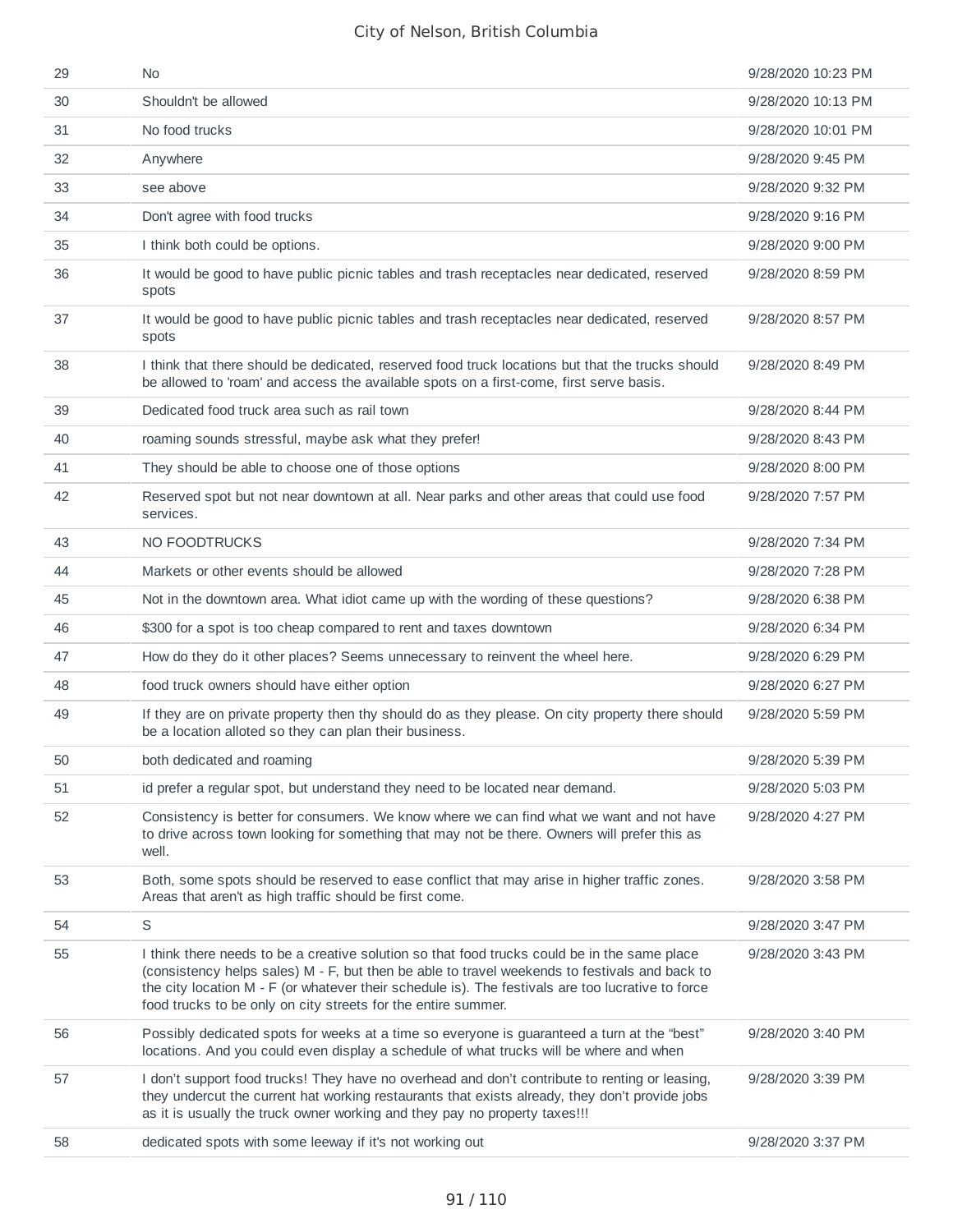| 29 | N <sub>0</sub>                                                                                                                                                                                                                                                                                                                                                      | 9/28/2020 10:23 PM |
|----|---------------------------------------------------------------------------------------------------------------------------------------------------------------------------------------------------------------------------------------------------------------------------------------------------------------------------------------------------------------------|--------------------|
| 30 | Shouldn't be allowed                                                                                                                                                                                                                                                                                                                                                | 9/28/2020 10:13 PM |
| 31 | No food trucks                                                                                                                                                                                                                                                                                                                                                      | 9/28/2020 10:01 PM |
| 32 | Anywhere                                                                                                                                                                                                                                                                                                                                                            | 9/28/2020 9:45 PM  |
| 33 | see above                                                                                                                                                                                                                                                                                                                                                           | 9/28/2020 9:32 PM  |
| 34 | Don't agree with food trucks                                                                                                                                                                                                                                                                                                                                        | 9/28/2020 9:16 PM  |
| 35 | I think both could be options.                                                                                                                                                                                                                                                                                                                                      | 9/28/2020 9:00 PM  |
| 36 | It would be good to have public picnic tables and trash receptacles near dedicated, reserved<br>spots                                                                                                                                                                                                                                                               | 9/28/2020 8:59 PM  |
| 37 | It would be good to have public picnic tables and trash receptacles near dedicated, reserved<br>spots                                                                                                                                                                                                                                                               | 9/28/2020 8:57 PM  |
| 38 | I think that there should be dedicated, reserved food truck locations but that the trucks should<br>be allowed to 'roam' and access the available spots on a first-come, first serve basis.                                                                                                                                                                         | 9/28/2020 8:49 PM  |
| 39 | Dedicated food truck area such as rail town                                                                                                                                                                                                                                                                                                                         | 9/28/2020 8:44 PM  |
| 40 | roaming sounds stressful, maybe ask what they prefer!                                                                                                                                                                                                                                                                                                               | 9/28/2020 8:43 PM  |
| 41 | They should be able to choose one of those options                                                                                                                                                                                                                                                                                                                  | 9/28/2020 8:00 PM  |
| 42 | Reserved spot but not near downtown at all. Near parks and other areas that could use food<br>services.                                                                                                                                                                                                                                                             | 9/28/2020 7:57 PM  |
| 43 | NO FOODTRUCKS                                                                                                                                                                                                                                                                                                                                                       | 9/28/2020 7:34 PM  |
| 44 | Markets or other events should be allowed                                                                                                                                                                                                                                                                                                                           | 9/28/2020 7:28 PM  |
| 45 | Not in the downtown area. What idiot came up with the wording of these questions?                                                                                                                                                                                                                                                                                   | 9/28/2020 6:38 PM  |
| 46 | \$300 for a spot is too cheap compared to rent and taxes downtown                                                                                                                                                                                                                                                                                                   | 9/28/2020 6:34 PM  |
| 47 | How do they do it other places? Seems unnecessary to reinvent the wheel here.                                                                                                                                                                                                                                                                                       | 9/28/2020 6:29 PM  |
| 48 | food truck owners should have either option                                                                                                                                                                                                                                                                                                                         | 9/28/2020 6:27 PM  |
| 49 | If they are on private property then thy should do as they please. On city property there should<br>be a location alloted so they can plan their business.                                                                                                                                                                                                          | 9/28/2020 5:59 PM  |
| 50 | both dedicated and roaming                                                                                                                                                                                                                                                                                                                                          | 9/28/2020 5:39 PM  |
| 51 | id prefer a regular spot, but understand they need to be located near demand.                                                                                                                                                                                                                                                                                       | 9/28/2020 5:03 PM  |
| 52 | Consistency is better for consumers. We know where we can find what we want and not have<br>to drive across town looking for something that may not be there. Owners will prefer this as<br>well.                                                                                                                                                                   | 9/28/2020 4:27 PM  |
| 53 | Both, some spots should be reserved to ease conflict that may arise in higher traffic zones.<br>Areas that aren't as high traffic should be first come.                                                                                                                                                                                                             | 9/28/2020 3:58 PM  |
| 54 | S                                                                                                                                                                                                                                                                                                                                                                   | 9/28/2020 3:47 PM  |
| 55 | I think there needs to be a creative solution so that food trucks could be in the same place<br>(consistency helps sales) M - F, but then be able to travel weekends to festivals and back to<br>the city location M - F (or whatever their schedule is). The festivals are too lucrative to force<br>food trucks to be only on city streets for the entire summer. | 9/28/2020 3:43 PM  |
| 56 | Possibly dedicated spots for weeks at a time so everyone is guaranteed a turn at the "best"<br>locations. And you could even display a schedule of what trucks will be where and when                                                                                                                                                                               | 9/28/2020 3:40 PM  |
| 57 | I don't support food trucks! They have no overhead and don't contribute to renting or leasing,<br>they undercut the current hat working restaurants that exists already, they don't provide jobs<br>as it is usually the truck owner working and they pay no property taxes !!!                                                                                     | 9/28/2020 3:39 PM  |
| 58 | dedicated spots with some leeway if it's not working out                                                                                                                                                                                                                                                                                                            | 9/28/2020 3:37 PM  |
|    |                                                                                                                                                                                                                                                                                                                                                                     |                    |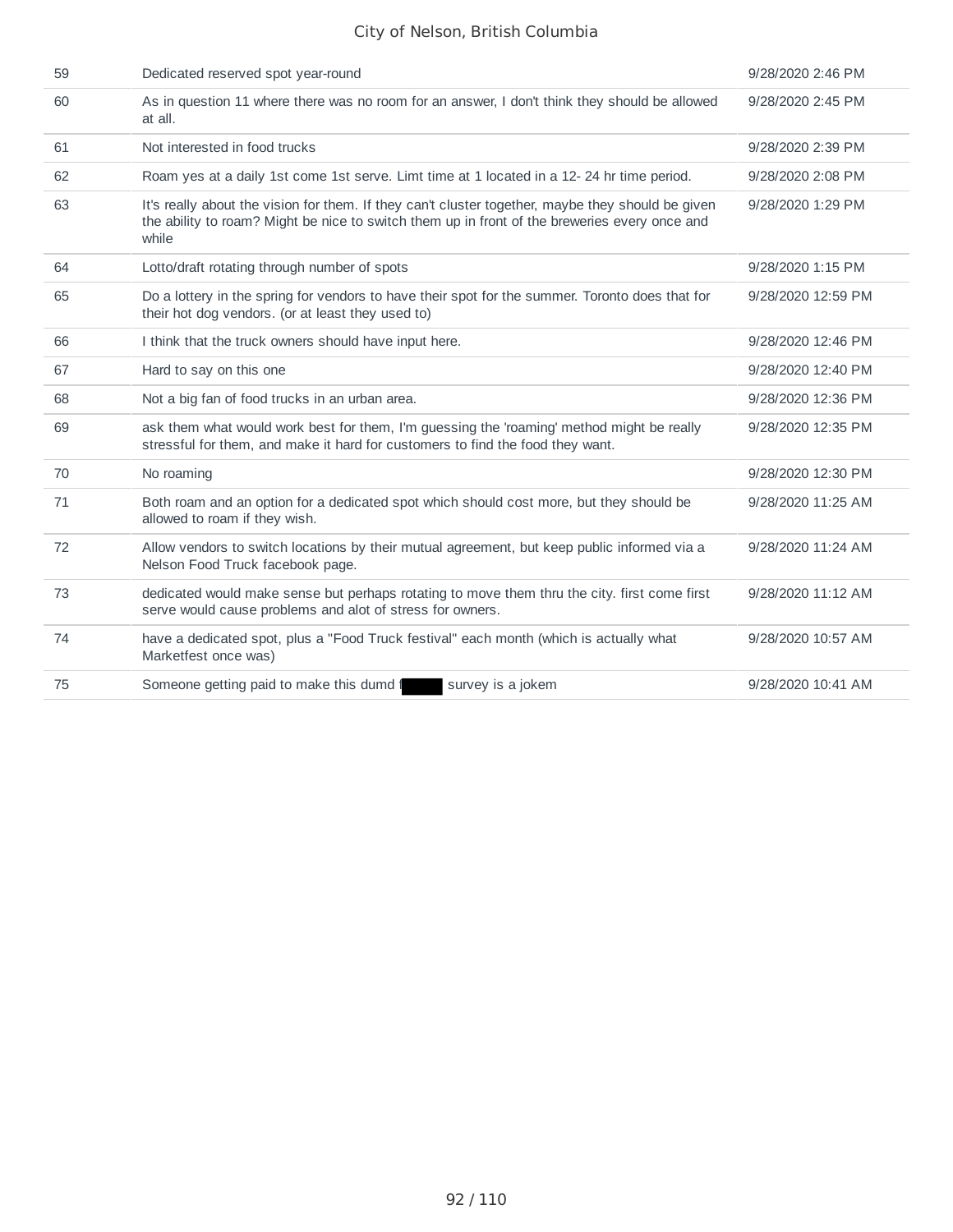| 59 | Dedicated reserved spot year-round                                                                                                                                                                          | 9/28/2020 2:46 PM  |
|----|-------------------------------------------------------------------------------------------------------------------------------------------------------------------------------------------------------------|--------------------|
| 60 | As in question 11 where there was no room for an answer, I don't think they should be allowed<br>at all.                                                                                                    | 9/28/2020 2:45 PM  |
| 61 | Not interested in food trucks                                                                                                                                                                               | 9/28/2020 2:39 PM  |
| 62 | Roam yes at a daily 1st come 1st serve. Limt time at 1 located in a 12-24 hr time period.                                                                                                                   | 9/28/2020 2:08 PM  |
| 63 | It's really about the vision for them. If they can't cluster together, maybe they should be given<br>the ability to roam? Might be nice to switch them up in front of the breweries every once and<br>while | 9/28/2020 1:29 PM  |
| 64 | Lotto/draft rotating through number of spots                                                                                                                                                                | 9/28/2020 1:15 PM  |
| 65 | Do a lottery in the spring for vendors to have their spot for the summer. Toronto does that for<br>their hot dog vendors. (or at least they used to)                                                        | 9/28/2020 12:59 PM |
| 66 | I think that the truck owners should have input here.                                                                                                                                                       | 9/28/2020 12:46 PM |
| 67 | Hard to say on this one                                                                                                                                                                                     | 9/28/2020 12:40 PM |
| 68 | Not a big fan of food trucks in an urban area.                                                                                                                                                              | 9/28/2020 12:36 PM |
| 69 | ask them what would work best for them, I'm guessing the 'roaming' method might be really<br>stressful for them, and make it hard for customers to find the food they want.                                 | 9/28/2020 12:35 PM |
| 70 | No roaming                                                                                                                                                                                                  | 9/28/2020 12:30 PM |
| 71 | Both roam and an option for a dedicated spot which should cost more, but they should be<br>allowed to roam if they wish.                                                                                    | 9/28/2020 11:25 AM |
| 72 | Allow vendors to switch locations by their mutual agreement, but keep public informed via a<br>Nelson Food Truck facebook page.                                                                             | 9/28/2020 11:24 AM |
| 73 | dedicated would make sense but perhaps rotating to move them thru the city. first come first<br>serve would cause problems and alot of stress for owners.                                                   | 9/28/2020 11:12 AM |
| 74 | have a dedicated spot, plus a "Food Truck festival" each month (which is actually what<br>Marketfest once was)                                                                                              | 9/28/2020 10:57 AM |
| 75 | Someone getting paid to make this dumd f<br>survey is a jokem                                                                                                                                               | 9/28/2020 10:41 AM |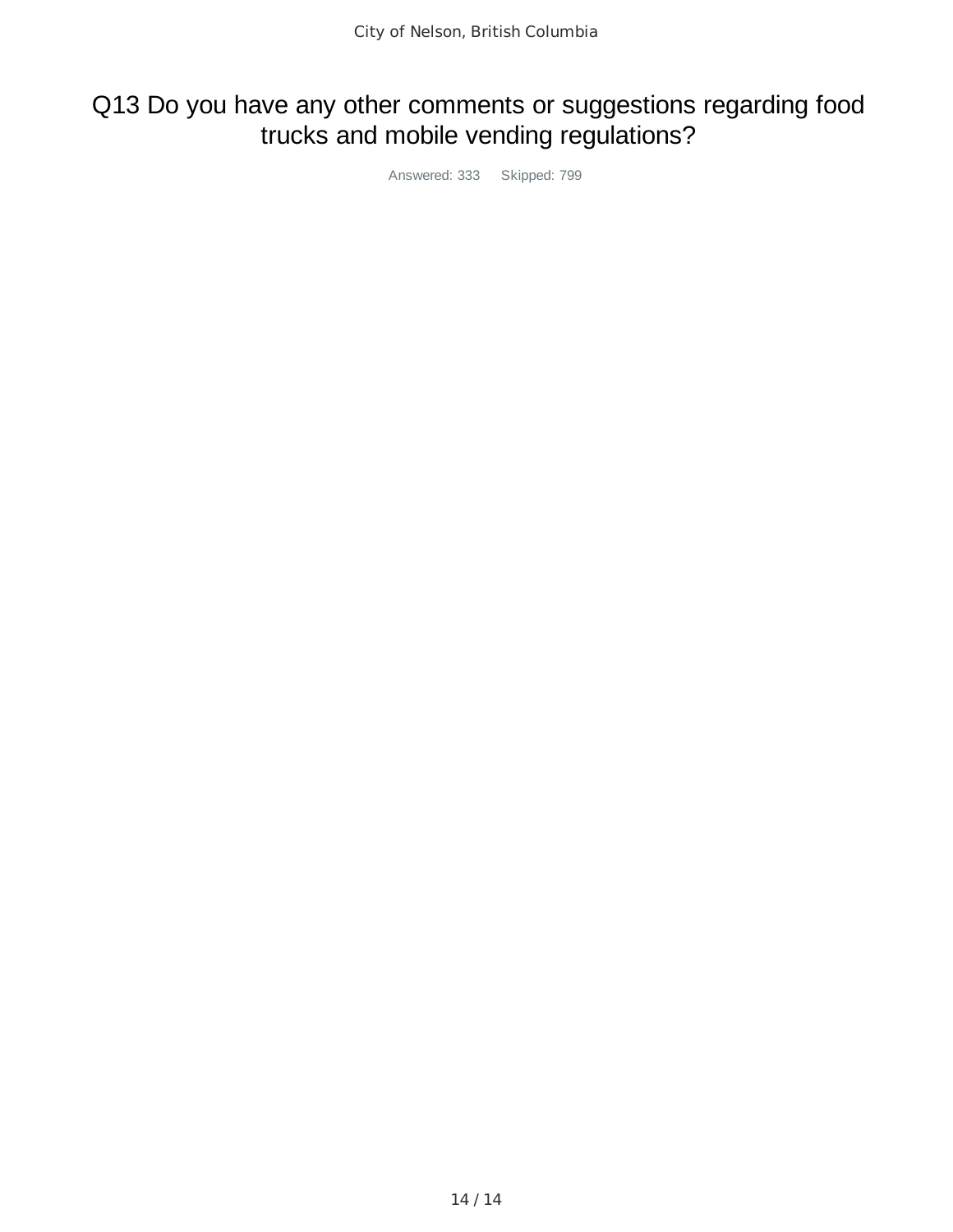## Q13 Do you have any other comments or suggestions regarding food trucks and mobile vending regulations?

Answered: 333 Skipped: 799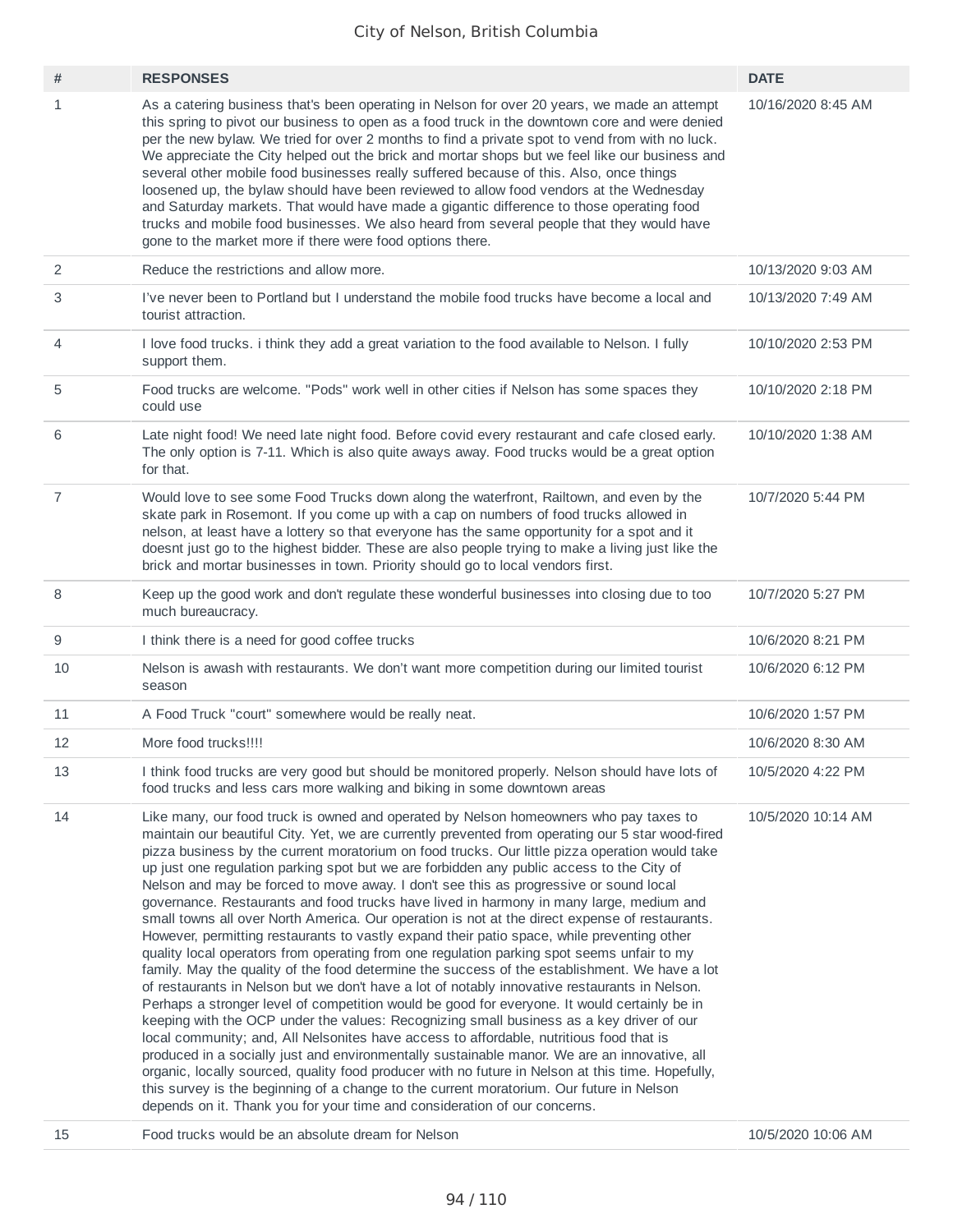| #              | <b>RESPONSES</b>                                                                                                                                                                                                                                                                                                                                                                                                                                                                                                                                                                                                                                                                                                                                                                                                                                                                                                                                                                                                                                                                                                                                                                                                                                                                                                                                                                                                                                                                                                                                                                                                                                                                                                                                   | <b>DATE</b>        |
|----------------|----------------------------------------------------------------------------------------------------------------------------------------------------------------------------------------------------------------------------------------------------------------------------------------------------------------------------------------------------------------------------------------------------------------------------------------------------------------------------------------------------------------------------------------------------------------------------------------------------------------------------------------------------------------------------------------------------------------------------------------------------------------------------------------------------------------------------------------------------------------------------------------------------------------------------------------------------------------------------------------------------------------------------------------------------------------------------------------------------------------------------------------------------------------------------------------------------------------------------------------------------------------------------------------------------------------------------------------------------------------------------------------------------------------------------------------------------------------------------------------------------------------------------------------------------------------------------------------------------------------------------------------------------------------------------------------------------------------------------------------------------|--------------------|
| $\mathbf{1}$   | As a catering business that's been operating in Nelson for over 20 years, we made an attempt<br>this spring to pivot our business to open as a food truck in the downtown core and were denied<br>per the new bylaw. We tried for over 2 months to find a private spot to vend from with no luck.<br>We appreciate the City helped out the brick and mortar shops but we feel like our business and<br>several other mobile food businesses really suffered because of this. Also, once things<br>loosened up, the bylaw should have been reviewed to allow food vendors at the Wednesday<br>and Saturday markets. That would have made a gigantic difference to those operating food<br>trucks and mobile food businesses. We also heard from several people that they would have<br>gone to the market more if there were food options there.                                                                                                                                                                                                                                                                                                                                                                                                                                                                                                                                                                                                                                                                                                                                                                                                                                                                                                    | 10/16/2020 8:45 AM |
| 2              | Reduce the restrictions and allow more.                                                                                                                                                                                                                                                                                                                                                                                                                                                                                                                                                                                                                                                                                                                                                                                                                                                                                                                                                                                                                                                                                                                                                                                                                                                                                                                                                                                                                                                                                                                                                                                                                                                                                                            | 10/13/2020 9:03 AM |
| 3              | I've never been to Portland but I understand the mobile food trucks have become a local and<br>tourist attraction.                                                                                                                                                                                                                                                                                                                                                                                                                                                                                                                                                                                                                                                                                                                                                                                                                                                                                                                                                                                                                                                                                                                                                                                                                                                                                                                                                                                                                                                                                                                                                                                                                                 | 10/13/2020 7:49 AM |
| 4              | I love food trucks. i think they add a great variation to the food available to Nelson. I fully<br>support them.                                                                                                                                                                                                                                                                                                                                                                                                                                                                                                                                                                                                                                                                                                                                                                                                                                                                                                                                                                                                                                                                                                                                                                                                                                                                                                                                                                                                                                                                                                                                                                                                                                   | 10/10/2020 2:53 PM |
| 5              | Food trucks are welcome. "Pods" work well in other cities if Nelson has some spaces they<br>could use                                                                                                                                                                                                                                                                                                                                                                                                                                                                                                                                                                                                                                                                                                                                                                                                                                                                                                                                                                                                                                                                                                                                                                                                                                                                                                                                                                                                                                                                                                                                                                                                                                              | 10/10/2020 2:18 PM |
| 6              | Late night food! We need late night food. Before covid every restaurant and cafe closed early.<br>The only option is 7-11. Which is also quite aways away. Food trucks would be a great option<br>for that.                                                                                                                                                                                                                                                                                                                                                                                                                                                                                                                                                                                                                                                                                                                                                                                                                                                                                                                                                                                                                                                                                                                                                                                                                                                                                                                                                                                                                                                                                                                                        | 10/10/2020 1:38 AM |
| $\overline{7}$ | Would love to see some Food Trucks down along the waterfront, Railtown, and even by the<br>skate park in Rosemont. If you come up with a cap on numbers of food trucks allowed in<br>nelson, at least have a lottery so that everyone has the same opportunity for a spot and it<br>doesnt just go to the highest bidder. These are also people trying to make a living just like the<br>brick and mortar businesses in town. Priority should go to local vendors first.                                                                                                                                                                                                                                                                                                                                                                                                                                                                                                                                                                                                                                                                                                                                                                                                                                                                                                                                                                                                                                                                                                                                                                                                                                                                           | 10/7/2020 5:44 PM  |
| 8              | Keep up the good work and don't regulate these wonderful businesses into closing due to too<br>much bureaucracy.                                                                                                                                                                                                                                                                                                                                                                                                                                                                                                                                                                                                                                                                                                                                                                                                                                                                                                                                                                                                                                                                                                                                                                                                                                                                                                                                                                                                                                                                                                                                                                                                                                   | 10/7/2020 5:27 PM  |
| 9              | I think there is a need for good coffee trucks                                                                                                                                                                                                                                                                                                                                                                                                                                                                                                                                                                                                                                                                                                                                                                                                                                                                                                                                                                                                                                                                                                                                                                                                                                                                                                                                                                                                                                                                                                                                                                                                                                                                                                     | 10/6/2020 8:21 PM  |
| 10             | Nelson is awash with restaurants. We don't want more competition during our limited tourist<br>season                                                                                                                                                                                                                                                                                                                                                                                                                                                                                                                                                                                                                                                                                                                                                                                                                                                                                                                                                                                                                                                                                                                                                                                                                                                                                                                                                                                                                                                                                                                                                                                                                                              | 10/6/2020 6:12 PM  |
| 11             | A Food Truck "court" somewhere would be really neat.                                                                                                                                                                                                                                                                                                                                                                                                                                                                                                                                                                                                                                                                                                                                                                                                                                                                                                                                                                                                                                                                                                                                                                                                                                                                                                                                                                                                                                                                                                                                                                                                                                                                                               | 10/6/2020 1:57 PM  |
| 12             | More food trucks!!!!                                                                                                                                                                                                                                                                                                                                                                                                                                                                                                                                                                                                                                                                                                                                                                                                                                                                                                                                                                                                                                                                                                                                                                                                                                                                                                                                                                                                                                                                                                                                                                                                                                                                                                                               | 10/6/2020 8:30 AM  |
| 13             | I think food trucks are very good but should be monitored properly. Nelson should have lots of<br>food trucks and less cars more walking and biking in some downtown areas                                                                                                                                                                                                                                                                                                                                                                                                                                                                                                                                                                                                                                                                                                                                                                                                                                                                                                                                                                                                                                                                                                                                                                                                                                                                                                                                                                                                                                                                                                                                                                         | 10/5/2020 4:22 PM  |
| 14             | Like many, our food truck is owned and operated by Nelson homeowners who pay taxes to<br>maintain our beautiful City. Yet, we are currently prevented from operating our 5 star wood-fired<br>pizza business by the current moratorium on food trucks. Our little pizza operation would take<br>up just one regulation parking spot but we are forbidden any public access to the City of<br>Nelson and may be forced to move away. I don't see this as progressive or sound local<br>governance. Restaurants and food trucks have lived in harmony in many large, medium and<br>small towns all over North America. Our operation is not at the direct expense of restaurants.<br>However, permitting restaurants to vastly expand their patio space, while preventing other<br>quality local operators from operating from one regulation parking spot seems unfair to my<br>family. May the quality of the food determine the success of the establishment. We have a lot<br>of restaurants in Nelson but we don't have a lot of notably innovative restaurants in Nelson.<br>Perhaps a stronger level of competition would be good for everyone. It would certainly be in<br>keeping with the OCP under the values: Recognizing small business as a key driver of our<br>local community; and, All Nelsonites have access to affordable, nutritious food that is<br>produced in a socially just and environmentally sustainable manor. We are an innovative, all<br>organic, locally sourced, quality food producer with no future in Nelson at this time. Hopefully,<br>this survey is the beginning of a change to the current moratorium. Our future in Nelson<br>depends on it. Thank you for your time and consideration of our concerns. | 10/5/2020 10:14 AM |
| 15             | Food trucks would be an absolute dream for Nelson                                                                                                                                                                                                                                                                                                                                                                                                                                                                                                                                                                                                                                                                                                                                                                                                                                                                                                                                                                                                                                                                                                                                                                                                                                                                                                                                                                                                                                                                                                                                                                                                                                                                                                  | 10/5/2020 10:06 AM |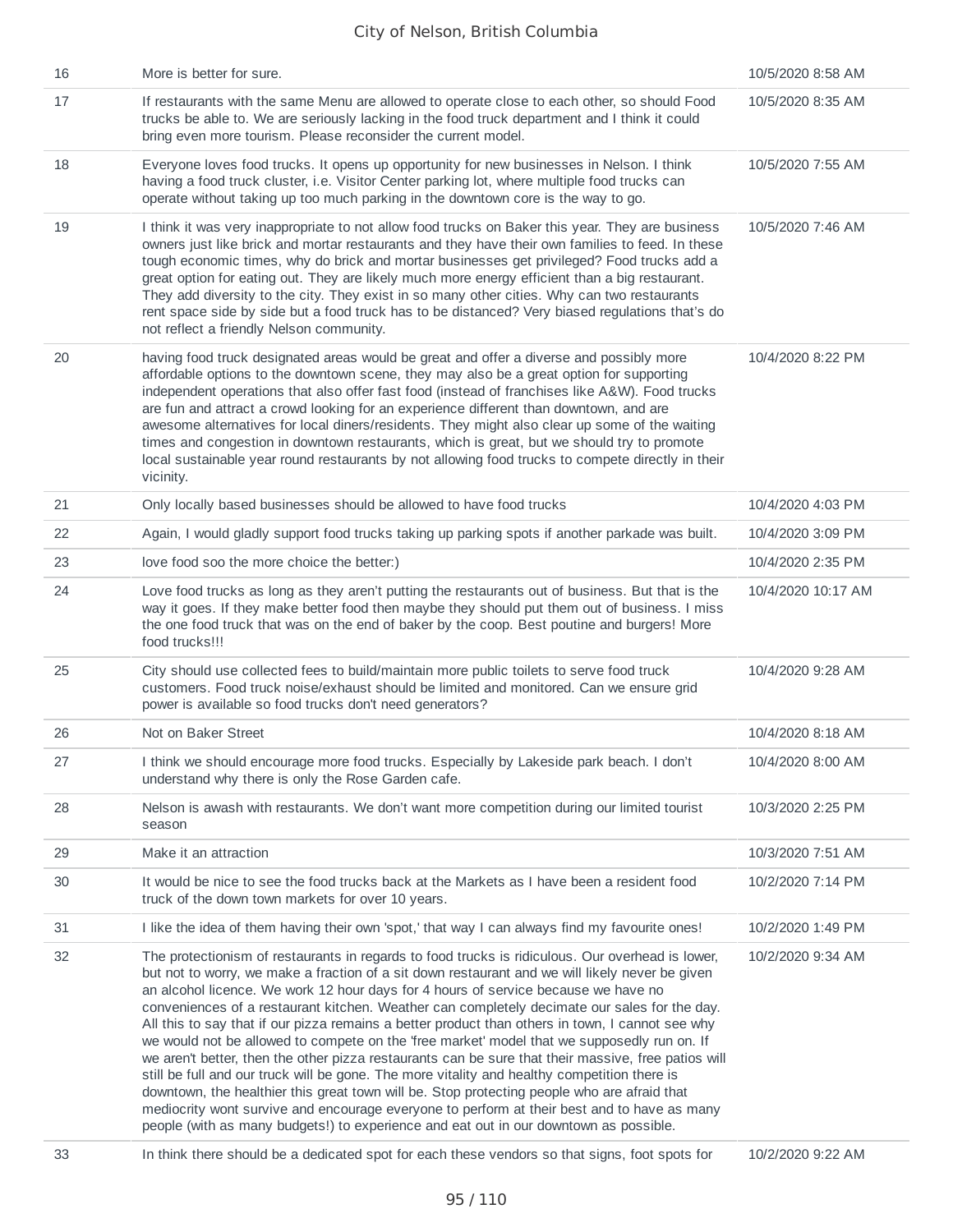| 16 | More is better for sure.                                                                                                                                                                                                                                                                                                                                                                                                                                                                                                                                                                                                                                                                                                                                                                                                                                                                                                                                                                                                                                                                   | 10/5/2020 8:58 AM  |
|----|--------------------------------------------------------------------------------------------------------------------------------------------------------------------------------------------------------------------------------------------------------------------------------------------------------------------------------------------------------------------------------------------------------------------------------------------------------------------------------------------------------------------------------------------------------------------------------------------------------------------------------------------------------------------------------------------------------------------------------------------------------------------------------------------------------------------------------------------------------------------------------------------------------------------------------------------------------------------------------------------------------------------------------------------------------------------------------------------|--------------------|
| 17 | If restaurants with the same Menu are allowed to operate close to each other, so should Food<br>trucks be able to. We are seriously lacking in the food truck department and I think it could<br>bring even more tourism. Please reconsider the current model.                                                                                                                                                                                                                                                                                                                                                                                                                                                                                                                                                                                                                                                                                                                                                                                                                             | 10/5/2020 8:35 AM  |
| 18 | Everyone loves food trucks. It opens up opportunity for new businesses in Nelson. I think<br>having a food truck cluster, i.e. Visitor Center parking lot, where multiple food trucks can<br>operate without taking up too much parking in the downtown core is the way to go.                                                                                                                                                                                                                                                                                                                                                                                                                                                                                                                                                                                                                                                                                                                                                                                                             | 10/5/2020 7:55 AM  |
| 19 | I think it was very inappropriate to not allow food trucks on Baker this year. They are business<br>owners just like brick and mortar restaurants and they have their own families to feed. In these<br>tough economic times, why do brick and mortar businesses get privileged? Food trucks add a<br>great option for eating out. They are likely much more energy efficient than a big restaurant.<br>They add diversity to the city. They exist in so many other cities. Why can two restaurants<br>rent space side by side but a food truck has to be distanced? Very biased regulations that's do<br>not reflect a friendly Nelson community.                                                                                                                                                                                                                                                                                                                                                                                                                                         | 10/5/2020 7:46 AM  |
| 20 | having food truck designated areas would be great and offer a diverse and possibly more<br>affordable options to the downtown scene, they may also be a great option for supporting<br>independent operations that also offer fast food (instead of franchises like A&W). Food trucks<br>are fun and attract a crowd looking for an experience different than downtown, and are<br>awesome alternatives for local diners/residents. They might also clear up some of the waiting<br>times and congestion in downtown restaurants, which is great, but we should try to promote<br>local sustainable year round restaurants by not allowing food trucks to compete directly in their<br>vicinity.                                                                                                                                                                                                                                                                                                                                                                                           | 10/4/2020 8:22 PM  |
| 21 | Only locally based businesses should be allowed to have food trucks                                                                                                                                                                                                                                                                                                                                                                                                                                                                                                                                                                                                                                                                                                                                                                                                                                                                                                                                                                                                                        | 10/4/2020 4:03 PM  |
| 22 | Again, I would gladly support food trucks taking up parking spots if another parkade was built.                                                                                                                                                                                                                                                                                                                                                                                                                                                                                                                                                                                                                                                                                                                                                                                                                                                                                                                                                                                            | 10/4/2020 3:09 PM  |
| 23 | love food soo the more choice the better:)                                                                                                                                                                                                                                                                                                                                                                                                                                                                                                                                                                                                                                                                                                                                                                                                                                                                                                                                                                                                                                                 | 10/4/2020 2:35 PM  |
| 24 | Love food trucks as long as they aren't putting the restaurants out of business. But that is the<br>way it goes. If they make better food then maybe they should put them out of business. I miss<br>the one food truck that was on the end of baker by the coop. Best poutine and burgers! More<br>food trucks!!!                                                                                                                                                                                                                                                                                                                                                                                                                                                                                                                                                                                                                                                                                                                                                                         | 10/4/2020 10:17 AM |
| 25 | City should use collected fees to build/maintain more public toilets to serve food truck<br>customers. Food truck noise/exhaust should be limited and monitored. Can we ensure grid<br>power is available so food trucks don't need generators?                                                                                                                                                                                                                                                                                                                                                                                                                                                                                                                                                                                                                                                                                                                                                                                                                                            | 10/4/2020 9:28 AM  |
| 26 | Not on Baker Street                                                                                                                                                                                                                                                                                                                                                                                                                                                                                                                                                                                                                                                                                                                                                                                                                                                                                                                                                                                                                                                                        | 10/4/2020 8:18 AM  |
| 27 | I think we should encourage more food trucks. Especially by Lakeside park beach. I don't<br>understand why there is only the Rose Garden cafe.                                                                                                                                                                                                                                                                                                                                                                                                                                                                                                                                                                                                                                                                                                                                                                                                                                                                                                                                             | 10/4/2020 8:00 AM  |
| 28 | Nelson is awash with restaurants. We don't want more competition during our limited tourist<br>season                                                                                                                                                                                                                                                                                                                                                                                                                                                                                                                                                                                                                                                                                                                                                                                                                                                                                                                                                                                      | 10/3/2020 2:25 PM  |
| 29 | Make it an attraction                                                                                                                                                                                                                                                                                                                                                                                                                                                                                                                                                                                                                                                                                                                                                                                                                                                                                                                                                                                                                                                                      | 10/3/2020 7:51 AM  |
| 30 | It would be nice to see the food trucks back at the Markets as I have been a resident food<br>truck of the down town markets for over 10 years.                                                                                                                                                                                                                                                                                                                                                                                                                                                                                                                                                                                                                                                                                                                                                                                                                                                                                                                                            | 10/2/2020 7:14 PM  |
| 31 | I like the idea of them having their own 'spot,' that way I can always find my favourite ones!                                                                                                                                                                                                                                                                                                                                                                                                                                                                                                                                                                                                                                                                                                                                                                                                                                                                                                                                                                                             | 10/2/2020 1:49 PM  |
| 32 | The protectionism of restaurants in regards to food trucks is ridiculous. Our overhead is lower,<br>but not to worry, we make a fraction of a sit down restaurant and we will likely never be given<br>an alcohol licence. We work 12 hour days for 4 hours of service because we have no<br>conveniences of a restaurant kitchen. Weather can completely decimate our sales for the day.<br>All this to say that if our pizza remains a better product than others in town, I cannot see why<br>we would not be allowed to compete on the 'free market' model that we supposedly run on. If<br>we aren't better, then the other pizza restaurants can be sure that their massive, free patios will<br>still be full and our truck will be gone. The more vitality and healthy competition there is<br>downtown, the healthier this great town will be. Stop protecting people who are afraid that<br>mediocrity wont survive and encourage everyone to perform at their best and to have as many<br>people (with as many budgets!) to experience and eat out in our downtown as possible. | 10/2/2020 9:34 AM  |
| 33 | In think there should be a dedicated spot for each these vendors so that signs, foot spots for                                                                                                                                                                                                                                                                                                                                                                                                                                                                                                                                                                                                                                                                                                                                                                                                                                                                                                                                                                                             | 10/2/2020 9:22 AM  |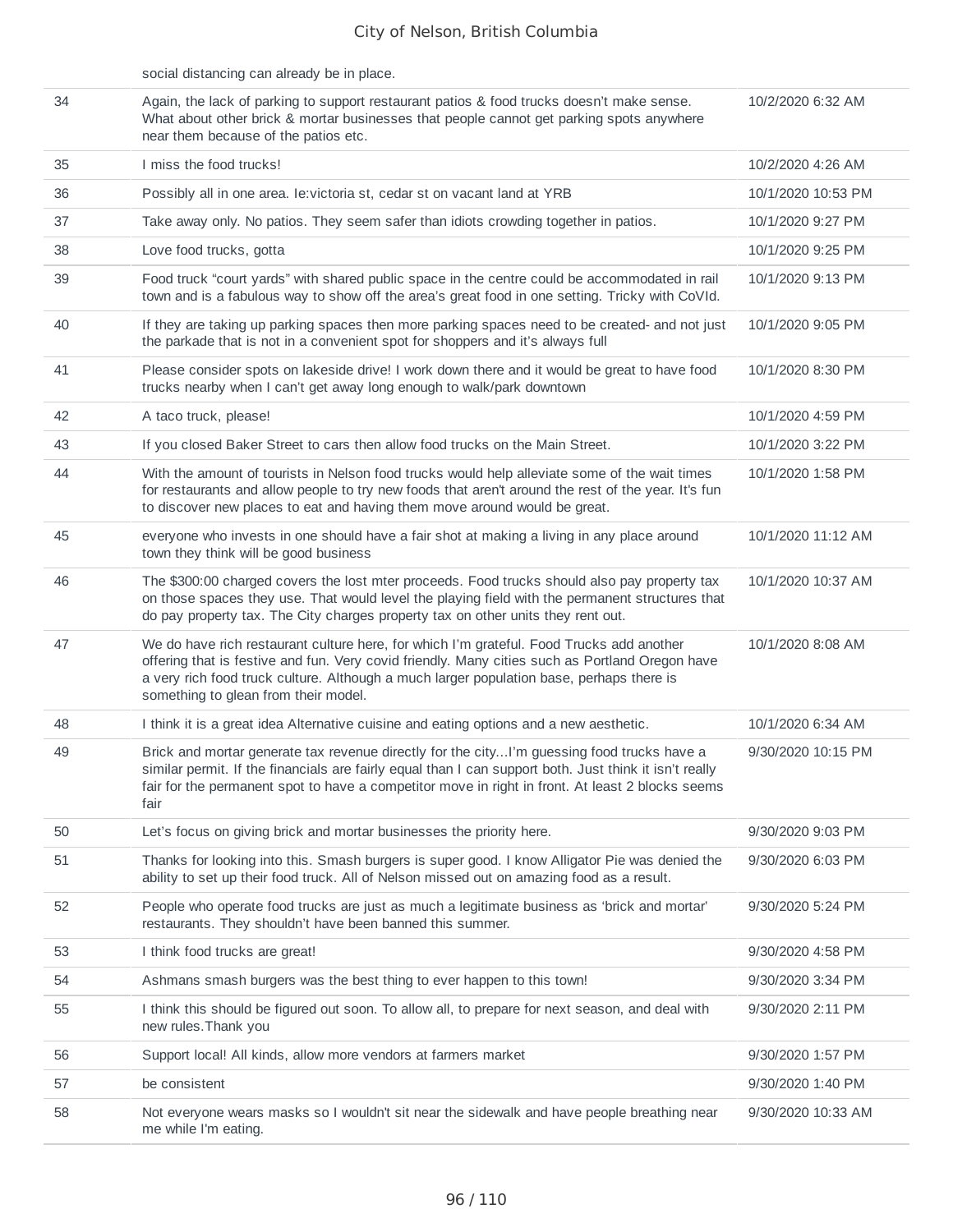| 58 | Not everyone wears masks so I wouldn't sit near the sidewalk and have people breathing near<br>me while I'm eating.                                                                                                                                                                                                             | 9/30/2020 10:33 AM |
|----|---------------------------------------------------------------------------------------------------------------------------------------------------------------------------------------------------------------------------------------------------------------------------------------------------------------------------------|--------------------|
| 57 | be consistent                                                                                                                                                                                                                                                                                                                   | 9/30/2020 1:40 PM  |
| 56 | Support local! All kinds, allow more vendors at farmers market                                                                                                                                                                                                                                                                  | 9/30/2020 1:57 PM  |
| 55 | I think this should be figured out soon. To allow all, to prepare for next season, and deal with<br>new rules. Thank you                                                                                                                                                                                                        | 9/30/2020 2:11 PM  |
| 54 | Ashmans smash burgers was the best thing to ever happen to this town!                                                                                                                                                                                                                                                           | 9/30/2020 3:34 PM  |
| 53 | I think food trucks are great!                                                                                                                                                                                                                                                                                                  | 9/30/2020 4:58 PM  |
| 52 | People who operate food trucks are just as much a legitimate business as 'brick and mortar'<br>restaurants. They shouldn't have been banned this summer.                                                                                                                                                                        | 9/30/2020 5:24 PM  |
| 51 | Thanks for looking into this. Smash burgers is super good. I know Alligator Pie was denied the<br>ability to set up their food truck. All of Nelson missed out on amazing food as a result.                                                                                                                                     | 9/30/2020 6:03 PM  |
| 50 | Let's focus on giving brick and mortar businesses the priority here.                                                                                                                                                                                                                                                            | 9/30/2020 9:03 PM  |
| 49 | Brick and mortar generate tax revenue directly for the cityI'm guessing food trucks have a<br>similar permit. If the financials are fairly equal than I can support both. Just think it isn't really<br>fair for the permanent spot to have a competitor move in right in front. At least 2 blocks seems<br>fair                | 9/30/2020 10:15 PM |
| 48 | I think it is a great idea Alternative cuisine and eating options and a new aesthetic.                                                                                                                                                                                                                                          | 10/1/2020 6:34 AM  |
| 47 | We do have rich restaurant culture here, for which I'm grateful. Food Trucks add another<br>offering that is festive and fun. Very covid friendly. Many cities such as Portland Oregon have<br>a very rich food truck culture. Although a much larger population base, perhaps there is<br>something to glean from their model. | 10/1/2020 8:08 AM  |
| 46 | The \$300:00 charged covers the lost mter proceeds. Food trucks should also pay property tax<br>on those spaces they use. That would level the playing field with the permanent structures that<br>do pay property tax. The City charges property tax on other units they rent out.                                             | 10/1/2020 10:37 AM |
| 45 | everyone who invests in one should have a fair shot at making a living in any place around<br>town they think will be good business                                                                                                                                                                                             | 10/1/2020 11:12 AM |
| 44 | With the amount of tourists in Nelson food trucks would help alleviate some of the wait times<br>for restaurants and allow people to try new foods that aren't around the rest of the year. It's fun<br>to discover new places to eat and having them move around would be great.                                               | 10/1/2020 1:58 PM  |
| 43 | If you closed Baker Street to cars then allow food trucks on the Main Street.                                                                                                                                                                                                                                                   | 10/1/2020 3:22 PM  |
| 42 | A taco truck, please!                                                                                                                                                                                                                                                                                                           | 10/1/2020 4:59 PM  |
| 41 | Please consider spots on lakeside drive! I work down there and it would be great to have food<br>trucks nearby when I can't get away long enough to walk/park downtown                                                                                                                                                          | 10/1/2020 8:30 PM  |
| 40 | If they are taking up parking spaces then more parking spaces need to be created- and not just<br>the parkade that is not in a convenient spot for shoppers and it's always full                                                                                                                                                | 10/1/2020 9:05 PM  |
| 39 | Food truck "court yards" with shared public space in the centre could be accommodated in rail<br>town and is a fabulous way to show off the area's great food in one setting. Tricky with CoVId.                                                                                                                                | 10/1/2020 9:13 PM  |
| 38 | Love food trucks, gotta                                                                                                                                                                                                                                                                                                         | 10/1/2020 9:25 PM  |
| 37 | Take away only. No patios. They seem safer than idiots crowding together in patios.                                                                                                                                                                                                                                             | 10/1/2020 9:27 PM  |
| 36 | Possibly all in one area. Ie: victoria st, cedar st on vacant land at YRB                                                                                                                                                                                                                                                       | 10/1/2020 10:53 PM |
| 35 | I miss the food trucks!                                                                                                                                                                                                                                                                                                         | 10/2/2020 4:26 AM  |
| 34 | Again, the lack of parking to support restaurant patios & food trucks doesn't make sense.<br>What about other brick & mortar businesses that people cannot get parking spots anywhere<br>near them because of the patios etc.                                                                                                   | 10/2/2020 6:32 AM  |
|    | social distancing can already be in place.                                                                                                                                                                                                                                                                                      |                    |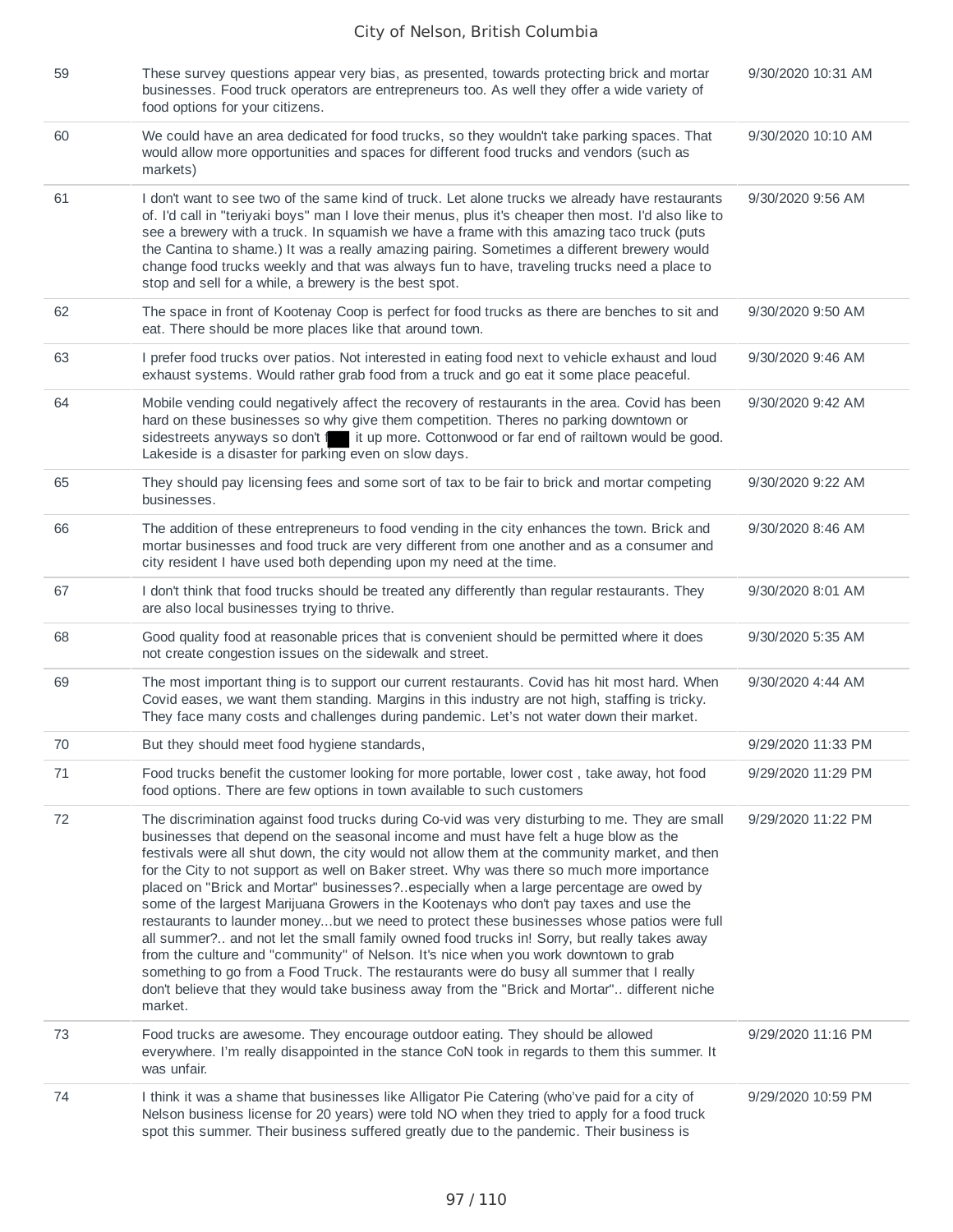| 59     | These survey questions appear very bias, as presented, towards protecting brick and mortar<br>businesses. Food truck operators are entrepreneurs too. As well they offer a wide variety of<br>food options for your citizens.                                                                                                                                                                                                                                                                                                                                                                                                                                                                                                                                                                                                                                                                                                                                                                                                                                        | 9/30/2020 10:31 AM |
|--------|----------------------------------------------------------------------------------------------------------------------------------------------------------------------------------------------------------------------------------------------------------------------------------------------------------------------------------------------------------------------------------------------------------------------------------------------------------------------------------------------------------------------------------------------------------------------------------------------------------------------------------------------------------------------------------------------------------------------------------------------------------------------------------------------------------------------------------------------------------------------------------------------------------------------------------------------------------------------------------------------------------------------------------------------------------------------|--------------------|
| 60     | We could have an area dedicated for food trucks, so they wouldn't take parking spaces. That<br>would allow more opportunities and spaces for different food trucks and vendors (such as<br>markets)                                                                                                                                                                                                                                                                                                                                                                                                                                                                                                                                                                                                                                                                                                                                                                                                                                                                  | 9/30/2020 10:10 AM |
| 61     | I don't want to see two of the same kind of truck. Let alone trucks we already have restaurants<br>of. I'd call in "teriyaki boys" man I love their menus, plus it's cheaper then most. I'd also like to<br>see a brewery with a truck. In squamish we have a frame with this amazing taco truck (puts<br>the Cantina to shame.) It was a really amazing pairing. Sometimes a different brewery would<br>change food trucks weekly and that was always fun to have, traveling trucks need a place to<br>stop and sell for a while, a brewery is the best spot.                                                                                                                                                                                                                                                                                                                                                                                                                                                                                                       | 9/30/2020 9:56 AM  |
| 62     | The space in front of Kootenay Coop is perfect for food trucks as there are benches to sit and<br>eat. There should be more places like that around town.                                                                                                                                                                                                                                                                                                                                                                                                                                                                                                                                                                                                                                                                                                                                                                                                                                                                                                            | 9/30/2020 9:50 AM  |
| 63     | I prefer food trucks over patios. Not interested in eating food next to vehicle exhaust and loud<br>exhaust systems. Would rather grab food from a truck and go eat it some place peaceful.                                                                                                                                                                                                                                                                                                                                                                                                                                                                                                                                                                                                                                                                                                                                                                                                                                                                          | 9/30/2020 9:46 AM  |
| 64     | Mobile vending could negatively affect the recovery of restaurants in the area. Covid has been<br>hard on these businesses so why give them competition. Theres no parking downtown or<br>sidestreets anyways so don't it up more. Cottonwood or far end of railtown would be good.<br>Lakeside is a disaster for parking even on slow days.                                                                                                                                                                                                                                                                                                                                                                                                                                                                                                                                                                                                                                                                                                                         | 9/30/2020 9:42 AM  |
| 65     | They should pay licensing fees and some sort of tax to be fair to brick and mortar competing<br>businesses.                                                                                                                                                                                                                                                                                                                                                                                                                                                                                                                                                                                                                                                                                                                                                                                                                                                                                                                                                          | 9/30/2020 9:22 AM  |
| 66     | The addition of these entrepreneurs to food vending in the city enhances the town. Brick and<br>mortar businesses and food truck are very different from one another and as a consumer and<br>city resident I have used both depending upon my need at the time.                                                                                                                                                                                                                                                                                                                                                                                                                                                                                                                                                                                                                                                                                                                                                                                                     | 9/30/2020 8:46 AM  |
| 67     | I don't think that food trucks should be treated any differently than regular restaurants. They<br>are also local businesses trying to thrive.                                                                                                                                                                                                                                                                                                                                                                                                                                                                                                                                                                                                                                                                                                                                                                                                                                                                                                                       | 9/30/2020 8:01 AM  |
| 68     | Good quality food at reasonable prices that is convenient should be permitted where it does<br>not create congestion issues on the sidewalk and street.                                                                                                                                                                                                                                                                                                                                                                                                                                                                                                                                                                                                                                                                                                                                                                                                                                                                                                              | 9/30/2020 5:35 AM  |
| 69     | The most important thing is to support our current restaurants. Covid has hit most hard. When<br>Covid eases, we want them standing. Margins in this industry are not high, staffing is tricky.<br>They face many costs and challenges during pandemic. Let's not water down their market.                                                                                                                                                                                                                                                                                                                                                                                                                                                                                                                                                                                                                                                                                                                                                                           | 9/30/2020 4:44 AM  |
| 70     | But they should meet food hygiene standards,                                                                                                                                                                                                                                                                                                                                                                                                                                                                                                                                                                                                                                                                                                                                                                                                                                                                                                                                                                                                                         | 9/29/2020 11:33 PM |
| $71\,$ | Food trucks benefit the customer looking for more portable, lower cost, take away, hot food<br>food options. There are few options in town available to such customers                                                                                                                                                                                                                                                                                                                                                                                                                                                                                                                                                                                                                                                                                                                                                                                                                                                                                               | 9/29/2020 11:29 PM |
| 72     | The discrimination against food trucks during Co-vid was very disturbing to me. They are small<br>businesses that depend on the seasonal income and must have felt a huge blow as the<br>festivals were all shut down, the city would not allow them at the community market, and then<br>for the City to not support as well on Baker street. Why was there so much more importance<br>placed on "Brick and Mortar" businesses?especially when a large percentage are owed by<br>some of the largest Marijuana Growers in the Kootenays who don't pay taxes and use the<br>restaurants to launder moneybut we need to protect these businesses whose patios were full<br>all summer? and not let the small family owned food trucks in! Sorry, but really takes away<br>from the culture and "community" of Nelson. It's nice when you work downtown to grab<br>something to go from a Food Truck. The restaurants were do busy all summer that I really<br>don't believe that they would take business away from the "Brick and Mortar" different niche<br>market. | 9/29/2020 11:22 PM |
| 73     | Food trucks are awesome. They encourage outdoor eating. They should be allowed<br>everywhere. I'm really disappointed in the stance CoN took in regards to them this summer. It<br>was unfair.                                                                                                                                                                                                                                                                                                                                                                                                                                                                                                                                                                                                                                                                                                                                                                                                                                                                       | 9/29/2020 11:16 PM |
| 74     | I think it was a shame that businesses like Alligator Pie Catering (who've paid for a city of<br>Nelson business license for 20 years) were told NO when they tried to apply for a food truck<br>spot this summer. Their business suffered greatly due to the pandemic. Their business is                                                                                                                                                                                                                                                                                                                                                                                                                                                                                                                                                                                                                                                                                                                                                                            | 9/29/2020 10:59 PM |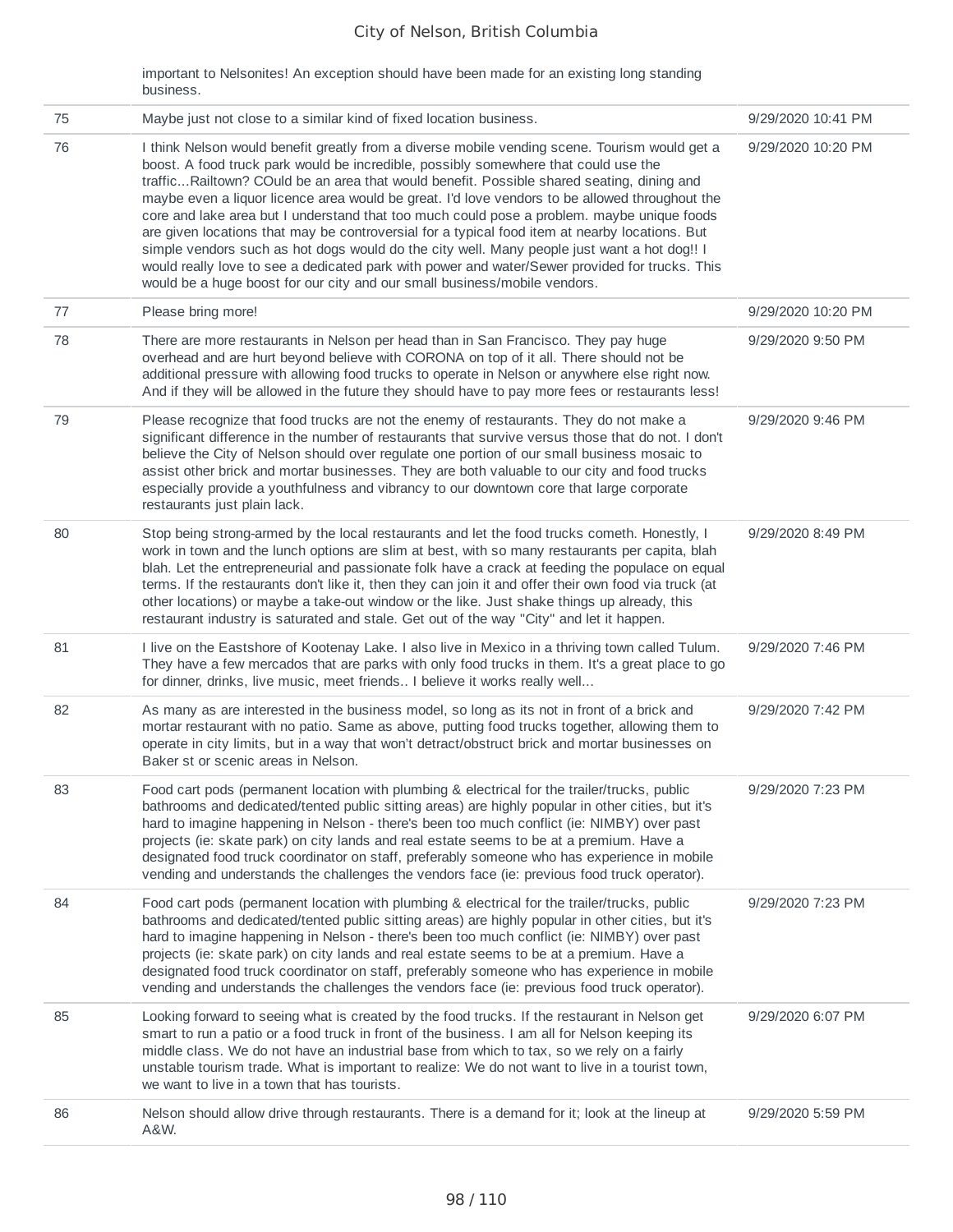important to Nelsonites! An exception should have been made for an existing long standing business.

| 75 | Maybe just not close to a similar kind of fixed location business.                                                                                                                                                                                                                                                                                                                                                                                                                                                                                                                                                                                                                                                                                                                                                                                                | 9/29/2020 10:41 PM |
|----|-------------------------------------------------------------------------------------------------------------------------------------------------------------------------------------------------------------------------------------------------------------------------------------------------------------------------------------------------------------------------------------------------------------------------------------------------------------------------------------------------------------------------------------------------------------------------------------------------------------------------------------------------------------------------------------------------------------------------------------------------------------------------------------------------------------------------------------------------------------------|--------------------|
| 76 | I think Nelson would benefit greatly from a diverse mobile vending scene. Tourism would get a<br>boost. A food truck park would be incredible, possibly somewhere that could use the<br>trafficRailtown? COuld be an area that would benefit. Possible shared seating, dining and<br>maybe even a liquor licence area would be great. I'd love vendors to be allowed throughout the<br>core and lake area but I understand that too much could pose a problem. maybe unique foods<br>are given locations that may be controversial for a typical food item at nearby locations. But<br>simple vendors such as hot dogs would do the city well. Many people just want a hot dog!! I<br>would really love to see a dedicated park with power and water/Sewer provided for trucks. This<br>would be a huge boost for our city and our small business/mobile vendors. | 9/29/2020 10:20 PM |
| 77 | Please bring more!                                                                                                                                                                                                                                                                                                                                                                                                                                                                                                                                                                                                                                                                                                                                                                                                                                                | 9/29/2020 10:20 PM |
| 78 | There are more restaurants in Nelson per head than in San Francisco. They pay huge<br>overhead and are hurt beyond believe with CORONA on top of it all. There should not be<br>additional pressure with allowing food trucks to operate in Nelson or anywhere else right now.<br>And if they will be allowed in the future they should have to pay more fees or restaurants less!                                                                                                                                                                                                                                                                                                                                                                                                                                                                                | 9/29/2020 9:50 PM  |
| 79 | Please recognize that food trucks are not the enemy of restaurants. They do not make a<br>significant difference in the number of restaurants that survive versus those that do not. I don't<br>believe the City of Nelson should over regulate one portion of our small business mosaic to<br>assist other brick and mortar businesses. They are both valuable to our city and food trucks<br>especially provide a youthfulness and vibrancy to our downtown core that large corporate<br>restaurants just plain lack.                                                                                                                                                                                                                                                                                                                                           | 9/29/2020 9:46 PM  |
| 80 | Stop being strong-armed by the local restaurants and let the food trucks cometh. Honestly, I<br>work in town and the lunch options are slim at best, with so many restaurants per capita, blah<br>blah. Let the entrepreneurial and passionate folk have a crack at feeding the populace on equal<br>terms. If the restaurants don't like it, then they can join it and offer their own food via truck (at<br>other locations) or maybe a take-out window or the like. Just shake things up already, this<br>restaurant industry is saturated and stale. Get out of the way "City" and let it happen.                                                                                                                                                                                                                                                             | 9/29/2020 8:49 PM  |
| 81 | I live on the Eastshore of Kootenay Lake. I also live in Mexico in a thriving town called Tulum.<br>They have a few mercados that are parks with only food trucks in them. It's a great place to go<br>for dinner, drinks, live music, meet friends I believe it works really well                                                                                                                                                                                                                                                                                                                                                                                                                                                                                                                                                                                | 9/29/2020 7:46 PM  |
| 82 | As many as are interested in the business model, so long as its not in front of a brick and<br>mortar restaurant with no patio. Same as above, putting food trucks together, allowing them to<br>operate in city limits, but in a way that won't detract/obstruct brick and mortar businesses on<br>Baker st or scenic areas in Nelson.                                                                                                                                                                                                                                                                                                                                                                                                                                                                                                                           | 9/29/2020 7:42 PM  |
| 83 | Food cart pods (permanent location with plumbing & electrical for the trailer/trucks, public<br>bathrooms and dedicated/tented public sitting areas) are highly popular in other cities, but it's<br>hard to imagine happening in Nelson - there's been too much conflict (ie: NIMBY) over past<br>projects (ie: skate park) on city lands and real estate seems to be at a premium. Have a<br>designated food truck coordinator on staff, preferably someone who has experience in mobile<br>vending and understands the challenges the vendors face (ie: previous food truck operator).                                                                                                                                                                                                                                                                         | 9/29/2020 7:23 PM  |
| 84 | Food cart pods (permanent location with plumbing & electrical for the trailer/trucks, public<br>bathrooms and dedicated/tented public sitting areas) are highly popular in other cities, but it's<br>hard to imagine happening in Nelson - there's been too much conflict (ie: NIMBY) over past<br>projects (ie: skate park) on city lands and real estate seems to be at a premium. Have a<br>designated food truck coordinator on staff, preferably someone who has experience in mobile<br>vending and understands the challenges the vendors face (ie: previous food truck operator).                                                                                                                                                                                                                                                                         | 9/29/2020 7:23 PM  |
| 85 | Looking forward to seeing what is created by the food trucks. If the restaurant in Nelson get<br>smart to run a patio or a food truck in front of the business. I am all for Nelson keeping its<br>middle class. We do not have an industrial base from which to tax, so we rely on a fairly<br>unstable tourism trade. What is important to realize: We do not want to live in a tourist town,<br>we want to live in a town that has tourists.                                                                                                                                                                                                                                                                                                                                                                                                                   | 9/29/2020 6:07 PM  |
| 86 | Nelson should allow drive through restaurants. There is a demand for it; look at the lineup at<br>A&W.                                                                                                                                                                                                                                                                                                                                                                                                                                                                                                                                                                                                                                                                                                                                                            | 9/29/2020 5:59 PM  |
|    |                                                                                                                                                                                                                                                                                                                                                                                                                                                                                                                                                                                                                                                                                                                                                                                                                                                                   |                    |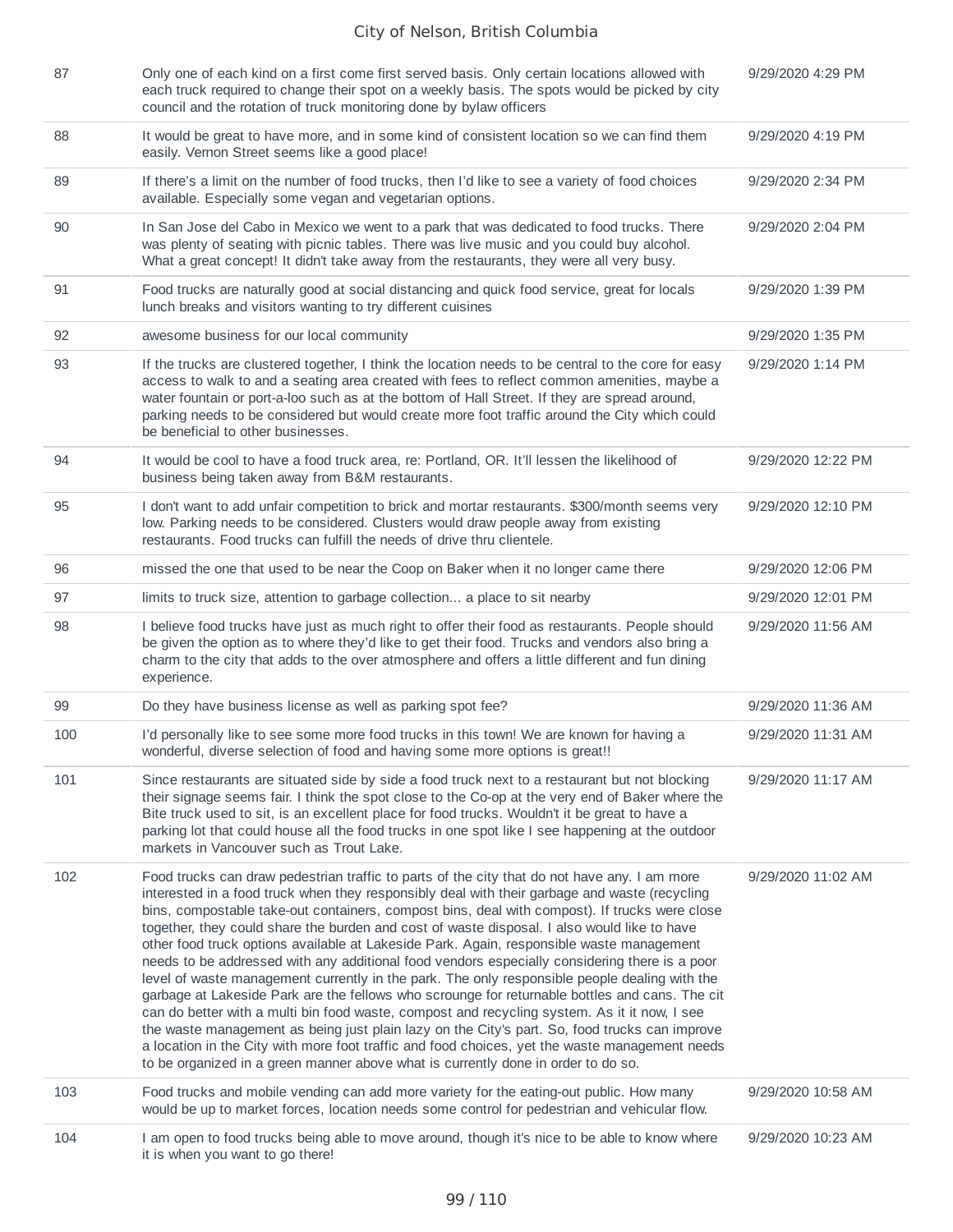| 87  | Only one of each kind on a first come first served basis. Only certain locations allowed with<br>each truck required to change their spot on a weekly basis. The spots would be picked by city<br>council and the rotation of truck monitoring done by bylaw officers                                                                                                                                                                                                                                                                                                                                                                                                                                                                                                                                                                                                                                                                                                                                                                                                                                                                                                                 | 9/29/2020 4:29 PM  |
|-----|---------------------------------------------------------------------------------------------------------------------------------------------------------------------------------------------------------------------------------------------------------------------------------------------------------------------------------------------------------------------------------------------------------------------------------------------------------------------------------------------------------------------------------------------------------------------------------------------------------------------------------------------------------------------------------------------------------------------------------------------------------------------------------------------------------------------------------------------------------------------------------------------------------------------------------------------------------------------------------------------------------------------------------------------------------------------------------------------------------------------------------------------------------------------------------------|--------------------|
| 88  | It would be great to have more, and in some kind of consistent location so we can find them<br>easily. Vernon Street seems like a good place!                                                                                                                                                                                                                                                                                                                                                                                                                                                                                                                                                                                                                                                                                                                                                                                                                                                                                                                                                                                                                                         | 9/29/2020 4:19 PM  |
| 89  | If there's a limit on the number of food trucks, then I'd like to see a variety of food choices<br>available. Especially some vegan and vegetarian options.                                                                                                                                                                                                                                                                                                                                                                                                                                                                                                                                                                                                                                                                                                                                                                                                                                                                                                                                                                                                                           | 9/29/2020 2:34 PM  |
| 90  | In San Jose del Cabo in Mexico we went to a park that was dedicated to food trucks. There<br>was plenty of seating with picnic tables. There was live music and you could buy alcohol.<br>What a great concept! It didn't take away from the restaurants, they were all very busy.                                                                                                                                                                                                                                                                                                                                                                                                                                                                                                                                                                                                                                                                                                                                                                                                                                                                                                    | 9/29/2020 2:04 PM  |
| 91  | Food trucks are naturally good at social distancing and quick food service, great for locals<br>lunch breaks and visitors wanting to try different cuisines                                                                                                                                                                                                                                                                                                                                                                                                                                                                                                                                                                                                                                                                                                                                                                                                                                                                                                                                                                                                                           | 9/29/2020 1:39 PM  |
| 92  | awesome business for our local community                                                                                                                                                                                                                                                                                                                                                                                                                                                                                                                                                                                                                                                                                                                                                                                                                                                                                                                                                                                                                                                                                                                                              | 9/29/2020 1:35 PM  |
| 93  | If the trucks are clustered together, I think the location needs to be central to the core for easy<br>access to walk to and a seating area created with fees to reflect common amenities, maybe a<br>water fountain or port-a-loo such as at the bottom of Hall Street. If they are spread around,<br>parking needs to be considered but would create more foot traffic around the City which could<br>be beneficial to other businesses.                                                                                                                                                                                                                                                                                                                                                                                                                                                                                                                                                                                                                                                                                                                                            | 9/29/2020 1:14 PM  |
| 94  | It would be cool to have a food truck area, re: Portland, OR. It'll lessen the likelihood of<br>business being taken away from B&M restaurants.                                                                                                                                                                                                                                                                                                                                                                                                                                                                                                                                                                                                                                                                                                                                                                                                                                                                                                                                                                                                                                       | 9/29/2020 12:22 PM |
| 95  | I don't want to add unfair competition to brick and mortar restaurants. \$300/month seems very<br>low. Parking needs to be considered. Clusters would draw people away from existing<br>restaurants. Food trucks can fulfill the needs of drive thru clientele.                                                                                                                                                                                                                                                                                                                                                                                                                                                                                                                                                                                                                                                                                                                                                                                                                                                                                                                       | 9/29/2020 12:10 PM |
| 96  | missed the one that used to be near the Coop on Baker when it no longer came there                                                                                                                                                                                                                                                                                                                                                                                                                                                                                                                                                                                                                                                                                                                                                                                                                                                                                                                                                                                                                                                                                                    | 9/29/2020 12:06 PM |
| 97  | limits to truck size, attention to garbage collection a place to sit nearby                                                                                                                                                                                                                                                                                                                                                                                                                                                                                                                                                                                                                                                                                                                                                                                                                                                                                                                                                                                                                                                                                                           | 9/29/2020 12:01 PM |
| 98  | I believe food trucks have just as much right to offer their food as restaurants. People should<br>be given the option as to where they'd like to get their food. Trucks and vendors also bring a<br>charm to the city that adds to the over atmosphere and offers a little different and fun dining<br>experience.                                                                                                                                                                                                                                                                                                                                                                                                                                                                                                                                                                                                                                                                                                                                                                                                                                                                   | 9/29/2020 11:56 AM |
| 99  | Do they have business license as well as parking spot fee?                                                                                                                                                                                                                                                                                                                                                                                                                                                                                                                                                                                                                                                                                                                                                                                                                                                                                                                                                                                                                                                                                                                            | 9/29/2020 11:36 AM |
| 100 | I'd personally like to see some more food trucks in this town! We are known for having a<br>wonderful, diverse selection of food and having some more options is great!!                                                                                                                                                                                                                                                                                                                                                                                                                                                                                                                                                                                                                                                                                                                                                                                                                                                                                                                                                                                                              | 9/29/2020 11:31 AM |
| 101 | Since restaurants are situated side by side a food truck next to a restaurant but not blocking<br>their signage seems fair. I think the spot close to the Co-op at the very end of Baker where the<br>Bite truck used to sit, is an excellent place for food trucks. Wouldn't it be great to have a<br>parking lot that could house all the food trucks in one spot like I see happening at the outdoor<br>markets in Vancouver such as Trout Lake.                                                                                                                                                                                                                                                                                                                                                                                                                                                                                                                                                                                                                                                                                                                                   | 9/29/2020 11:17 AM |
| 102 | Food trucks can draw pedestrian traffic to parts of the city that do not have any. I am more<br>interested in a food truck when they responsibly deal with their garbage and waste (recycling<br>bins, compostable take-out containers, compost bins, deal with compost). If trucks were close<br>together, they could share the burden and cost of waste disposal. I also would like to have<br>other food truck options available at Lakeside Park. Again, responsible waste management<br>needs to be addressed with any additional food vendors especially considering there is a poor<br>level of waste management currently in the park. The only responsible people dealing with the<br>garbage at Lakeside Park are the fellows who scrounge for returnable bottles and cans. The cit<br>can do better with a multi bin food waste, compost and recycling system. As it it now, I see<br>the waste management as being just plain lazy on the City's part. So, food trucks can improve<br>a location in the City with more foot traffic and food choices, yet the waste management needs<br>to be organized in a green manner above what is currently done in order to do so. | 9/29/2020 11:02 AM |
| 103 | Food trucks and mobile vending can add more variety for the eating-out public. How many<br>would be up to market forces, location needs some control for pedestrian and vehicular flow.                                                                                                                                                                                                                                                                                                                                                                                                                                                                                                                                                                                                                                                                                                                                                                                                                                                                                                                                                                                               | 9/29/2020 10:58 AM |
| 104 | I am open to food trucks being able to move around, though it's nice to be able to know where<br>it is when you want to go there!                                                                                                                                                                                                                                                                                                                                                                                                                                                                                                                                                                                                                                                                                                                                                                                                                                                                                                                                                                                                                                                     | 9/29/2020 10:23 AM |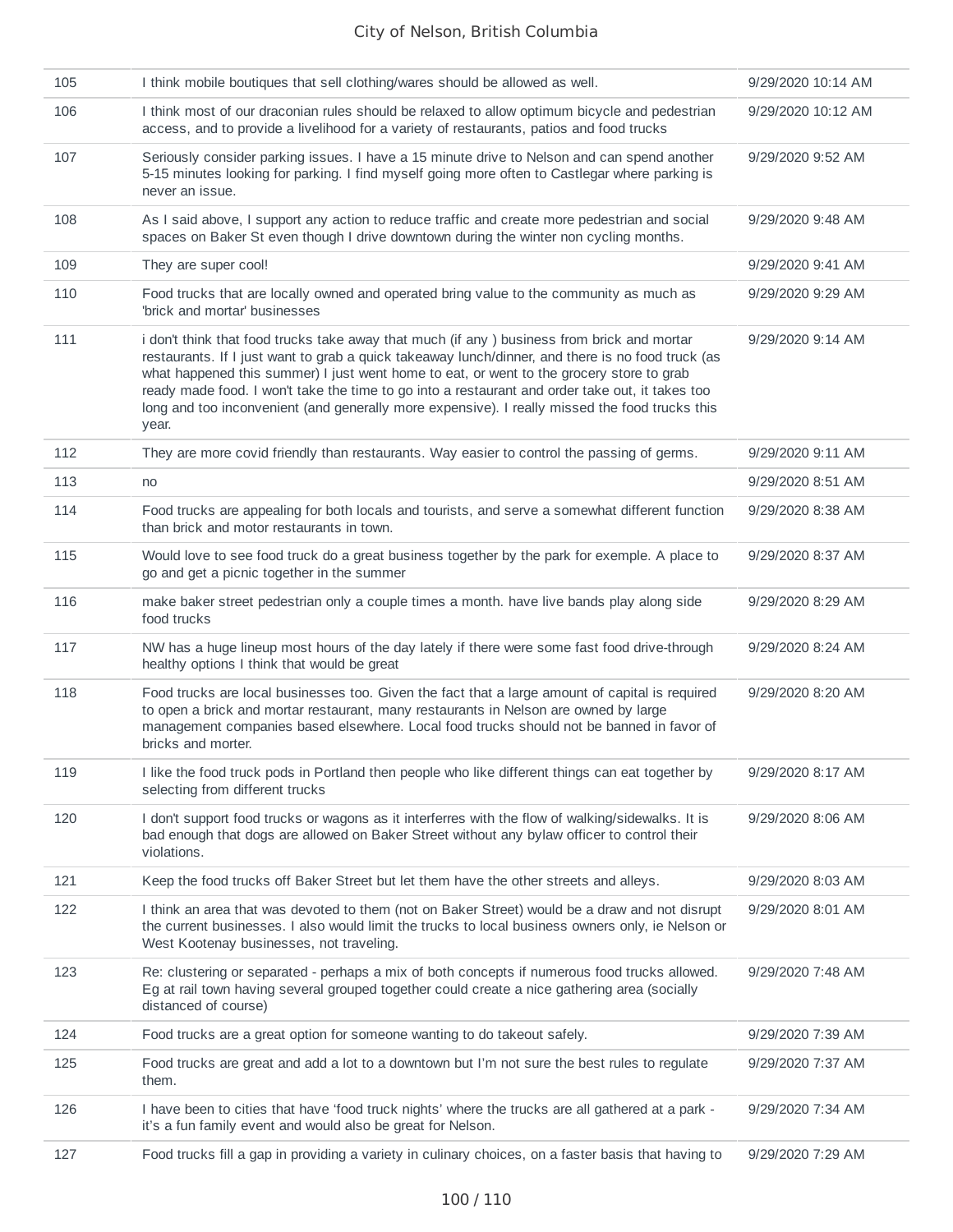| 105 | I think mobile boutiques that sell clothing/wares should be allowed as well.                                                                                                                                                                                                                                                                                                                                                                                                                               | 9/29/2020 10:14 AM |
|-----|------------------------------------------------------------------------------------------------------------------------------------------------------------------------------------------------------------------------------------------------------------------------------------------------------------------------------------------------------------------------------------------------------------------------------------------------------------------------------------------------------------|--------------------|
| 106 | I think most of our draconian rules should be relaxed to allow optimum bicycle and pedestrian<br>access, and to provide a livelihood for a variety of restaurants, patios and food trucks                                                                                                                                                                                                                                                                                                                  | 9/29/2020 10:12 AM |
| 107 | Seriously consider parking issues. I have a 15 minute drive to Nelson and can spend another<br>5-15 minutes looking for parking. I find myself going more often to Castlegar where parking is<br>never an issue.                                                                                                                                                                                                                                                                                           | 9/29/2020 9:52 AM  |
| 108 | As I said above, I support any action to reduce traffic and create more pedestrian and social<br>spaces on Baker St even though I drive downtown during the winter non cycling months.                                                                                                                                                                                                                                                                                                                     | 9/29/2020 9:48 AM  |
| 109 | They are super cool!                                                                                                                                                                                                                                                                                                                                                                                                                                                                                       | 9/29/2020 9:41 AM  |
| 110 | Food trucks that are locally owned and operated bring value to the community as much as<br>'brick and mortar' businesses                                                                                                                                                                                                                                                                                                                                                                                   | 9/29/2020 9:29 AM  |
| 111 | i don't think that food trucks take away that much (if any ) business from brick and mortar<br>restaurants. If I just want to grab a quick takeaway lunch/dinner, and there is no food truck (as<br>what happened this summer) I just went home to eat, or went to the grocery store to grab<br>ready made food. I won't take the time to go into a restaurant and order take out, it takes too<br>long and too inconvenient (and generally more expensive). I really missed the food trucks this<br>year. | 9/29/2020 9:14 AM  |
| 112 | They are more covid friendly than restaurants. Way easier to control the passing of germs.                                                                                                                                                                                                                                                                                                                                                                                                                 | 9/29/2020 9:11 AM  |
| 113 | no                                                                                                                                                                                                                                                                                                                                                                                                                                                                                                         | 9/29/2020 8:51 AM  |
| 114 | Food trucks are appealing for both locals and tourists, and serve a somewhat different function<br>than brick and motor restaurants in town.                                                                                                                                                                                                                                                                                                                                                               | 9/29/2020 8:38 AM  |
| 115 | Would love to see food truck do a great business together by the park for exemple. A place to<br>go and get a picnic together in the summer                                                                                                                                                                                                                                                                                                                                                                | 9/29/2020 8:37 AM  |
| 116 | make baker street pedestrian only a couple times a month. have live bands play along side<br>food trucks                                                                                                                                                                                                                                                                                                                                                                                                   | 9/29/2020 8:29 AM  |
| 117 | NW has a huge lineup most hours of the day lately if there were some fast food drive-through<br>healthy options I think that would be great                                                                                                                                                                                                                                                                                                                                                                | 9/29/2020 8:24 AM  |
| 118 | Food trucks are local businesses too. Given the fact that a large amount of capital is required<br>to open a brick and mortar restaurant, many restaurants in Nelson are owned by large<br>management companies based elsewhere. Local food trucks should not be banned in favor of<br>bricks and morter.                                                                                                                                                                                                  | 9/29/2020 8:20 AM  |
| 119 | I like the food truck pods in Portland then people who like different things can eat together by<br>selecting from different trucks                                                                                                                                                                                                                                                                                                                                                                        | 9/29/2020 8:17 AM  |
| 120 | I don't support food trucks or wagons as it interferres with the flow of walking/sidewalks. It is<br>bad enough that dogs are allowed on Baker Street without any bylaw officer to control their<br>violations.                                                                                                                                                                                                                                                                                            | 9/29/2020 8:06 AM  |
| 121 | Keep the food trucks off Baker Street but let them have the other streets and alleys.                                                                                                                                                                                                                                                                                                                                                                                                                      | 9/29/2020 8:03 AM  |
| 122 | I think an area that was devoted to them (not on Baker Street) would be a draw and not disrupt<br>the current businesses. I also would limit the trucks to local business owners only, ie Nelson or<br>West Kootenay businesses, not traveling.                                                                                                                                                                                                                                                            | 9/29/2020 8:01 AM  |
| 123 | Re: clustering or separated - perhaps a mix of both concepts if numerous food trucks allowed.<br>Eg at rail town having several grouped together could create a nice gathering area (socially<br>distanced of course)                                                                                                                                                                                                                                                                                      | 9/29/2020 7:48 AM  |
| 124 | Food trucks are a great option for someone wanting to do takeout safely.                                                                                                                                                                                                                                                                                                                                                                                                                                   | 9/29/2020 7:39 AM  |
| 125 | Food trucks are great and add a lot to a downtown but I'm not sure the best rules to regulate<br>them.                                                                                                                                                                                                                                                                                                                                                                                                     | 9/29/2020 7:37 AM  |
| 126 | I have been to cities that have 'food truck nights' where the trucks are all gathered at a park -<br>it's a fun family event and would also be great for Nelson.                                                                                                                                                                                                                                                                                                                                           | 9/29/2020 7:34 AM  |
| 127 | Food trucks fill a gap in providing a variety in culinary choices, on a faster basis that having to                                                                                                                                                                                                                                                                                                                                                                                                        | 9/29/2020 7:29 AM  |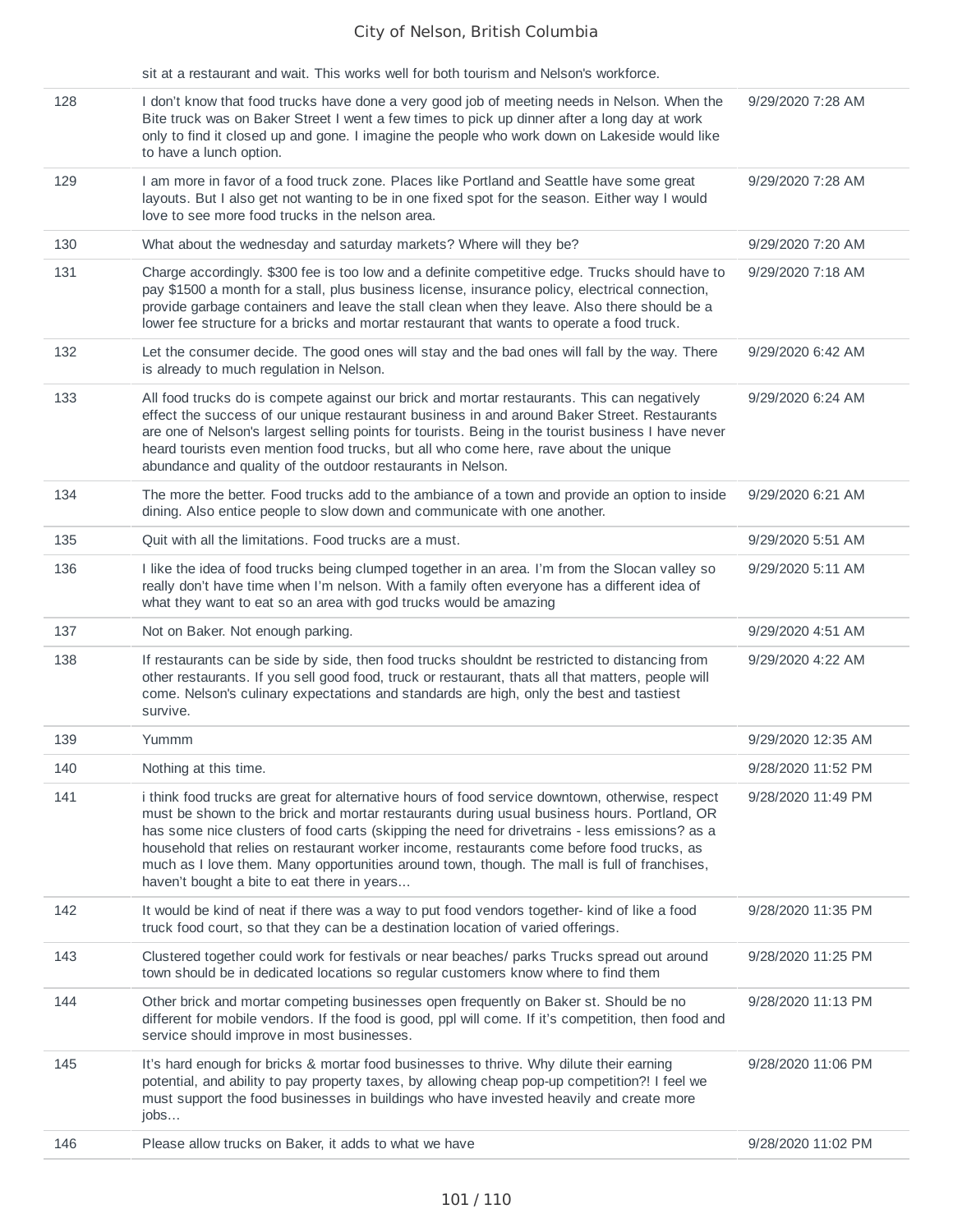|            | jobs                                                                                                                                                                                                                                                                                                                                                                                                                                                       |                                          |
|------------|------------------------------------------------------------------------------------------------------------------------------------------------------------------------------------------------------------------------------------------------------------------------------------------------------------------------------------------------------------------------------------------------------------------------------------------------------------|------------------------------------------|
| 145        | It's hard enough for bricks & mortar food businesses to thrive. Why dilute their earning<br>potential, and ability to pay property taxes, by allowing cheap pop-up competition?! I feel we<br>must support the food businesses in buildings who have invested heavily and create more                                                                                                                                                                      | 9/28/2020 11:06 PM                       |
| 144        | Other brick and mortar competing businesses open frequently on Baker st. Should be no<br>different for mobile vendors. If the food is good, ppl will come. If it's competition, then food and<br>service should improve in most businesses.                                                                                                                                                                                                                | 9/28/2020 11:13 PM                       |
| 143        | Clustered together could work for festivals or near beaches/ parks Trucks spread out around<br>town should be in dedicated locations so regular customers know where to find them                                                                                                                                                                                                                                                                          | 9/28/2020 11:25 PM                       |
| 142        | It would be kind of neat if there was a way to put food vendors together- kind of like a food<br>truck food court, so that they can be a destination location of varied offerings.                                                                                                                                                                                                                                                                         | 9/28/2020 11:35 PM                       |
|            | must be shown to the brick and mortar restaurants during usual business hours. Portland, OR<br>has some nice clusters of food carts (skipping the need for drivetrains - less emissions? as a<br>household that relies on restaurant worker income, restaurants come before food trucks, as<br>much as I love them. Many opportunities around town, though. The mall is full of franchises,<br>haven't bought a bite to eat there in years                 |                                          |
| 140<br>141 | Nothing at this time.<br>i think food trucks are great for alternative hours of food service downtown, otherwise, respect                                                                                                                                                                                                                                                                                                                                  | 9/28/2020 11:52 PM<br>9/28/2020 11:49 PM |
| 139        | Yummm                                                                                                                                                                                                                                                                                                                                                                                                                                                      | 9/29/2020 12:35 AM                       |
| 138        | If restaurants can be side by side, then food trucks shouldnt be restricted to distancing from<br>other restaurants. If you sell good food, truck or restaurant, thats all that matters, people will<br>come. Nelson's culinary expectations and standards are high, only the best and tastiest<br>survive.                                                                                                                                                | 9/29/2020 4:22 AM                        |
| 137        | Not on Baker. Not enough parking.                                                                                                                                                                                                                                                                                                                                                                                                                          | 9/29/2020 4:51 AM                        |
|            | what they want to eat so an area with god trucks would be amazing                                                                                                                                                                                                                                                                                                                                                                                          |                                          |
| 136        | I like the idea of food trucks being clumped together in an area. I'm from the Slocan valley so<br>really don't have time when I'm nelson. With a family often everyone has a different idea of                                                                                                                                                                                                                                                            | 9/29/2020 5:11 AM                        |
| 135        | Quit with all the limitations. Food trucks are a must.                                                                                                                                                                                                                                                                                                                                                                                                     | 9/29/2020 5:51 AM                        |
| 134        | The more the better. Food trucks add to the ambiance of a town and provide an option to inside<br>dining. Also entice people to slow down and communicate with one another.                                                                                                                                                                                                                                                                                | 9/29/2020 6:21 AM                        |
| 133        | All food trucks do is compete against our brick and mortar restaurants. This can negatively<br>effect the success of our unique restaurant business in and around Baker Street. Restaurants<br>are one of Nelson's largest selling points for tourists. Being in the tourist business I have never<br>heard tourists even mention food trucks, but all who come here, rave about the unique<br>abundance and quality of the outdoor restaurants in Nelson. | 9/29/2020 6:24 AM                        |
| 132        | Let the consumer decide. The good ones will stay and the bad ones will fall by the way. There<br>is already to much regulation in Nelson.                                                                                                                                                                                                                                                                                                                  | 9/29/2020 6:42 AM                        |
| 131        | Charge accordingly. \$300 fee is too low and a definite competitive edge. Trucks should have to<br>pay \$1500 a month for a stall, plus business license, insurance policy, electrical connection,<br>provide garbage containers and leave the stall clean when they leave. Also there should be a<br>lower fee structure for a bricks and mortar restaurant that wants to operate a food truck.                                                           | 9/29/2020 7:18 AM                        |
| 130        | What about the wednesday and saturday markets? Where will they be?                                                                                                                                                                                                                                                                                                                                                                                         | 9/29/2020 7:20 AM                        |
| 129        | I am more in favor of a food truck zone. Places like Portland and Seattle have some great<br>layouts. But I also get not wanting to be in one fixed spot for the season. Either way I would<br>love to see more food trucks in the nelson area.                                                                                                                                                                                                            | 9/29/2020 7:28 AM                        |
| 128        | I don't know that food trucks have done a very good job of meeting needs in Nelson. When the<br>Bite truck was on Baker Street I went a few times to pick up dinner after a long day at work<br>only to find it closed up and gone. I imagine the people who work down on Lakeside would like<br>to have a lunch option.                                                                                                                                   | 9/29/2020 7:28 AM                        |
|            | sit at a restaurant and wait. This works well for both tourism and Nelson's workforce.                                                                                                                                                                                                                                                                                                                                                                     |                                          |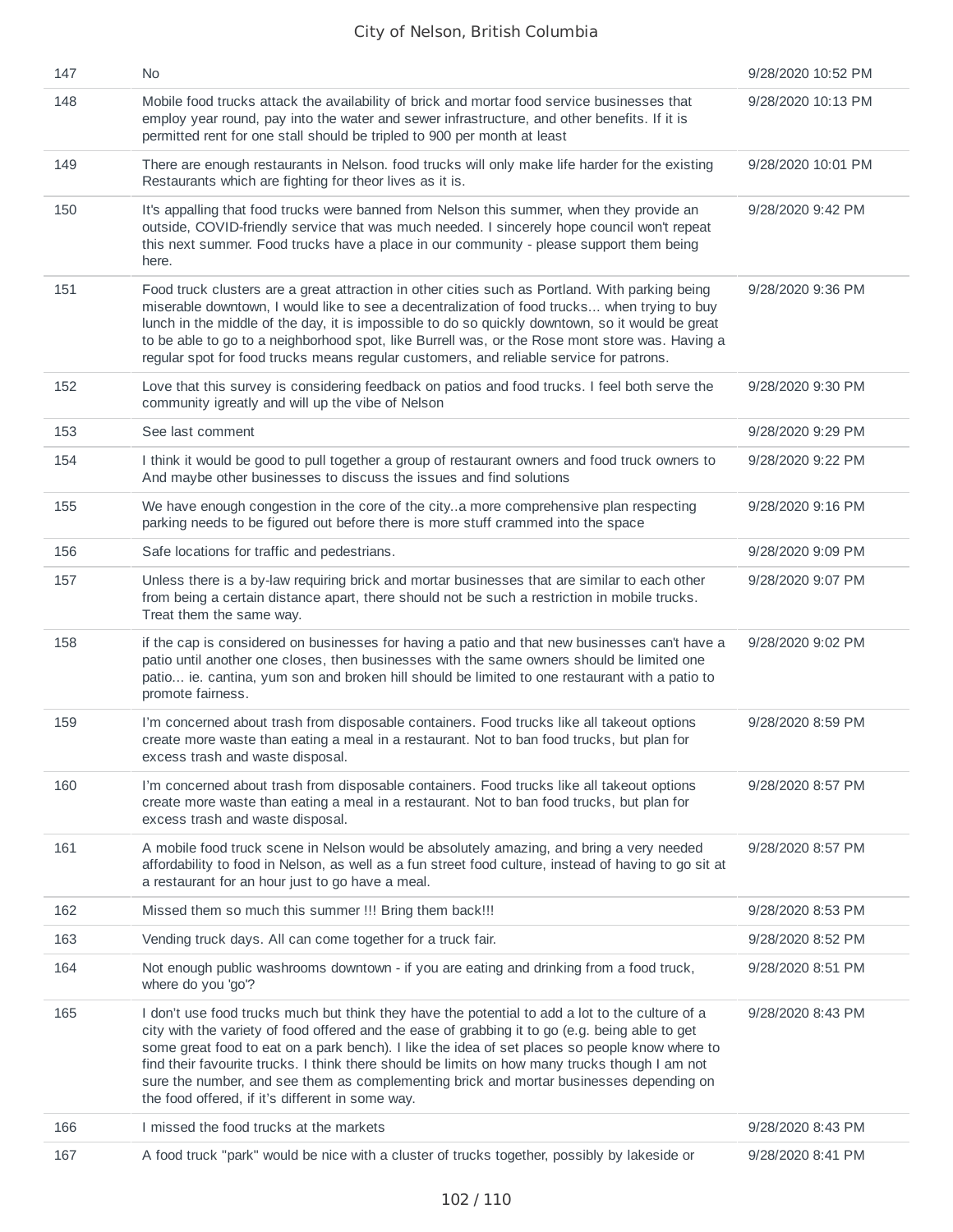| 147 | No.                                                                                                                                                                                                                                                                                                                                                                                                                                                                                                                                                   | 9/28/2020 10:52 PM |
|-----|-------------------------------------------------------------------------------------------------------------------------------------------------------------------------------------------------------------------------------------------------------------------------------------------------------------------------------------------------------------------------------------------------------------------------------------------------------------------------------------------------------------------------------------------------------|--------------------|
| 148 | Mobile food trucks attack the availability of brick and mortar food service businesses that<br>employ year round, pay into the water and sewer infrastructure, and other benefits. If it is<br>permitted rent for one stall should be tripled to 900 per month at least                                                                                                                                                                                                                                                                               | 9/28/2020 10:13 PM |
| 149 | There are enough restaurants in Nelson. food trucks will only make life harder for the existing<br>Restaurants which are fighting for theor lives as it is.                                                                                                                                                                                                                                                                                                                                                                                           | 9/28/2020 10:01 PM |
| 150 | It's appalling that food trucks were banned from Nelson this summer, when they provide an<br>outside, COVID-friendly service that was much needed. I sincerely hope council won't repeat<br>this next summer. Food trucks have a place in our community - please support them being<br>here.                                                                                                                                                                                                                                                          | 9/28/2020 9:42 PM  |
| 151 | Food truck clusters are a great attraction in other cities such as Portland. With parking being<br>miserable downtown, I would like to see a decentralization of food trucks when trying to buy<br>lunch in the middle of the day, it is impossible to do so quickly downtown, so it would be great<br>to be able to go to a neighborhood spot, like Burrell was, or the Rose mont store was. Having a<br>regular spot for food trucks means regular customers, and reliable service for patrons.                                                     | 9/28/2020 9:36 PM  |
| 152 | Love that this survey is considering feedback on patios and food trucks. I feel both serve the<br>community igreatly and will up the vibe of Nelson                                                                                                                                                                                                                                                                                                                                                                                                   | 9/28/2020 9:30 PM  |
| 153 | See last comment                                                                                                                                                                                                                                                                                                                                                                                                                                                                                                                                      | 9/28/2020 9:29 PM  |
| 154 | I think it would be good to pull together a group of restaurant owners and food truck owners to<br>And maybe other businesses to discuss the issues and find solutions                                                                                                                                                                                                                                                                                                                                                                                | 9/28/2020 9:22 PM  |
| 155 | We have enough congestion in the core of the citya more comprehensive plan respecting<br>parking needs to be figured out before there is more stuff crammed into the space                                                                                                                                                                                                                                                                                                                                                                            | 9/28/2020 9:16 PM  |
| 156 | Safe locations for traffic and pedestrians.                                                                                                                                                                                                                                                                                                                                                                                                                                                                                                           | 9/28/2020 9:09 PM  |
| 157 | Unless there is a by-law requiring brick and mortar businesses that are similar to each other<br>from being a certain distance apart, there should not be such a restriction in mobile trucks.<br>Treat them the same way.                                                                                                                                                                                                                                                                                                                            | 9/28/2020 9:07 PM  |
| 158 | if the cap is considered on businesses for having a patio and that new businesses can't have a<br>patio until another one closes, then businesses with the same owners should be limited one<br>patio ie. cantina, yum son and broken hill should be limited to one restaurant with a patio to<br>promote fairness.                                                                                                                                                                                                                                   | 9/28/2020 9:02 PM  |
| 159 | I'm concerned about trash from disposable containers. Food trucks like all takeout options<br>create more waste than eating a meal in a restaurant. Not to ban food trucks, but plan for<br>excess trash and waste disposal.                                                                                                                                                                                                                                                                                                                          | 9/28/2020 8:59 PM  |
| 160 | I'm concerned about trash from disposable containers. Food trucks like all takeout options<br>create more waste than eating a meal in a restaurant. Not to ban food trucks, but plan for<br>excess trash and waste disposal.                                                                                                                                                                                                                                                                                                                          | 9/28/2020 8:57 PM  |
| 161 | A mobile food truck scene in Nelson would be absolutely amazing, and bring a very needed<br>affordability to food in Nelson, as well as a fun street food culture, instead of having to go sit at<br>a restaurant for an hour just to go have a meal.                                                                                                                                                                                                                                                                                                 | 9/28/2020 8:57 PM  |
| 162 | Missed them so much this summer !!! Bring them back!!!                                                                                                                                                                                                                                                                                                                                                                                                                                                                                                | 9/28/2020 8:53 PM  |
| 163 | Vending truck days. All can come together for a truck fair.                                                                                                                                                                                                                                                                                                                                                                                                                                                                                           | 9/28/2020 8:52 PM  |
| 164 | Not enough public washrooms downtown - if you are eating and drinking from a food truck,<br>where do you 'go'?                                                                                                                                                                                                                                                                                                                                                                                                                                        | 9/28/2020 8:51 PM  |
| 165 | I don't use food trucks much but think they have the potential to add a lot to the culture of a<br>city with the variety of food offered and the ease of grabbing it to go (e.g. being able to get<br>some great food to eat on a park bench). I like the idea of set places so people know where to<br>find their favourite trucks. I think there should be limits on how many trucks though I am not<br>sure the number, and see them as complementing brick and mortar businesses depending on<br>the food offered, if it's different in some way. | 9/28/2020 8:43 PM  |
| 166 | I missed the food trucks at the markets                                                                                                                                                                                                                                                                                                                                                                                                                                                                                                               | 9/28/2020 8:43 PM  |
| 167 | A food truck "park" would be nice with a cluster of trucks together, possibly by lakeside or                                                                                                                                                                                                                                                                                                                                                                                                                                                          | 9/28/2020 8:41 PM  |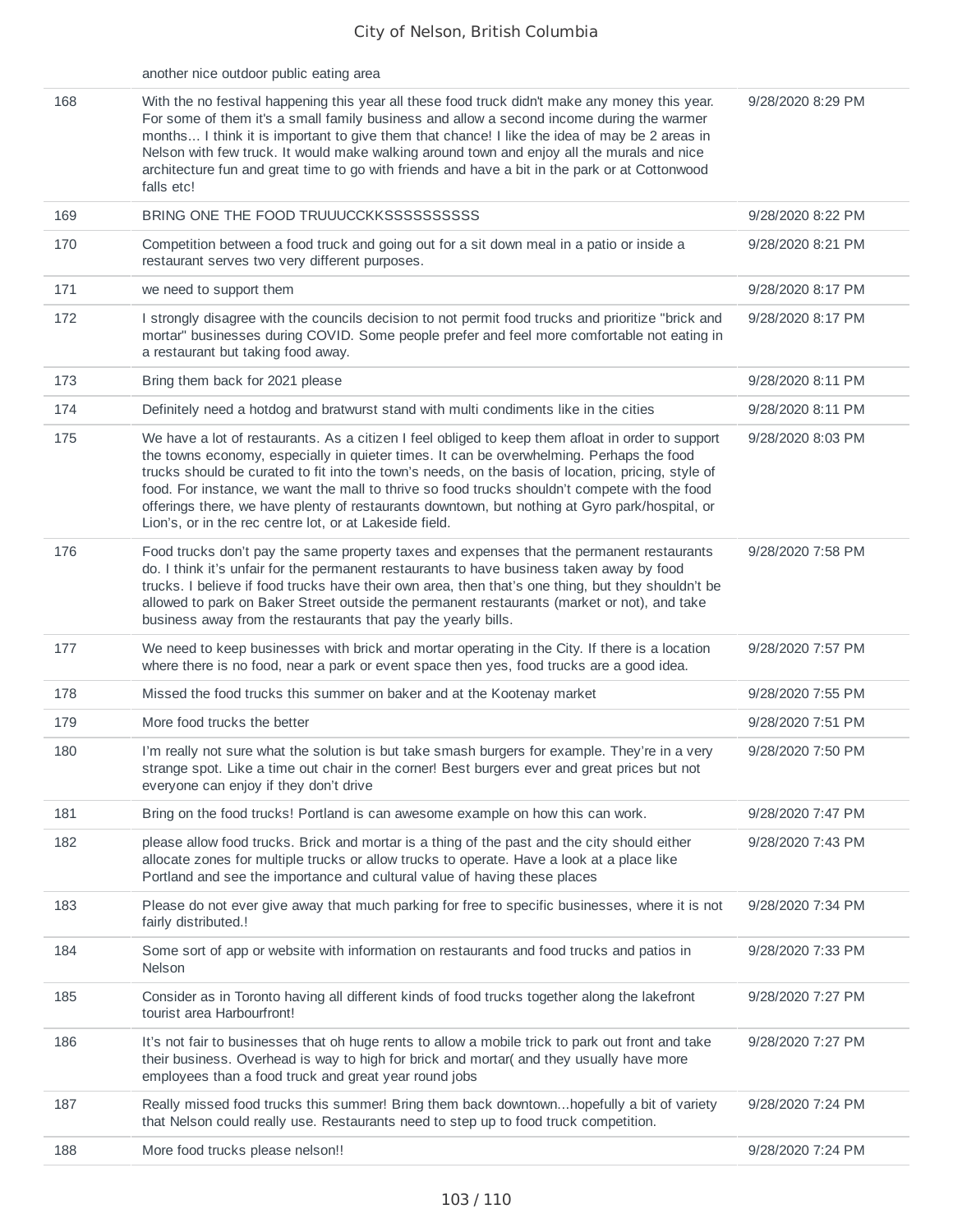|     | another nice outdoor public eating area                                                                                                                                                                                                                                                                                                                                                                                                                                                                                                                           |                   |
|-----|-------------------------------------------------------------------------------------------------------------------------------------------------------------------------------------------------------------------------------------------------------------------------------------------------------------------------------------------------------------------------------------------------------------------------------------------------------------------------------------------------------------------------------------------------------------------|-------------------|
| 168 | With the no festival happening this year all these food truck didn't make any money this year.<br>For some of them it's a small family business and allow a second income during the warmer<br>months I think it is important to give them that chance! I like the idea of may be 2 areas in<br>Nelson with few truck. It would make walking around town and enjoy all the murals and nice<br>architecture fun and great time to go with friends and have a bit in the park or at Cottonwood<br>falls etc!                                                        | 9/28/2020 8:29 PM |
| 169 |                                                                                                                                                                                                                                                                                                                                                                                                                                                                                                                                                                   | 9/28/2020 8:22 PM |
| 170 | Competition between a food truck and going out for a sit down meal in a patio or inside a<br>restaurant serves two very different purposes.                                                                                                                                                                                                                                                                                                                                                                                                                       | 9/28/2020 8:21 PM |
| 171 | we need to support them                                                                                                                                                                                                                                                                                                                                                                                                                                                                                                                                           | 9/28/2020 8:17 PM |
| 172 | I strongly disagree with the councils decision to not permit food trucks and prioritize "brick and<br>mortar" businesses during COVID. Some people prefer and feel more comfortable not eating in<br>a restaurant but taking food away.                                                                                                                                                                                                                                                                                                                           | 9/28/2020 8:17 PM |
| 173 | Bring them back for 2021 please                                                                                                                                                                                                                                                                                                                                                                                                                                                                                                                                   | 9/28/2020 8:11 PM |
| 174 | Definitely need a hotdog and bratwurst stand with multi condiments like in the cities                                                                                                                                                                                                                                                                                                                                                                                                                                                                             | 9/28/2020 8:11 PM |
| 175 | We have a lot of restaurants. As a citizen I feel obliged to keep them afloat in order to support<br>the towns economy, especially in quieter times. It can be overwhelming. Perhaps the food<br>trucks should be curated to fit into the town's needs, on the basis of location, pricing, style of<br>food. For instance, we want the mall to thrive so food trucks shouldn't compete with the food<br>offerings there, we have plenty of restaurants downtown, but nothing at Gyro park/hospital, or<br>Lion's, or in the rec centre lot, or at Lakeside field. | 9/28/2020 8:03 PM |
| 176 | Food trucks don't pay the same property taxes and expenses that the permanent restaurants<br>do. I think it's unfair for the permanent restaurants to have business taken away by food<br>trucks. I believe if food trucks have their own area, then that's one thing, but they shouldn't be<br>allowed to park on Baker Street outside the permanent restaurants (market or not), and take<br>business away from the restaurants that pay the yearly bills.                                                                                                      | 9/28/2020 7:58 PM |
| 177 | We need to keep businesses with brick and mortar operating in the City. If there is a location<br>where there is no food, near a park or event space then yes, food trucks are a good idea.                                                                                                                                                                                                                                                                                                                                                                       | 9/28/2020 7:57 PM |
| 178 | Missed the food trucks this summer on baker and at the Kootenay market                                                                                                                                                                                                                                                                                                                                                                                                                                                                                            | 9/28/2020 7:55 PM |
| 179 | More food trucks the better                                                                                                                                                                                                                                                                                                                                                                                                                                                                                                                                       | 9/28/2020 7:51 PM |
| 180 | I'm really not sure what the solution is but take smash burgers for example. They're in a very<br>strange spot. Like a time out chair in the corner! Best burgers ever and great prices but not<br>everyone can enjoy if they don't drive                                                                                                                                                                                                                                                                                                                         | 9/28/2020 7:50 PM |
| 181 | Bring on the food trucks! Portland is can awesome example on how this can work.                                                                                                                                                                                                                                                                                                                                                                                                                                                                                   | 9/28/2020 7:47 PM |
| 182 | please allow food trucks. Brick and mortar is a thing of the past and the city should either<br>allocate zones for multiple trucks or allow trucks to operate. Have a look at a place like<br>Portland and see the importance and cultural value of having these places                                                                                                                                                                                                                                                                                           | 9/28/2020 7:43 PM |
| 183 | Please do not ever give away that much parking for free to specific businesses, where it is not<br>fairly distributed.!                                                                                                                                                                                                                                                                                                                                                                                                                                           | 9/28/2020 7:34 PM |
| 184 | Some sort of app or website with information on restaurants and food trucks and patios in<br>Nelson                                                                                                                                                                                                                                                                                                                                                                                                                                                               | 9/28/2020 7:33 PM |
| 185 | Consider as in Toronto having all different kinds of food trucks together along the lakefront<br>tourist area Harbourfront!                                                                                                                                                                                                                                                                                                                                                                                                                                       | 9/28/2020 7:27 PM |
| 186 | It's not fair to businesses that oh huge rents to allow a mobile trick to park out front and take<br>their business. Overhead is way to high for brick and mortar( and they usually have more<br>employees than a food truck and great year round jobs                                                                                                                                                                                                                                                                                                            | 9/28/2020 7:27 PM |
| 187 | Really missed food trucks this summer! Bring them back downtownhopefully a bit of variety<br>that Nelson could really use. Restaurants need to step up to food truck competition.                                                                                                                                                                                                                                                                                                                                                                                 | 9/28/2020 7:24 PM |
| 188 | More food trucks please nelson!!                                                                                                                                                                                                                                                                                                                                                                                                                                                                                                                                  | 9/28/2020 7:24 PM |
|     |                                                                                                                                                                                                                                                                                                                                                                                                                                                                                                                                                                   |                   |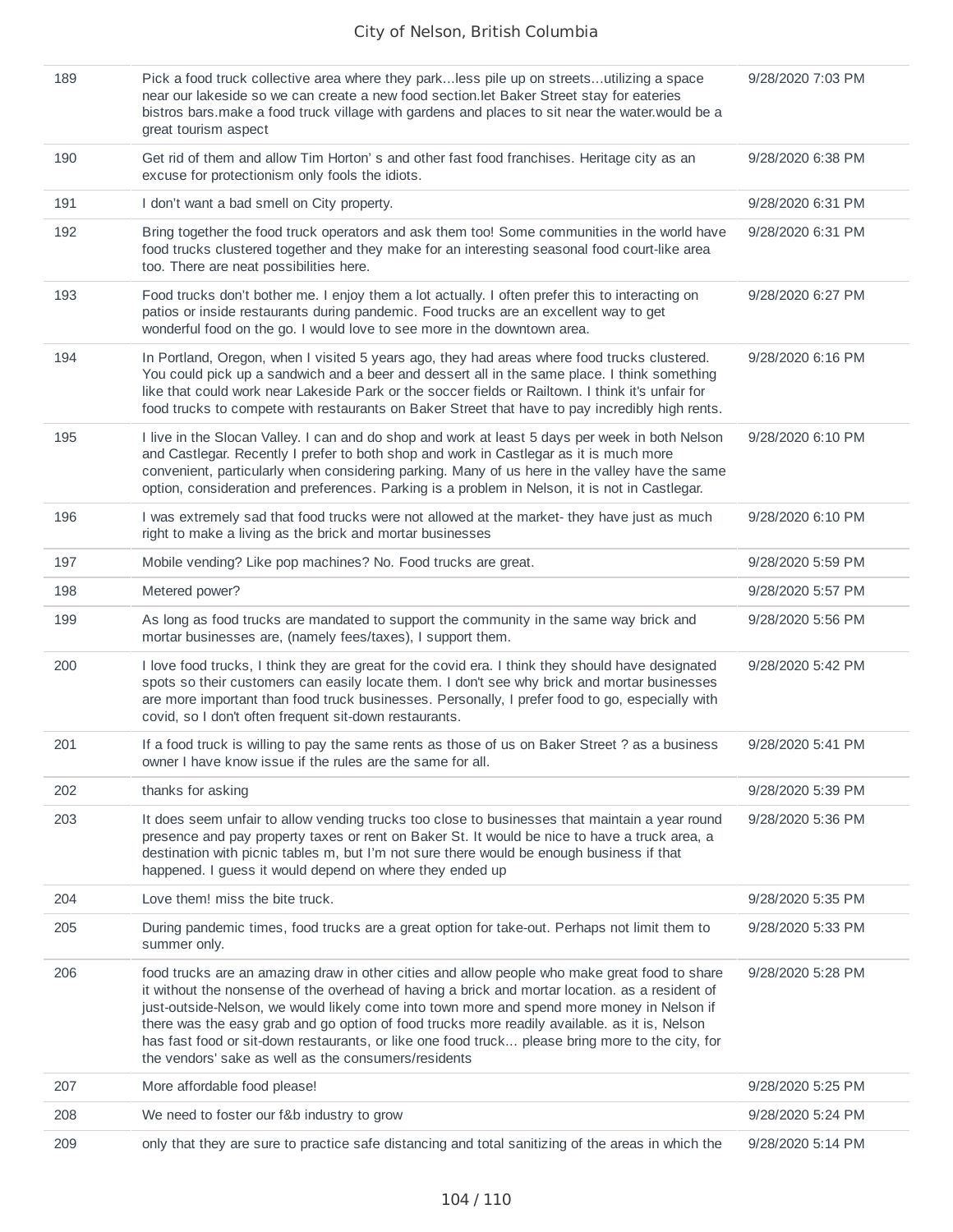| 189 | Pick a food truck collective area where they parkless pile up on streetsutilizing a space<br>near our lakeside so we can create a new food section. let Baker Street stay for eateries<br>bistros bars. make a food truck village with gardens and places to sit near the water. would be a<br>great tourism aspect                                                                                                                                                                                                                                         | 9/28/2020 7:03 PM |
|-----|-------------------------------------------------------------------------------------------------------------------------------------------------------------------------------------------------------------------------------------------------------------------------------------------------------------------------------------------------------------------------------------------------------------------------------------------------------------------------------------------------------------------------------------------------------------|-------------------|
| 190 | Get rid of them and allow Tim Horton's and other fast food franchises. Heritage city as an<br>excuse for protectionism only fools the idiots.                                                                                                                                                                                                                                                                                                                                                                                                               | 9/28/2020 6:38 PM |
| 191 | I don't want a bad smell on City property.                                                                                                                                                                                                                                                                                                                                                                                                                                                                                                                  | 9/28/2020 6:31 PM |
| 192 | Bring together the food truck operators and ask them too! Some communities in the world have<br>food trucks clustered together and they make for an interesting seasonal food court-like area<br>too. There are neat possibilities here.                                                                                                                                                                                                                                                                                                                    | 9/28/2020 6:31 PM |
| 193 | Food trucks don't bother me. I enjoy them a lot actually. I often prefer this to interacting on<br>patios or inside restaurants during pandemic. Food trucks are an excellent way to get<br>wonderful food on the go. I would love to see more in the downtown area.                                                                                                                                                                                                                                                                                        | 9/28/2020 6:27 PM |
| 194 | In Portland, Oregon, when I visited 5 years ago, they had areas where food trucks clustered.<br>You could pick up a sandwich and a beer and dessert all in the same place. I think something<br>like that could work near Lakeside Park or the soccer fields or Railtown. I think it's unfair for<br>food trucks to compete with restaurants on Baker Street that have to pay incredibly high rents.                                                                                                                                                        | 9/28/2020 6:16 PM |
| 195 | I live in the Slocan Valley. I can and do shop and work at least 5 days per week in both Nelson<br>and Castlegar. Recently I prefer to both shop and work in Castlegar as it is much more<br>convenient, particularly when considering parking. Many of us here in the valley have the same<br>option, consideration and preferences. Parking is a problem in Nelson, it is not in Castlegar.                                                                                                                                                               | 9/28/2020 6:10 PM |
| 196 | I was extremely sad that food trucks were not allowed at the market- they have just as much<br>right to make a living as the brick and mortar businesses                                                                                                                                                                                                                                                                                                                                                                                                    | 9/28/2020 6:10 PM |
| 197 | Mobile vending? Like pop machines? No. Food trucks are great.                                                                                                                                                                                                                                                                                                                                                                                                                                                                                               | 9/28/2020 5:59 PM |
| 198 | Metered power?                                                                                                                                                                                                                                                                                                                                                                                                                                                                                                                                              | 9/28/2020 5:57 PM |
| 199 | As long as food trucks are mandated to support the community in the same way brick and<br>mortar businesses are, (namely fees/taxes), I support them.                                                                                                                                                                                                                                                                                                                                                                                                       | 9/28/2020 5:56 PM |
| 200 | I love food trucks, I think they are great for the covid era. I think they should have designated<br>spots so their customers can easily locate them. I don't see why brick and mortar businesses<br>are more important than food truck businesses. Personally, I prefer food to go, especially with<br>covid, so I don't often frequent sit-down restaurants.                                                                                                                                                                                              | 9/28/2020 5:42 PM |
| 201 | If a food truck is willing to pay the same rents as those of us on Baker Street ? as a business<br>owner I have know issue if the rules are the same for all.                                                                                                                                                                                                                                                                                                                                                                                               | 9/28/2020 5:41 PM |
| 202 | thanks for asking                                                                                                                                                                                                                                                                                                                                                                                                                                                                                                                                           | 9/28/2020 5:39 PM |
| 203 | It does seem unfair to allow vending trucks too close to businesses that maintain a year round<br>presence and pay property taxes or rent on Baker St. It would be nice to have a truck area, a<br>destination with picnic tables m, but I'm not sure there would be enough business if that<br>happened. I guess it would depend on where they ended up                                                                                                                                                                                                    | 9/28/2020 5:36 PM |
| 204 | Love them! miss the bite truck.                                                                                                                                                                                                                                                                                                                                                                                                                                                                                                                             | 9/28/2020 5:35 PM |
| 205 | During pandemic times, food trucks are a great option for take-out. Perhaps not limit them to<br>summer only.                                                                                                                                                                                                                                                                                                                                                                                                                                               | 9/28/2020 5:33 PM |
| 206 | food trucks are an amazing draw in other cities and allow people who make great food to share<br>it without the nonsense of the overhead of having a brick and mortar location. as a resident of<br>just-outside-Nelson, we would likely come into town more and spend more money in Nelson if<br>there was the easy grab and go option of food trucks more readily available. as it is, Nelson<br>has fast food or sit-down restaurants, or like one food truck please bring more to the city, for<br>the vendors' sake as well as the consumers/residents | 9/28/2020 5:28 PM |
| 207 | More affordable food please!                                                                                                                                                                                                                                                                                                                                                                                                                                                                                                                                | 9/28/2020 5:25 PM |
| 208 | We need to foster our f&b industry to grow                                                                                                                                                                                                                                                                                                                                                                                                                                                                                                                  | 9/28/2020 5:24 PM |
| 209 | only that they are sure to practice safe distancing and total sanitizing of the areas in which the                                                                                                                                                                                                                                                                                                                                                                                                                                                          | 9/28/2020 5:14 PM |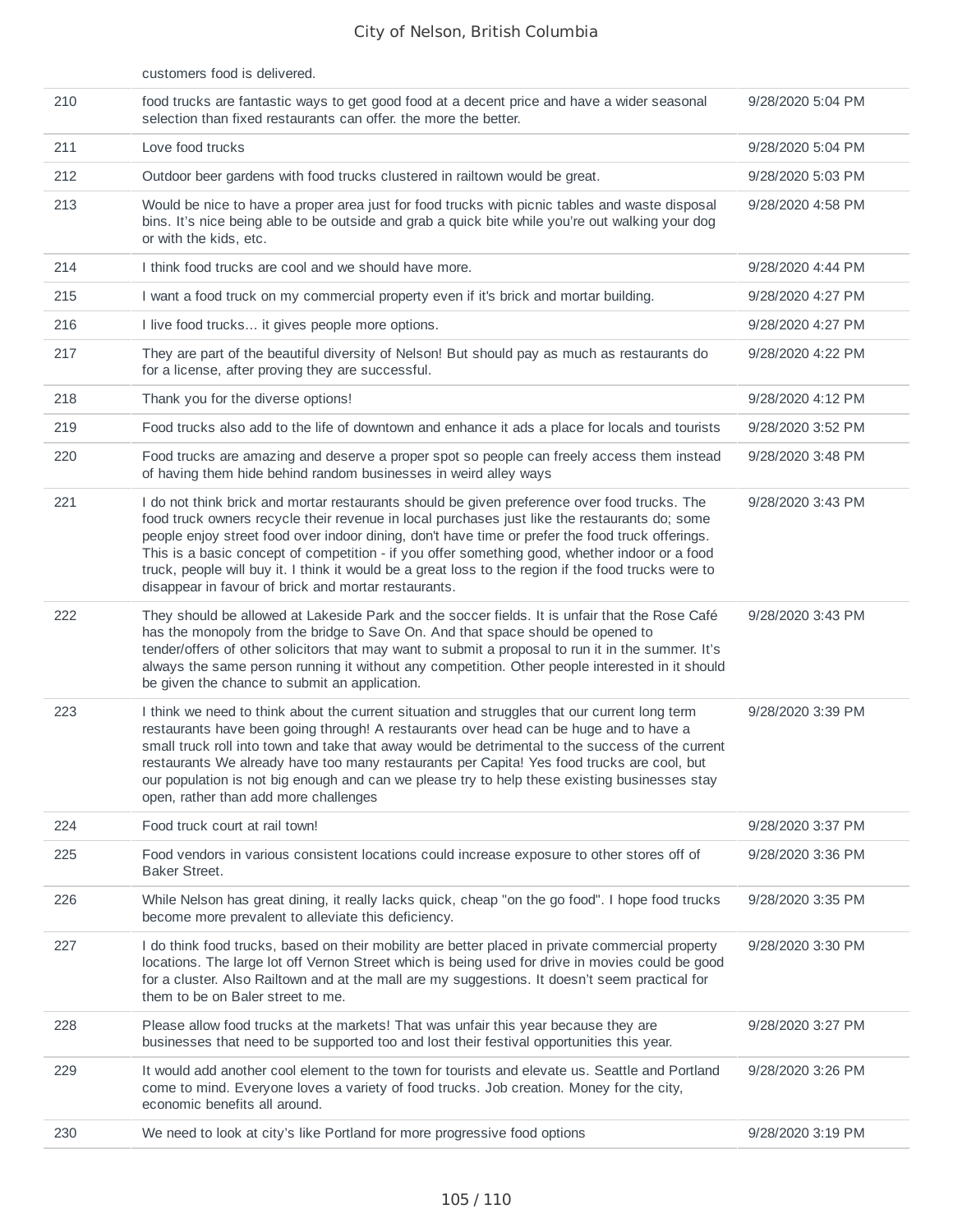|     | customers food is delivered.                                                                                                                                                                                                                                                                                                                                                                                                                                                                                                                                        |                   |
|-----|---------------------------------------------------------------------------------------------------------------------------------------------------------------------------------------------------------------------------------------------------------------------------------------------------------------------------------------------------------------------------------------------------------------------------------------------------------------------------------------------------------------------------------------------------------------------|-------------------|
| 210 | food trucks are fantastic ways to get good food at a decent price and have a wider seasonal<br>selection than fixed restaurants can offer. the more the better.                                                                                                                                                                                                                                                                                                                                                                                                     | 9/28/2020 5:04 PM |
| 211 | Love food trucks                                                                                                                                                                                                                                                                                                                                                                                                                                                                                                                                                    | 9/28/2020 5:04 PM |
| 212 | Outdoor beer gardens with food trucks clustered in railtown would be great.                                                                                                                                                                                                                                                                                                                                                                                                                                                                                         | 9/28/2020 5:03 PM |
| 213 | Would be nice to have a proper area just for food trucks with picnic tables and waste disposal<br>bins. It's nice being able to be outside and grab a quick bite while you're out walking your dog<br>or with the kids, etc.                                                                                                                                                                                                                                                                                                                                        | 9/28/2020 4:58 PM |
| 214 | I think food trucks are cool and we should have more.                                                                                                                                                                                                                                                                                                                                                                                                                                                                                                               | 9/28/2020 4:44 PM |
| 215 | I want a food truck on my commercial property even if it's brick and mortar building.                                                                                                                                                                                                                                                                                                                                                                                                                                                                               | 9/28/2020 4:27 PM |
| 216 | I live food trucks it gives people more options.                                                                                                                                                                                                                                                                                                                                                                                                                                                                                                                    | 9/28/2020 4:27 PM |
| 217 | They are part of the beautiful diversity of Nelson! But should pay as much as restaurants do<br>for a license, after proving they are successful.                                                                                                                                                                                                                                                                                                                                                                                                                   | 9/28/2020 4:22 PM |
| 218 | Thank you for the diverse options!                                                                                                                                                                                                                                                                                                                                                                                                                                                                                                                                  | 9/28/2020 4:12 PM |
| 219 | Food trucks also add to the life of downtown and enhance it ads a place for locals and tourists                                                                                                                                                                                                                                                                                                                                                                                                                                                                     | 9/28/2020 3:52 PM |
| 220 | Food trucks are amazing and deserve a proper spot so people can freely access them instead<br>of having them hide behind random businesses in weird alley ways                                                                                                                                                                                                                                                                                                                                                                                                      | 9/28/2020 3:48 PM |
| 221 | I do not think brick and mortar restaurants should be given preference over food trucks. The<br>food truck owners recycle their revenue in local purchases just like the restaurants do; some<br>people enjoy street food over indoor dining, don't have time or prefer the food truck offerings.<br>This is a basic concept of competition - if you offer something good, whether indoor or a food<br>truck, people will buy it. I think it would be a great loss to the region if the food trucks were to<br>disappear in favour of brick and mortar restaurants. | 9/28/2020 3:43 PM |
| 222 | They should be allowed at Lakeside Park and the soccer fields. It is unfair that the Rose Café<br>has the monopoly from the bridge to Save On. And that space should be opened to<br>tender/offers of other solicitors that may want to submit a proposal to run it in the summer. It's<br>always the same person running it without any competition. Other people interested in it should<br>be given the chance to submit an application.                                                                                                                         | 9/28/2020 3:43 PM |
| 223 | I think we need to think about the current situation and struggles that our current long term<br>restaurants have been going through! A restaurants over head can be huge and to have a<br>small truck roll into town and take that away would be detrimental to the success of the current<br>restaurants We already have too many restaurants per Capita! Yes food trucks are cool, but<br>our population is not big enough and can we please try to help these existing businesses stay<br>open, rather than add more challenges                                 | 9/28/2020 3:39 PM |
| 224 | Food truck court at rail town!                                                                                                                                                                                                                                                                                                                                                                                                                                                                                                                                      | 9/28/2020 3:37 PM |
| 225 | Food vendors in various consistent locations could increase exposure to other stores off of<br><b>Baker Street.</b>                                                                                                                                                                                                                                                                                                                                                                                                                                                 | 9/28/2020 3:36 PM |
| 226 | While Nelson has great dining, it really lacks quick, cheap "on the go food". I hope food trucks<br>become more prevalent to alleviate this deficiency.                                                                                                                                                                                                                                                                                                                                                                                                             | 9/28/2020 3:35 PM |
| 227 | I do think food trucks, based on their mobility are better placed in private commercial property<br>locations. The large lot off Vernon Street which is being used for drive in movies could be good<br>for a cluster. Also Railtown and at the mall are my suggestions. It doesn't seem practical for<br>them to be on Baler street to me.                                                                                                                                                                                                                         | 9/28/2020 3:30 PM |
| 228 | Please allow food trucks at the markets! That was unfair this year because they are<br>businesses that need to be supported too and lost their festival opportunities this year.                                                                                                                                                                                                                                                                                                                                                                                    | 9/28/2020 3:27 PM |
| 229 | It would add another cool element to the town for tourists and elevate us. Seattle and Portland<br>come to mind. Everyone loves a variety of food trucks. Job creation. Money for the city,<br>economic benefits all around.                                                                                                                                                                                                                                                                                                                                        | 9/28/2020 3:26 PM |
| 230 | We need to look at city's like Portland for more progressive food options                                                                                                                                                                                                                                                                                                                                                                                                                                                                                           | 9/28/2020 3:19 PM |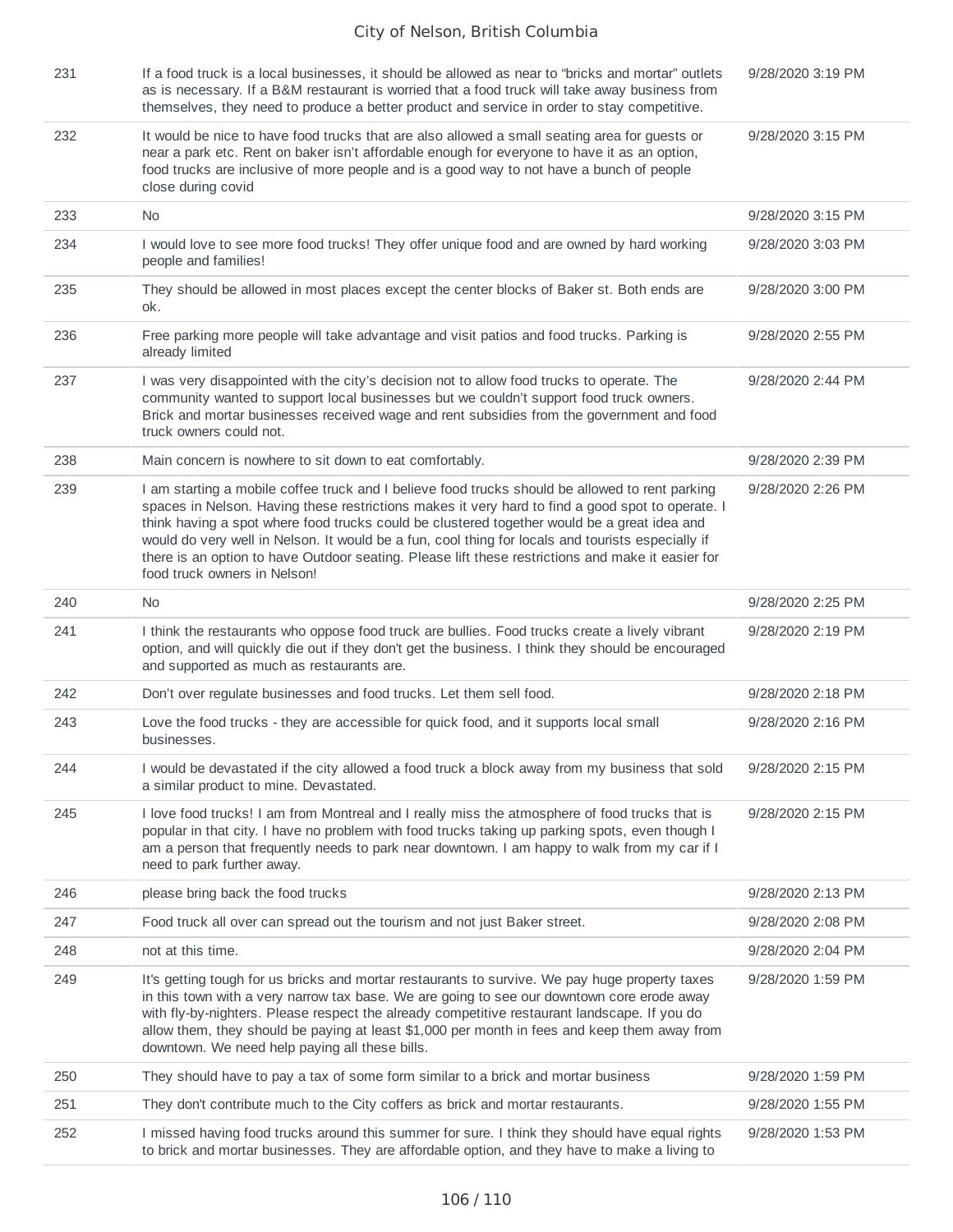| 231 | If a food truck is a local businesses, it should be allowed as near to "bricks and mortar" outlets<br>as is necessary. If a B&M restaurant is worried that a food truck will take away business from<br>themselves, they need to produce a better product and service in order to stay competitive.                                                                                                                                                                                                                                          | 9/28/2020 3:19 PM |
|-----|----------------------------------------------------------------------------------------------------------------------------------------------------------------------------------------------------------------------------------------------------------------------------------------------------------------------------------------------------------------------------------------------------------------------------------------------------------------------------------------------------------------------------------------------|-------------------|
| 232 | It would be nice to have food trucks that are also allowed a small seating area for guests or<br>near a park etc. Rent on baker isn't affordable enough for everyone to have it as an option,<br>food trucks are inclusive of more people and is a good way to not have a bunch of people<br>close during covid                                                                                                                                                                                                                              | 9/28/2020 3:15 PM |
| 233 | <b>No</b>                                                                                                                                                                                                                                                                                                                                                                                                                                                                                                                                    | 9/28/2020 3:15 PM |
| 234 | I would love to see more food trucks! They offer unique food and are owned by hard working<br>people and families!                                                                                                                                                                                                                                                                                                                                                                                                                           | 9/28/2020 3:03 PM |
| 235 | They should be allowed in most places except the center blocks of Baker st. Both ends are<br>ok.                                                                                                                                                                                                                                                                                                                                                                                                                                             | 9/28/2020 3:00 PM |
| 236 | Free parking more people will take advantage and visit patios and food trucks. Parking is<br>already limited                                                                                                                                                                                                                                                                                                                                                                                                                                 | 9/28/2020 2:55 PM |
| 237 | I was very disappointed with the city's decision not to allow food trucks to operate. The<br>community wanted to support local businesses but we couldn't support food truck owners.<br>Brick and mortar businesses received wage and rent subsidies from the government and food<br>truck owners could not.                                                                                                                                                                                                                                 | 9/28/2020 2:44 PM |
| 238 | Main concern is nowhere to sit down to eat comfortably.                                                                                                                                                                                                                                                                                                                                                                                                                                                                                      | 9/28/2020 2:39 PM |
| 239 | I am starting a mobile coffee truck and I believe food trucks should be allowed to rent parking<br>spaces in Nelson. Having these restrictions makes it very hard to find a good spot to operate. I<br>think having a spot where food trucks could be clustered together would be a great idea and<br>would do very well in Nelson. It would be a fun, cool thing for locals and tourists especially if<br>there is an option to have Outdoor seating. Please lift these restrictions and make it easier for<br>food truck owners in Nelson! | 9/28/2020 2:26 PM |
| 240 | <b>No</b>                                                                                                                                                                                                                                                                                                                                                                                                                                                                                                                                    | 9/28/2020 2:25 PM |
| 241 | I think the restaurants who oppose food truck are bullies. Food trucks create a lively vibrant<br>option, and will quickly die out if they don't get the business. I think they should be encouraged<br>and supported as much as restaurants are.                                                                                                                                                                                                                                                                                            | 9/28/2020 2:19 PM |
| 242 | Don't over regulate businesses and food trucks. Let them sell food.                                                                                                                                                                                                                                                                                                                                                                                                                                                                          | 9/28/2020 2:18 PM |
| 243 | Love the food trucks - they are accessible for quick food, and it supports local small<br>businesses.                                                                                                                                                                                                                                                                                                                                                                                                                                        | 9/28/2020 2:16 PM |
| 244 | I would be devastated if the city allowed a food truck a block away from my business that sold<br>a similar product to mine. Devastated.                                                                                                                                                                                                                                                                                                                                                                                                     | 9/28/2020 2:15 PM |
| 245 | I love food trucks! I am from Montreal and I really miss the atmosphere of food trucks that is<br>popular in that city. I have no problem with food trucks taking up parking spots, even though I<br>am a person that frequently needs to park near downtown. I am happy to walk from my car if I<br>need to park further away.                                                                                                                                                                                                              | 9/28/2020 2:15 PM |
| 246 | please bring back the food trucks                                                                                                                                                                                                                                                                                                                                                                                                                                                                                                            | 9/28/2020 2:13 PM |
| 247 | Food truck all over can spread out the tourism and not just Baker street.                                                                                                                                                                                                                                                                                                                                                                                                                                                                    | 9/28/2020 2:08 PM |
| 248 | not at this time.                                                                                                                                                                                                                                                                                                                                                                                                                                                                                                                            | 9/28/2020 2:04 PM |
| 249 | It's getting tough for us bricks and mortar restaurants to survive. We pay huge property taxes<br>in this town with a very narrow tax base. We are going to see our downtown core erode away<br>with fly-by-nighters. Please respect the already competitive restaurant landscape. If you do<br>allow them, they should be paying at least \$1,000 per month in fees and keep them away from<br>downtown. We need help paying all these bills.                                                                                               | 9/28/2020 1:59 PM |
| 250 | They should have to pay a tax of some form similar to a brick and mortar business                                                                                                                                                                                                                                                                                                                                                                                                                                                            | 9/28/2020 1:59 PM |
| 251 | They don't contribute much to the City coffers as brick and mortar restaurants.                                                                                                                                                                                                                                                                                                                                                                                                                                                              | 9/28/2020 1:55 PM |
| 252 | I missed having food trucks around this summer for sure. I think they should have equal rights<br>to brick and mortar businesses. They are affordable option, and they have to make a living to                                                                                                                                                                                                                                                                                                                                              | 9/28/2020 1:53 PM |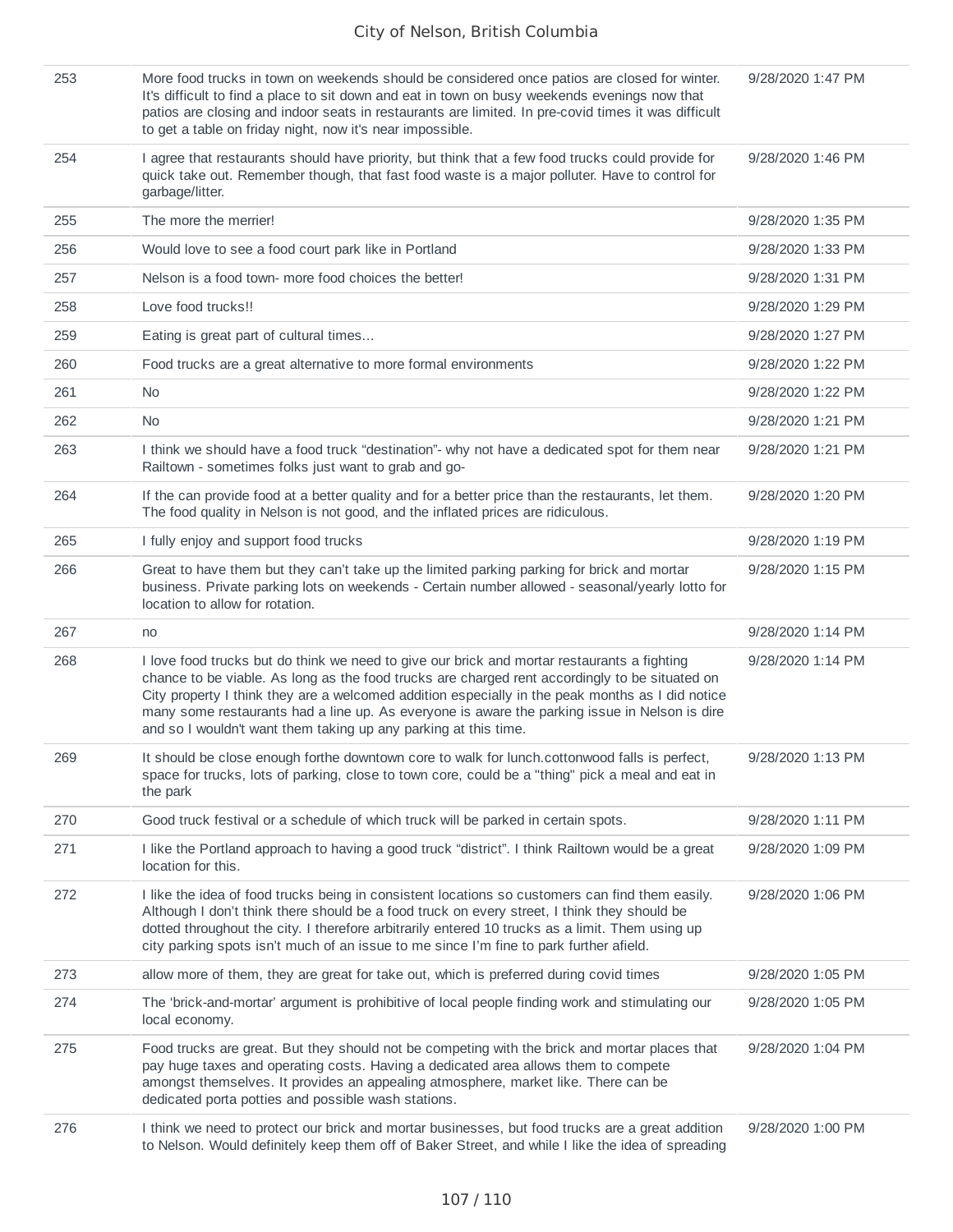| 253 | More food trucks in town on weekends should be considered once patios are closed for winter.<br>It's difficult to find a place to sit down and eat in town on busy weekends evenings now that<br>patios are closing and indoor seats in restaurants are limited. In pre-covid times it was difficult<br>to get a table on friday night, now it's near impossible.                                                                                                     | 9/28/2020 1:47 PM |
|-----|-----------------------------------------------------------------------------------------------------------------------------------------------------------------------------------------------------------------------------------------------------------------------------------------------------------------------------------------------------------------------------------------------------------------------------------------------------------------------|-------------------|
| 254 | I agree that restaurants should have priority, but think that a few food trucks could provide for<br>quick take out. Remember though, that fast food waste is a major polluter. Have to control for<br>garbage/litter.                                                                                                                                                                                                                                                | 9/28/2020 1:46 PM |
| 255 | The more the merrier!                                                                                                                                                                                                                                                                                                                                                                                                                                                 | 9/28/2020 1:35 PM |
| 256 | Would love to see a food court park like in Portland                                                                                                                                                                                                                                                                                                                                                                                                                  | 9/28/2020 1:33 PM |
| 257 | Nelson is a food town- more food choices the better!                                                                                                                                                                                                                                                                                                                                                                                                                  | 9/28/2020 1:31 PM |
| 258 | Love food trucks!!                                                                                                                                                                                                                                                                                                                                                                                                                                                    | 9/28/2020 1:29 PM |
| 259 | Eating is great part of cultural times                                                                                                                                                                                                                                                                                                                                                                                                                                | 9/28/2020 1:27 PM |
| 260 | Food trucks are a great alternative to more formal environments                                                                                                                                                                                                                                                                                                                                                                                                       | 9/28/2020 1:22 PM |
| 261 | N <sub>0</sub>                                                                                                                                                                                                                                                                                                                                                                                                                                                        | 9/28/2020 1:22 PM |
| 262 | No.                                                                                                                                                                                                                                                                                                                                                                                                                                                                   | 9/28/2020 1:21 PM |
| 263 | I think we should have a food truck "destination"- why not have a dedicated spot for them near<br>Railtown - sometimes folks just want to grab and go-                                                                                                                                                                                                                                                                                                                | 9/28/2020 1:21 PM |
| 264 | If the can provide food at a better quality and for a better price than the restaurants, let them.<br>The food quality in Nelson is not good, and the inflated prices are ridiculous.                                                                                                                                                                                                                                                                                 | 9/28/2020 1:20 PM |
| 265 | I fully enjoy and support food trucks                                                                                                                                                                                                                                                                                                                                                                                                                                 | 9/28/2020 1:19 PM |
| 266 | Great to have them but they can't take up the limited parking parking for brick and mortar<br>business. Private parking lots on weekends - Certain number allowed - seasonal/yearly lotto for<br>location to allow for rotation.                                                                                                                                                                                                                                      | 9/28/2020 1:15 PM |
| 267 | no                                                                                                                                                                                                                                                                                                                                                                                                                                                                    | 9/28/2020 1:14 PM |
| 268 | I love food trucks but do think we need to give our brick and mortar restaurants a fighting<br>chance to be viable. As long as the food trucks are charged rent accordingly to be situated on<br>City property I think they are a welcomed addition especially in the peak months as I did notice<br>many some restaurants had a line up. As everyone is aware the parking issue in Nelson is dire<br>and so I wouldn't want them taking up any parking at this time. | 9/28/2020 1:14 PM |
| 269 | It should be close enough forthe downtown core to walk for lunch.cottonwood falls is perfect,<br>space for trucks, lots of parking, close to town core, could be a "thing" pick a meal and eat in<br>the park                                                                                                                                                                                                                                                         | 9/28/2020 1:13 PM |
| 270 | Good truck festival or a schedule of which truck will be parked in certain spots.                                                                                                                                                                                                                                                                                                                                                                                     | 9/28/2020 1:11 PM |
| 271 | I like the Portland approach to having a good truck "district". I think Railtown would be a great<br>location for this.                                                                                                                                                                                                                                                                                                                                               | 9/28/2020 1:09 PM |
| 272 | I like the idea of food trucks being in consistent locations so customers can find them easily.<br>Although I don't think there should be a food truck on every street, I think they should be<br>dotted throughout the city. I therefore arbitrarily entered 10 trucks as a limit. Them using up<br>city parking spots isn't much of an issue to me since I'm fine to park further afield.                                                                           | 9/28/2020 1:06 PM |
| 273 | allow more of them, they are great for take out, which is preferred during covid times                                                                                                                                                                                                                                                                                                                                                                                | 9/28/2020 1:05 PM |
| 274 | The 'brick-and-mortar' argument is prohibitive of local people finding work and stimulating our<br>local economy.                                                                                                                                                                                                                                                                                                                                                     | 9/28/2020 1:05 PM |
| 275 | Food trucks are great. But they should not be competing with the brick and mortar places that<br>pay huge taxes and operating costs. Having a dedicated area allows them to compete<br>amongst themselves. It provides an appealing atmosphere, market like. There can be<br>dedicated porta potties and possible wash stations.                                                                                                                                      | 9/28/2020 1:04 PM |
| 276 | I think we need to protect our brick and mortar businesses, but food trucks are a great addition<br>to Nelson. Would definitely keep them off of Baker Street, and while I like the idea of spreading                                                                                                                                                                                                                                                                 | 9/28/2020 1:00 PM |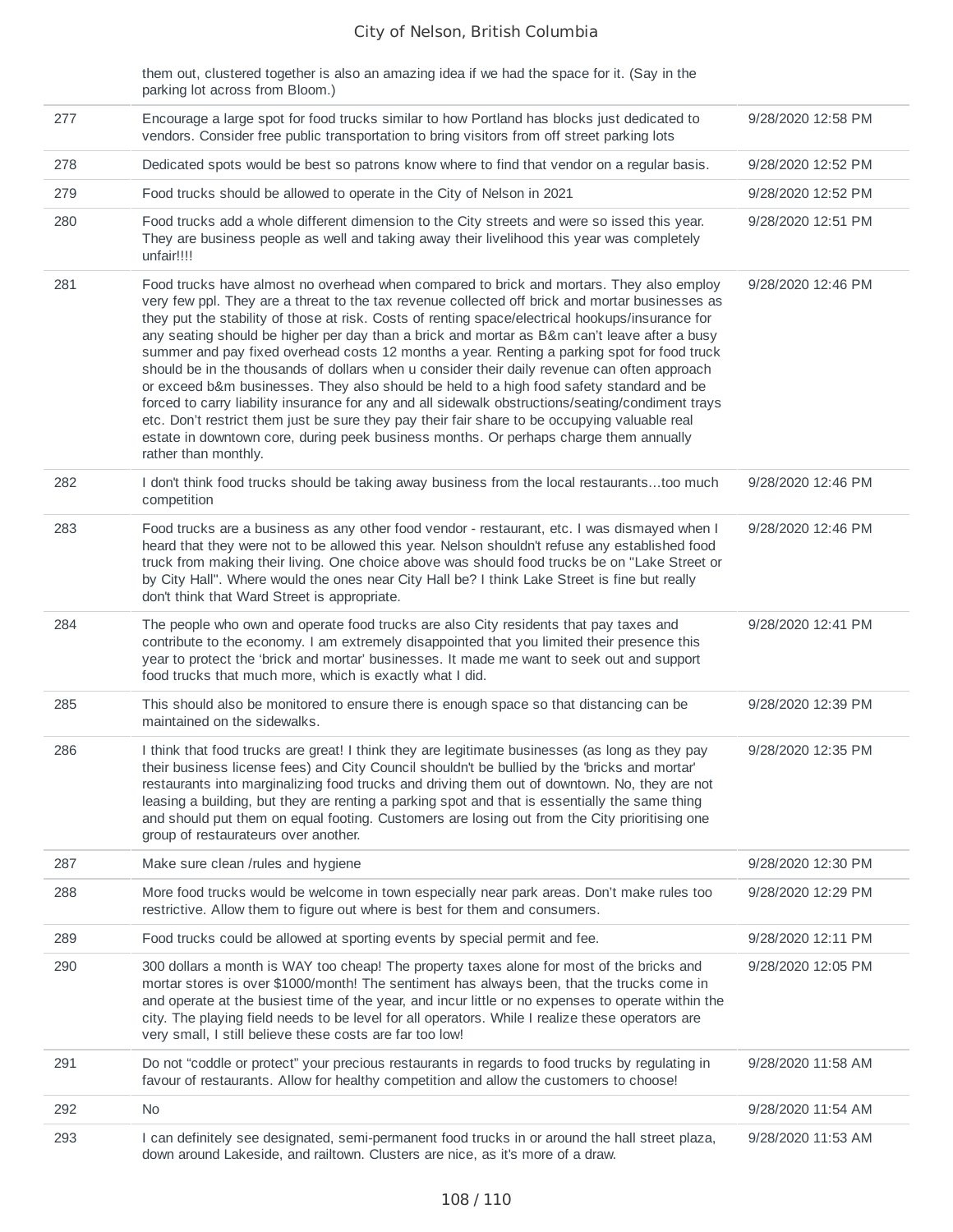them out, clustered together is also an amazing idea if we had the space for it. (Say in the parking lot across from Bloom.)

| 277 | Encourage a large spot for food trucks similar to how Portland has blocks just dedicated to<br>vendors. Consider free public transportation to bring visitors from off street parking lots                                                                                                                                                                                                                                                                                                                                                                                                                                                                                                                                                                                                                                                                                                                                                                                                                        | 9/28/2020 12:58 PM |
|-----|-------------------------------------------------------------------------------------------------------------------------------------------------------------------------------------------------------------------------------------------------------------------------------------------------------------------------------------------------------------------------------------------------------------------------------------------------------------------------------------------------------------------------------------------------------------------------------------------------------------------------------------------------------------------------------------------------------------------------------------------------------------------------------------------------------------------------------------------------------------------------------------------------------------------------------------------------------------------------------------------------------------------|--------------------|
| 278 | Dedicated spots would be best so patrons know where to find that vendor on a regular basis.                                                                                                                                                                                                                                                                                                                                                                                                                                                                                                                                                                                                                                                                                                                                                                                                                                                                                                                       | 9/28/2020 12:52 PM |
| 279 | Food trucks should be allowed to operate in the City of Nelson in 2021                                                                                                                                                                                                                                                                                                                                                                                                                                                                                                                                                                                                                                                                                                                                                                                                                                                                                                                                            | 9/28/2020 12:52 PM |
| 280 | Food trucks add a whole different dimension to the City streets and were so issed this year.<br>They are business people as well and taking away their livelihood this year was completely<br>unfair!!!!                                                                                                                                                                                                                                                                                                                                                                                                                                                                                                                                                                                                                                                                                                                                                                                                          | 9/28/2020 12:51 PM |
| 281 | Food trucks have almost no overhead when compared to brick and mortars. They also employ<br>very few ppl. They are a threat to the tax revenue collected off brick and mortar businesses as<br>they put the stability of those at risk. Costs of renting space/electrical hookups/insurance for<br>any seating should be higher per day than a brick and mortar as B&m can't leave after a busy<br>summer and pay fixed overhead costs 12 months a year. Renting a parking spot for food truck<br>should be in the thousands of dollars when u consider their daily revenue can often approach<br>or exceed b&m businesses. They also should be held to a high food safety standard and be<br>forced to carry liability insurance for any and all sidewalk obstructions/seating/condiment trays<br>etc. Don't restrict them just be sure they pay their fair share to be occupying valuable real<br>estate in downtown core, during peek business months. Or perhaps charge them annually<br>rather than monthly. | 9/28/2020 12:46 PM |
| 282 | I don't think food trucks should be taking away business from the local restaurantstoo much<br>competition                                                                                                                                                                                                                                                                                                                                                                                                                                                                                                                                                                                                                                                                                                                                                                                                                                                                                                        | 9/28/2020 12:46 PM |
| 283 | Food trucks are a business as any other food vendor - restaurant, etc. I was dismayed when I<br>heard that they were not to be allowed this year. Nelson shouldn't refuse any established food<br>truck from making their living. One choice above was should food trucks be on "Lake Street or<br>by City Hall". Where would the ones near City Hall be? I think Lake Street is fine but really<br>don't think that Ward Street is appropriate.                                                                                                                                                                                                                                                                                                                                                                                                                                                                                                                                                                  | 9/28/2020 12:46 PM |
| 284 | The people who own and operate food trucks are also City residents that pay taxes and<br>contribute to the economy. I am extremely disappointed that you limited their presence this<br>year to protect the 'brick and mortar' businesses. It made me want to seek out and support<br>food trucks that much more, which is exactly what I did.                                                                                                                                                                                                                                                                                                                                                                                                                                                                                                                                                                                                                                                                    | 9/28/2020 12:41 PM |
| 285 | This should also be monitored to ensure there is enough space so that distancing can be<br>maintained on the sidewalks.                                                                                                                                                                                                                                                                                                                                                                                                                                                                                                                                                                                                                                                                                                                                                                                                                                                                                           | 9/28/2020 12:39 PM |
| 286 | I think that food trucks are great! I think they are legitimate businesses (as long as they pay<br>their business license fees) and City Council shouldn't be bullied by the 'bricks and mortar'<br>restaurants into marginalizing food trucks and driving them out of downtown. No, they are not<br>leasing a building, but they are renting a parking spot and that is essentially the same thing<br>and should put them on equal footing. Customers are losing out from the City prioritising one<br>group of restaurateurs over another.                                                                                                                                                                                                                                                                                                                                                                                                                                                                      | 9/28/2020 12:35 PM |
| 287 | Make sure clean /rules and hygiene                                                                                                                                                                                                                                                                                                                                                                                                                                                                                                                                                                                                                                                                                                                                                                                                                                                                                                                                                                                | 9/28/2020 12:30 PM |
| 288 | More food trucks would be welcome in town especially near park areas. Don't make rules too<br>restrictive. Allow them to figure out where is best for them and consumers.                                                                                                                                                                                                                                                                                                                                                                                                                                                                                                                                                                                                                                                                                                                                                                                                                                         | 9/28/2020 12:29 PM |
| 289 | Food trucks could be allowed at sporting events by special permit and fee.                                                                                                                                                                                                                                                                                                                                                                                                                                                                                                                                                                                                                                                                                                                                                                                                                                                                                                                                        | 9/28/2020 12:11 PM |
| 290 | 300 dollars a month is WAY too cheap! The property taxes alone for most of the bricks and<br>mortar stores is over \$1000/month! The sentiment has always been, that the trucks come in<br>and operate at the busiest time of the year, and incur little or no expenses to operate within the<br>city. The playing field needs to be level for all operators. While I realize these operators are<br>very small, I still believe these costs are far too low!                                                                                                                                                                                                                                                                                                                                                                                                                                                                                                                                                     | 9/28/2020 12:05 PM |
| 291 | Do not "coddle or protect" your precious restaurants in regards to food trucks by regulating in<br>favour of restaurants. Allow for healthy competition and allow the customers to choose!                                                                                                                                                                                                                                                                                                                                                                                                                                                                                                                                                                                                                                                                                                                                                                                                                        | 9/28/2020 11:58 AM |
| 292 | <b>No</b>                                                                                                                                                                                                                                                                                                                                                                                                                                                                                                                                                                                                                                                                                                                                                                                                                                                                                                                                                                                                         | 9/28/2020 11:54 AM |
| 293 | I can definitely see designated, semi-permanent food trucks in or around the hall street plaza,<br>down around Lakeside, and railtown. Clusters are nice, as it's more of a draw.                                                                                                                                                                                                                                                                                                                                                                                                                                                                                                                                                                                                                                                                                                                                                                                                                                 | 9/28/2020 11:53 AM |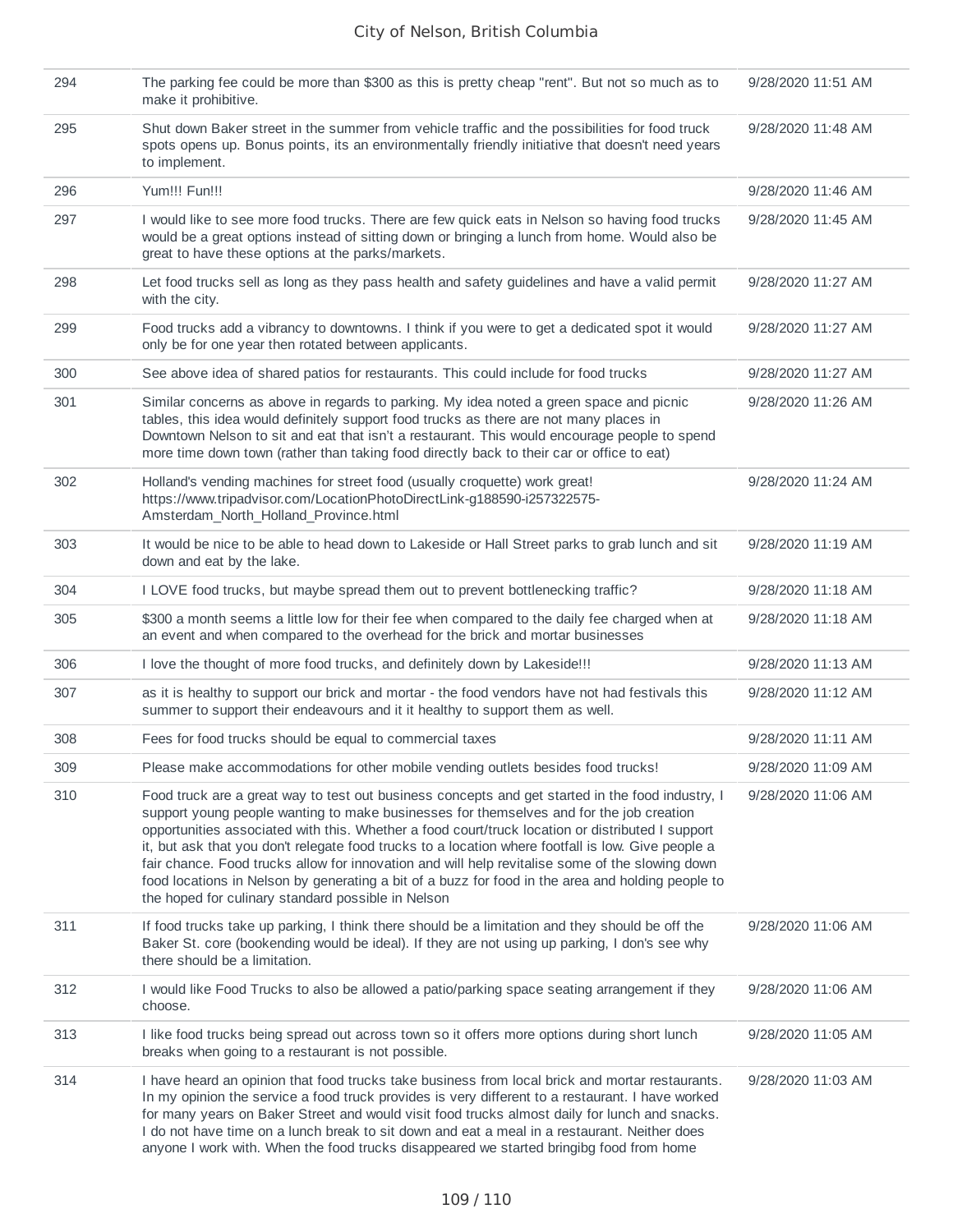| 294 | The parking fee could be more than \$300 as this is pretty cheap "rent". But not so much as to<br>make it prohibitive.                                                                                                                                                                                                                                                                                                                                                                                                                                                                                                                                              | 9/28/2020 11:51 AM |
|-----|---------------------------------------------------------------------------------------------------------------------------------------------------------------------------------------------------------------------------------------------------------------------------------------------------------------------------------------------------------------------------------------------------------------------------------------------------------------------------------------------------------------------------------------------------------------------------------------------------------------------------------------------------------------------|--------------------|
| 295 | Shut down Baker street in the summer from vehicle traffic and the possibilities for food truck<br>spots opens up. Bonus points, its an environmentally friendly initiative that doesn't need years<br>to implement.                                                                                                                                                                                                                                                                                                                                                                                                                                                 | 9/28/2020 11:48 AM |
| 296 | Yum!!! Fun!!!                                                                                                                                                                                                                                                                                                                                                                                                                                                                                                                                                                                                                                                       | 9/28/2020 11:46 AM |
| 297 | I would like to see more food trucks. There are few quick eats in Nelson so having food trucks<br>would be a great options instead of sitting down or bringing a lunch from home. Would also be<br>great to have these options at the parks/markets.                                                                                                                                                                                                                                                                                                                                                                                                                | 9/28/2020 11:45 AM |
| 298 | Let food trucks sell as long as they pass health and safety guidelines and have a valid permit<br>with the city.                                                                                                                                                                                                                                                                                                                                                                                                                                                                                                                                                    | 9/28/2020 11:27 AM |
| 299 | Food trucks add a vibrancy to downtowns. I think if you were to get a dedicated spot it would<br>only be for one year then rotated between applicants.                                                                                                                                                                                                                                                                                                                                                                                                                                                                                                              | 9/28/2020 11:27 AM |
| 300 | See above idea of shared patios for restaurants. This could include for food trucks                                                                                                                                                                                                                                                                                                                                                                                                                                                                                                                                                                                 | 9/28/2020 11:27 AM |
| 301 | Similar concerns as above in regards to parking. My idea noted a green space and picnic<br>tables, this idea would definitely support food trucks as there are not many places in<br>Downtown Nelson to sit and eat that isn't a restaurant. This would encourage people to spend<br>more time down town (rather than taking food directly back to their car or office to eat)                                                                                                                                                                                                                                                                                      | 9/28/2020 11:26 AM |
| 302 | Holland's vending machines for street food (usually croquette) work great!<br>https://www.tripadvisor.com/LocationPhotoDirectLink-g188590-i257322575-<br>Amsterdam North Holland Province.html                                                                                                                                                                                                                                                                                                                                                                                                                                                                      | 9/28/2020 11:24 AM |
| 303 | It would be nice to be able to head down to Lakeside or Hall Street parks to grab lunch and sit<br>down and eat by the lake.                                                                                                                                                                                                                                                                                                                                                                                                                                                                                                                                        | 9/28/2020 11:19 AM |
| 304 | I LOVE food trucks, but maybe spread them out to prevent bottlenecking traffic?                                                                                                                                                                                                                                                                                                                                                                                                                                                                                                                                                                                     | 9/28/2020 11:18 AM |
| 305 | \$300 a month seems a little low for their fee when compared to the daily fee charged when at<br>an event and when compared to the overhead for the brick and mortar businesses                                                                                                                                                                                                                                                                                                                                                                                                                                                                                     | 9/28/2020 11:18 AM |
| 306 | I love the thought of more food trucks, and definitely down by Lakeside!!!                                                                                                                                                                                                                                                                                                                                                                                                                                                                                                                                                                                          | 9/28/2020 11:13 AM |
| 307 | as it is healthy to support our brick and mortar - the food vendors have not had festivals this<br>summer to support their endeavours and it it healthy to support them as well.                                                                                                                                                                                                                                                                                                                                                                                                                                                                                    | 9/28/2020 11:12 AM |
| 308 | Fees for food trucks should be equal to commercial taxes                                                                                                                                                                                                                                                                                                                                                                                                                                                                                                                                                                                                            | 9/28/2020 11:11 AM |
| 309 | Please make accommodations for other mobile vending outlets besides food trucks!                                                                                                                                                                                                                                                                                                                                                                                                                                                                                                                                                                                    | 9/28/2020 11:09 AM |
| 310 | Food truck are a great way to test out business concepts and get started in the food industry, I<br>support young people wanting to make businesses for themselves and for the job creation<br>opportunities associated with this. Whether a food court/truck location or distributed I support<br>it, but ask that you don't relegate food trucks to a location where footfall is low. Give people a<br>fair chance. Food trucks allow for innovation and will help revitalise some of the slowing down<br>food locations in Nelson by generating a bit of a buzz for food in the area and holding people to<br>the hoped for culinary standard possible in Nelson | 9/28/2020 11:06 AM |
| 311 | If food trucks take up parking, I think there should be a limitation and they should be off the<br>Baker St. core (bookending would be ideal). If they are not using up parking, I don's see why<br>there should be a limitation.                                                                                                                                                                                                                                                                                                                                                                                                                                   | 9/28/2020 11:06 AM |
| 312 | I would like Food Trucks to also be allowed a patio/parking space seating arrangement if they<br>choose.                                                                                                                                                                                                                                                                                                                                                                                                                                                                                                                                                            | 9/28/2020 11:06 AM |
| 313 | I like food trucks being spread out across town so it offers more options during short lunch<br>breaks when going to a restaurant is not possible.                                                                                                                                                                                                                                                                                                                                                                                                                                                                                                                  | 9/28/2020 11:05 AM |
| 314 | I have heard an opinion that food trucks take business from local brick and mortar restaurants.<br>In my opinion the service a food truck provides is very different to a restaurant. I have worked<br>for many years on Baker Street and would visit food trucks almost daily for lunch and snacks.<br>I do not have time on a lunch break to sit down and eat a meal in a restaurant. Neither does<br>anyone I work with. When the food trucks disappeared we started bringibg food from home                                                                                                                                                                     | 9/28/2020 11:03 AM |